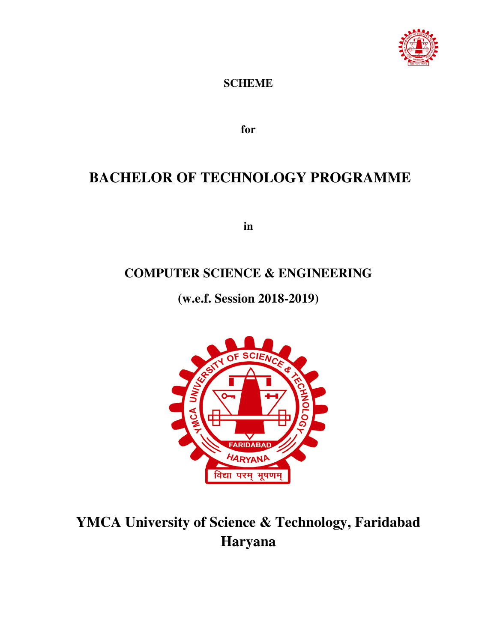

### **SCHEME**

**for**

## **BACHELOR OF TECHNOLOGY PROGRAMME**

**in** 

## **COMPUTER SCIENCE & ENGINEERING**

**(w.e.f. Session 2018-2019)** 



# **YMCA University of Science & Technology, Faridabad Haryana**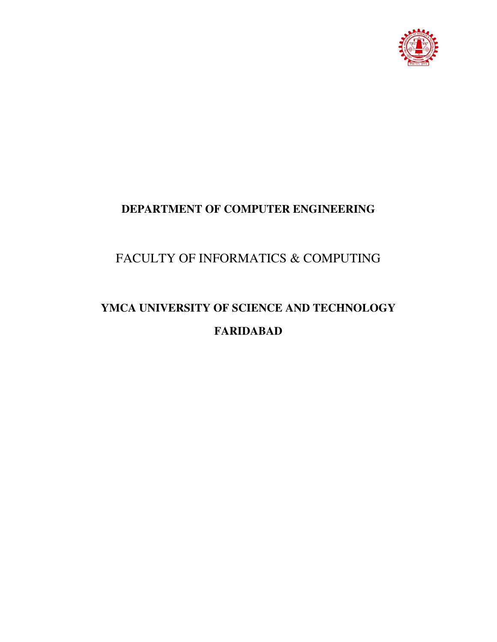

## **DEPARTMENT OF COMPUTER ENGINEERING**

## FACULTY OF INFORMATICS & COMPUTING

# **YMCA UNIVERSITY OF SCIENCE AND TECHNOLOGY FARIDABAD**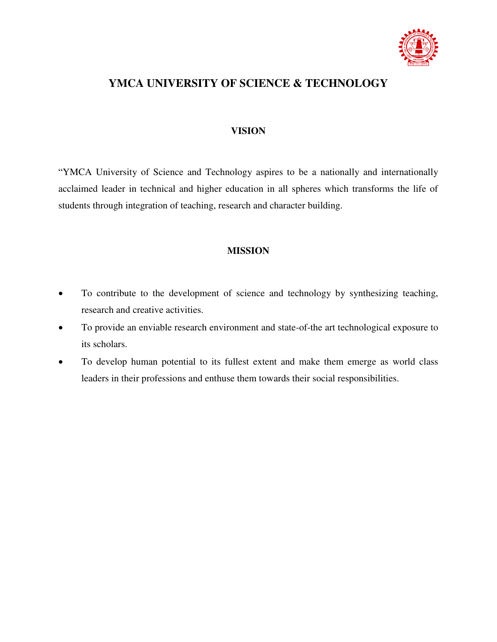

### **YMCA UNIVERSITY OF SCIENCE & TECHNOLOGY**

#### **VISION**

"YMCA University of Science and Technology aspires to be a nationally and internationally acclaimed leader in technical and higher education in all spheres which transforms the life of students through integration of teaching, research and character building.

#### **MISSION**

- To contribute to the development of science and technology by synthesizing teaching, research and creative activities.
- To provide an enviable research environment and state-of-the art technological exposure to its scholars.
- To develop human potential to its fullest extent and make them emerge as world class leaders in their professions and enthuse them towards their social responsibilities.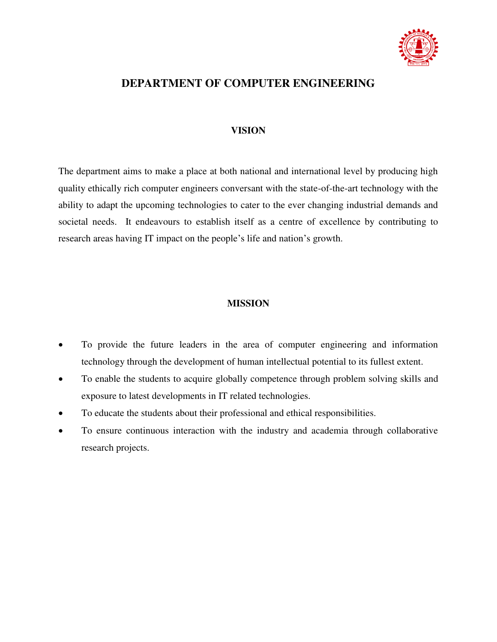

### **DEPARTMENT OF COMPUTER ENGINEERING**

#### **VISION**

The department aims to make a place at both national and international level by producing high quality ethically rich computer engineers conversant with the state-of-the-art technology with the ability to adapt the upcoming technologies to cater to the ever changing industrial demands and societal needs. It endeavours to establish itself as a centre of excellence by contributing to research areas having IT impact on the people's life and nation's growth.

#### **MISSION**

- To provide the future leaders in the area of computer engineering and information technology through the development of human intellectual potential to its fullest extent.
- To enable the students to acquire globally competence through problem solving skills and exposure to latest developments in IT related technologies.
- To educate the students about their professional and ethical responsibilities.
- To ensure continuous interaction with the industry and academia through collaborative research projects.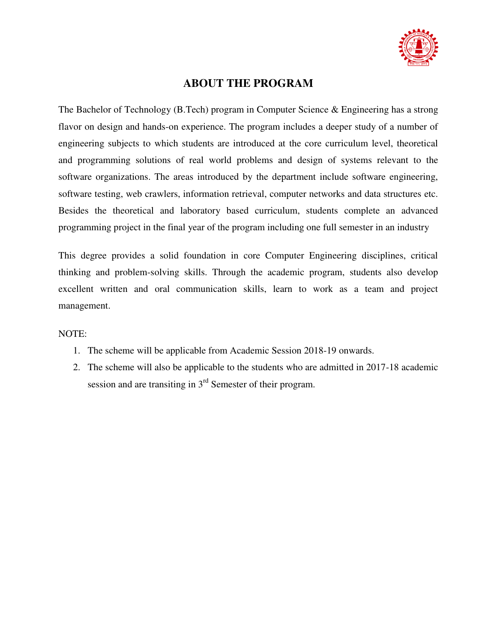

### **ABOUT THE PROGRAM**

The Bachelor of Technology (B.Tech) program in Computer Science & Engineering has a strong flavor on design and hands-on experience. The program includes a deeper study of a number of engineering subjects to which students are introduced at the core curriculum level, theoretical and programming solutions of real world problems and design of systems relevant to the software organizations. The areas introduced by the department include software engineering, software testing, web crawlers, information retrieval, computer networks and data structures etc. Besides the theoretical and laboratory based curriculum, students complete an advanced programming project in the final year of the program including one full semester in an industry

This degree provides a solid foundation in core Computer Engineering disciplines, critical thinking and problem-solving skills. Through the academic program, students also develop excellent written and oral communication skills, learn to work as a team and project management.

#### NOTE:

- 1. The scheme will be applicable from Academic Session 2018-19 onwards.
- 2. The scheme will also be applicable to the students who are admitted in 2017-18 academic session and are transiting in 3<sup>rd</sup> Semester of their program.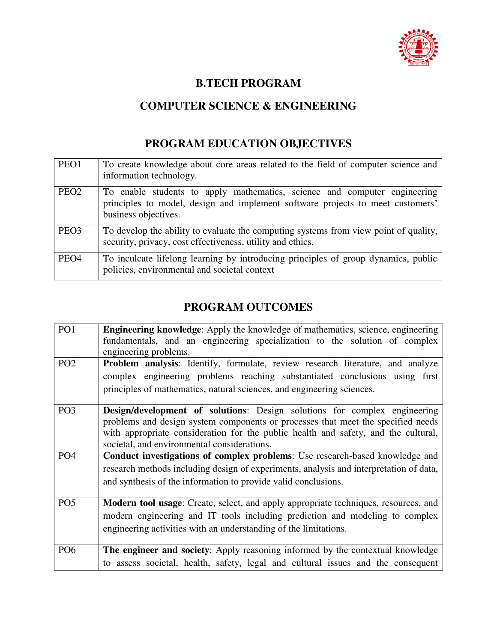

### **B.TECH PROGRAM**

## **COMPUTER SCIENCE & ENGINEERING**

### **PROGRAM EDUCATION OBJECTIVES**

| PEO1             | To create knowledge about core areas related to the field of computer science and<br>information technology.                                                                        |
|------------------|-------------------------------------------------------------------------------------------------------------------------------------------------------------------------------------|
| PEO <sub>2</sub> | To enable students to apply mathematics, science and computer engineering<br>principles to model, design and implement software projects to meet customers'<br>business objectives. |
| PEO <sub>3</sub> | To develop the ability to evaluate the computing systems from view point of quality,<br>security, privacy, cost effectiveness, utility and ethics.                                  |
| PEO <sub>4</sub> | To inculcate lifelong learning by introducing principles of group dynamics, public<br>policies, environmental and societal context                                                  |

## **PROGRAM OUTCOMES**

| PO <sub>1</sub> | <b>Engineering knowledge:</b> Apply the knowledge of mathematics, science, engineering |
|-----------------|----------------------------------------------------------------------------------------|
|                 | fundamentals, and an engineering specialization to the solution of complex             |
|                 | engineering problems.                                                                  |
| PO <sub>2</sub> | Problem analysis: Identify, formulate, review research literature, and analyze         |
|                 | complex engineering problems reaching substantiated conclusions using first            |
|                 | principles of mathematics, natural sciences, and engineering sciences.                 |
|                 |                                                                                        |
| PO <sub>3</sub> | Design/development of solutions: Design solutions for complex engineering              |
|                 | problems and design system components or processes that meet the specified needs       |
|                 | with appropriate consideration for the public health and safety, and the cultural,     |
|                 | societal, and environmental considerations.                                            |
| PO <sub>4</sub> | Conduct investigations of complex problems: Use research-based knowledge and           |
|                 | research methods including design of experiments, analysis and interpretation of data, |
|                 | and synthesis of the information to provide valid conclusions.                         |
|                 |                                                                                        |
| PO <sub>5</sub> | Modern tool usage: Create, select, and apply appropriate techniques, resources, and    |
|                 | modern engineering and IT tools including prediction and modeling to complex           |
|                 | engineering activities with an understanding of the limitations.                       |
|                 |                                                                                        |
| PO <sub>6</sub> | The engineer and society: Apply reasoning informed by the contextual knowledge         |
|                 | to assess societal, health, safety, legal and cultural issues and the consequent       |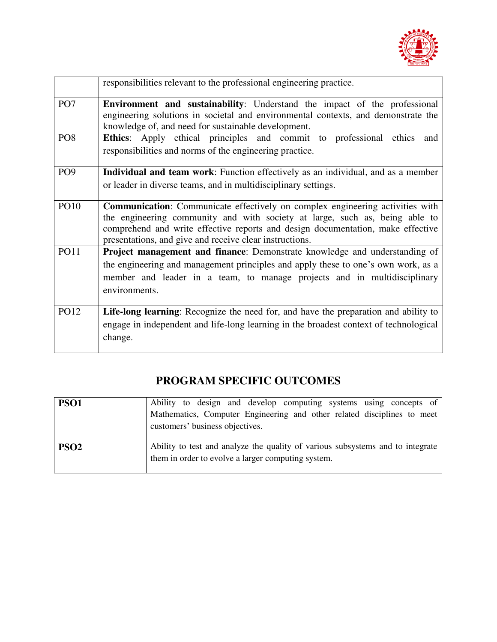

|                 | responsibilities relevant to the professional engineering practice.                                                                                                                                                                                                                                               |  |  |  |  |  |  |  |
|-----------------|-------------------------------------------------------------------------------------------------------------------------------------------------------------------------------------------------------------------------------------------------------------------------------------------------------------------|--|--|--|--|--|--|--|
| PO <sub>7</sub> | <b>Environment and sustainability:</b> Understand the impact of the professional<br>engineering solutions in societal and environmental contexts, and demonstrate the<br>knowledge of, and need for sustainable development.                                                                                      |  |  |  |  |  |  |  |
| PO <sub>8</sub> | Ethics: Apply ethical principles and commit to professional ethics<br>and<br>responsibilities and norms of the engineering practice.                                                                                                                                                                              |  |  |  |  |  |  |  |
| PO <sub>9</sub> | <b>Individual and team work:</b> Function effectively as an individual, and as a member<br>or leader in diverse teams, and in multidisciplinary settings.                                                                                                                                                         |  |  |  |  |  |  |  |
| <b>PO10</b>     | <b>Communication:</b> Communicate effectively on complex engineering activities with<br>the engineering community and with society at large, such as, being able to<br>comprehend and write effective reports and design documentation, make effective<br>presentations, and give and receive clear instructions. |  |  |  |  |  |  |  |
| <b>PO11</b>     | Project management and finance: Demonstrate knowledge and understanding of<br>the engineering and management principles and apply these to one's own work, as a<br>member and leader in a team, to manage projects and in multidisciplinary<br>environments.                                                      |  |  |  |  |  |  |  |
| PO12            | Life-long learning: Recognize the need for, and have the preparation and ability to<br>engage in independent and life-long learning in the broadest context of technological<br>change.                                                                                                                           |  |  |  |  |  |  |  |

## **PROGRAM SPECIFIC OUTCOMES**

| PSO <sub>1</sub> | Ability to design and develop computing systems using concepts of<br>Mathematics, Computer Engineering and other related disciplines to meet<br>customers' business objectives. |
|------------------|---------------------------------------------------------------------------------------------------------------------------------------------------------------------------------|
| PSO <sub>2</sub> | Ability to test and analyze the quality of various subsystems and to integrate<br>them in order to evolve a larger computing system.                                            |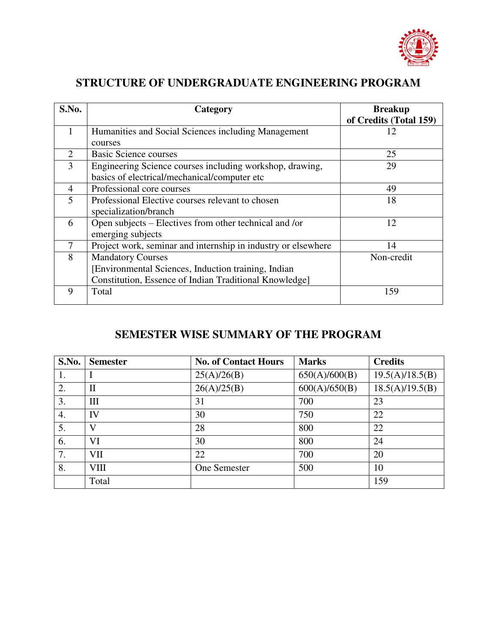

## **STRUCTURE OF UNDERGRADUATE ENGINEERING PROGRAM**

| S.No. | Category                                                      | <b>Breakup</b>         |
|-------|---------------------------------------------------------------|------------------------|
|       |                                                               | of Credits (Total 159) |
|       | Humanities and Social Sciences including Management           |                        |
|       | courses                                                       |                        |
| 2     | <b>Basic Science courses</b>                                  | 25                     |
| 3     | Engineering Science courses including workshop, drawing,      | 29                     |
|       | basics of electrical/mechanical/computer etc                  |                        |
| 4     | Professional core courses                                     | 49                     |
| 5     | Professional Elective courses relevant to chosen              | 18                     |
|       | specialization/branch                                         |                        |
| 6     | Open subjects – Electives from other technical and /or        | 12                     |
|       | emerging subjects                                             |                        |
| 7     | Project work, seminar and internship in industry or elsewhere | 14                     |
| 8     | <b>Mandatory Courses</b>                                      | Non-credit             |
|       | [Environmental Sciences, Induction training, Indian           |                        |
|       | Constitution, Essence of Indian Traditional Knowledge]        |                        |
| 9     | Total                                                         | 159                    |
|       |                                                               |                        |

### **SEMESTER WISE SUMMARY OF THE PROGRAM**

| S.No. | <b>Semester</b> | <b>No. of Contact Hours</b> | <b>Marks</b>  | <b>Credits</b>  |
|-------|-----------------|-----------------------------|---------------|-----------------|
|       |                 | 25(A)/26(B)                 | 650(A)/600(B) | 19.5(A)/18.5(B) |
| 2.    | $\mathbf{I}$    | 26(A)/25(B)                 | 600(A)/650(B) | 18.5(A)/19.5(B) |
| 3.    | Ш               | 31                          | 700           | 23              |
| 4.    | IV              | 30                          | 750           | 22              |
| 5.    | V               | 28                          | 800           | 22              |
| 6.    | VI              | 30                          | 800           | 24              |
| 7.    | VII             | 22                          | 700           | 20              |
| 8.    | <b>VIII</b>     | One Semester                | 500           | 10              |
|       | Total           |                             |               | 159             |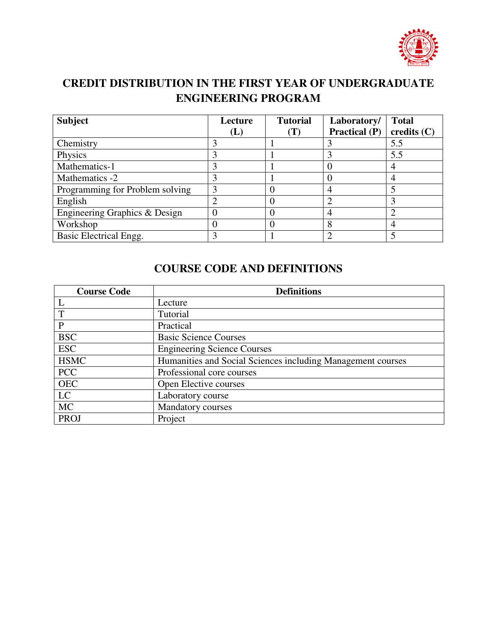

## **CREDIT DISTRIBUTION IN THE FIRST YEAR OF UNDERGRADUATE ENGINEERING PROGRAM**

| <b>Subject</b>                  | Lecture | <b>Tutorial</b>  | Laboratory/   | <b>Total</b>  |
|---------------------------------|---------|------------------|---------------|---------------|
|                                 | (L)     | (T)              | Practical (P) | credits $(C)$ |
| Chemistry                       |         |                  |               | 5.5           |
| Physics                         |         |                  |               | 5.5           |
| Mathematics-1                   |         |                  |               |               |
| Mathematics -2                  |         |                  |               | 4             |
| Programming for Problem solving |         | $\left( \right)$ |               |               |
| English                         |         |                  |               |               |
| Engineering Graphics & Design   |         | $\left( \right)$ | 4             |               |
| Workshop                        |         | 0                | 8             |               |
| Basic Electrical Engg.          |         |                  |               |               |

### **COURSE CODE AND DEFINITIONS**

| <b>Course Code</b> | <b>Definitions</b>                                          |
|--------------------|-------------------------------------------------------------|
|                    | Lecture                                                     |
| T                  | Tutorial                                                    |
| P                  | Practical                                                   |
| <b>BSC</b>         | <b>Basic Science Courses</b>                                |
| <b>ESC</b>         | <b>Engineering Science Courses</b>                          |
| <b>HSMC</b>        | Humanities and Social Sciences including Management courses |
| <b>PCC</b>         | Professional core courses                                   |
| <b>OEC</b>         | Open Elective courses                                       |
| LC                 | Laboratory course                                           |
| <b>MC</b>          | <b>Mandatory courses</b>                                    |
| <b>PROJ</b>        | Project                                                     |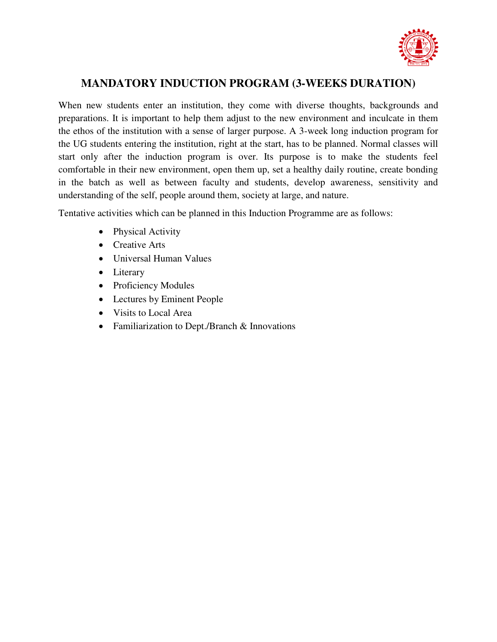

### **MANDATORY INDUCTION PROGRAM (3-WEEKS DURATION)**

When new students enter an institution, they come with diverse thoughts, backgrounds and preparations. It is important to help them adjust to the new environment and inculcate in them the ethos of the institution with a sense of larger purpose. A 3-week long induction program for the UG students entering the institution, right at the start, has to be planned. Normal classes will start only after the induction program is over. Its purpose is to make the students feel comfortable in their new environment, open them up, set a healthy daily routine, create bonding in the batch as well as between faculty and students, develop awareness, sensitivity and understanding of the self, people around them, society at large, and nature.

Tentative activities which can be planned in this Induction Programme are as follows:

- Physical Activity
- Creative Arts
- Universal Human Values
- Literary
- Proficiency Modules
- Lectures by Eminent People
- Visits to Local Area
- Familiarization to Dept./Branch & Innovations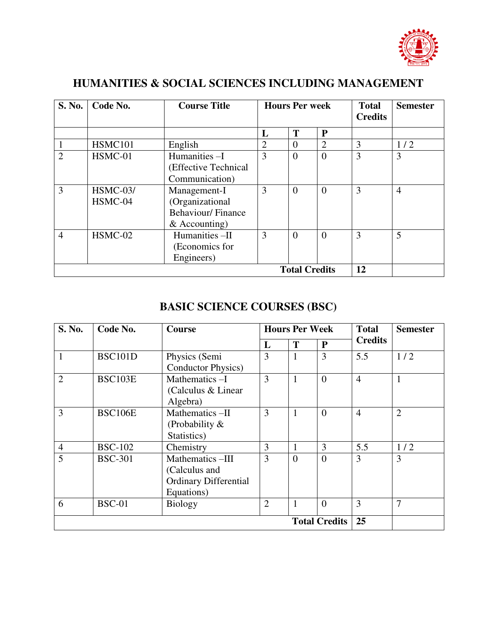

## **HUMANITIES & SOCIAL SCIENCES INCLUDING MANAGEMENT**

| S. No.         | Code No.            | <b>Course Title</b>                                                            |                | <b>Hours Per week</b> |                | <b>Total</b><br><b>Credits</b> | <b>Semester</b> |
|----------------|---------------------|--------------------------------------------------------------------------------|----------------|-----------------------|----------------|--------------------------------|-----------------|
|                |                     |                                                                                | L              | T                     | ${\bf P}$      |                                |                 |
|                | HSMC101             | English                                                                        | $\overline{2}$ | $\Omega$              | $\overline{2}$ | 3                              | 1/2             |
| $\overline{2}$ | HSMC-01             | Humanities-I<br>(Effective Technical<br>Communication)                         | 3              | $\overline{0}$        | $\overline{0}$ | 3                              | $\overline{3}$  |
| 3              | HSMC-03/<br>HSMC-04 | Management-I<br>(Organizational<br><b>Behaviour/Finance</b><br>$&$ Accounting) | 3              | $\Omega$              | $\theta$       | 3                              | $\overline{4}$  |
| $\overline{4}$ | HSMC-02             | Humanities -II<br>(Economics for<br>Engineers)                                 | 3              | $\overline{0}$        | $\theta$       | 3                              | 5               |
|                |                     | 12                                                                             |                |                       |                |                                |                 |

### **BASIC SCIENCE COURSES (BSC)**

| S. No.               | Code No.       | <b>Course</b>                                                                  | <b>Hours Per Week</b> |                | <b>Total</b> | <b>Semester</b> |                |
|----------------------|----------------|--------------------------------------------------------------------------------|-----------------------|----------------|--------------|-----------------|----------------|
|                      |                |                                                                                | L                     | T              | $\mathbf{P}$ | <b>Credits</b>  |                |
|                      | <b>BSC101D</b> | Physics (Semi<br><b>Conductor Physics</b> )                                    | 3                     | $\mathbf{1}$   | 3            | 5.5             | 1/2            |
| $\overline{2}$       | <b>BSC103E</b> | Mathematics-I<br>(Calculus & Linear)<br>Algebra)                               | 3                     | $\mathbf{1}$   | $\Omega$     | $\overline{4}$  | $\mathbf{1}$   |
| 3                    | <b>BSC106E</b> | Mathematics-II<br>(Probability $\&$<br>Statistics)                             | 3                     | 1              | $\theta$     | $\overline{4}$  | $\overline{2}$ |
| $\overline{4}$       | <b>BSC-102</b> | Chemistry                                                                      | 3                     | 1              | 3            | 5.5             | 1/2            |
| 5                    | <b>BSC-301</b> | Mathematics-III<br>(Calculus and<br><b>Ordinary Differential</b><br>Equations) | 3                     | $\overline{0}$ | $\theta$     | 3               | 3              |
| 6                    | <b>BSC-01</b>  | <b>Biology</b>                                                                 | $\overline{2}$        | 1              | $\theta$     | 3               | 7              |
| <b>Total Credits</b> |                |                                                                                |                       |                |              | 25              |                |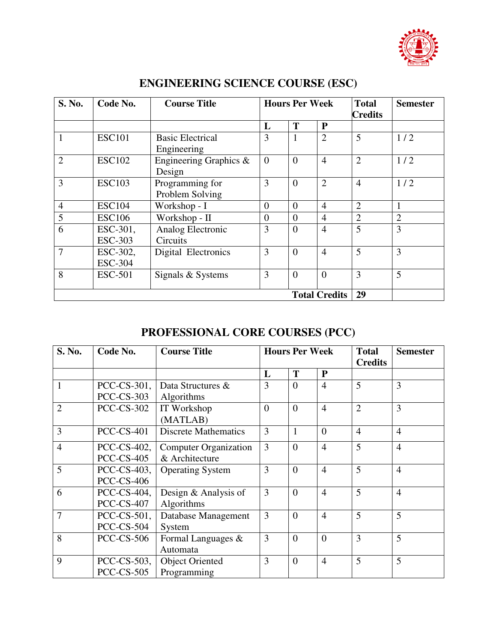

| <b>S. No.</b>  | Code No.                   | <b>Course Title</b>                    |                | <b>Hours Per Week</b><br><b>Total</b> |                |                | <b>Semester</b> |
|----------------|----------------------------|----------------------------------------|----------------|---------------------------------------|----------------|----------------|-----------------|
|                |                            |                                        | L              | T                                     | $\mathbf{P}$   | <b>Credits</b> |                 |
|                | <b>ESC101</b>              | <b>Basic Electrical</b><br>Engineering | 3              | 1                                     | $\overline{2}$ | 5              | 1/2             |
| $\overline{2}$ | <b>ESC102</b>              | Engineering Graphics $\&$<br>Design    | $\Omega$       | $\overline{0}$                        | $\overline{4}$ | $\overline{2}$ | 1/2             |
| 3              | <b>ESC103</b>              | Programming for<br>Problem Solving     | 3              | $\overline{0}$                        | $\overline{2}$ | $\overline{4}$ | 1/2             |
| $\overline{4}$ | <b>ESC104</b>              | Workshop - I                           | $\overline{0}$ | $\overline{0}$                        | $\overline{4}$ | $\overline{2}$ |                 |
| 5              | <b>ESC106</b>              | Workshop - II                          | $\theta$       | $\overline{0}$                        | $\overline{4}$ | $\overline{2}$ | $\overline{2}$  |
| 6              | ESC-301,<br><b>ESC-303</b> | Analog Electronic<br>Circuits          | 3              | $\overline{0}$                        | $\overline{4}$ | 5              | 3               |
| 7              | ESC-302,<br><b>ESC-304</b> | Digital Electronics                    | 3              | $\overline{0}$                        | $\overline{4}$ | 5              | 3               |
| 8              | <b>ESC-501</b>             | Signals & Systems                      | 3              | $\overline{0}$                        | $\Omega$       | 3              | 5               |
|                |                            | 29<br><b>Total Credits</b>             |                |                                       |                |                |                 |

## **ENGINEERING SCIENCE COURSE (ESC)**

## **PROFESSIONAL CORE COURSES (PCC)**

| S. No.         | Code No.                                    | <b>Course Title</b>                            |          | <b>Hours Per Week</b> |                | <b>Total</b><br><b>Credits</b> | <b>Semester</b> |
|----------------|---------------------------------------------|------------------------------------------------|----------|-----------------------|----------------|--------------------------------|-----------------|
|                |                                             |                                                | L        | T                     | $\mathbf{P}$   |                                |                 |
| 1              | PCC-CS-301,<br><b>PCC-CS-303</b>            | Data Structures &<br>Algorithms                | 3        | $\theta$              | $\overline{4}$ | 5                              | 3               |
| $\overline{2}$ | <b>PCC-CS-302</b>                           | IT Workshop<br>(MATLAB)                        | $\theta$ | $\theta$              | $\overline{4}$ | $\overline{2}$                 | 3               |
| 3              | <b>PCC-CS-401</b>                           | <b>Discrete Mathematics</b>                    | 3        | 1                     | $\theta$       | $\overline{4}$                 | $\overline{4}$  |
| $\overline{4}$ | PCC-CS-402,<br><b>PCC-CS-405</b>            | <b>Computer Organization</b><br>& Architecture | 3        | $\theta$              | $\overline{4}$ | 5                              | $\overline{4}$  |
| 5              | PCC-CS-403,<br><b>PCC-CS-406</b>            | <b>Operating System</b>                        | 3        | $\overline{0}$        | $\overline{4}$ | 5                              | $\overline{4}$  |
| 6              | PCC-CS-404,<br><b>PCC-CS-407</b>            | Design & Analysis of<br>Algorithms             | 3        | $\overline{0}$        | $\overline{4}$ | 5                              | $\overline{4}$  |
| 7              | $PCC$ - $CS$ - $501$ ,<br><b>PCC-CS-504</b> | Database Management<br>System                  | 3        | $\theta$              | $\overline{4}$ | 5                              | 5               |
| 8              | <b>PCC-CS-506</b>                           | Formal Languages &<br>Automata                 | 3        | $\overline{0}$        | $\theta$       | 3                              | 5               |
| 9              | PCC-CS-503,<br><b>PCC-CS-505</b>            | <b>Object Oriented</b><br>Programming          | 3        | $\overline{0}$        | $\overline{4}$ | 5                              | 5               |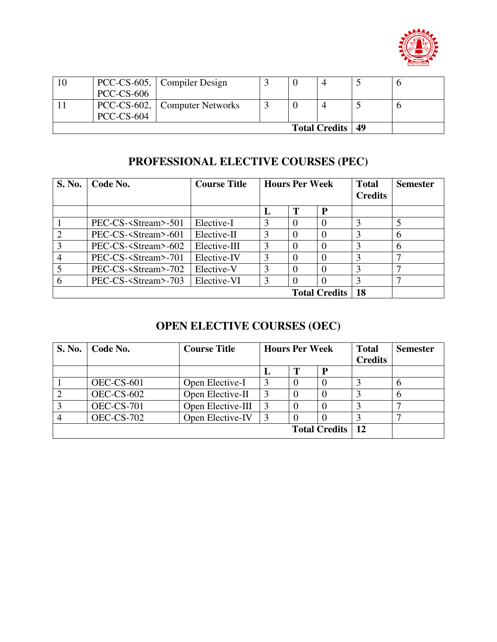

| 10 |                   | PCC-CS-605, Compiler Design   |  |                           |  |
|----|-------------------|-------------------------------|--|---------------------------|--|
|    | $PCC$ - $CS$ -606 |                               |  |                           |  |
|    |                   | PCC-CS-602, Computer Networks |  |                           |  |
|    | $PCC$ - $CS$ -604 |                               |  |                           |  |
|    |                   |                               |  | <b>Total Credits   49</b> |  |

## **PROFESSIONAL ELECTIVE COURSES (PEC)**

| S. No.         | Code No.                      | <b>Course Title</b> |               | <b>Hours Per Week</b> |                      |    | <b>Semester</b> |
|----------------|-------------------------------|---------------------|---------------|-----------------------|----------------------|----|-----------------|
|                |                               |                     | L             | T                     | P                    |    |                 |
|                | PEC-CS- <stream>-501</stream> | Elective-I          | 3             | 0                     |                      |    |                 |
| $\overline{2}$ | PEC-CS- <stream>-601</stream> | Elective-II         | 3             | $\Omega$              |                      | 3  | 6               |
| 3              | PEC-CS- <stream>-602</stream> | Elective-III        | $\mathcal{R}$ | $\Omega$              |                      | 3  | 6               |
| 4              | PEC-CS- <stream>-701</stream> | Elective-IV         | 3             | $\Omega$              |                      | 3  |                 |
|                | PEC-CS- <stream>-702</stream> | Elective-V          | 3             | $\Omega$              |                      | 3  |                 |
|                | PEC-CS- <stream>-703</stream> | Elective-VI         | 3             |                       |                      |    |                 |
|                |                               |                     |               |                       | <b>Total Credits</b> | 18 |                 |

## **OPEN ELECTIVE COURSES (OEC)**

| <b>S. No.</b> | Code No.          | <b>Course Title</b> | <b>Hours Per Week</b> |  |                      | <b>Total</b><br><b>Credits</b> | <b>Semester</b> |
|---------------|-------------------|---------------------|-----------------------|--|----------------------|--------------------------------|-----------------|
|               |                   |                     |                       |  | P                    |                                |                 |
|               | $OEC$ -CS-601     | Open Elective-I     |                       |  |                      |                                | O               |
|               | $OEC$ -CS-602     | Open Elective-II    |                       |  |                      |                                | 6               |
|               | <b>OEC-CS-701</b> | Open Elective-III   |                       |  |                      |                                |                 |
|               | <b>OEC-CS-702</b> | Open Elective-IV    |                       |  |                      |                                |                 |
|               |                   |                     |                       |  | <b>Total Credits</b> | 12                             |                 |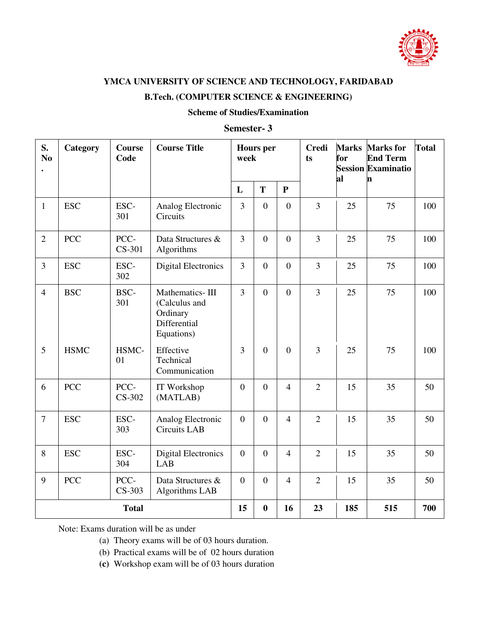

#### **B.Tech. (COMPUTER SCIENCE & ENGINEERING)**

#### **Scheme of Studies/Examination**

#### **Semester- 3**

| S.<br>N <sub>o</sub> | Category    | <b>Course</b><br>Code | <b>Course Title</b>                                                        |                  | <b>Hours</b> per<br>week |                | <b>Credi</b><br>ts | <b>Marks</b><br>for<br>al | <b>Marks</b> for<br><b>End Term</b><br><b>Session Examinatio</b><br>n | <b>Total</b> |
|----------------------|-------------|-----------------------|----------------------------------------------------------------------------|------------------|--------------------------|----------------|--------------------|---------------------------|-----------------------------------------------------------------------|--------------|
|                      |             |                       |                                                                            | L                | T                        | ${\bf P}$      |                    |                           |                                                                       |              |
| $\mathbf{1}$         | <b>ESC</b>  | ESC-<br>301           | Analog Electronic<br>Circuits                                              | 3                | $\boldsymbol{0}$         | $\overline{0}$ | $\overline{3}$     | 25                        | 75                                                                    | 100          |
| $\overline{2}$       | <b>PCC</b>  | PCC-<br>CS-301        | Data Structures &<br>Algorithms                                            | $\overline{3}$   | $\mathbf{0}$             | $\overline{0}$ | 3                  | 25                        | 75                                                                    | 100          |
| $\overline{3}$       | <b>ESC</b>  | ESC-<br>302           | <b>Digital Electronics</b>                                                 | $\overline{3}$   | $\overline{0}$           | $\mathbf{0}$   | $\overline{3}$     | 25                        | 75                                                                    | 100          |
| $\overline{4}$       | <b>BSC</b>  | BSC-<br>301           | Mathematics-III<br>(Calculus and<br>Ordinary<br>Differential<br>Equations) | $\overline{3}$   | $\boldsymbol{0}$         | $\mathbf{0}$   | 3                  | 25                        | 75                                                                    | 100          |
| 5                    | <b>HSMC</b> | HSMC-<br>01           | Effective<br>Technical<br>Communication                                    | $\overline{3}$   | $\boldsymbol{0}$         | $\mathbf{0}$   | 3                  | 25                        | 75                                                                    | 100          |
| 6                    | <b>PCC</b>  | PCC-<br>CS-302        | IT Workshop<br>(MATLAB)                                                    | $\boldsymbol{0}$ | $\mathbf{0}$             | $\overline{4}$ | $\overline{2}$     | 15                        | 35                                                                    | 50           |
| $\overline{7}$       | <b>ESC</b>  | ESC-<br>303           | Analog Electronic<br><b>Circuits LAB</b>                                   | $\overline{0}$   | $\overline{0}$           | $\overline{4}$ | $\overline{2}$     | 15                        | 35                                                                    | 50           |
| 8                    | <b>ESC</b>  | ESC-<br>304           | <b>Digital Electronics</b><br>LAB                                          | $\boldsymbol{0}$ | $\overline{0}$           | $\overline{4}$ | $\overline{2}$     | 15                        | 35                                                                    | 50           |
| 9                    | <b>PCC</b>  | PCC-<br>CS-303        | Data Structures &<br>Algorithms LAB                                        | $\overline{0}$   | $\boldsymbol{0}$         | $\overline{4}$ | $\overline{2}$     | 15                        | 35                                                                    | 50           |
|                      |             | <b>Total</b>          |                                                                            | 15               | $\bf{0}$                 | 16             | 23                 | 185                       | 515                                                                   | 700          |

- (a) Theory exams will be of 03 hours duration.
- (b) Practical exams will be of 02 hours duration
- **(c)** Workshop exam will be of 03 hours duration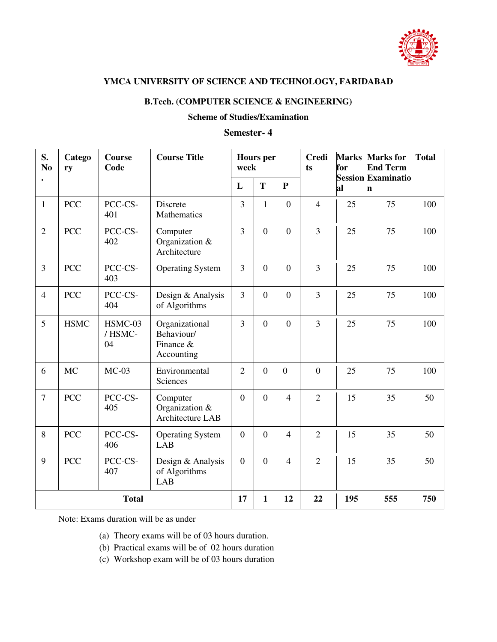

#### **B.Tech. (COMPUTER SCIENCE & ENGINEERING)**

#### **Scheme of Studies/Examination**

#### **Semester- 4**

| S.<br>N <sub>0</sub> | Catego<br>ry | <b>Course</b><br>Code   | <b>Course Title</b>                                     |                | <b>Hours</b> per<br>week |                  | <b>Credi</b><br>ts | <b>Marks</b><br>for | <b>Marks</b> for<br><b>End Term</b> | <b>Total</b> |
|----------------------|--------------|-------------------------|---------------------------------------------------------|----------------|--------------------------|------------------|--------------------|---------------------|-------------------------------------|--------------|
|                      |              |                         |                                                         | L              | T                        | $\mathbf{P}$     |                    | al                  | <b>Session Examinatio</b><br>'n     |              |
| $\mathbf{1}$         | <b>PCC</b>   | PCC-CS-<br>401          | Discrete<br>Mathematics                                 | 3              | $\mathbf{1}$             | $\overline{0}$   | $\overline{4}$     | 25                  | 75                                  | 100          |
| $\overline{2}$       | <b>PCC</b>   | PCC-CS-<br>402          | Computer<br>Organization &<br>Architecture              | $\overline{3}$ | $\mathbf{0}$             | $\overline{0}$   | $\overline{3}$     | 25                  | 75                                  | 100          |
| $\overline{3}$       | <b>PCC</b>   | PCC-CS-<br>403          | <b>Operating System</b>                                 | $\overline{3}$ | $\boldsymbol{0}$         | $\overline{0}$   | $\overline{3}$     | 25                  | 75                                  | 100          |
| $\overline{4}$       | <b>PCC</b>   | PCC-CS-<br>404          | Design & Analysis<br>of Algorithms                      | 3              | $\boldsymbol{0}$         | $\overline{0}$   | $\overline{3}$     | 25                  | 75                                  | 100          |
| 5                    | <b>HSMC</b>  | HSMC-03<br>/HSMC-<br>04 | Organizational<br>Behaviour/<br>Finance &<br>Accounting | 3              | $\boldsymbol{0}$         | $\boldsymbol{0}$ | $\overline{3}$     | 25                  | 75                                  | 100          |
| 6                    | <b>MC</b>    | $MC-03$                 | Environmental<br>Sciences                               | $\overline{2}$ | $\overline{0}$           | $\overline{0}$   | $\overline{0}$     | 25                  | 75                                  | 100          |
| $\tau$               | <b>PCC</b>   | PCC-CS-<br>405          | Computer<br>Organization &<br>Architecture LAB          | $\overline{0}$ | $\boldsymbol{0}$         | $\overline{4}$   | $\overline{2}$     | 15                  | 35                                  | 50           |
| $\,8\,$              | <b>PCC</b>   | PCC-CS-<br>406          | <b>Operating System</b><br>LAB                          | $\overline{0}$ | $\boldsymbol{0}$         | $\overline{4}$   | $\overline{2}$     | 15                  | 35                                  | 50           |
| 9                    | <b>PCC</b>   | PCC-CS-<br>407          | Design & Analysis<br>of Algorithms<br><b>LAB</b>        | $\overline{0}$ | $\boldsymbol{0}$         | $\overline{4}$   | $\overline{2}$     | 15                  | 35                                  | 50           |
| <b>Total</b>         |              |                         | 17                                                      | $\mathbf{1}$   | 12                       | 22               | 195                | 555                 | 750                                 |              |

- (a) Theory exams will be of 03 hours duration.
- (b) Practical exams will be of 02 hours duration
- (c) Workshop exam will be of 03 hours duration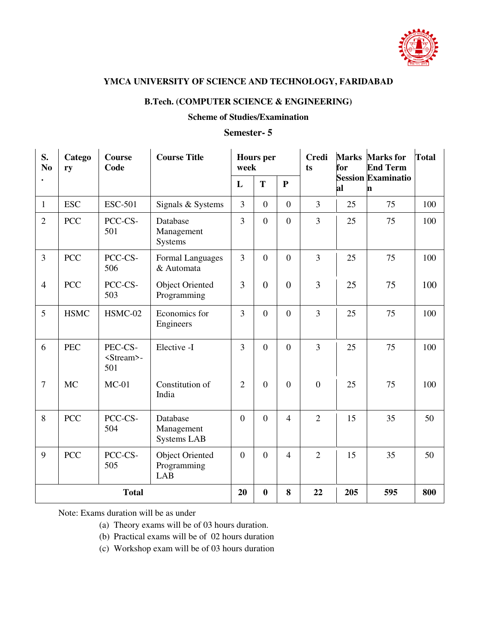

#### **B.Tech. (COMPUTER SCIENCE & ENGINEERING)**

#### **Scheme of Studies/Examination**

#### **Semester- 5**

| S.<br>N <sub>0</sub> | Catego<br>ry | <b>Course</b><br>Code                 | <b>Course Title</b>                                 |                | <b>Hours</b> per<br>week |                | <b>Credi</b><br>ts | <b>Marks</b><br>for | <b>Marks</b> for<br><b>End Term</b> | <b>Total</b> |
|----------------------|--------------|---------------------------------------|-----------------------------------------------------|----------------|--------------------------|----------------|--------------------|---------------------|-------------------------------------|--------------|
|                      |              |                                       |                                                     | L              | T                        | $\mathbf{P}$   |                    | al                  | <b>Session Examinatio</b><br>n      |              |
| 1                    | <b>ESC</b>   | <b>ESC-501</b>                        | Signals & Systems                                   | 3              | $\overline{0}$           | $\overline{0}$ | $\overline{3}$     | 25                  | 75                                  | 100          |
| $\overline{2}$       | <b>PCC</b>   | PCC-CS-<br>501                        | Database<br>Management<br><b>Systems</b>            | 3              | $\boldsymbol{0}$         | $\overline{0}$ | 3                  | 25                  | 75                                  | 100          |
| 3                    | <b>PCC</b>   | PCC-CS-<br>506                        | Formal Languages<br>& Automata                      | $\overline{3}$ | $\mathbf{0}$             | $\overline{0}$ | $\overline{3}$     | 25                  | 75                                  | 100          |
| $\overline{4}$       | <b>PCC</b>   | PCC-CS-<br>503                        | <b>Object Oriented</b><br>Programming               | $\overline{3}$ | $\overline{0}$           | $\overline{0}$ | $\overline{3}$     | 25                  | 75                                  | 100          |
| 5                    | <b>HSMC</b>  | HSMC-02                               | Economics for<br>Engineers                          | 3              | $\mathbf{0}$             | $\overline{0}$ | $\overline{3}$     | 25                  | 75                                  | 100          |
| 6                    | <b>PEC</b>   | PEC-CS-<br><stream>-<br/>501</stream> | Elective -I                                         | 3              | $\overline{0}$           | $\overline{0}$ | $\overline{3}$     | 25                  | 75                                  | 100          |
| $\overline{7}$       | <b>MC</b>    | $MC-01$                               | Constitution of<br>India                            | $\overline{2}$ | $\boldsymbol{0}$         | $\overline{0}$ | $\overline{0}$     | 25                  | 75                                  | 100          |
| 8                    | <b>PCC</b>   | PCC-CS-<br>504                        | Database<br>Management<br><b>Systems LAB</b>        | $\theta$       | $\overline{0}$           | $\overline{4}$ | $\overline{2}$     | 15                  | 35                                  | 50           |
| 9                    | <b>PCC</b>   | PCC-CS-<br>505                        | <b>Object Oriented</b><br>Programming<br><b>LAB</b> | $\overline{0}$ | $\overline{0}$           | $\overline{4}$ | $\overline{2}$     | 15                  | 35                                  | 50           |
|                      |              | <b>Total</b>                          |                                                     | 20             | $\boldsymbol{0}$         | 8              | 22                 | 205                 | 595                                 | 800          |

- (a) Theory exams will be of 03 hours duration.
- (b) Practical exams will be of 02 hours duration
- (c) Workshop exam will be of 03 hours duration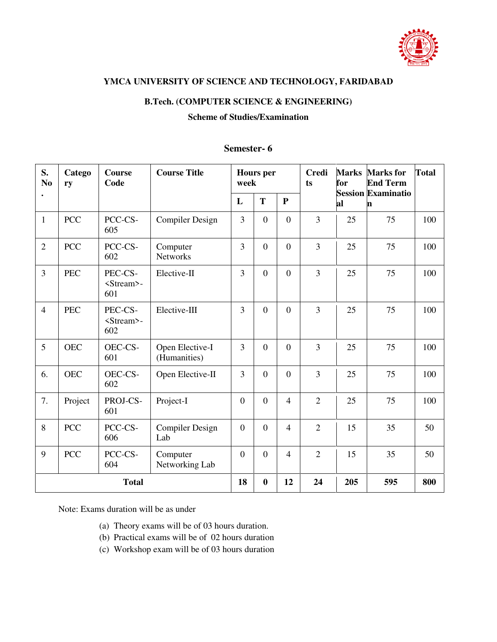

#### **B.Tech. (COMPUTER SCIENCE & ENGINEERING)**

#### **Scheme of Studies/Examination**

#### **Semester- 6**

| S.<br>N <sub>0</sub> | Catego<br>ry | Course<br>Code                        | <b>Course Title</b>             |                  | <b>Hours</b> per<br>week |                  | <b>Credi</b><br>ts | <b>Marks</b><br>for | <b>Marks</b> for<br><b>End Term</b><br><b>Session Examinatio</b> | <b>Total</b> |
|----------------------|--------------|---------------------------------------|---------------------------------|------------------|--------------------------|------------------|--------------------|---------------------|------------------------------------------------------------------|--------------|
|                      |              |                                       |                                 | L                | T                        | ${\bf P}$        |                    | al                  | n                                                                |              |
| $\mathbf{1}$         | <b>PCC</b>   | PCC-CS-<br>605                        | <b>Compiler Design</b>          | $\overline{3}$   | $\boldsymbol{0}$         | $\boldsymbol{0}$ | $\overline{3}$     | 25                  | 75                                                               | 100          |
| $\overline{2}$       | <b>PCC</b>   | PCC-CS-<br>602                        | Computer<br><b>Networks</b>     | $\overline{3}$   | $\boldsymbol{0}$         | $\mathbf{0}$     | $\overline{3}$     | 25                  | 75                                                               | 100          |
| 3                    | <b>PEC</b>   | PEC-CS-<br><stream>-<br/>601</stream> | Elective-II                     | 3                | $\boldsymbol{0}$         | $\mathbf{0}$     | $\overline{3}$     | 25                  | 75                                                               | 100          |
| $\overline{4}$       | <b>PEC</b>   | PEC-CS-<br><stream>-<br/>602</stream> | Elective-III                    | $\overline{3}$   | $\overline{0}$           | $\overline{0}$   | $\overline{3}$     | 25                  | 75                                                               | 100          |
| 5                    | <b>OEC</b>   | OEC-CS-<br>601                        | Open Elective-I<br>(Humanities) | 3                | $\boldsymbol{0}$         | $\boldsymbol{0}$ | $\overline{3}$     | 25                  | 75                                                               | 100          |
| 6.                   | <b>OEC</b>   | OEC-CS-<br>602                        | Open Elective-II                | 3                | $\boldsymbol{0}$         | $\boldsymbol{0}$ | $\overline{3}$     | 25                  | 75                                                               | 100          |
| 7.                   | Project      | PROJ-CS-<br>601                       | Project-I                       | $\boldsymbol{0}$ | $\boldsymbol{0}$         | $\overline{4}$   | $\overline{2}$     | 25                  | 75                                                               | 100          |
| 8                    | <b>PCC</b>   | PCC-CS-<br>606                        | <b>Compiler Design</b><br>Lab   | $\boldsymbol{0}$ | $\boldsymbol{0}$         | $\overline{4}$   | $\overline{2}$     | 15                  | 35                                                               | 50           |
| 9                    | <b>PCC</b>   | PCC-CS-<br>604                        | Computer<br>Networking Lab      | $\boldsymbol{0}$ | $\boldsymbol{0}$         | $\overline{4}$   | $\overline{2}$     | 15                  | 35                                                               | 50           |
|                      |              | <b>Total</b>                          |                                 | 18               | $\bf{0}$                 | 12               | 24                 | 205                 | 595                                                              | 800          |

- (a) Theory exams will be of 03 hours duration.
- (b) Practical exams will be of 02 hours duration
- (c) Workshop exam will be of 03 hours duration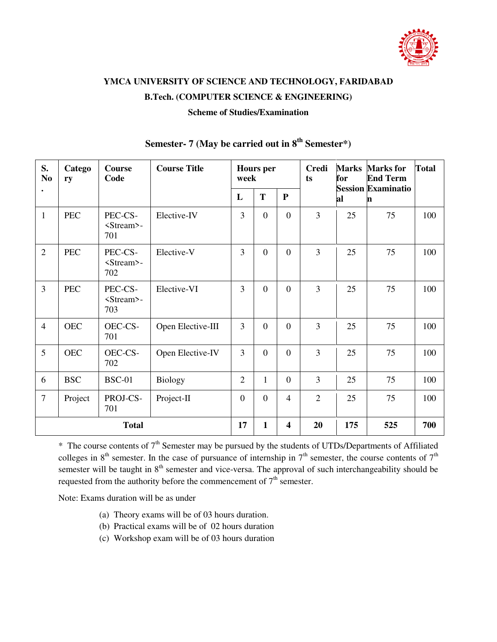

## **YMCA UNIVERSITY OF SCIENCE AND TECHNOLOGY, FARIDABAD B.Tech. (COMPUTER SCIENCE & ENGINEERING)**

### **Scheme of Studies/Examination**

| S.<br>N <sub>0</sub> | Catego<br>ry | <b>Course</b><br>Code                 | <b>Course Title</b> |                | <b>Hours</b> per<br>week |                  | <b>Credi</b><br>ts | <b>Marks</b><br>for | <b>Marks</b> for<br><b>End Term</b> | <b>Total</b> |
|----------------------|--------------|---------------------------------------|---------------------|----------------|--------------------------|------------------|--------------------|---------------------|-------------------------------------|--------------|
|                      |              |                                       |                     | L              | T                        | ${\bf P}$        |                    | al                  | <b>Session Examinatio</b><br>n      |              |
| $\mathbf{1}$         | <b>PEC</b>   | PEC-CS-<br><stream>-<br/>701</stream> | Elective-IV         | 3              | $\boldsymbol{0}$         | $\overline{0}$   | $\overline{3}$     | 25                  | 75                                  | 100          |
| $\overline{2}$       | <b>PEC</b>   | PEC-CS-<br><stream>-<br/>702</stream> | Elective-V          | 3              | $\boldsymbol{0}$         | $\overline{0}$   | $\overline{3}$     | 25                  | 75                                  | 100          |
| $\overline{3}$       | <b>PEC</b>   | PEC-CS-<br><stream>-<br/>703</stream> | Elective-VI         | 3              | $\boldsymbol{0}$         | $\theta$         | $\overline{3}$     | 25                  | 75                                  | 100          |
| $\overline{4}$       | <b>OEC</b>   | OEC-CS-<br>701                        | Open Elective-III   | 3              | $\overline{0}$           | $\theta$         | $\overline{3}$     | 25                  | 75                                  | 100          |
| 5                    | <b>OEC</b>   | OEC-CS-<br>702                        | Open Elective-IV    | $\overline{3}$ | $\boldsymbol{0}$         | $\boldsymbol{0}$ | $\overline{3}$     | 25                  | 75                                  | 100          |
| 6                    | <b>BSC</b>   | <b>BSC-01</b>                         | <b>Biology</b>      | $\overline{2}$ | $\mathbf{1}$             | $\theta$         | 3                  | 25                  | 75                                  | 100          |
| $\overline{7}$       | Project      | PROJ-CS-<br>701                       | Project-II          | $\overline{0}$ | $\boldsymbol{0}$         | $\overline{4}$   | $\overline{2}$     | 25                  | 75                                  | 100          |
|                      |              | <b>Total</b>                          |                     | 17             | $\mathbf{1}$             | 4                | 20                 | 175                 | 525                                 | 700          |

### **Semester- 7 (May be carried out in 8th Semester\*)**

 $*$  The course contents of  $7<sup>th</sup>$  Semester may be pursued by the students of UTDs/Departments of Affiliated colleges in  $8<sup>th</sup>$  semester. In the case of pursuance of internship in  $7<sup>th</sup>$  semester, the course contents of  $7<sup>th</sup>$ semester will be taught in 8<sup>th</sup> semester and vice-versa. The approval of such interchangeability should be requested from the authority before the commencement of  $7<sup>th</sup>$  semester.

- (a) Theory exams will be of 03 hours duration.
- (b) Practical exams will be of 02 hours duration
- (c) Workshop exam will be of 03 hours duration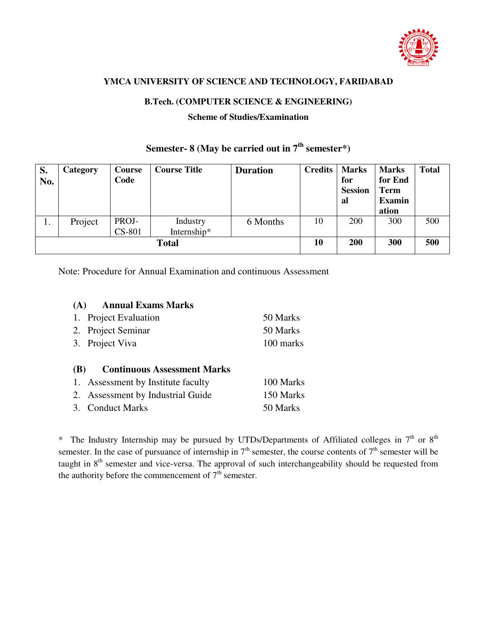

#### **B.Tech. (COMPUTER SCIENCE & ENGINEERING)**

#### **Scheme of Studies/Examination**

| S.<br>No. | Category | Course<br>Code | <b>Course Title</b> | <b>Duration</b> | <b>Credits</b> | <b>Marks</b><br>for<br><b>Session</b><br>al | <b>Marks</b><br>for End<br><b>Term</b><br><b>Examin</b> | <b>Total</b> |
|-----------|----------|----------------|---------------------|-----------------|----------------|---------------------------------------------|---------------------------------------------------------|--------------|
|           |          |                |                     |                 |                |                                             | ation                                                   |              |
| 1.        | Project  | PROJ-          | Industry            | 6 Months        | 10             | 200                                         | 300                                                     | 500          |
|           |          | CS-801         | Internship*         |                 |                |                                             |                                                         |              |
|           |          |                | <b>Total</b>        |                 | 10             | 200                                         | 300                                                     | 500          |

## Semester- 8 (May be carried out in  $7<sup>th</sup>$  semester\*)

Note: Procedure for Annual Examination and continuous Assessment

| <b>Annual Exams Marks</b><br>(A) |           |
|----------------------------------|-----------|
| 1. Project Evaluation            | 50 Marks  |
| 2. Project Seminar               | 50 Marks  |
| 3. Project Viva                  | 100 marks |

#### **(B) Continuous Assessment Marks**

| 1. Assessment by Institute faculty | 100 Marks |
|------------------------------------|-----------|
| 2. Assessment by Industrial Guide  | 150 Marks |
| 3. Conduct Marks                   | 50 Marks  |

\* The Industry Internship may be pursued by UTDs/Departments of Affiliated colleges in  $7<sup>th</sup>$  or  $8<sup>th</sup>$ semester. In the case of pursuance of internship in  $7<sup>th</sup>$  semester, the course contents of  $7<sup>th</sup>$  semester will be taught in 8<sup>th</sup> semester and vice-versa. The approval of such interchangeability should be requested from the authority before the commencement of  $7<sup>th</sup>$  semester.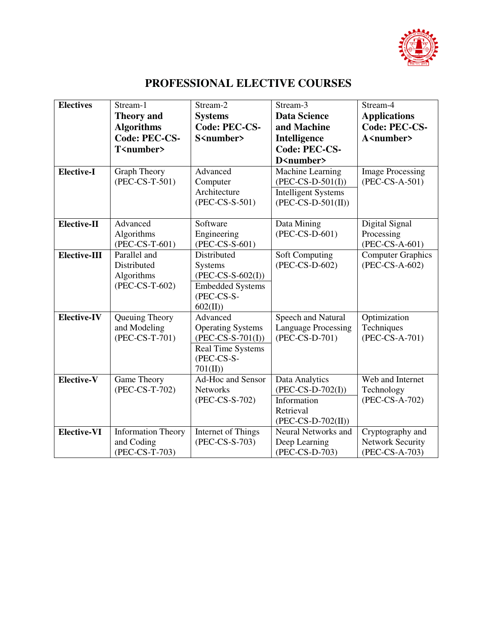

## **PROFESSIONAL ELECTIVE COURSES**

| <b>Electives</b>   | Stream-1                     | Stream-2                              | Stream-3                   | Stream-4                |
|--------------------|------------------------------|---------------------------------------|----------------------------|-------------------------|
|                    | <b>Theory</b> and            | <b>Systems</b>                        | <b>Data Science</b>        | <b>Applications</b>     |
|                    | <b>Algorithms</b>            | <b>Code: PEC-CS-</b>                  | and Machine                | <b>Code: PEC-CS-</b>    |
|                    | Code: PEC-CS-                | S <number></number>                   | Intelligence               | A <number></number>     |
|                    | T <number></number>          |                                       | Code: PEC-CS-              |                         |
|                    |                              |                                       | D <number></number>        |                         |
| <b>Elective-I</b>  | <b>Graph Theory</b>          | Advanced                              | Machine Learning           | <b>Image Processing</b> |
|                    | (PEC-CS-T-501)               | Computer                              | $(PEC-CS-D-501(I))$        | (PEC-CS-A-501)          |
|                    |                              | Architecture                          | <b>Intelligent Systems</b> |                         |
|                    |                              | (PEC-CS-S-501)                        | $(PEC-CS-D-501(II))$       |                         |
|                    |                              |                                       |                            |                         |
| Elective-II        | Advanced                     | Software                              | Data Mining                | Digital Signal          |
|                    | Algorithms                   | Engineering                           | (PEC-CS-D-601)             | Processing              |
|                    | (PEC-CS-T-601)               | (PEC-CS-S-601)                        |                            | (PEC-CS-A-601)          |
| Elective-III       | Parallel and                 | Distributed                           | Soft Computing             | Computer Graphics       |
|                    | Distributed                  | Systems                               | (PEC-CS-D-602)             | (PEC-CS-A-602)          |
|                    | Algorithms<br>(PEC-CS-T-602) | $(PEC-CS-S-602(I))$                   |                            |                         |
|                    |                              | <b>Embedded Systems</b><br>(PEC-CS-S- |                            |                         |
|                    |                              | 602(II)                               |                            |                         |
| <b>Elective-IV</b> | Queuing Theory               | Advanced                              | Speech and Natural         | Optimization            |
|                    | and Modeling                 | <b>Operating Systems</b>              | <b>Language Processing</b> | Techniques              |
|                    | (PEC-CS-T-701)               | $(PEC-CS-S-701(I))$                   | (PEC-CS-D-701)             | (PEC-CS-A-701)          |
|                    |                              | <b>Real Time Systems</b>              |                            |                         |
|                    |                              | (PEC-CS-S-                            |                            |                         |
|                    |                              | 701(II)                               |                            |                         |
| Elective-V         | Game Theory                  | Ad-Hoc and Sensor                     | Data Analytics             | Web and Internet        |
|                    | (PEC-CS-T-702)               | Networks                              | $(PEC-CS-D-702(I))$        | Technology              |
|                    |                              | (PEC-CS-S-702)                        | Information                | (PEC-CS-A-702)          |
|                    |                              |                                       | Retrieval                  |                         |
|                    |                              |                                       | $(PEC-CS-D-702(II))$       |                         |
| <b>Elective-VI</b> | <b>Information Theory</b>    | <b>Internet of Things</b>             | Neural Networks and        | Cryptography and        |
|                    | and Coding                   | (PEC-CS-S-703)                        | Deep Learning              | <b>Network Security</b> |
|                    | (PEC-CS-T-703)               |                                       | (PEC-CS-D-703)             | (PEC-CS-A-703)          |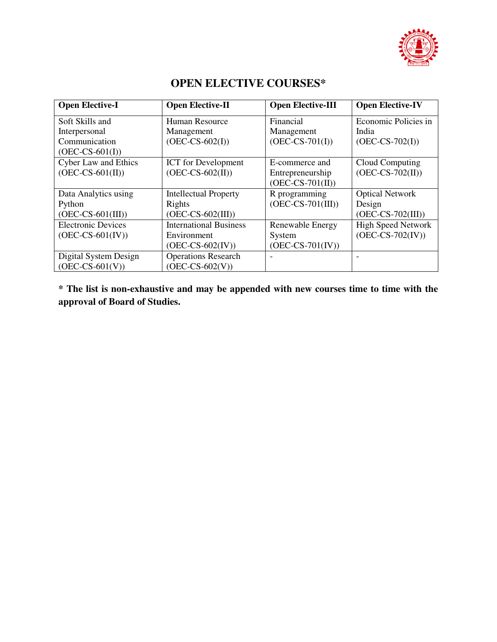

| <b>Open Elective-I</b>      | <b>Open Elective-II</b>       | <b>Open Elective-III</b> | <b>Open Elective-IV</b>   |
|-----------------------------|-------------------------------|--------------------------|---------------------------|
| Soft Skills and             | Human Resource                | Financial                | Economic Policies in      |
| Interpersonal               | Management                    | Management               | India                     |
| Communication               | $(OEC-CS-602(I))$             | $(OEC-CS-701(I))$        | $(OEC-CS-702(I))$         |
| $(OEC-CS-601(I))$           |                               |                          |                           |
| <b>Cyber Law and Ethics</b> | <b>ICT</b> for Development    | E-commerce and           | Cloud Computing           |
| $(OEC-CS-601(II))$          | $(OEC-CS-602(II))$            | Entrepreneurship         | $(OEC-CS-702(II))$        |
|                             |                               | $(OEC-CS-701(II))$       |                           |
| Data Analytics using        | <b>Intellectual Property</b>  | R programming            | <b>Optical Network</b>    |
| Python                      | Rights                        | $(OEC-CS-701(III))$      | Design                    |
| $(OEC-CS-601(III))$         | $(OEC-CS-602(III))$           |                          | $(OEC-CS-702(III))$       |
| <b>Electronic Devices</b>   | <b>International Business</b> | Renewable Energy         | <b>High Speed Network</b> |
| $(OEC-CS-601(IV))$          | Environment                   | System                   | $(OEC-CS-702(IV))$        |
|                             | $(OEC-CS-602(IV))$            | $(OEC-CS-701(IV))$       |                           |
| Digital System Design       | <b>Operations Research</b>    |                          |                           |
| $(OEC-CS-601(V))$           | $(OEC-CS-602(V))$             |                          |                           |

## **OPEN ELECTIVE COURSES\***

**\* The list is non-exhaustive and may be appended with new courses time to time with the approval of Board of Studies.**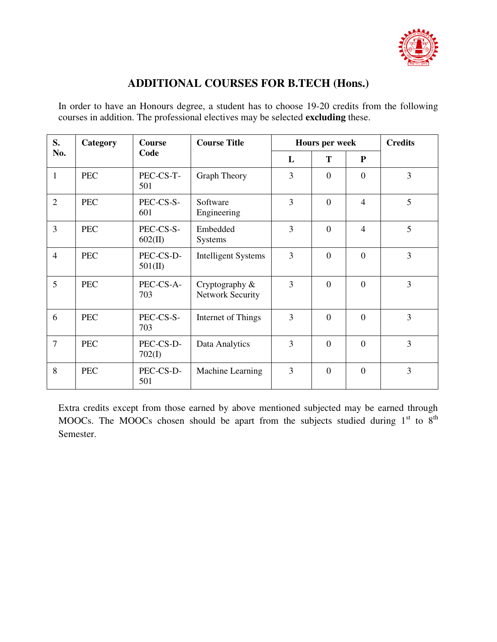

### **ADDITIONAL COURSES FOR B.TECH (Hons.)**

In order to have an Honours degree, a student has to choose 19-20 credits from the following courses in addition. The professional electives may be selected **excluding** these.

| S.             | Category   | <b>Course Title</b><br><b>Course</b><br>Code | Hours per week                            |   |                | <b>Credits</b>   |   |
|----------------|------------|----------------------------------------------|-------------------------------------------|---|----------------|------------------|---|
| No.            |            |                                              | L                                         | Т | P              |                  |   |
| $\mathbf{1}$   | <b>PEC</b> | PEC-CS-T-<br>501                             | <b>Graph Theory</b>                       | 3 | $\Omega$       | $\overline{0}$   | 3 |
| $\overline{2}$ | <b>PEC</b> | PEC-CS-S-<br>601                             | Software<br>Engineering                   | 3 | $\Omega$       | $\overline{4}$   | 5 |
| $\overline{3}$ | <b>PEC</b> | PEC-CS-S-<br>602(II)                         | Embedded<br>Systems                       | 3 | $\Omega$       | $\overline{4}$   | 5 |
| $\overline{4}$ | <b>PEC</b> | PEC-CS-D-<br>501(II)                         | <b>Intelligent Systems</b>                | 3 | $\Omega$       | $\overline{0}$   | 3 |
| 5              | <b>PEC</b> | PEC-CS-A-<br>703                             | Cryptography &<br><b>Network Security</b> | 3 | $\Omega$       | $\overline{0}$   | 3 |
| 6              | <b>PEC</b> | PEC-CS-S-<br>703                             | Internet of Things                        | 3 | $\overline{0}$ | $\mathbf{0}$     | 3 |
| $\overline{7}$ | <b>PEC</b> | PEC-CS-D-<br>702(I)                          | Data Analytics                            | 3 | $\overline{0}$ | $\overline{0}$   | 3 |
| 8              | <b>PEC</b> | PEC-CS-D-<br>501                             | Machine Learning                          | 3 | $\overline{0}$ | $\boldsymbol{0}$ | 3 |

Extra credits except from those earned by above mentioned subjected may be earned through MOOCs. The MOOCs chosen should be apart from the subjects studied during  $1<sup>st</sup>$  to  $8<sup>th</sup>$ Semester.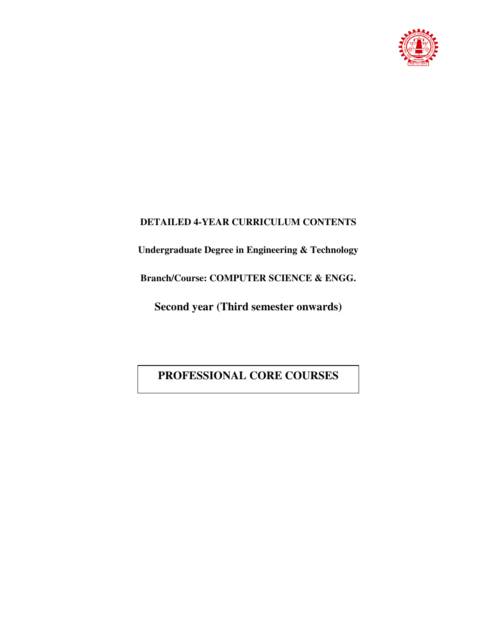

### **DETAILED 4-YEAR CURRICULUM CONTENTS**

**Undergraduate Degree in Engineering & Technology** 

**Branch/Course: COMPUTER SCIENCE & ENGG.** 

**Second year (Third semester onwards)** 

**PROFESSIONAL CORE COURSES**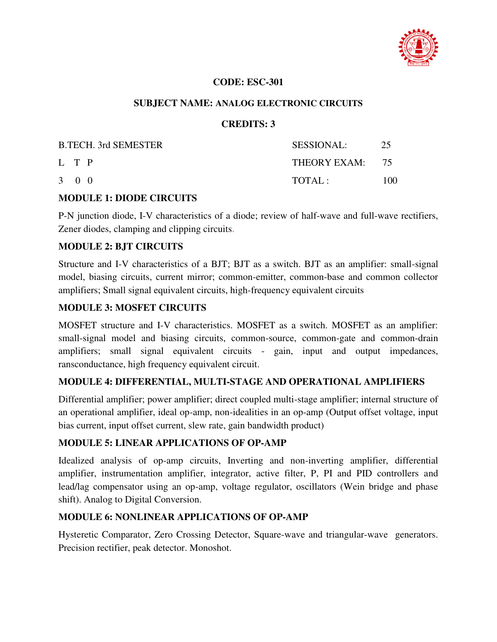

#### **CODE: ESC-301**

#### **SUBJECT NAME: ANALOG ELECTRONIC CIRCUITS**

#### **CREDITS: 3**

| <b>B.TECH.</b> 3rd SEMESTER | <b>SESSIONAL:</b> | 25  |
|-----------------------------|-------------------|-----|
| L T P                       | THEORY EXAM: 75   |     |
| $3 \quad 0 \quad 0$         | TOTAI:            | 100 |

#### **MODULE 1: DIODE CIRCUITS**

P-N junction diode, I-V characteristics of a diode; review of half-wave and full-wave rectifiers, Zener diodes, clamping and clipping circuits.

#### **MODULE 2: BJT CIRCUITS**

Structure and I-V characteristics of a BJT; BJT as a switch. BJT as an amplifier: small-signal model, biasing circuits, current mirror; common-emitter, common-base and common collector amplifiers; Small signal equivalent circuits, high-frequency equivalent circuits

#### **MODULE 3: MOSFET CIRCUITS**

MOSFET structure and I-V characteristics. MOSFET as a switch. MOSFET as an amplifier: small-signal model and biasing circuits, common-source, common-gate and common-drain amplifiers; small signal equivalent circuits - gain, input and output impedances, ransconductance, high frequency equivalent circuit.

#### **MODULE 4: DIFFERENTIAL, MULTI-STAGE AND OPERATIONAL AMPLIFIERS**

Differential amplifier; power amplifier; direct coupled multi-stage amplifier; internal structure of an operational amplifier, ideal op-amp, non-idealities in an op-amp (Output offset voltage, input bias current, input offset current, slew rate, gain bandwidth product)

#### **MODULE 5: LINEAR APPLICATIONS OF OP-AMP**

Idealized analysis of op-amp circuits, Inverting and non-inverting amplifier, differential amplifier, instrumentation amplifier, integrator, active filter, P, PI and PID controllers and lead/lag compensator using an op-amp, voltage regulator, oscillators (Wein bridge and phase shift). Analog to Digital Conversion.

#### **MODULE 6: NONLINEAR APPLICATIONS OF OP-AMP**

Hysteretic Comparator, Zero Crossing Detector, Square-wave and triangular-wave generators. Precision rectifier, peak detector. Monoshot.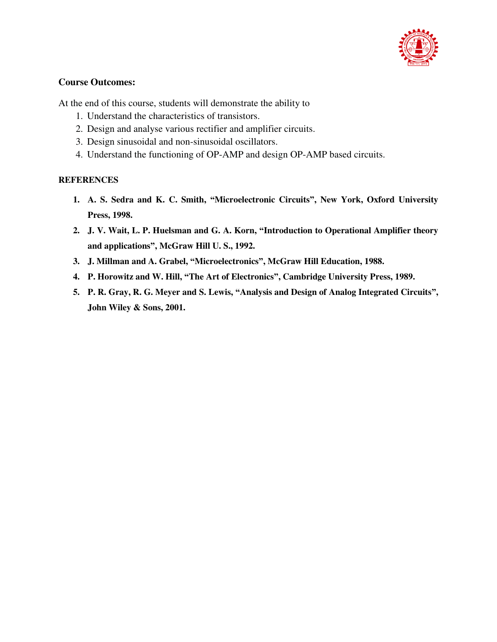

#### **Course Outcomes:**

At the end of this course, students will demonstrate the ability to

- 1. Understand the characteristics of transistors.
- 2. Design and analyse various rectifier and amplifier circuits.
- 3. Design sinusoidal and non-sinusoidal oscillators.
- 4. Understand the functioning of OP-AMP and design OP-AMP based circuits.

#### **REFERENCES**

- **1. A. S. Sedra and K. C. Smith, "Microelectronic Circuits", New York, Oxford University Press, 1998.**
- **2. J. V. Wait, L. P. Huelsman and G. A. Korn, "Introduction to Operational Amplifier theory and applications", McGraw Hill U. S., 1992.**
- **3. J. Millman and A. Grabel, "Microelectronics", McGraw Hill Education, 1988.**
- **4. P. Horowitz and W. Hill, "The Art of Electronics", Cambridge University Press, 1989.**
- **5. P. R. Gray, R. G. Meyer and S. Lewis, "Analysis and Design of Analog Integrated Circuits", John Wiley & Sons, 2001.**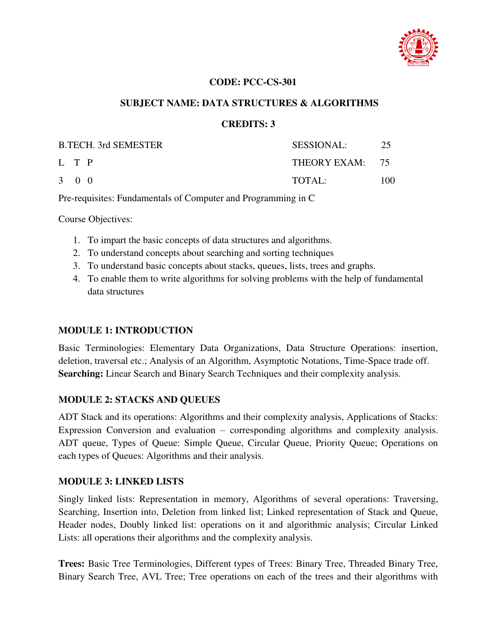

#### **CODE: PCC-CS-301**

#### **SUBJECT NAME: DATA STRUCTURES & ALGORITHMS**

#### **CREDITS: 3**

| <b>B.TECH. 3rd SEMESTER</b> | <b>SESSIONAL:</b> | -25  |
|-----------------------------|-------------------|------|
| L T P                       | THEORY EXAM: 75   |      |
| 3 0 0                       | TOTAL:            | 100. |

Pre-requisites: Fundamentals of Computer and Programming in C

Course Objectives:

- 1. To impart the basic concepts of data structures and algorithms.
- 2. To understand concepts about searching and sorting techniques
- 3. To understand basic concepts about stacks, queues, lists, trees and graphs.
- 4. To enable them to write algorithms for solving problems with the help of fundamental data structures

#### **MODULE 1: INTRODUCTION**

Basic Terminologies: Elementary Data Organizations, Data Structure Operations: insertion, deletion, traversal etc.; Analysis of an Algorithm, Asymptotic Notations, Time-Space trade off. **Searching:** Linear Search and Binary Search Techniques and their complexity analysis.

#### **MODULE 2: STACKS AND QUEUES**

ADT Stack and its operations: Algorithms and their complexity analysis, Applications of Stacks: Expression Conversion and evaluation – corresponding algorithms and complexity analysis. ADT queue, Types of Queue: Simple Queue, Circular Queue, Priority Queue; Operations on each types of Queues: Algorithms and their analysis.

#### **MODULE 3: LINKED LISTS**

Singly linked lists: Representation in memory, Algorithms of several operations: Traversing, Searching, Insertion into, Deletion from linked list; Linked representation of Stack and Queue, Header nodes, Doubly linked list: operations on it and algorithmic analysis; Circular Linked Lists: all operations their algorithms and the complexity analysis.

**Trees:** Basic Tree Terminologies, Different types of Trees: Binary Tree, Threaded Binary Tree, Binary Search Tree, AVL Tree; Tree operations on each of the trees and their algorithms with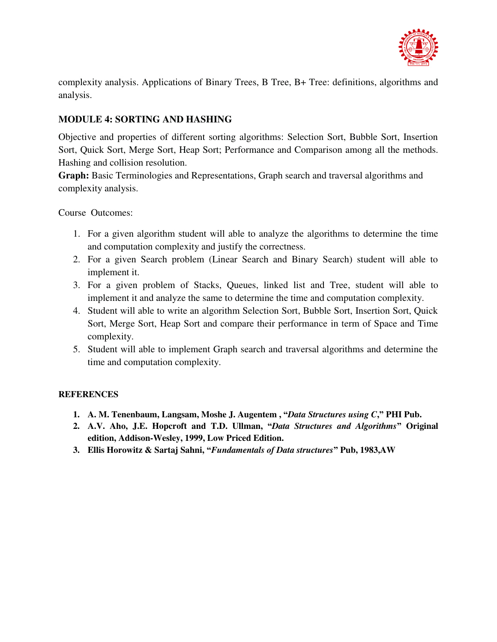

complexity analysis. Applications of Binary Trees, B Tree, B+ Tree: definitions, algorithms and analysis.

#### **MODULE 4: SORTING AND HASHING**

Objective and properties of different sorting algorithms: Selection Sort, Bubble Sort, Insertion Sort, Quick Sort, Merge Sort, Heap Sort; Performance and Comparison among all the methods. Hashing and collision resolution.

**Graph:** Basic Terminologies and Representations, Graph search and traversal algorithms and complexity analysis.

Course Outcomes:

- 1. For a given algorithm student will able to analyze the algorithms to determine the time and computation complexity and justify the correctness.
- 2. For a given Search problem (Linear Search and Binary Search) student will able to implement it.
- 3. For a given problem of Stacks, Queues, linked list and Tree, student will able to implement it and analyze the same to determine the time and computation complexity.
- 4. Student will able to write an algorithm Selection Sort, Bubble Sort, Insertion Sort, Quick Sort, Merge Sort, Heap Sort and compare their performance in term of Space and Time complexity.
- 5. Student will able to implement Graph search and traversal algorithms and determine the time and computation complexity.

#### **REFERENCES**

- **1. A. M. Tenenbaum, Langsam, Moshe J. Augentem , "***Data Structures using C***," PHI Pub.**
- **2. A.V. Aho, J.E. Hopcroft and T.D. Ullman, "***Data Structures and Algorithms***" Original edition, Addison-Wesley, 1999, Low Priced Edition.**
- **3. Ellis Horowitz & Sartaj Sahni, "***Fundamentals of Data structures***" Pub, 1983,AW**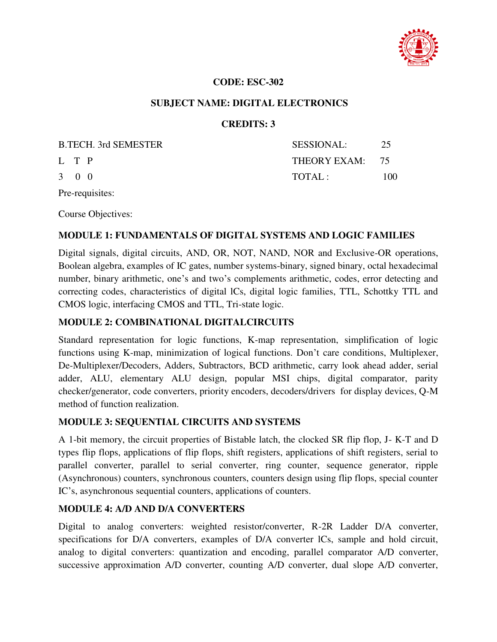

#### **CODE: ESC-302**

#### **SUBJECT NAME: DIGITAL ELECTRONICS**

#### **CREDITS: 3**

|                     | <b>B.TECH. 3rd SEMESTER</b> | <b>SESSIONAL:</b> | 25  |
|---------------------|-----------------------------|-------------------|-----|
| L T P               |                             | THEORY EXAM: 75   |     |
| $3 \quad 0 \quad 0$ |                             | TOTAL:            | 100 |

Pre-requisites:

Course Objectives:

#### **MODULE 1: FUNDAMENTALS OF DIGITAL SYSTEMS AND LOGIC FAMILIES**

Digital signals, digital circuits, AND, OR, NOT, NAND, NOR and Exclusive-OR operations, Boolean algebra, examples of IC gates, number systems-binary, signed binary, octal hexadecimal number, binary arithmetic, one's and two's complements arithmetic, codes, error detecting and correcting codes, characteristics of digital lCs, digital logic families, TTL, Schottky TTL and CMOS logic, interfacing CMOS and TTL, Tri-state logic.

#### **MODULE 2: COMBINATIONAL DIGITALCIRCUITS**

Standard representation for logic functions, K-map representation, simplification of logic functions using K-map, minimization of logical functions. Don't care conditions, Multiplexer, De-Multiplexer/Decoders, Adders, Subtractors, BCD arithmetic, carry look ahead adder, serial adder, ALU, elementary ALU design, popular MSI chips, digital comparator, parity checker/generator, code converters, priority encoders, decoders/drivers for display devices, Q-M method of function realization.

#### **MODULE 3: SEQUENTIAL CIRCUITS AND SYSTEMS**

A 1-bit memory, the circuit properties of Bistable latch, the clocked SR flip flop, J- K-T and D types flip flops, applications of flip flops, shift registers, applications of shift registers, serial to parallel converter, parallel to serial converter, ring counter, sequence generator, ripple (Asynchronous) counters, synchronous counters, counters design using flip flops, special counter IC's, asynchronous sequential counters, applications of counters.

#### **MODULE 4: A/D AND D/A CONVERTERS**

Digital to analog converters: weighted resistor/converter, R-2R Ladder D/A converter, specifications for D/A converters, examples of D/A converter lCs, sample and hold circuit, analog to digital converters: quantization and encoding, parallel comparator A/D converter, successive approximation A/D converter, counting A/D converter, dual slope A/D converter,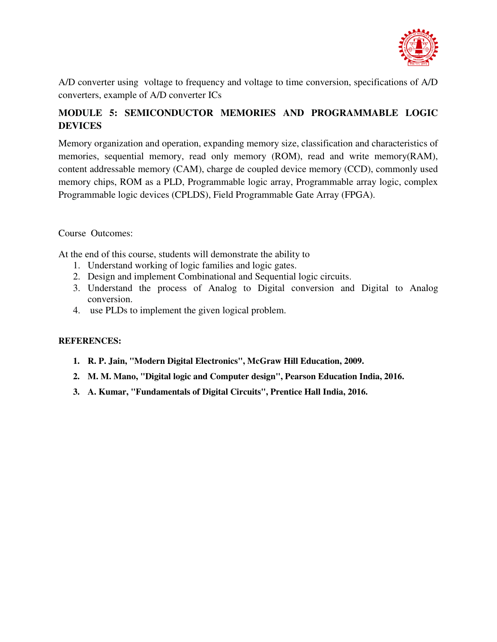

A/D converter using voltage to frequency and voltage to time conversion, specifications of A/D converters, example of A/D converter ICs

### **MODULE 5: SEMICONDUCTOR MEMORIES AND PROGRAMMABLE LOGIC DEVICES**

Memory organization and operation, expanding memory size, classification and characteristics of memories, sequential memory, read only memory (ROM), read and write memory(RAM), content addressable memory (CAM), charge de coupled device memory (CCD), commonly used memory chips, ROM as a PLD, Programmable logic array, Programmable array logic, complex Programmable logic devices (CPLDS), Field Programmable Gate Array (FPGA).

#### Course Outcomes:

At the end of this course, students will demonstrate the ability to

- 1. Understand working of logic families and logic gates.
- 2. Design and implement Combinational and Sequential logic circuits.
- 3. Understand the process of Analog to Digital conversion and Digital to Analog conversion.
- 4. use PLDs to implement the given logical problem.

#### **REFERENCES:**

- **1. R. P. Jain, "Modern Digital Electronics", McGraw Hill Education, 2009.**
- **2. M. M. Mano, "Digital logic and Computer design", Pearson Education India, 2016.**
- **3. A. Kumar, "Fundamentals of Digital Circuits", Prentice Hall India, 2016.**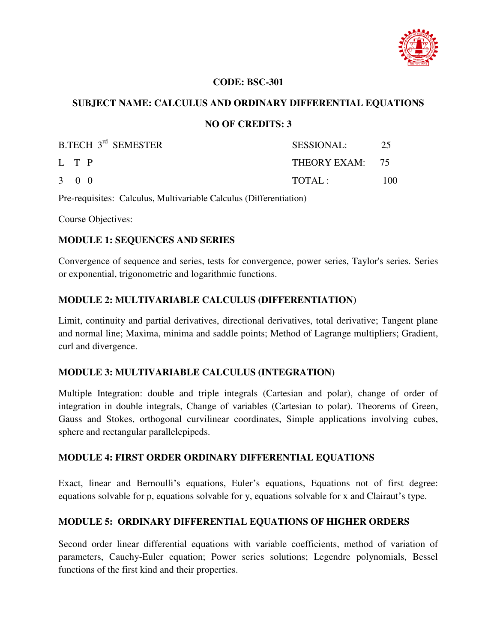

#### **CODE: BSC-301**

#### **SUBJECT NAME: CALCULUS AND ORDINARY DIFFERENTIAL EQUATIONS**

#### **NO OF CREDITS: 3**

| <b>B.TECH 3rd SEMESTER</b> | SESSIONAL:      | 25  |
|----------------------------|-----------------|-----|
| L T P                      | THEORY EXAM: 75 |     |
| $3 \quad 0 \quad 0$        | TOTAL:          | 100 |

Pre-requisites: Calculus, Multivariable Calculus (Differentiation)

Course Objectives:

#### **MODULE 1: SEQUENCES AND SERIES**

Convergence of sequence and series, tests for convergence, power series, Taylor's series. Series or exponential, trigonometric and logarithmic functions.

#### **MODULE 2: MULTIVARIABLE CALCULUS (DIFFERENTIATION)**

Limit, continuity and partial derivatives, directional derivatives, total derivative; Tangent plane and normal line; Maxima, minima and saddle points; Method of Lagrange multipliers; Gradient, curl and divergence.

#### **MODULE 3: MULTIVARIABLE CALCULUS (INTEGRATION)**

Multiple Integration: double and triple integrals (Cartesian and polar), change of order of integration in double integrals, Change of variables (Cartesian to polar). Theorems of Green, Gauss and Stokes, orthogonal curvilinear coordinates, Simple applications involving cubes, sphere and rectangular parallelepipeds.

#### **MODULE 4: FIRST ORDER ORDINARY DIFFERENTIAL EQUATIONS**

Exact, linear and Bernoulli's equations, Euler's equations, Equations not of first degree: equations solvable for p, equations solvable for y, equations solvable for x and Clairaut's type.

#### **MODULE 5: ORDINARY DIFFERENTIAL EQUATIONS OF HIGHER ORDERS**

Second order linear differential equations with variable coefficients, method of variation of parameters, Cauchy-Euler equation; Power series solutions; Legendre polynomials, Bessel functions of the first kind and their properties.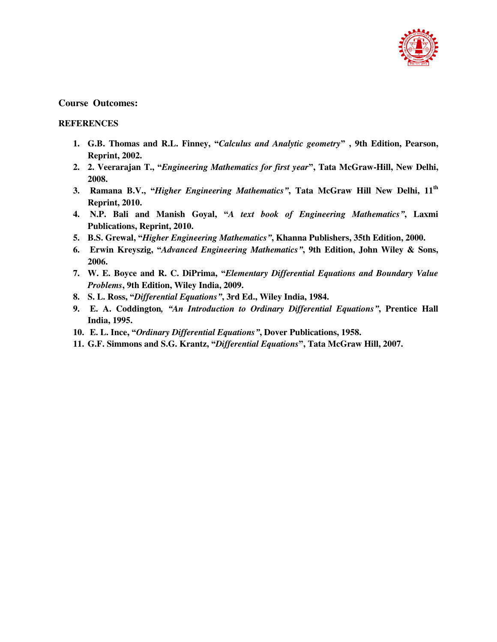

#### **Course Outcomes:**

#### **REFERENCES**

- **1. G.B. Thomas and R.L. Finney, "***Calculus and Analytic geometry***" , 9th Edition, Pearson, Reprint, 2002.**
- **2. 2. Veerarajan T., "***Engineering Mathematics for first year***", Tata McGraw-Hill, New Delhi, 2008.**
- **3. Ramana B.V., "***Higher Engineering Mathematics"***, Tata McGraw Hill New Delhi, 11th Reprint, 2010.**
- **4. N.P. Bali and Manish Goyal, "***A text book of Engineering Mathematics"***, Laxmi Publications, Reprint, 2010.**
- **5. B.S. Grewal, "***Higher Engineering Mathematics"***, Khanna Publishers, 35th Edition, 2000.**
- **6. Erwin Kreyszig, "***Advanced Engineering Mathematics"***, 9th Edition, John Wiley & Sons, 2006.**
- **7. W. E. Boyce and R. C. DiPrima, "***Elementary Differential Equations and Boundary Value Problems***, 9th Edition, Wiley India, 2009.**
- **8. S. L. Ross, "***Differential Equations"***, 3rd Ed., Wiley India, 1984.**
- **9. E. A. Coddington***, "An Introduction to Ordinary Differential Equations"***, Prentice Hall India, 1995.**
- **10. E. L. Ince, "***Ordinary Differential Equations"***, Dover Publications, 1958.**
- **11. G.F. Simmons and S.G. Krantz, "***Differential Equations***", Tata McGraw Hill, 2007.**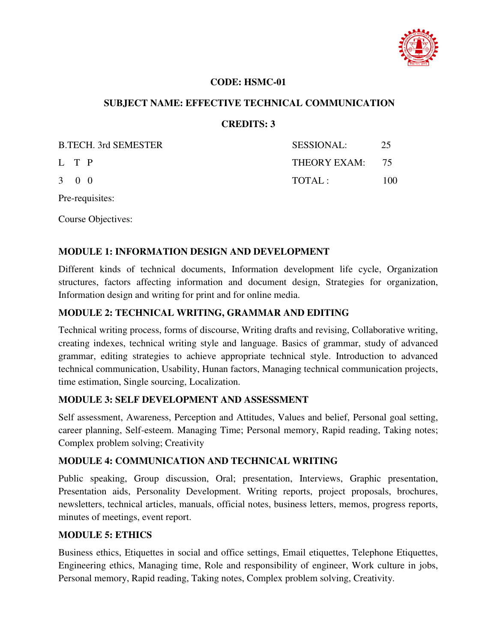

#### **CODE: HSMC-01**

#### **SUBJECT NAME: EFFECTIVE TECHNICAL COMMUNICATION**

#### **CREDITS: 3**

| <b>B.TECH.</b> 3rd SEMESTER | <b>SESSIONAL:</b> | 25   |
|-----------------------------|-------------------|------|
| L T P                       | THEORY EXAM: 75   |      |
| $3 \quad 0 \quad 0$         | TOTAL:            | 100- |

Pre-requisites:

Course Objectives:

#### **MODULE 1: INFORMATION DESIGN AND DEVELOPMENT**

Different kinds of technical documents, Information development life cycle, Organization structures, factors affecting information and document design, Strategies for organization, Information design and writing for print and for online media.

#### **MODULE 2: TECHNICAL WRITING, GRAMMAR AND EDITING**

Technical writing process, forms of discourse, Writing drafts and revising, Collaborative writing, creating indexes, technical writing style and language. Basics of grammar, study of advanced grammar, editing strategies to achieve appropriate technical style. Introduction to advanced technical communication, Usability, Hunan factors, Managing technical communication projects, time estimation, Single sourcing, Localization.

#### **MODULE 3: SELF DEVELOPMENT AND ASSESSMENT**

Self assessment, Awareness, Perception and Attitudes, Values and belief, Personal goal setting, career planning, Self-esteem. Managing Time; Personal memory, Rapid reading, Taking notes; Complex problem solving; Creativity

#### **MODULE 4: COMMUNICATION AND TECHNICAL WRITING**

Public speaking, Group discussion, Oral; presentation, Interviews, Graphic presentation, Presentation aids, Personality Development. Writing reports, project proposals, brochures, newsletters, technical articles, manuals, official notes, business letters, memos, progress reports, minutes of meetings, event report.

#### **MODULE 5: ETHICS**

Business ethics, Etiquettes in social and office settings, Email etiquettes, Telephone Etiquettes, Engineering ethics, Managing time, Role and responsibility of engineer, Work culture in jobs, Personal memory, Rapid reading, Taking notes, Complex problem solving, Creativity.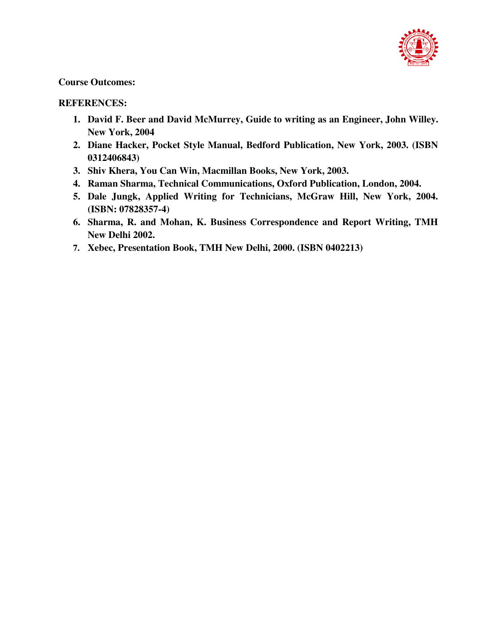

#### **Course Outcomes:**

#### **REFERENCES:**

- **1. David F. Beer and David McMurrey, Guide to writing as an Engineer, John Willey. New York, 2004**
- **2. Diane Hacker, Pocket Style Manual, Bedford Publication, New York, 2003. (ISBN 0312406843)**
- **3. Shiv Khera, You Can Win, Macmillan Books, New York, 2003.**
- **4. Raman Sharma, Technical Communications, Oxford Publication, London, 2004.**
- **5. Dale Jungk, Applied Writing for Technicians, McGraw Hill, New York, 2004. (ISBN: 07828357-4)**
- **6. Sharma, R. and Mohan, K. Business Correspondence and Report Writing, TMH New Delhi 2002.**
- **7. Xebec, Presentation Book, TMH New Delhi, 2000. (ISBN 0402213)**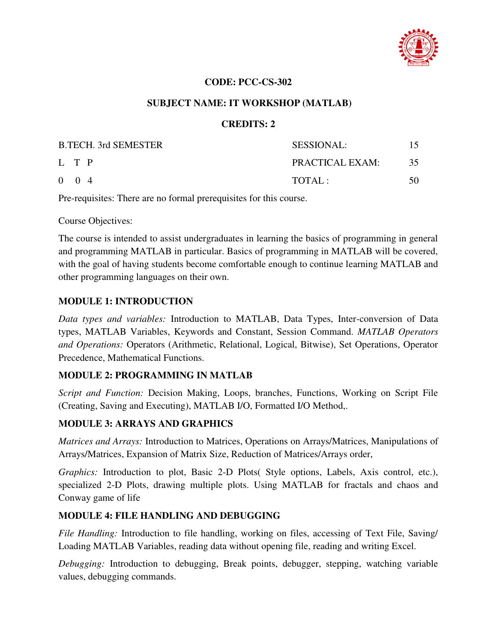

#### **CODE: PCC-CS-302**

#### **SUBJECT NAME: IT WORKSHOP (MATLAB)**

#### **CREDITS: 2**

| <b>B.TECH. 3rd SEMESTER</b> | <b>SESSIONAL:</b> | 15. |
|-----------------------------|-------------------|-----|
| L T P                       | PRACTICAL EXAM:   | 35  |
| $0 \t 0 \t 4$               | TOTAI:            | 50  |

Pre-requisites: There are no formal prerequisites for this course.

Course Objectives:

The course is intended to assist undergraduates in learning the basics of programming in general and programming MATLAB in particular. Basics of programming in MATLAB will be covered, with the goal of having students become comfortable enough to continue learning MATLAB and other programming languages on their own.

#### **MODULE 1: INTRODUCTION**

*Data types and variables:* Introduction to MATLAB, Data Types, Inter-conversion of Data types, MATLAB Variables, Keywords and Constant, Session Command. *MATLAB Operators and Operations:* Operators (Arithmetic, Relational, Logical, Bitwise), Set Operations, Operator Precedence, Mathematical Functions.

#### **MODULE 2: PROGRAMMING IN MATLAB**

*Script and Function:* Decision Making, Loops, branches, Functions, Working on Script File (Creating, Saving and Executing), MATLAB I/O, Formatted I/O Method,.

#### **MODULE 3: ARRAYS AND GRAPHICS**

*Matrices and Arrays:* Introduction to Matrices, Operations on Arrays/Matrices, Manipulations of Arrays/Matrices, Expansion of Matrix Size, Reduction of Matrices/Arrays order,

*Graphics:* Introduction to plot, Basic 2-D Plots( Style options, Labels, Axis control, etc.), specialized 2-D Plots, drawing multiple plots. Using MATLAB for fractals and chaos and Conway game of life

#### **MODULE 4: FILE HANDLING AND DEBUGGING**

*File Handling:* Introduction to file handling, working on files, accessing of Text File, Saving/ Loading MATLAB Variables, reading data without opening file, reading and writing Excel.

*Debugging:* Introduction to debugging, Break points, debugger, stepping, watching variable values, debugging commands.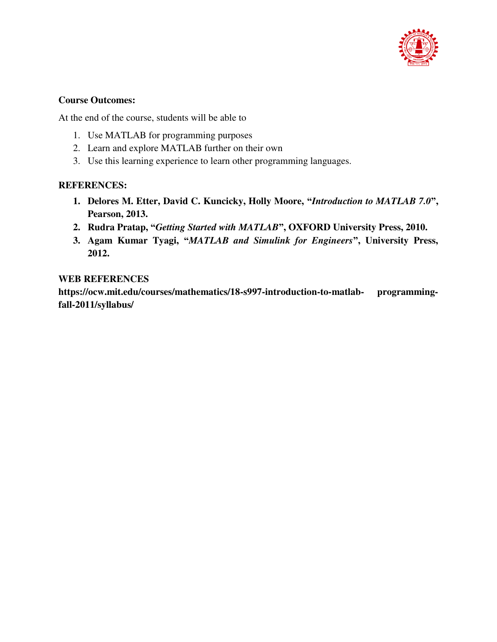

#### **Course Outcomes:**

At the end of the course, students will be able to

- 1. Use MATLAB for programming purposes
- 2. Learn and explore MATLAB further on their own
- 3. Use this learning experience to learn other programming languages.

#### **REFERENCES:**

- **1. Delores M. Etter, David C. Kuncicky, Holly Moore, "***Introduction to MATLAB 7.0***", Pearson, 2013.**
- **2. Rudra Pratap, "***Getting Started with MATLAB***", OXFORD University Press, 2010.**
- **3. Agam Kumar Tyagi, "***MATLAB and Simulink for Engineers***", University Press, 2012.**

#### **WEB REFERENCES**

**https://ocw.mit.edu/courses/mathematics/18-s997-introduction-to-matlab- programmingfall-2011/syllabus/**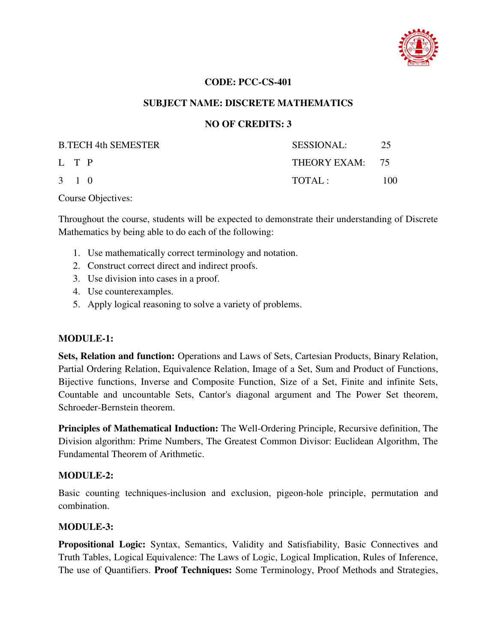

#### **CODE: PCC-CS-401**

#### **SUBJECT NAME: DISCRETE MATHEMATICS**

#### **NO OF CREDITS: 3**

| <b>B.TECH 4th SEMESTER</b> | <b>SESSIONAL:</b> | 25  |
|----------------------------|-------------------|-----|
| L T P                      | THEORY EXAM: 75   |     |
| $3 \quad 1 \quad 0$        | TOTAI.:           | 100 |

Course Objectives:

Throughout the course, students will be expected to demonstrate their understanding of Discrete Mathematics by being able to do each of the following:

- 1. Use mathematically correct terminology and notation.
- 2. Construct correct direct and indirect proofs.
- 3. Use division into cases in a proof.
- 4. Use counterexamples.
- 5. Apply logical reasoning to solve a variety of problems.

#### **MODULE-1:**

**Sets, Relation and function:** Operations and Laws of Sets, Cartesian Products, Binary Relation, Partial Ordering Relation, Equivalence Relation, Image of a Set, Sum and Product of Functions, Bijective functions, Inverse and Composite Function, Size of a Set, Finite and infinite Sets, Countable and uncountable Sets, Cantor's diagonal argument and The Power Set theorem, Schroeder-Bernstein theorem.

**Principles of Mathematical Induction:** The Well-Ordering Principle, Recursive definition, The Division algorithm: Prime Numbers, The Greatest Common Divisor: Euclidean Algorithm, The Fundamental Theorem of Arithmetic.

#### **MODULE-2:**

Basic counting techniques-inclusion and exclusion, pigeon-hole principle, permutation and combination.

#### **MODULE-3:**

**Propositional Logic:** Syntax, Semantics, Validity and Satisfiability, Basic Connectives and Truth Tables, Logical Equivalence: The Laws of Logic, Logical Implication, Rules of Inference, The use of Quantifiers. **Proof Techniques:** Some Terminology, Proof Methods and Strategies,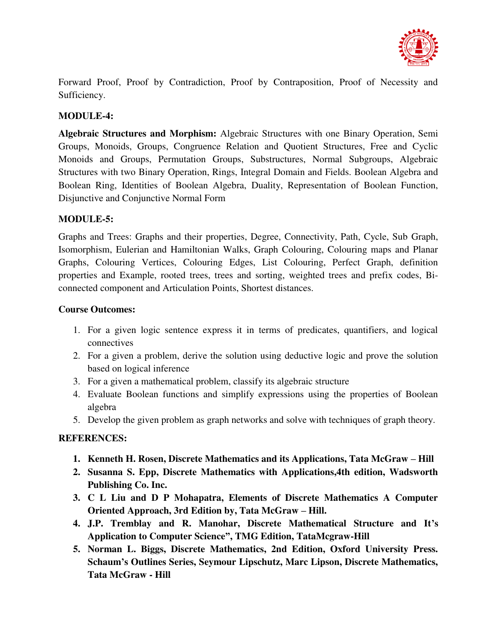

Forward Proof, Proof by Contradiction, Proof by Contraposition, Proof of Necessity and Sufficiency.

### **MODULE-4:**

**Algebraic Structures and Morphism:** Algebraic Structures with one Binary Operation, Semi Groups, Monoids, Groups, Congruence Relation and Quotient Structures, Free and Cyclic Monoids and Groups, Permutation Groups, Substructures, Normal Subgroups, Algebraic Structures with two Binary Operation, Rings, Integral Domain and Fields. Boolean Algebra and Boolean Ring, Identities of Boolean Algebra, Duality, Representation of Boolean Function, Disjunctive and Conjunctive Normal Form

### **MODULE-5:**

Graphs and Trees: Graphs and their properties, Degree, Connectivity, Path, Cycle, Sub Graph, Isomorphism, Eulerian and Hamiltonian Walks, Graph Colouring, Colouring maps and Planar Graphs, Colouring Vertices, Colouring Edges, List Colouring, Perfect Graph, definition properties and Example, rooted trees, trees and sorting, weighted trees and prefix codes, Biconnected component and Articulation Points, Shortest distances.

### **Course Outcomes:**

- 1. For a given logic sentence express it in terms of predicates, quantifiers, and logical connectives
- 2. For a given a problem, derive the solution using deductive logic and prove the solution based on logical inference
- 3. For a given a mathematical problem, classify its algebraic structure
- 4. Evaluate Boolean functions and simplify expressions using the properties of Boolean algebra
- 5. Develop the given problem as graph networks and solve with techniques of graph theory.

- 1. **Kenneth H. Rosen, Discrete Mathematics and its Applications, Tata McGraw Hill**
- **2. Susanna S. Epp, Discrete Mathematics with Applications,4th edition, Wadsworth Publishing Co. Inc.**
- **3. C L Liu and D P Mohapatra, Elements of Discrete Mathematics A Computer Oriented Approach, 3rd Edition by, Tata McGraw – Hill.**
- **4. J.P. Tremblay and R. Manohar, Discrete Mathematical Structure and It's Application to Computer Science", TMG Edition, TataMcgraw-Hill**
- **5. Norman L. Biggs, Discrete Mathematics, 2nd Edition, Oxford University Press. Schaum's Outlines Series, Seymour Lipschutz, Marc Lipson, Discrete Mathematics, Tata McGraw - Hill**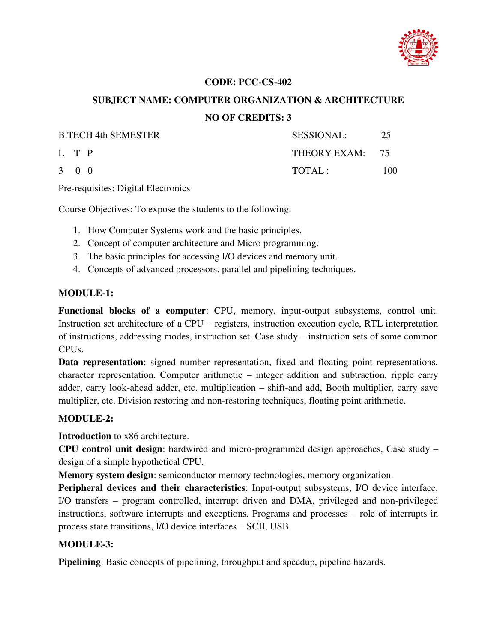

## **SUBJECT NAME: COMPUTER ORGANIZATION & ARCHITECTURE NO OF CREDITS: 3**

| <b>B.TECH 4th SEMESTER</b> | <b>SESSIONAL:</b> | 25   |
|----------------------------|-------------------|------|
| L T P                      | THEORY EXAM: 75   |      |
| $3 \quad 0 \quad 0$        | TOTAL:            | 100. |

Pre-requisites: Digital Electronics

Course Objectives: To expose the students to the following:

- 1. How Computer Systems work and the basic principles.
- 2. Concept of computer architecture and Micro programming.
- 3. The basic principles for accessing I/O devices and memory unit.
- 4. Concepts of advanced processors, parallel and pipelining techniques.

#### **MODULE-1:**

**Functional blocks of a computer**: CPU, memory, input-output subsystems, control unit. Instruction set architecture of a CPU – registers, instruction execution cycle, RTL interpretation of instructions, addressing modes, instruction set. Case study – instruction sets of some common CPUs.

**Data representation**: signed number representation, fixed and floating point representations, character representation. Computer arithmetic – integer addition and subtraction, ripple carry adder, carry look-ahead adder, etc. multiplication – shift-and add, Booth multiplier, carry save multiplier, etc. Division restoring and non-restoring techniques, floating point arithmetic.

### **MODULE-2:**

**Introduction** to x86 architecture.

**CPU control unit design**: hardwired and micro-programmed design approaches, Case study – design of a simple hypothetical CPU.

**Memory system design**: semiconductor memory technologies, memory organization.

**Peripheral devices and their characteristics**: Input-output subsystems, I/O device interface, I/O transfers – program controlled, interrupt driven and DMA, privileged and non-privileged instructions, software interrupts and exceptions. Programs and processes – role of interrupts in process state transitions, I/O device interfaces – SCII, USB

### **MODULE-3:**

**Pipelining**: Basic concepts of pipelining, throughput and speedup, pipeline hazards.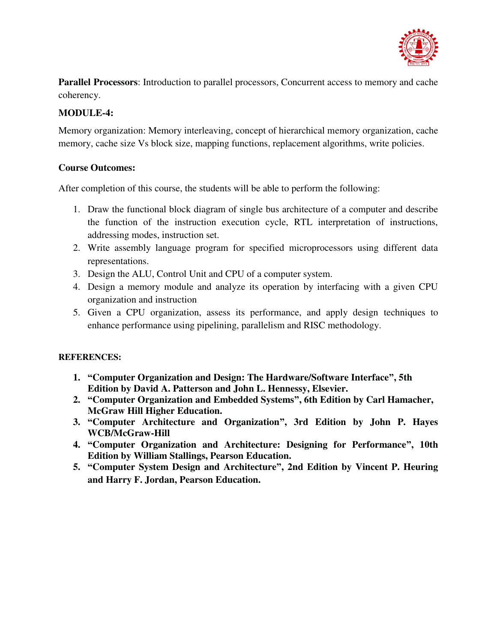

**Parallel Processors**: Introduction to parallel processors, Concurrent access to memory and cache coherency.

### **MODULE-4:**

Memory organization: Memory interleaving, concept of hierarchical memory organization, cache memory, cache size Vs block size, mapping functions, replacement algorithms, write policies.

### **Course Outcomes:**

After completion of this course, the students will be able to perform the following:

- 1. Draw the functional block diagram of single bus architecture of a computer and describe the function of the instruction execution cycle, RTL interpretation of instructions, addressing modes, instruction set.
- 2. Write assembly language program for specified microprocessors using different data representations.
- 3. Design the ALU, Control Unit and CPU of a computer system.
- 4. Design a memory module and analyze its operation by interfacing with a given CPU organization and instruction
- 5. Given a CPU organization, assess its performance, and apply design techniques to enhance performance using pipelining, parallelism and RISC methodology.

- **1. "Computer Organization and Design: The Hardware/Software Interface", 5th Edition by David A. Patterson and John L. Hennessy, Elsevier.**
- **2. "Computer Organization and Embedded Systems", 6th Edition by Carl Hamacher, McGraw Hill Higher Education.**
- **3. "Computer Architecture and Organization", 3rd Edition by John P. Hayes WCB/McGraw-Hill**
- **4. "Computer Organization and Architecture: Designing for Performance", 10th Edition by William Stallings, Pearson Education.**
- **5. "Computer System Design and Architecture", 2nd Edition by Vincent P. Heuring and Harry F. Jordan, Pearson Education.**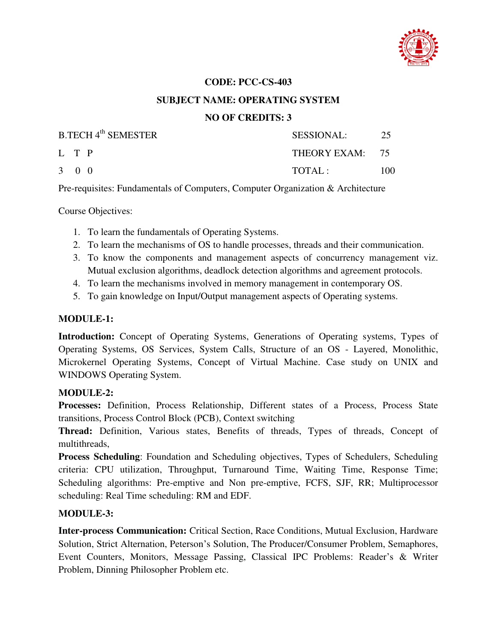

#### **SUBJECT NAME: OPERATING SYSTEM**

### **NO OF CREDITS: 3**

| <b>B.TECH 4th SEMESTER</b> | SESSIONAL:      | -25 |
|----------------------------|-----------------|-----|
| L T P                      | THEORY EXAM: 75 |     |
| 3 0 0                      | TOTAL:          | 100 |

Pre-requisites: Fundamentals of Computers, Computer Organization & Architecture

Course Objectives:

- 1. To learn the fundamentals of Operating Systems.
- 2. To learn the mechanisms of OS to handle processes, threads and their communication.
- 3. To know the components and management aspects of concurrency management viz. Mutual exclusion algorithms, deadlock detection algorithms and agreement protocols.
- 4. To learn the mechanisms involved in memory management in contemporary OS.
- 5. To gain knowledge on Input/Output management aspects of Operating systems.

#### **MODULE-1:**

**Introduction:** Concept of Operating Systems, Generations of Operating systems, Types of Operating Systems, OS Services, System Calls, Structure of an OS - Layered, Monolithic, Microkernel Operating Systems, Concept of Virtual Machine. Case study on UNIX and WINDOWS Operating System.

#### **MODULE-2:**

**Processes:** Definition, Process Relationship, Different states of a Process, Process State transitions, Process Control Block (PCB), Context switching

**Thread:** Definition, Various states, Benefits of threads, Types of threads, Concept of multithreads,

**Process Scheduling**: Foundation and Scheduling objectives, Types of Schedulers, Scheduling criteria: CPU utilization, Throughput, Turnaround Time, Waiting Time, Response Time; Scheduling algorithms: Pre-emptive and Non pre-emptive, FCFS, SJF, RR; Multiprocessor scheduling: Real Time scheduling: RM and EDF.

### **MODULE-3:**

**Inter-process Communication:** Critical Section, Race Conditions, Mutual Exclusion, Hardware Solution, Strict Alternation, Peterson's Solution, The Producer/Consumer Problem, Semaphores, Event Counters, Monitors, Message Passing, Classical IPC Problems: Reader's & Writer Problem, Dinning Philosopher Problem etc.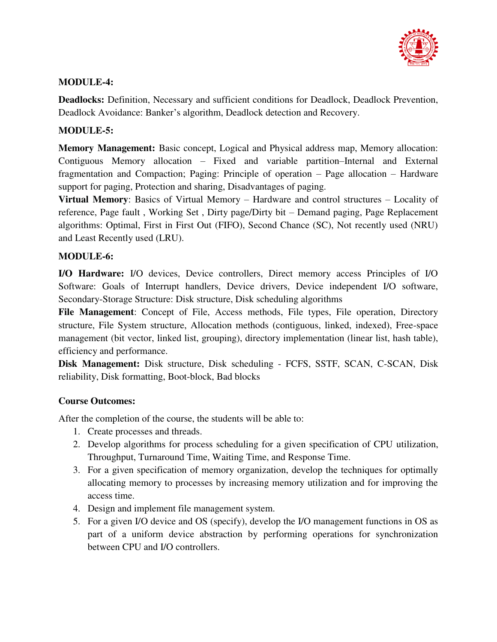

### **MODULE-4:**

**Deadlocks:** Definition, Necessary and sufficient conditions for Deadlock, Deadlock Prevention, Deadlock Avoidance: Banker's algorithm, Deadlock detection and Recovery.

### **MODULE-5:**

**Memory Management:** Basic concept, Logical and Physical address map, Memory allocation: Contiguous Memory allocation – Fixed and variable partition–Internal and External fragmentation and Compaction; Paging: Principle of operation – Page allocation – Hardware support for paging, Protection and sharing, Disadvantages of paging.

**Virtual Memory**: Basics of Virtual Memory – Hardware and control structures – Locality of reference, Page fault , Working Set , Dirty page/Dirty bit – Demand paging, Page Replacement algorithms: Optimal, First in First Out (FIFO), Second Chance (SC), Not recently used (NRU) and Least Recently used (LRU).

### **MODULE-6:**

**I/O Hardware:** I/O devices, Device controllers, Direct memory access Principles of I/O Software: Goals of Interrupt handlers, Device drivers, Device independent I/O software, Secondary-Storage Structure: Disk structure, Disk scheduling algorithms

**File Management**: Concept of File, Access methods, File types, File operation, Directory structure, File System structure, Allocation methods (contiguous, linked, indexed), Free-space management (bit vector, linked list, grouping), directory implementation (linear list, hash table), efficiency and performance.

**Disk Management:** Disk structure, Disk scheduling - FCFS, SSTF, SCAN, C-SCAN, Disk reliability, Disk formatting, Boot-block, Bad blocks

### **Course Outcomes:**

After the completion of the course, the students will be able to:

- 1. Create processes and threads.
- 2. Develop algorithms for process scheduling for a given specification of CPU utilization, Throughput, Turnaround Time, Waiting Time, and Response Time.
- 3. For a given specification of memory organization, develop the techniques for optimally allocating memory to processes by increasing memory utilization and for improving the access time.
- 4. Design and implement file management system.
- 5. For a given I/O device and OS (specify), develop the I/O management functions in OS as part of a uniform device abstraction by performing operations for synchronization between CPU and I/O controllers.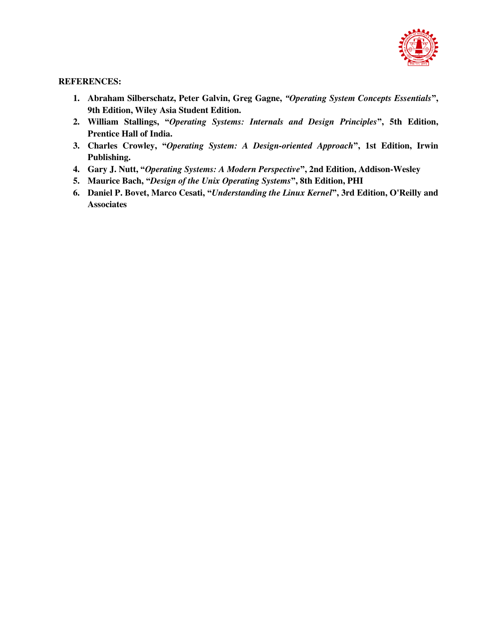

- **1. Abraham Silberschatz, Peter Galvin, Greg Gagne,** *"Operating System Concepts Essentials***", 9th Edition, Wiley Asia Student Edition.**
- **2. William Stallings, "***Operating Systems: Internals and Design Principles***", 5th Edition, Prentice Hall of India.**
- **3. Charles Crowley, "***Operating System: A Design-oriented Approach***", 1st Edition, Irwin Publishing.**
- **4. Gary J. Nutt, "***Operating Systems: A Modern Perspective***", 2nd Edition, Addison-Wesley**
- **5. Maurice Bach, "***Design of the Unix Operating Systems***", 8th Edition, PHI**
- **6. Daniel P. Bovet, Marco Cesati, "***Understanding the Linux Kernel***", 3rd Edition, O'Reilly and Associates**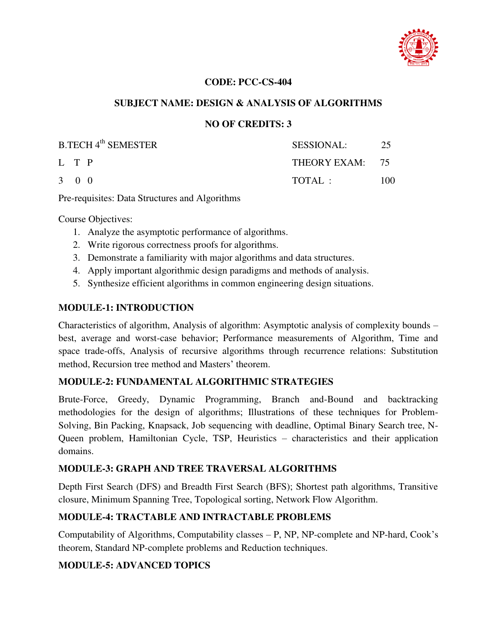

### **SUBJECT NAME: DESIGN & ANALYSIS OF ALGORITHMS**

#### **NO OF CREDITS: 3**

| <b>B.TECH 4th SEMESTER</b> | SESSIONAL:      | -25 |
|----------------------------|-----------------|-----|
| L T P                      | THEORY EXAM: 75 |     |
| $3 \quad 0 \quad 0$        | TOTAL:          | 100 |

Pre-requisites: Data Structures and Algorithms

Course Objectives:

- 1. Analyze the asymptotic performance of algorithms.
- 2. Write rigorous correctness proofs for algorithms.
- 3. Demonstrate a familiarity with major algorithms and data structures.
- 4. Apply important algorithmic design paradigms and methods of analysis.
- 5. Synthesize efficient algorithms in common engineering design situations.

#### **MODULE-1: INTRODUCTION**

Characteristics of algorithm, Analysis of algorithm: Asymptotic analysis of complexity bounds – best, average and worst-case behavior; Performance measurements of Algorithm, Time and space trade-offs, Analysis of recursive algorithms through recurrence relations: Substitution method, Recursion tree method and Masters' theorem.

#### **MODULE-2: FUNDAMENTAL ALGORITHMIC STRATEGIES**

Brute-Force, Greedy, Dynamic Programming, Branch and-Bound and backtracking methodologies for the design of algorithms; Illustrations of these techniques for Problem-Solving, Bin Packing, Knapsack, Job sequencing with deadline, Optimal Binary Search tree, N-Queen problem, Hamiltonian Cycle, TSP, Heuristics – characteristics and their application domains.

#### **MODULE-3: GRAPH AND TREE TRAVERSAL ALGORITHMS**

Depth First Search (DFS) and Breadth First Search (BFS); Shortest path algorithms, Transitive closure, Minimum Spanning Tree, Topological sorting, Network Flow Algorithm.

### **MODULE-4: TRACTABLE AND INTRACTABLE PROBLEMS**

Computability of Algorithms, Computability classes – P, NP, NP-complete and NP-hard, Cook's theorem, Standard NP-complete problems and Reduction techniques.

#### **MODULE-5: ADVANCED TOPICS**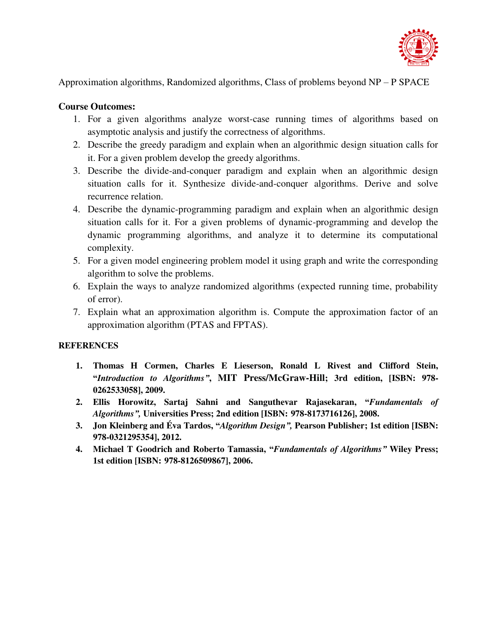

Approximation algorithms, Randomized algorithms, Class of problems beyond NP – P SPACE

### **Course Outcomes:**

- 1. For a given algorithms analyze worst-case running times of algorithms based on asymptotic analysis and justify the correctness of algorithms.
- 2. Describe the greedy paradigm and explain when an algorithmic design situation calls for it. For a given problem develop the greedy algorithms.
- 3. Describe the divide-and-conquer paradigm and explain when an algorithmic design situation calls for it. Synthesize divide-and-conquer algorithms. Derive and solve recurrence relation.
- 4. Describe the dynamic-programming paradigm and explain when an algorithmic design situation calls for it. For a given problems of dynamic-programming and develop the dynamic programming algorithms, and analyze it to determine its computational complexity.
- 5. For a given model engineering problem model it using graph and write the corresponding algorithm to solve the problems.
- 6. Explain the ways to analyze randomized algorithms (expected running time, probability of error).
- 7. Explain what an approximation algorithm is. Compute the approximation factor of an approximation algorithm (PTAS and FPTAS).

- **1. Thomas H Cormen, Charles E Lieserson, Ronald L Rivest and Clifford Stein, "***Introduction to Algorithms"***, MIT Press/McGraw-Hill; 3rd edition, [ISBN: 978- 0262533058], 2009.**
- **2. Ellis Horowitz, Sartaj Sahni and Sanguthevar Rajasekaran, "***Fundamentals of Algorithms",* **Universities Press; 2nd edition [ISBN: 978-8173716126], 2008.**
- **3. Jon Kleinberg and Éva Tardos, "***Algorithm Design",* **Pearson Publisher; 1st edition [ISBN: 978-0321295354], 2012.**
- **4. Michael T Goodrich and Roberto Tamassia, "***Fundamentals of Algorithms"* **Wiley Press; 1st edition [ISBN: 978-8126509867], 2006.**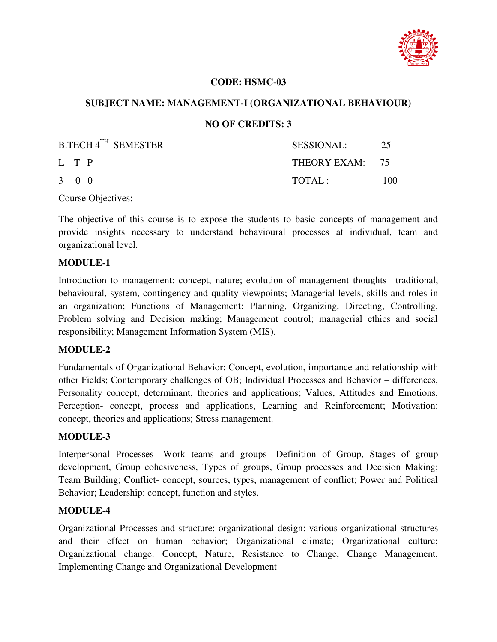

#### **CODE: HSMC-03**

#### **SUBJECT NAME: MANAGEMENT-I (ORGANIZATIONAL BEHAVIOUR)**

### **NO OF CREDITS: 3**

| B.TECH 4 <sup>TH</sup> SEMESTER | <b>SESSIONAL:</b> | 25  |
|---------------------------------|-------------------|-----|
| L T P                           | THEORY EXAM: 75   |     |
| $3 \quad 0 \quad 0$             | TOTAI:            | 100 |

Course Objectives:

The objective of this course is to expose the students to basic concepts of management and provide insights necessary to understand behavioural processes at individual, team and organizational level.

#### **MODULE-1**

Introduction to management: concept, nature; evolution of management thoughts –traditional, behavioural, system, contingency and quality viewpoints; Managerial levels, skills and roles in an organization; Functions of Management: Planning, Organizing, Directing, Controlling, Problem solving and Decision making; Management control; managerial ethics and social responsibility; Management Information System (MIS).

#### **MODULE-2**

Fundamentals of Organizational Behavior: Concept, evolution, importance and relationship with other Fields; Contemporary challenges of OB; Individual Processes and Behavior – differences, Personality concept, determinant, theories and applications; Values, Attitudes and Emotions, Perception- concept, process and applications, Learning and Reinforcement; Motivation: concept, theories and applications; Stress management.

#### **MODULE-3**

Interpersonal Processes- Work teams and groups- Definition of Group, Stages of group development, Group cohesiveness, Types of groups, Group processes and Decision Making; Team Building; Conflict- concept, sources, types, management of conflict; Power and Political Behavior; Leadership: concept, function and styles.

### **MODULE-4**

Organizational Processes and structure: organizational design: various organizational structures and their effect on human behavior; Organizational climate; Organizational culture; Organizational change: Concept, Nature, Resistance to Change, Change Management, Implementing Change and Organizational Development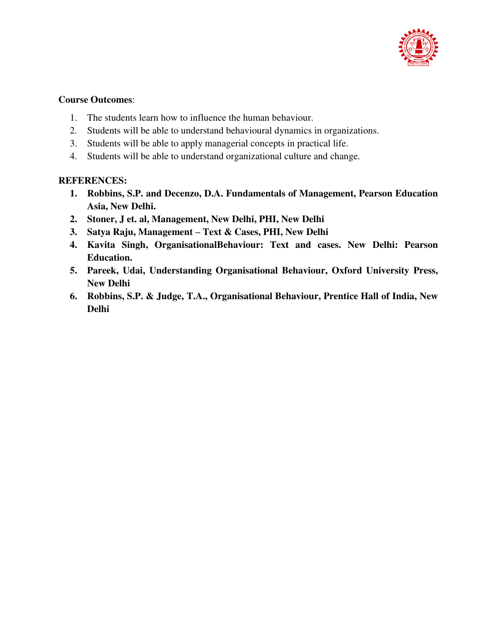

### **Course Outcomes**:

- 1. The students learn how to influence the human behaviour.
- 2. Students will be able to understand behavioural dynamics in organizations.
- 3. Students will be able to apply managerial concepts in practical life.
- 4. Students will be able to understand organizational culture and change.

- **1. Robbins, S.P. and Decenzo, D.A. Fundamentals of Management, Pearson Education Asia, New Delhi.**
- **2. Stoner, J et. al, Management, New Delhi, PHI, New Delhi**
- **3. Satya Raju, Management – Text & Cases, PHI, New Delhi**
- **4. Kavita Singh, OrganisationalBehaviour: Text and cases. New Delhi: Pearson Education.**
- **5. Pareek, Udai, Understanding Organisational Behaviour, Oxford University Press, New Delhi**
- **6. Robbins, S.P. & Judge, T.A., Organisational Behaviour, Prentice Hall of India, New Delhi**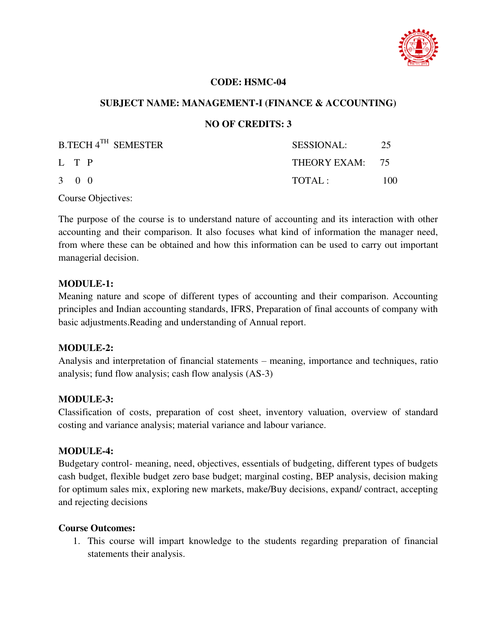

#### **CODE: HSMC-04**

#### **SUBJECT NAME: MANAGEMENT-I (FINANCE & ACCOUNTING)**

### **NO OF CREDITS: 3**

| B.TECH 4 <sup>TH</sup> SEMESTER | SESSIONAL:      | -25 |
|---------------------------------|-----------------|-----|
| L T P                           | THEORY EXAM: 75 |     |
| $3 \quad 0 \quad 0$             | TOTAL:          | 100 |

Course Objectives:

The purpose of the course is to understand nature of accounting and its interaction with other accounting and their comparison. It also focuses what kind of information the manager need, from where these can be obtained and how this information can be used to carry out important managerial decision.

#### **MODULE-1:**

Meaning nature and scope of different types of accounting and their comparison. Accounting principles and Indian accounting standards, IFRS, Preparation of final accounts of company with basic adjustments.Reading and understanding of Annual report.

### **MODULE-2:**

Analysis and interpretation of financial statements – meaning, importance and techniques, ratio analysis; fund flow analysis; cash flow analysis (AS-3)

### **MODULE-3:**

Classification of costs, preparation of cost sheet, inventory valuation, overview of standard costing and variance analysis; material variance and labour variance.

#### **MODULE-4:**

Budgetary control- meaning, need, objectives, essentials of budgeting, different types of budgets cash budget, flexible budget zero base budget; marginal costing, BEP analysis, decision making for optimum sales mix, exploring new markets, make/Buy decisions, expand/ contract, accepting and rejecting decisions

#### **Course Outcomes:**

1. This course will impart knowledge to the students regarding preparation of financial statements their analysis.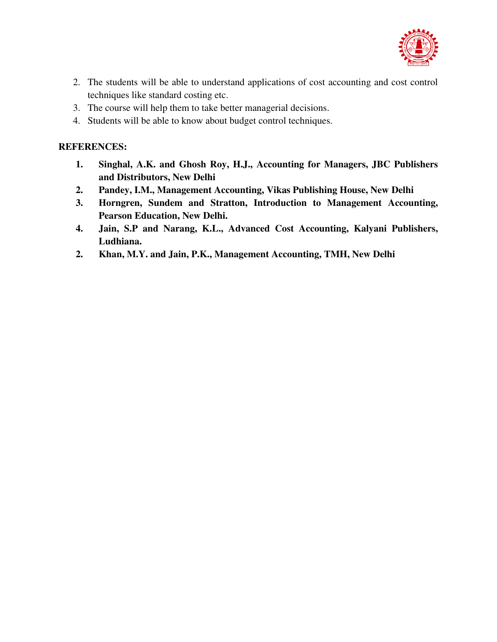

- 2. The students will be able to understand applications of cost accounting and cost control techniques like standard costing etc.
- 3. The course will help them to take better managerial decisions.
- 4. Students will be able to know about budget control techniques.

- **1. Singhal, A.K. and Ghosh Roy, H.J., Accounting for Managers, JBC Publishers and Distributors, New Delhi**
- **2. Pandey, I.M., Management Accounting, Vikas Publishing House, New Delhi**
- **3. Horngren, Sundem and Stratton, Introduction to Management Accounting, Pearson Education, New Delhi.**
- **4. Jain, S.P and Narang, K.L., Advanced Cost Accounting, Kalyani Publishers, Ludhiana.**
- **2. Khan, M.Y. and Jain, P.K., Management Accounting, TMH, New Delhi**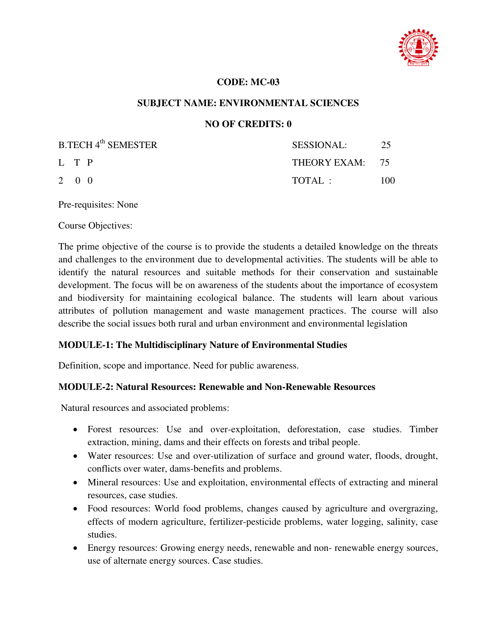

#### **CODE: MC-03**

#### **SUBJECT NAME: ENVIRONMENTAL SCIENCES**

### **NO OF CREDITS: 0**

| <b>B.TECH 4th SEMESTER</b> | SESSIONAL:      | -25 |
|----------------------------|-----------------|-----|
| L T P                      | THEORY EXAM: 75 |     |
| $2 \quad 0 \quad 0$        | TOTAL:          | 100 |

Pre-requisites: None

Course Objectives:

The prime objective of the course is to provide the students a detailed knowledge on the threats and challenges to the environment due to developmental activities. The students will be able to identify the natural resources and suitable methods for their conservation and sustainable development. The focus will be on awareness of the students about the importance of ecosystem and biodiversity for maintaining ecological balance. The students will learn about various attributes of pollution management and waste management practices. The course will also describe the social issues both rural and urban environment and environmental legislation

### **MODULE-1: The Multidisciplinary Nature of Environmental Studies**

Definition, scope and importance. Need for public awareness.

#### **MODULE-2: Natural Resources: Renewable and Non-Renewable Resources**

Natural resources and associated problems:

- Forest resources: Use and over-exploitation, deforestation, case studies. Timber extraction, mining, dams and their effects on forests and tribal people.
- Water resources: Use and over-utilization of surface and ground water, floods, drought, conflicts over water, dams-benefits and problems.
- Mineral resources: Use and exploitation, environmental effects of extracting and mineral resources, case studies.
- Food resources: World food problems, changes caused by agriculture and overgrazing, effects of modern agriculture, fertilizer-pesticide problems, water logging, salinity, case studies.
- Energy resources: Growing energy needs, renewable and non- renewable energy sources, use of alternate energy sources. Case studies.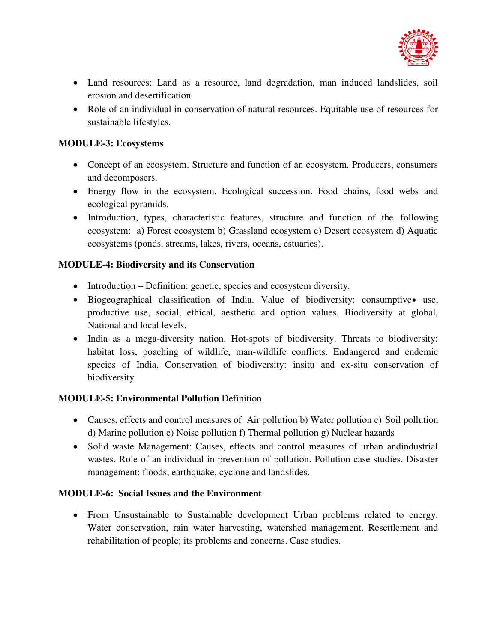

- Land resources: Land as a resource, land degradation, man induced landslides, soil erosion and desertification.
- Role of an individual in conservation of natural resources. Equitable use of resources for sustainable lifestyles.

### **MODULE-3: Ecosystems**

- Concept of an ecosystem. Structure and function of an ecosystem. Producers, consumers and decomposers.
- Energy flow in the ecosystem. Ecological succession. Food chains, food webs and ecological pyramids.
- Introduction, types, characteristic features, structure and function of the following ecosystem: a) Forest ecosystem b) Grassland ecosystem c) Desert ecosystem d) Aquatic ecosystems (ponds, streams, lakes, rivers, oceans, estuaries).

### **MODULE-4: Biodiversity and its Conservation**

- Introduction Definition: genetic, species and ecosystem diversity.
- $\bullet$  Biogeographical classification of India. Value of biodiversity: consumptive use, productive use, social, ethical, aesthetic and option values. Biodiversity at global, National and local levels.
- India as a mega-diversity nation. Hot-spots of biodiversity. Threats to biodiversity: habitat loss, poaching of wildlife, man-wildlife conflicts. Endangered and endemic species of India. Conservation of biodiversity: insitu and ex-situ conservation of biodiversity

### **MODULE-5: Environmental Pollution** Definition

- Causes, effects and control measures of: Air pollution b) Water pollution c) Soil pollution d) Marine pollution e) Noise pollution f) Thermal pollution g) Nuclear hazards
- Solid waste Management: Causes, effects and control measures of urban andindustrial wastes. Role of an individual in prevention of pollution. Pollution case studies. Disaster management: floods, earthquake, cyclone and landslides.

### **MODULE-6: Social Issues and the Environment**

 From Unsustainable to Sustainable development Urban problems related to energy. Water conservation, rain water harvesting, watershed management. Resettlement and rehabilitation of people; its problems and concerns. Case studies.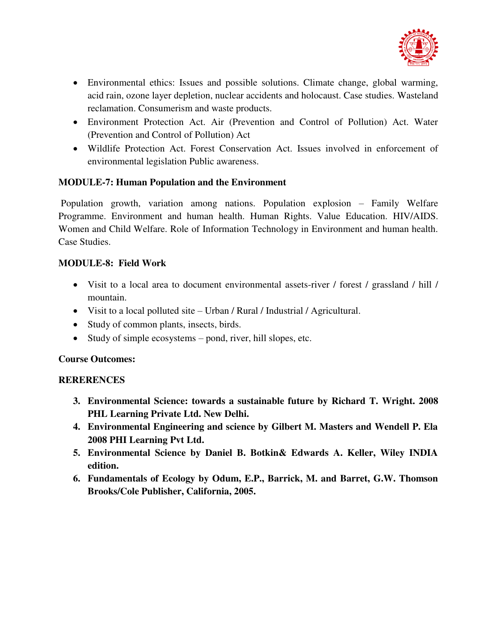

- Environmental ethics: Issues and possible solutions. Climate change, global warming, acid rain, ozone layer depletion, nuclear accidents and holocaust. Case studies. Wasteland reclamation. Consumerism and waste products.
- Environment Protection Act. Air (Prevention and Control of Pollution) Act. Water (Prevention and Control of Pollution) Act
- Wildlife Protection Act. Forest Conservation Act. Issues involved in enforcement of environmental legislation Public awareness.

### **MODULE-7: Human Population and the Environment**

 Population growth, variation among nations. Population explosion – Family Welfare Programme. Environment and human health. Human Rights. Value Education. HIV/AIDS. Women and Child Welfare. Role of Information Technology in Environment and human health. Case Studies.

### **MODULE-8: Field Work**

- Visit to a local area to document environmental assets-river / forest / grassland / hill / mountain.
- Visit to a local polluted site Urban / Rural / Industrial / Agricultural.
- Study of common plants, insects, birds.
- Study of simple ecosystems pond, river, hill slopes, etc.

### **Course Outcomes:**

### **RERERENCES**

- **3. Environmental Science: towards a sustainable future by Richard T. Wright. 2008 PHL Learning Private Ltd. New Delhi.**
- **4. Environmental Engineering and science by Gilbert M. Masters and Wendell P. Ela 2008 PHI Learning Pvt Ltd.**
- **5. Environmental Science by Daniel B. Botkin& Edwards A. Keller, Wiley INDIA edition.**
- **6. Fundamentals of Ecology by Odum, E.P., Barrick, M. and Barret, G.W. Thomson Brooks/Cole Publisher, California, 2005.**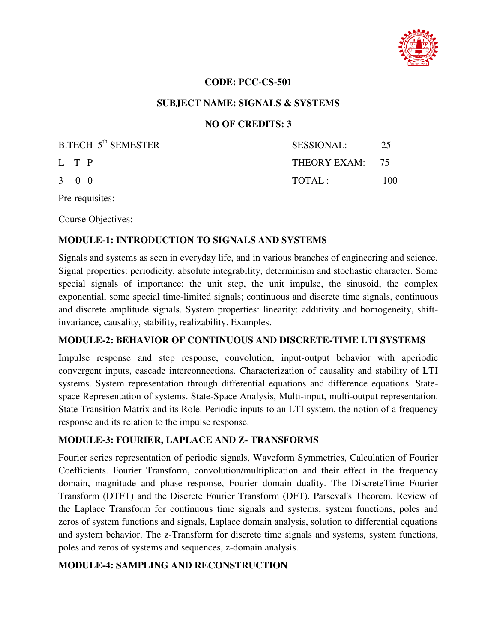

### **SUBJECT NAME: SIGNALS & SYSTEMS**

### **NO OF CREDITS: 3**

| B.TECH 5 <sup>th</sup> SEMESTER | SESSIONAL:      | -25  |
|---------------------------------|-----------------|------|
| L T P                           | THEORY EXAM: 75 |      |
| $3 \quad 0 \quad 0$             | TOTAL:          | 100. |

Pre-requisites:

Course Objectives:

#### **MODULE-1: INTRODUCTION TO SIGNALS AND SYSTEMS**

Signals and systems as seen in everyday life, and in various branches of engineering and science. Signal properties: periodicity, absolute integrability, determinism and stochastic character. Some special signals of importance: the unit step, the unit impulse, the sinusoid, the complex exponential, some special time-limited signals; continuous and discrete time signals, continuous and discrete amplitude signals. System properties: linearity: additivity and homogeneity, shiftinvariance, causality, stability, realizability. Examples.

#### **MODULE-2: BEHAVIOR OF CONTINUOUS AND DISCRETE-TIME LTI SYSTEMS**

Impulse response and step response, convolution, input-output behavior with aperiodic convergent inputs, cascade interconnections. Characterization of causality and stability of LTI systems. System representation through differential equations and difference equations. Statespace Representation of systems. State-Space Analysis, Multi-input, multi-output representation. State Transition Matrix and its Role. Periodic inputs to an LTI system, the notion of a frequency response and its relation to the impulse response.

### **MODULE-3: FOURIER, LAPLACE AND Z- TRANSFORMS**

Fourier series representation of periodic signals, Waveform Symmetries, Calculation of Fourier Coefficients. Fourier Transform, convolution/multiplication and their effect in the frequency domain, magnitude and phase response, Fourier domain duality. The DiscreteTime Fourier Transform (DTFT) and the Discrete Fourier Transform (DFT). Parseval's Theorem. Review of the Laplace Transform for continuous time signals and systems, system functions, poles and zeros of system functions and signals, Laplace domain analysis, solution to differential equations and system behavior. The z-Transform for discrete time signals and systems, system functions, poles and zeros of systems and sequences, z-domain analysis.

#### **MODULE-4: SAMPLING AND RECONSTRUCTION**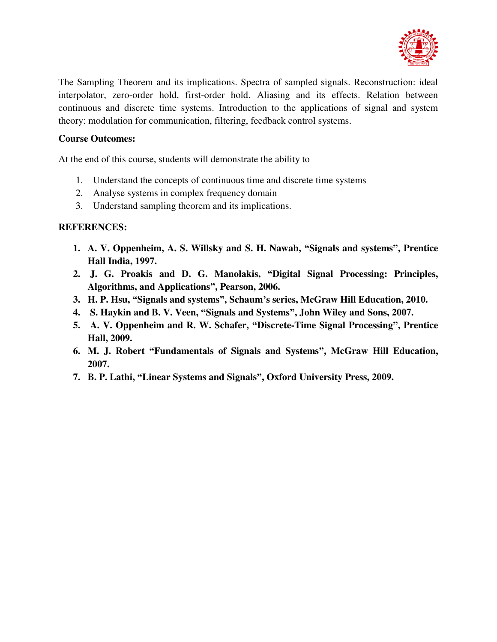

The Sampling Theorem and its implications. Spectra of sampled signals. Reconstruction: ideal interpolator, zero-order hold, first-order hold. Aliasing and its effects. Relation between continuous and discrete time systems. Introduction to the applications of signal and system theory: modulation for communication, filtering, feedback control systems.

### **Course Outcomes:**

At the end of this course, students will demonstrate the ability to

- 1. Understand the concepts of continuous time and discrete time systems
- 2. Analyse systems in complex frequency domain
- 3. Understand sampling theorem and its implications.

- **1. A. V. Oppenheim, A. S. Willsky and S. H. Nawab, "Signals and systems", Prentice Hall India, 1997.**
- **2. J. G. Proakis and D. G. Manolakis, "Digital Signal Processing: Principles, Algorithms, and Applications", Pearson, 2006.**
- **3. H. P. Hsu, "Signals and systems", Schaum's series, McGraw Hill Education, 2010.**
- **4. S. Haykin and B. V. Veen, "Signals and Systems", John Wiley and Sons, 2007.**
- **5. A. V. Oppenheim and R. W. Schafer, "Discrete-Time Signal Processing", Prentice Hall, 2009.**
- **6. M. J. Robert "Fundamentals of Signals and Systems", McGraw Hill Education, 2007.**
- **7. B. P. Lathi, "Linear Systems and Signals", Oxford University Press, 2009.**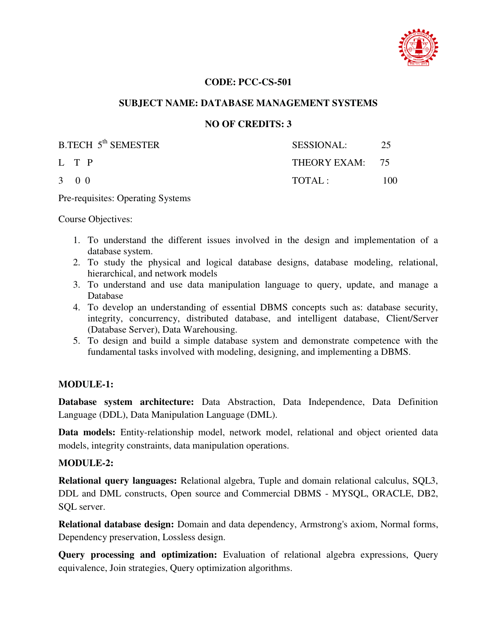

#### **SUBJECT NAME: DATABASE MANAGEMENT SYSTEMS**

#### **NO OF CREDITS: 3**

| B.TECH 5 <sup>th</sup> SEMESTER | SESSIONAL:      | 25  |
|---------------------------------|-----------------|-----|
| L T P                           | THEORY EXAM: 75 |     |
| $3 \quad 0 \quad 0$             | TOTAI:          | 100 |

Pre-requisites: Operating Systems

Course Objectives:

- 1. To understand the different issues involved in the design and implementation of a database system.
- 2. To study the physical and logical database designs, database modeling, relational, hierarchical, and network models
- 3. To understand and use data manipulation language to query, update, and manage a Database
- 4. To develop an understanding of essential DBMS concepts such as: database security, integrity, concurrency, distributed database, and intelligent database, Client/Server (Database Server), Data Warehousing.
- 5. To design and build a simple database system and demonstrate competence with the fundamental tasks involved with modeling, designing, and implementing a DBMS.

#### **MODULE-1:**

**Database system architecture:** Data Abstraction, Data Independence, Data Definition Language (DDL), Data Manipulation Language (DML).

**Data models:** Entity-relationship model, network model, relational and object oriented data models, integrity constraints, data manipulation operations.

#### **MODULE-2:**

**Relational query languages:** Relational algebra, Tuple and domain relational calculus, SQL3, DDL and DML constructs, Open source and Commercial DBMS - MYSQL, ORACLE, DB2, SQL server.

**Relational database design:** Domain and data dependency, Armstrong's axiom, Normal forms, Dependency preservation, Lossless design.

**Query processing and optimization:** Evaluation of relational algebra expressions, Query equivalence, Join strategies, Query optimization algorithms.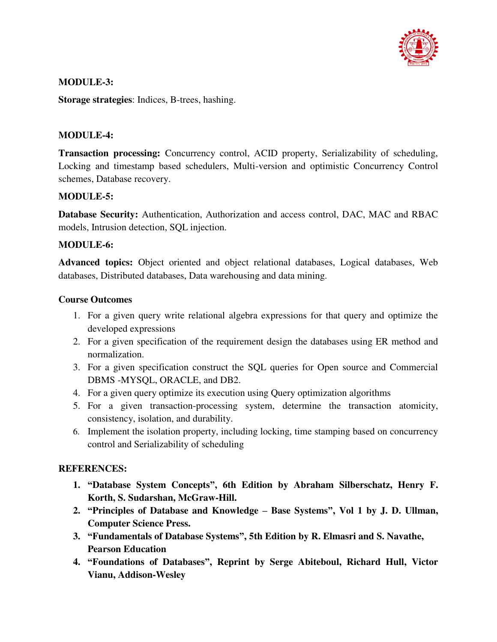

### **MODULE-3:**

**Storage strategies**: Indices, B-trees, hashing.

### **MODULE-4:**

**Transaction processing:** Concurrency control, ACID property, Serializability of scheduling, Locking and timestamp based schedulers, Multi-version and optimistic Concurrency Control schemes, Database recovery.

### **MODULE-5:**

**Database Security:** Authentication, Authorization and access control, DAC, MAC and RBAC models, Intrusion detection, SQL injection.

### **MODULE-6:**

**Advanced topics:** Object oriented and object relational databases, Logical databases, Web databases, Distributed databases, Data warehousing and data mining.

### **Course Outcomes**

- 1. For a given query write relational algebra expressions for that query and optimize the developed expressions
- 2. For a given specification of the requirement design the databases using ER method and normalization.
- 3. For a given specification construct the SQL queries for Open source and Commercial DBMS -MYSQL, ORACLE, and DB2.
- 4. For a given query optimize its execution using Query optimization algorithms
- 5. For a given transaction-processing system, determine the transaction atomicity, consistency, isolation, and durability.
- 6. Implement the isolation property, including locking, time stamping based on concurrency control and Serializability of scheduling

- **1. "Database System Concepts", 6th Edition by Abraham Silberschatz, Henry F. Korth, S. Sudarshan, McGraw-Hill.**
- **2. "Principles of Database and Knowledge – Base Systems", Vol 1 by J. D. Ullman, Computer Science Press.**
- **3. "Fundamentals of Database Systems", 5th Edition by R. Elmasri and S. Navathe, Pearson Education**
- **4. "Foundations of Databases", Reprint by Serge Abiteboul, Richard Hull, Victor Vianu, Addison-Wesley**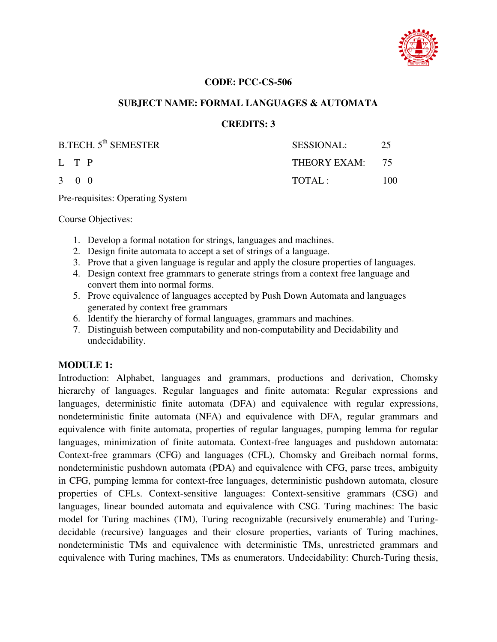

#### **SUBJECT NAME: FORMAL LANGUAGES & AUTOMATA**

#### **CREDITS: 3**

| B.TECH. 5 <sup>th</sup> SEMESTER | <b>SESSIONAL:</b> | 25   |
|----------------------------------|-------------------|------|
| L T P                            | THEORY EXAM: 75   |      |
| 3 0 0                            | TOTAI:            | 100. |

Pre-requisites: Operating System

Course Objectives:

- 1. Develop a formal notation for strings, languages and machines.
- 2. Design finite automata to accept a set of strings of a language.
- 3. Prove that a given language is regular and apply the closure properties of languages.
- 4. Design context free grammars to generate strings from a context free language and convert them into normal forms.
- 5. Prove equivalence of languages accepted by Push Down Automata and languages generated by context free grammars
- 6. Identify the hierarchy of formal languages, grammars and machines.
- 7. Distinguish between computability and non-computability and Decidability and undecidability.

#### **MODULE 1:**

Introduction: Alphabet, languages and grammars, productions and derivation, Chomsky hierarchy of languages. Regular languages and finite automata: Regular expressions and languages, deterministic finite automata (DFA) and equivalence with regular expressions, nondeterministic finite automata (NFA) and equivalence with DFA, regular grammars and equivalence with finite automata, properties of regular languages, pumping lemma for regular languages, minimization of finite automata. Context-free languages and pushdown automata: Context-free grammars (CFG) and languages (CFL), Chomsky and Greibach normal forms, nondeterministic pushdown automata (PDA) and equivalence with CFG, parse trees, ambiguity in CFG, pumping lemma for context-free languages, deterministic pushdown automata, closure properties of CFLs. Context-sensitive languages: Context-sensitive grammars (CSG) and languages, linear bounded automata and equivalence with CSG. Turing machines: The basic model for Turing machines (TM), Turing recognizable (recursively enumerable) and Turingdecidable (recursive) languages and their closure properties, variants of Turing machines, nondeterministic TMs and equivalence with deterministic TMs, unrestricted grammars and equivalence with Turing machines, TMs as enumerators. Undecidability: Church-Turing thesis,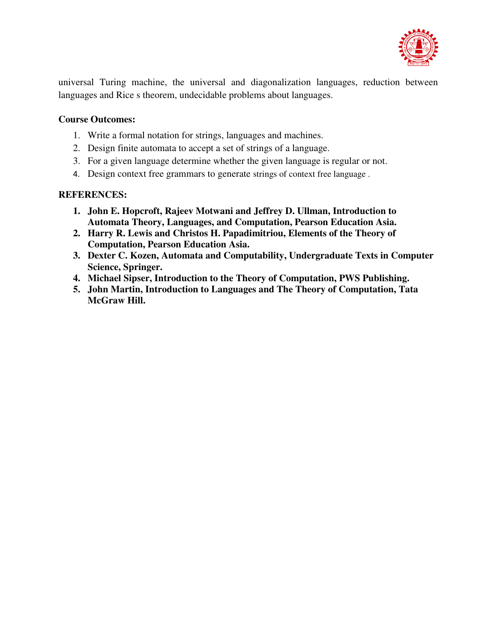

universal Turing machine, the universal and diagonalization languages, reduction between languages and Rice s theorem, undecidable problems about languages.

### **Course Outcomes:**

- 1. Write a formal notation for strings, languages and machines.
- 2. Design finite automata to accept a set of strings of a language.
- 3. For a given language determine whether the given language is regular or not.
- 4. Design context free grammars to generate strings of context free language .

- **1. John E. Hopcroft, Rajeev Motwani and Jeffrey D. Ullman, Introduction to Automata Theory, Languages, and Computation, Pearson Education Asia.**
- **2. Harry R. Lewis and Christos H. Papadimitriou, Elements of the Theory of Computation, Pearson Education Asia.**
- **3. Dexter C. Kozen, Automata and Computability, Undergraduate Texts in Computer Science, Springer.**
- **4. Michael Sipser, Introduction to the Theory of Computation, PWS Publishing.**
- **5. John Martin, Introduction to Languages and The Theory of Computation, Tata McGraw Hill.**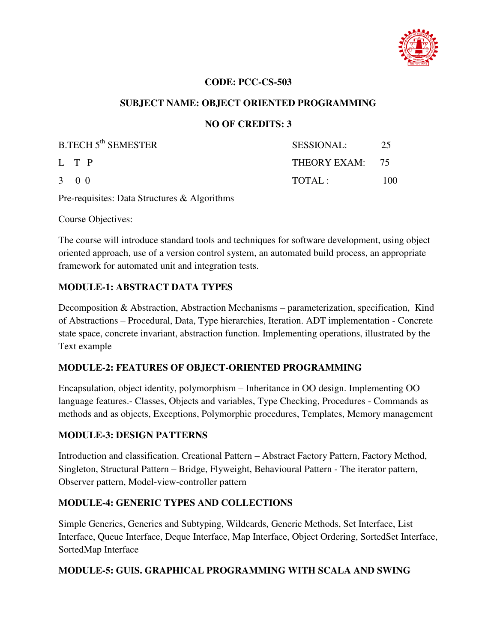

### **SUBJECT NAME: OBJECT ORIENTED PROGRAMMING**

### **NO OF CREDITS: 3**

| <b>B.TECH 5<sup>th</sup> SEMESTER</b> | <b>SESSIONAL:</b> | 25  |
|---------------------------------------|-------------------|-----|
| L T P                                 | THEORY EXAM: 75   |     |
| $3 \quad 0 \quad 0$                   | TOTAI:            | 100 |

Pre-requisites: Data Structures & Algorithms

Course Objectives:

The course will introduce standard tools and techniques for software development, using object oriented approach, use of a version control system, an automated build process, an appropriate framework for automated unit and integration tests.

#### **MODULE-1: ABSTRACT DATA TYPES**

Decomposition & Abstraction, Abstraction Mechanisms – parameterization, specification, Kind of Abstractions – Procedural, Data, Type hierarchies, Iteration. ADT implementation - Concrete state space, concrete invariant, abstraction function. Implementing operations, illustrated by the Text example

### **MODULE-2: FEATURES OF OBJECT-ORIENTED PROGRAMMING**

Encapsulation, object identity, polymorphism – Inheritance in OO design. Implementing OO language features.- Classes, Objects and variables, Type Checking, Procedures - Commands as methods and as objects, Exceptions, Polymorphic procedures, Templates, Memory management

### **MODULE-3: DESIGN PATTERNS**

Introduction and classification. Creational Pattern – Abstract Factory Pattern, Factory Method, Singleton, Structural Pattern – Bridge, Flyweight, Behavioural Pattern - The iterator pattern, Observer pattern, Model-view-controller pattern

### **MODULE-4: GENERIC TYPES AND COLLECTIONS**

Simple Generics, Generics and Subtyping, Wildcards, Generic Methods, Set Interface, List Interface, Queue Interface, Deque Interface, Map Interface, Object Ordering, SortedSet Interface, SortedMap Interface

### **MODULE-5: GUIS. GRAPHICAL PROGRAMMING WITH SCALA AND SWING**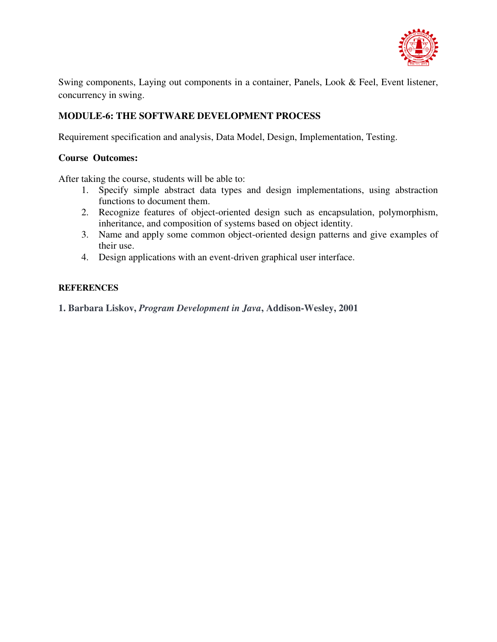

Swing components, Laying out components in a container, Panels, Look & Feel, Event listener, concurrency in swing.

### **MODULE-6: THE SOFTWARE DEVELOPMENT PROCESS**

Requirement specification and analysis, Data Model, Design, Implementation, Testing.

#### **Course Outcomes:**

After taking the course, students will be able to:

- 1. Specify simple abstract data types and design implementations, using abstraction functions to document them.
- 2. Recognize features of object-oriented design such as encapsulation, polymorphism, inheritance, and composition of systems based on object identity.
- 3. Name and apply some common object-oriented design patterns and give examples of their use.
- 4. Design applications with an event-driven graphical user interface.

#### **REFERENCES**

**1. Barbara Liskov,** *Program Development in Java***, Addison-Wesley, 2001**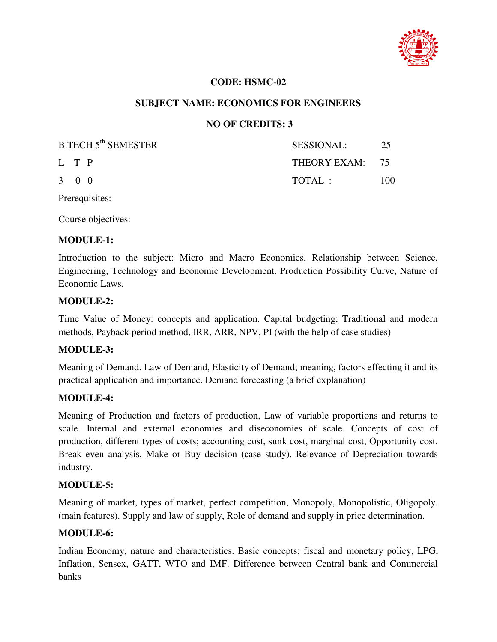

#### **CODE: HSMC-02**

#### **SUBJECT NAME: ECONOMICS FOR ENGINEERS**

### **NO OF CREDITS: 3**

| <b>B.TECH 5<sup>th</sup> SEMESTER</b> | SESSIONAL:      | -25 |
|---------------------------------------|-----------------|-----|
| L T P                                 | THEORY EXAM: 75 |     |
| $3 \quad 0 \quad 0$                   | TOTAL:          | 100 |

Prerequisites:

Course objectives:

#### **MODULE-1:**

Introduction to the subject: Micro and Macro Economics, Relationship between Science, Engineering, Technology and Economic Development. Production Possibility Curve, Nature of Economic Laws.

#### **MODULE-2:**

Time Value of Money: concepts and application. Capital budgeting; Traditional and modern methods, Payback period method, IRR, ARR, NPV, PI (with the help of case studies)

#### **MODULE-3:**

Meaning of Demand. Law of Demand, Elasticity of Demand; meaning, factors effecting it and its practical application and importance. Demand forecasting (a brief explanation)

#### **MODULE-4:**

Meaning of Production and factors of production, Law of variable proportions and returns to scale. Internal and external economies and diseconomies of scale. Concepts of cost of production, different types of costs; accounting cost, sunk cost, marginal cost, Opportunity cost. Break even analysis, Make or Buy decision (case study). Relevance of Depreciation towards industry.

#### **MODULE-5:**

Meaning of market, types of market, perfect competition, Monopoly, Monopolistic, Oligopoly. (main features). Supply and law of supply, Role of demand and supply in price determination.

#### **MODULE-6:**

Indian Economy, nature and characteristics. Basic concepts; fiscal and monetary policy, LPG, Inflation, Sensex, GATT, WTO and IMF. Difference between Central bank and Commercial banks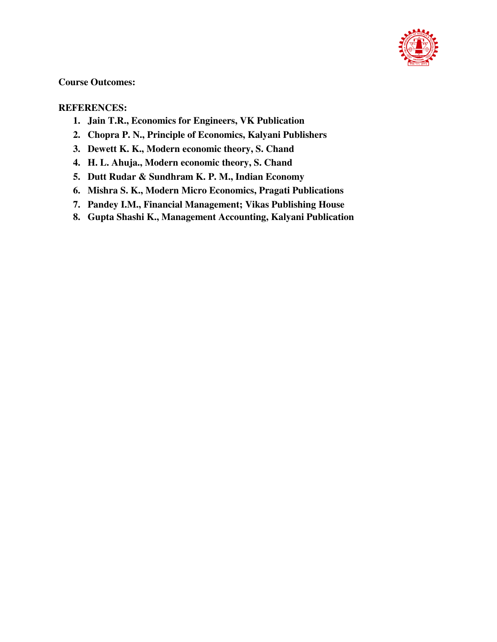

### **Course Outcomes:**

- **1. Jain T.R., Economics for Engineers, VK Publication**
- **2. Chopra P. N., Principle of Economics, Kalyani Publishers**
- **3. Dewett K. K., Modern economic theory, S. Chand**
- **4. H. L. Ahuja., Modern economic theory, S. Chand**
- **5. Dutt Rudar & Sundhram K. P. M., Indian Economy**
- **6. Mishra S. K., Modern Micro Economics, Pragati Publications**
- **7. Pandey I.M., Financial Management; Vikas Publishing House**
- **8. Gupta Shashi K., Management Accounting, Kalyani Publication**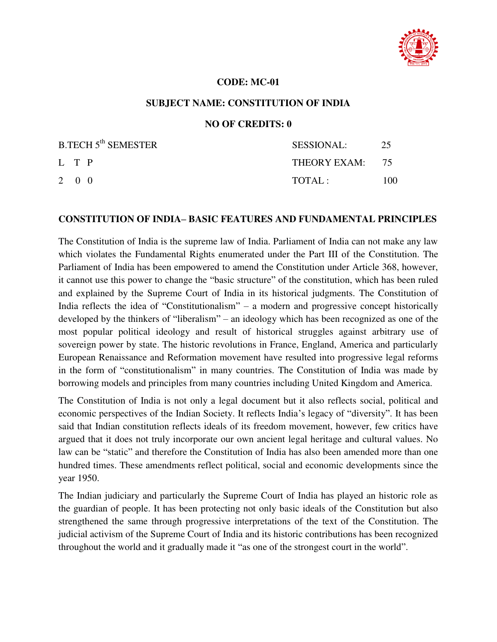

#### **CODE: MC-01**

#### **SUBJECT NAME: CONSTITUTION OF INDIA**

#### **NO OF CREDITS: 0**

| B.TECH 5 <sup>th</sup> SEMESTER | SESSIONAL:      | 25   |
|---------------------------------|-----------------|------|
| L T P                           | THEORY EXAM: 75 |      |
| $2 \quad 0 \quad 0$             | TOTAL:          | 100. |

#### **CONSTITUTION OF INDIA– BASIC FEATURES AND FUNDAMENTAL PRINCIPLES**

The Constitution of India is the supreme law of India. Parliament of India can not make any law which violates the Fundamental Rights enumerated under the Part III of the Constitution. The Parliament of India has been empowered to amend the Constitution under Article 368, however, it cannot use this power to change the "basic structure" of the constitution, which has been ruled and explained by the Supreme Court of India in its historical judgments. The Constitution of India reflects the idea of "Constitutionalism" – a modern and progressive concept historically developed by the thinkers of "liberalism" – an ideology which has been recognized as one of the most popular political ideology and result of historical struggles against arbitrary use of sovereign power by state. The historic revolutions in France, England, America and particularly European Renaissance and Reformation movement have resulted into progressive legal reforms in the form of "constitutionalism" in many countries. The Constitution of India was made by borrowing models and principles from many countries including United Kingdom and America.

The Constitution of India is not only a legal document but it also reflects social, political and economic perspectives of the Indian Society. It reflects India's legacy of "diversity". It has been said that Indian constitution reflects ideals of its freedom movement, however, few critics have argued that it does not truly incorporate our own ancient legal heritage and cultural values. No law can be "static" and therefore the Constitution of India has also been amended more than one hundred times. These amendments reflect political, social and economic developments since the year 1950.

The Indian judiciary and particularly the Supreme Court of India has played an historic role as the guardian of people. It has been protecting not only basic ideals of the Constitution but also strengthened the same through progressive interpretations of the text of the Constitution. The judicial activism of the Supreme Court of India and its historic contributions has been recognized throughout the world and it gradually made it "as one of the strongest court in the world".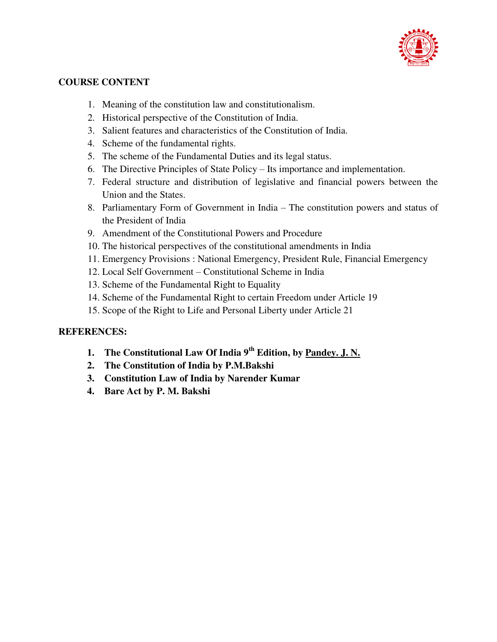

### **COURSE CONTENT**

- 1. Meaning of the constitution law and constitutionalism.
- 2. Historical perspective of the Constitution of India.
- 3. Salient features and characteristics of the Constitution of India.
- 4. Scheme of the fundamental rights.
- 5. The scheme of the Fundamental Duties and its legal status.
- 6. The Directive Principles of State Policy Its importance and implementation.
- 7. Federal structure and distribution of legislative and financial powers between the Union and the States.
- 8. Parliamentary Form of Government in India The constitution powers and status of the President of India
- 9. Amendment of the Constitutional Powers and Procedure
- 10. The historical perspectives of the constitutional amendments in India
- 11. Emergency Provisions : National Emergency, President Rule, Financial Emergency
- 12. Local Self Government Constitutional Scheme in India
- 13. Scheme of the Fundamental Right to Equality
- 14. Scheme of the Fundamental Right to certain Freedom under Article 19
- 15. Scope of the Right to Life and Personal Liberty under Article 21

- **1. The Constitutional Law Of India 9th Edition, by [Pandey. J. N.](https://archive.org/search.php?query=creator%3A%22Pandey%2Cj.n.%22)**
- **2. The Constitution of India by P.M.Bakshi**
- **3. Constitution Law of India by Narender Kumar**
- **4. Bare Act by P. M. Bakshi**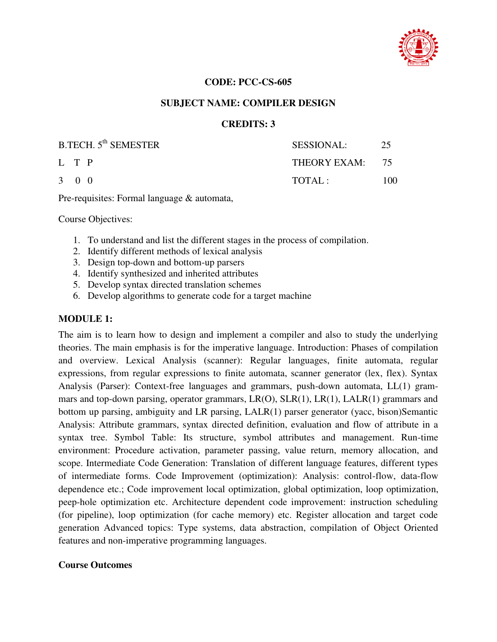

#### **SUBJECT NAME: COMPILER DESIGN**

#### **CREDITS: 3**

| B.TECH. 5 <sup>th</sup> SEMESTER | <b>SESSIONAL:</b> | 25   |
|----------------------------------|-------------------|------|
| L T P                            | THEORY EXAM: 75   |      |
| 3 0 0                            | TOTAI:            | 100. |

Pre-requisites: Formal language & automata,

Course Objectives:

- 1. To understand and list the different stages in the process of compilation.
- 2. Identify different methods of lexical analysis
- 3. Design top-down and bottom-up parsers
- 4. Identify synthesized and inherited attributes
- 5. Develop syntax directed translation schemes
- 6. Develop algorithms to generate code for a target machine

#### **MODULE 1:**

The aim is to learn how to design and implement a compiler and also to study the underlying theories. The main emphasis is for the imperative language. Introduction: Phases of compilation and overview. Lexical Analysis (scanner): Regular languages, finite automata, regular expressions, from regular expressions to finite automata, scanner generator (lex, flex). Syntax Analysis (Parser): Context-free languages and grammars, push-down automata, LL(1) grammars and top-down parsing, operator grammars, LR(O), SLR(1), LR(1), LALR(1) grammars and bottom up parsing, ambiguity and LR parsing, LALR(1) parser generator (yacc, bison)Semantic Analysis: Attribute grammars, syntax directed definition, evaluation and flow of attribute in a syntax tree. Symbol Table: Its structure, symbol attributes and management. Run-time environment: Procedure activation, parameter passing, value return, memory allocation, and scope. Intermediate Code Generation: Translation of different language features, different types of intermediate forms. Code Improvement (optimization): Analysis: control-flow, data-flow dependence etc.; Code improvement local optimization, global optimization, loop optimization, peep-hole optimization etc. Architecture dependent code improvement: instruction scheduling (for pipeline), loop optimization (for cache memory) etc. Register allocation and target code generation Advanced topics: Type systems, data abstraction, compilation of Object Oriented features and non-imperative programming languages.

#### **Course Outcomes**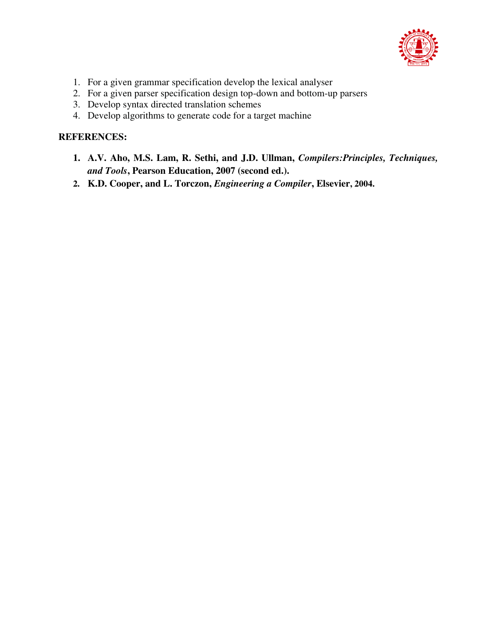

- 1. For a given grammar specification develop the lexical analyser
- 2. For a given parser specification design top-down and bottom-up parsers
- 3. Develop syntax directed translation schemes
- 4. Develop algorithms to generate code for a target machine

- **1. A.V. Aho, M.S. Lam, R. Sethi, and J.D. Ullman,** *Compilers:Principles, Techniques, and Tools***, Pearson Education, 2007 (second ed.).**
- **2. K.D. Cooper, and L. Torczon,** *Engineering a Compiler***, Elsevier, 2004.**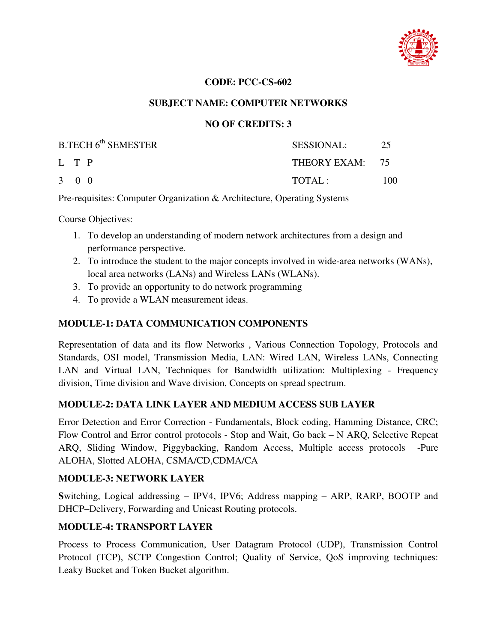

### **SUBJECT NAME: COMPUTER NETWORKS**

### **NO OF CREDITS: 3**

| B.TECH 6 <sup>th</sup> SEMESTER | SESSIONAL:        | 25  |
|---------------------------------|-------------------|-----|
| L T P                           | THEORY EXAM: $75$ |     |
| $3 \quad 0 \quad 0$             | TOTAL:            | 100 |

Pre-requisites: Computer Organization & Architecture, Operating Systems

Course Objectives:

- 1. To develop an understanding of modern network architectures from a design and performance perspective.
- 2. To introduce the student to the major concepts involved in wide-area networks (WANs), local area networks (LANs) and Wireless LANs (WLANs).
- 3. To provide an opportunity to do network programming
- 4. To provide a WLAN measurement ideas.

### **MODULE-1: DATA COMMUNICATION COMPONENTS**

Representation of data and its flow Networks , Various Connection Topology, Protocols and Standards, OSI model, Transmission Media, LAN: Wired LAN, Wireless LANs, Connecting LAN and Virtual LAN, Techniques for Bandwidth utilization: Multiplexing - Frequency division, Time division and Wave division, Concepts on spread spectrum.

### **MODULE-2: DATA LINK LAYER AND MEDIUM ACCESS SUB LAYER**

Error Detection and Error Correction - Fundamentals, Block coding, Hamming Distance, CRC; Flow Control and Error control protocols - Stop and Wait, Go back – N ARQ, Selective Repeat ARQ, Sliding Window, Piggybacking, Random Access, Multiple access protocols -Pure ALOHA, Slotted ALOHA, CSMA/CD,CDMA/CA

#### **MODULE-3: NETWORK LAYER**

**S**witching, Logical addressing – IPV4, IPV6; Address mapping – ARP, RARP, BOOTP and DHCP–Delivery, Forwarding and Unicast Routing protocols.

### **MODULE-4: TRANSPORT LAYER**

Process to Process Communication, User Datagram Protocol (UDP), Transmission Control Protocol (TCP), SCTP Congestion Control; Quality of Service, QoS improving techniques: Leaky Bucket and Token Bucket algorithm.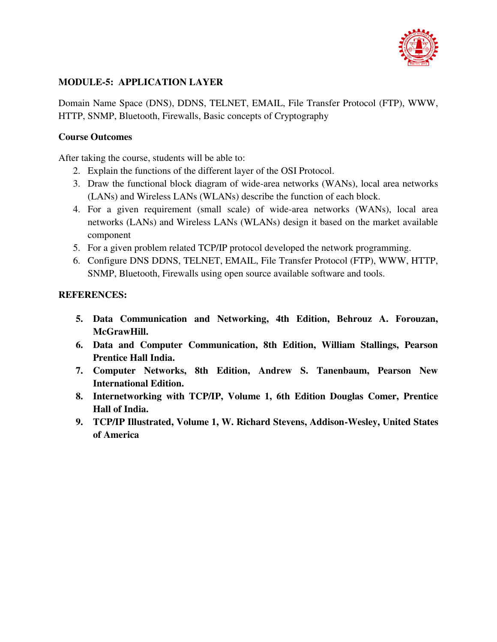

### **MODULE-5: APPLICATION LAYER**

Domain Name Space (DNS), DDNS, TELNET, EMAIL, File Transfer Protocol (FTP), WWW, HTTP, SNMP, Bluetooth, Firewalls, Basic concepts of Cryptography

### **Course Outcomes**

After taking the course, students will be able to:

- 2. Explain the functions of the different layer of the OSI Protocol.
- 3. Draw the functional block diagram of wide-area networks (WANs), local area networks (LANs) and Wireless LANs (WLANs) describe the function of each block.
- 4. For a given requirement (small scale) of wide-area networks (WANs), local area networks (LANs) and Wireless LANs (WLANs) design it based on the market available component
- 5. For a given problem related TCP/IP protocol developed the network programming.
- 6. Configure DNS DDNS, TELNET, EMAIL, File Transfer Protocol (FTP), WWW, HTTP, SNMP, Bluetooth, Firewalls using open source available software and tools.

- **5. Data Communication and Networking, 4th Edition, Behrouz A. Forouzan, McGrawHill.**
- **6. Data and Computer Communication, 8th Edition, William Stallings, Pearson Prentice Hall India.**
- **7. Computer Networks, 8th Edition, Andrew S. Tanenbaum, Pearson New International Edition.**
- **8. Internetworking with TCP/IP, Volume 1, 6th Edition Douglas Comer, Prentice Hall of India.**
- **9. TCP/IP Illustrated, Volume 1, W. Richard Stevens, Addison-Wesley, United States of America**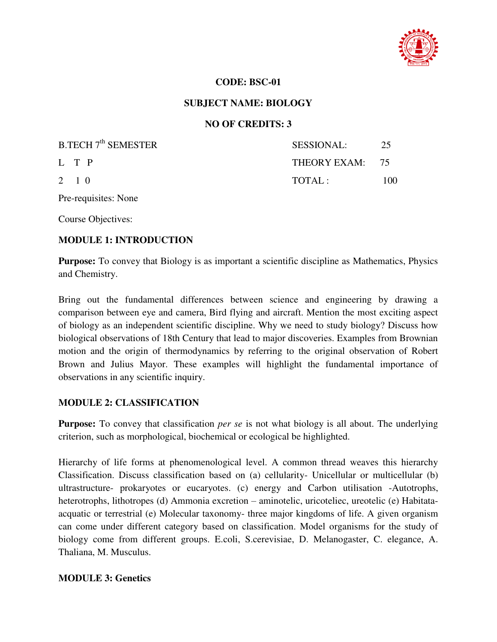

#### **CODE: BSC-01**

#### **SUBJECT NAME: BIOLOGY**

### **NO OF CREDITS: 3**

| B.TECH 7 <sup>th</sup> SEMESTER | SESSIONAL:      | -25  |
|---------------------------------|-----------------|------|
| L T P                           | THEORY EXAM: 75 |      |
| $2 \t10$                        | TOTAI:          | 100. |

Pre-requisites: None

Course Objectives:

#### **MODULE 1: INTRODUCTION**

**Purpose:** To convey that Biology is as important a scientific discipline as Mathematics, Physics and Chemistry.

Bring out the fundamental differences between science and engineering by drawing a comparison between eye and camera, Bird flying and aircraft. Mention the most exciting aspect of biology as an independent scientific discipline. Why we need to study biology? Discuss how biological observations of 18th Century that lead to major discoveries. Examples from Brownian motion and the origin of thermodynamics by referring to the original observation of Robert Brown and Julius Mayor. These examples will highlight the fundamental importance of observations in any scientific inquiry.

#### **MODULE 2: CLASSIFICATION**

**Purpose:** To convey that classification *per se* is not what biology is all about. The underlying criterion, such as morphological, biochemical or ecological be highlighted.

Hierarchy of life forms at phenomenological level. A common thread weaves this hierarchy Classification. Discuss classification based on (a) cellularity- Unicellular or multicellular (b) ultrastructure- prokaryotes or eucaryotes. (c) energy and Carbon utilisation -Autotrophs, heterotrophs, lithotropes (d) Ammonia excretion – aminotelic, uricoteliec, ureotelic (e) Habitataacquatic or terrestrial (e) Molecular taxonomy- three major kingdoms of life. A given organism can come under different category based on classification. Model organisms for the study of biology come from different groups. E.coli, S.cerevisiae, D. Melanogaster, C. elegance, A. Thaliana, M. Musculus.

### **MODULE 3: Genetics**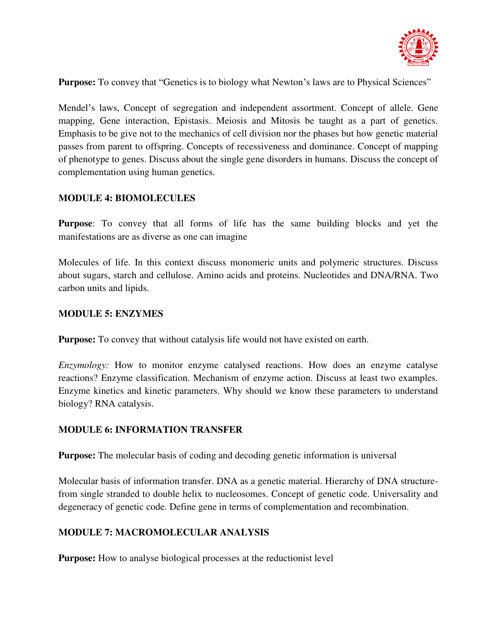

**Purpose:** To convey that "Genetics is to biology what Newton's laws are to Physical Sciences"

Mendel's laws, Concept of segregation and independent assortment. Concept of allele. Gene mapping, Gene interaction, Epistasis. Meiosis and Mitosis be taught as a part of genetics. Emphasis to be give not to the mechanics of cell division nor the phases but how genetic material passes from parent to offspring. Concepts of recessiveness and dominance. Concept of mapping of phenotype to genes. Discuss about the single gene disorders in humans. Discuss the concept of complementation using human genetics.

#### **MODULE 4: BIOMOLECULES**

**Purpose**: To convey that all forms of life has the same building blocks and yet the manifestations are as diverse as one can imagine

Molecules of life. In this context discuss monomeric units and polymeric structures. Discuss about sugars, starch and cellulose. Amino acids and proteins. Nucleotides and DNA/RNA. Two carbon units and lipids.

#### **MODULE 5: ENZYMES**

**Purpose:** To convey that without catalysis life would not have existed on earth.

*Enzymology:* How to monitor enzyme catalysed reactions. How does an enzyme catalyse reactions? Enzyme classification. Mechanism of enzyme action. Discuss at least two examples. Enzyme kinetics and kinetic parameters. Why should we know these parameters to understand biology? RNA catalysis.

#### **MODULE 6: INFORMATION TRANSFER**

**Purpose:** The molecular basis of coding and decoding genetic information is universal

Molecular basis of information transfer. DNA as a genetic material. Hierarchy of DNA structurefrom single stranded to double helix to nucleosomes. Concept of genetic code. Universality and degeneracy of genetic code. Define gene in terms of complementation and recombination.

#### **MODULE 7: MACROMOLECULAR ANALYSIS**

**Purpose:** How to analyse biological processes at the reduction is level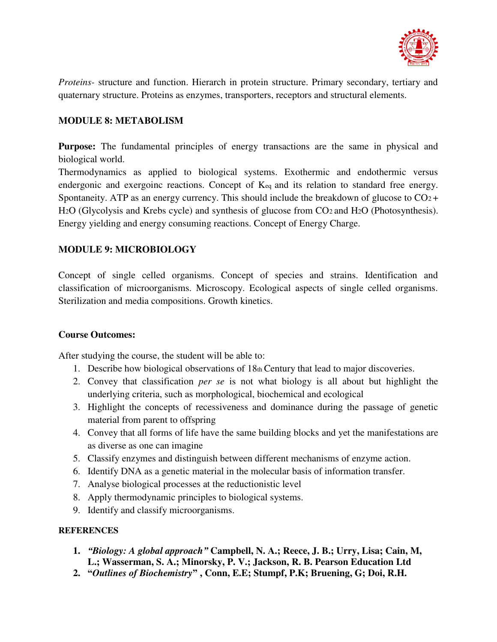

*Proteins-* structure and function. Hierarch in protein structure. Primary secondary, tertiary and quaternary structure. Proteins as enzymes, transporters, receptors and structural elements.

### **MODULE 8: METABOLISM**

Purpose: The fundamental principles of energy transactions are the same in physical and biological world.

Thermodynamics as applied to biological systems. Exothermic and endothermic versus endergonic and exergoinc reactions. Concept of Keq and its relation to standard free energy. Spontaneity. ATP as an energy currency. This should include the breakdown of glucose to  $CO<sub>2</sub> +$ H2O (Glycolysis and Krebs cycle) and synthesis of glucose from CO2 and H2O (Photosynthesis). Energy yielding and energy consuming reactions. Concept of Energy Charge.

### **MODULE 9: MICROBIOLOGY**

Concept of single celled organisms. Concept of species and strains. Identification and classification of microorganisms. Microscopy. Ecological aspects of single celled organisms. Sterilization and media compositions. Growth kinetics.

### **Course Outcomes:**

After studying the course, the student will be able to:

- 1. Describe how biological observations of 18th Century that lead to major discoveries.
- 2. Convey that classification *per se* is not what biology is all about but highlight the underlying criteria, such as morphological, biochemical and ecological
- 3. Highlight the concepts of recessiveness and dominance during the passage of genetic material from parent to offspring
- 4. Convey that all forms of life have the same building blocks and yet the manifestations are as diverse as one can imagine
- 5. Classify enzymes and distinguish between different mechanisms of enzyme action.
- 6. Identify DNA as a genetic material in the molecular basis of information transfer.
- 7. Analyse biological processes at the reductionistic level
- 8. Apply thermodynamic principles to biological systems.
- 9. Identify and classify microorganisms.

- **1.** *"Biology: A global approach"* **Campbell, N. A.; Reece, J. B.; Urry, Lisa; Cain, M, L.; Wasserman, S. A.; Minorsky, P. V.; Jackson, R. B. Pearson Education Ltd**
- **2. "***Outlines of Biochemistry***" , Conn, E.E; Stumpf, P.K; Bruening, G; Doi, R.H.**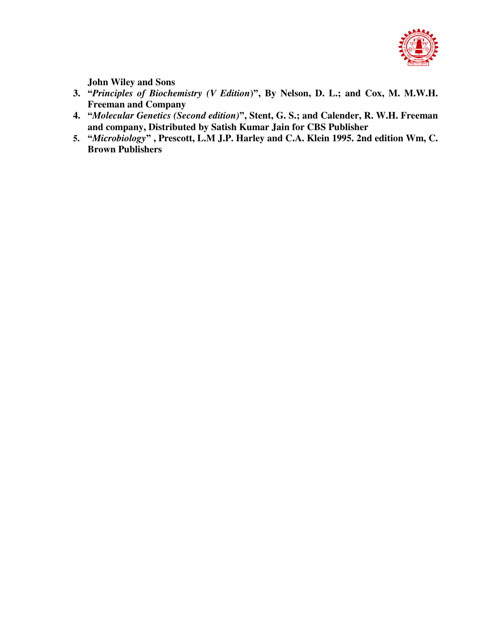

**John Wiley and Sons** 

- **3. "***Principles of Biochemistry (V Edition***)", By Nelson, D. L.; and Cox, M. M.W.H. Freeman and Company**
- **4. "***Molecular Genetics (Second edition)***", Stent, G. S.; and Calender, R. W.H. Freeman and company, Distributed by Satish Kumar Jain for CBS Publisher**
- **5. "***Microbiology***" , Prescott, L.M J.P. Harley and C.A. Klein 1995. 2nd edition Wm, C. Brown Publishers**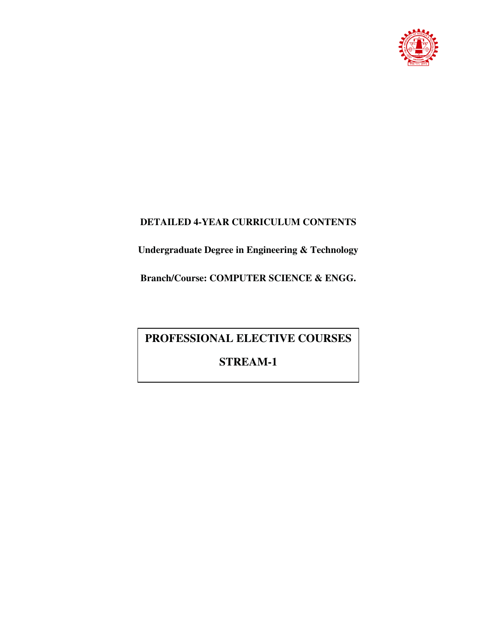

## **DETAILED 4-YEAR CURRICULUM CONTENTS**

**Undergraduate Degree in Engineering & Technology** 

**Branch/Course: COMPUTER SCIENCE & ENGG.** 

# **PROFESSIONAL ELECTIVE COURSES**

## **STREAM-1**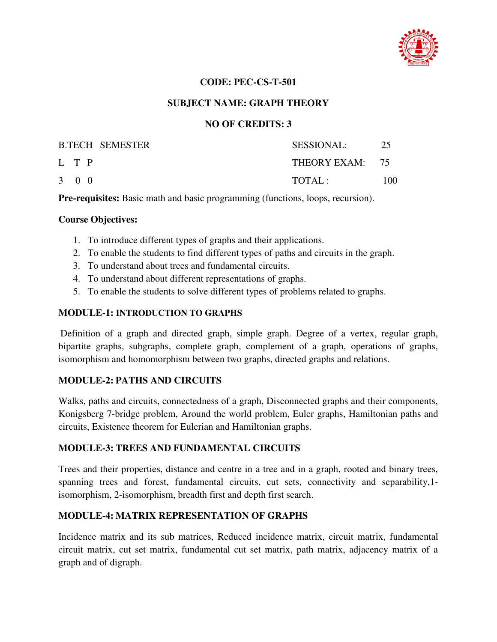

#### **CODE: PEC-CS-T-501**

#### **SUBJECT NAME: GRAPH THEORY**

#### **NO OF CREDITS: 3**

|                     | <b>B.TECH SEMESTER</b> | SESSIONAL:      | 25  |
|---------------------|------------------------|-----------------|-----|
| L T P               |                        | THEORY EXAM: 75 |     |
| $3 \quad 0 \quad 0$ |                        | TOTAL :         | 100 |

**Pre-requisites:** Basic math and basic programming (functions, loops, recursion).

#### **Course Objectives:**

- 1. To introduce different types of graphs and their applications.
- 2. To enable the students to find different types of paths and circuits in the graph.
- 3. To understand about trees and fundamental circuits.
- 4. To understand about different representations of graphs.
- 5. To enable the students to solve different types of problems related to graphs.

#### **MODULE-1: INTRODUCTION TO GRAPHS**

Definition of a graph and directed graph, simple graph. Degree of a vertex, regular graph, bipartite graphs, subgraphs, complete graph, complement of a graph, operations of graphs, isomorphism and homomorphism between two graphs, directed graphs and relations.

#### **MODULE-2: PATHS AND CIRCUITS**

Walks, paths and circuits, connectedness of a graph, Disconnected graphs and their components, Konigsberg 7-bridge problem, Around the world problem, Euler graphs, Hamiltonian paths and circuits, Existence theorem for Eulerian and Hamiltonian graphs.

#### **MODULE-3: TREES AND FUNDAMENTAL CIRCUITS**

Trees and their properties, distance and centre in a tree and in a graph, rooted and binary trees, spanning trees and forest, fundamental circuits, cut sets, connectivity and separability,1 isomorphism, 2-isomorphism, breadth first and depth first search.

## **MODULE-4: MATRIX REPRESENTATION OF GRAPHS**

Incidence matrix and its sub matrices, Reduced incidence matrix, circuit matrix, fundamental circuit matrix, cut set matrix, fundamental cut set matrix, path matrix, adjacency matrix of a graph and of digraph.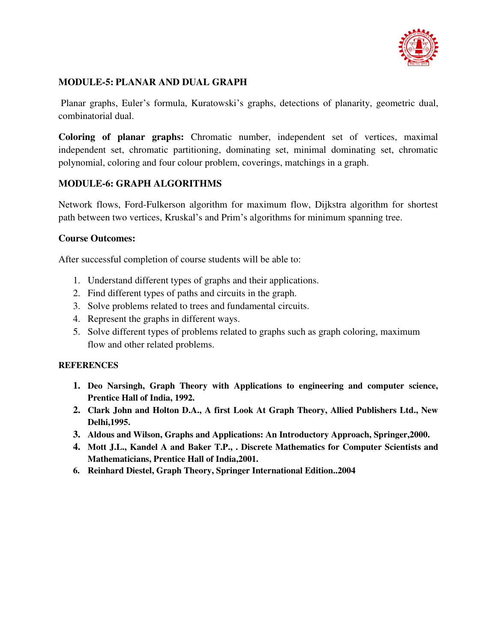

## **MODULE-5: PLANAR AND DUAL GRAPH**

 Planar graphs, Euler's formula, Kuratowski's graphs, detections of planarity, geometric dual, combinatorial dual.

**Coloring of planar graphs:** Chromatic number, independent set of vertices, maximal independent set, chromatic partitioning, dominating set, minimal dominating set, chromatic polynomial, coloring and four colour problem, coverings, matchings in a graph.

## **MODULE-6: GRAPH ALGORITHMS**

Network flows, Ford-Fulkerson algorithm for maximum flow, Dijkstra algorithm for shortest path between two vertices, Kruskal's and Prim's algorithms for minimum spanning tree.

## **Course Outcomes:**

After successful completion of course students will be able to:

- 1. Understand different types of graphs and their applications.
- 2. Find different types of paths and circuits in the graph.
- 3. Solve problems related to trees and fundamental circuits.
- 4. Represent the graphs in different ways.
- 5. Solve different types of problems related to graphs such as graph coloring, maximum flow and other related problems.

- **1. Deo Narsingh, Graph Theory with Applications to engineering and computer science, Prentice Hall of India, 1992.**
- **2. Clark John and Holton D.A., A first Look At Graph Theory, Allied Publishers Ltd., New Delhi,1995.**
- **3. Aldous and Wilson, Graphs and Applications: An Introductory Approach, Springer,2000.**
- **4. Mott J.L., Kandel A and Baker T.P., . Discrete Mathematics for Computer Scientists and Mathematicians, Prentice Hall of India,2001.**
- **6. Reinhard Diestel, Graph Theory, Springer International Edition..2004**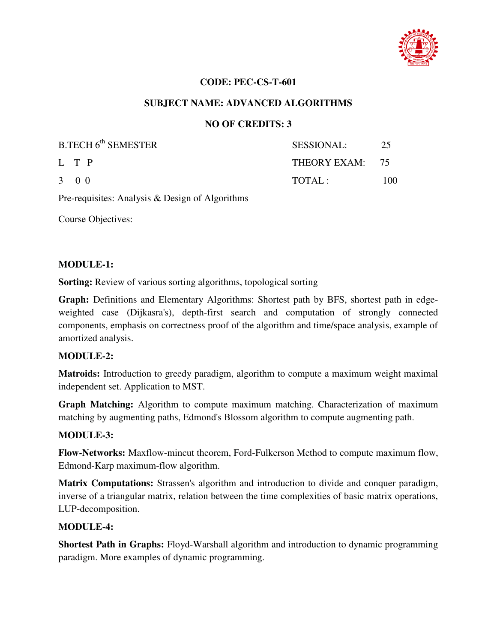

#### **CODE: PEC-CS-T-601**

#### **SUBJECT NAME: ADVANCED ALGORITHMS**

#### **NO OF CREDITS: 3**

| B.TECH 6 <sup>th</sup> SEMESTER | SESSIONAL:      | 25   |
|---------------------------------|-----------------|------|
| L T P                           | THEORY EXAM: 75 |      |
| $3 \quad 0 \quad 0$             | TOTAL:          | 100. |

Pre-requisites: Analysis & Design of Algorithms

Course Objectives:

#### **MODULE-1:**

**Sorting:** Review of various sorting algorithms, topological sorting

**Graph:** Definitions and Elementary Algorithms: Shortest path by BFS, shortest path in edgeweighted case (Dijkasra's), depth-first search and computation of strongly connected components, emphasis on correctness proof of the algorithm and time/space analysis, example of amortized analysis.

#### **MODULE-2:**

**Matroids:** Introduction to greedy paradigm, algorithm to compute a maximum weight maximal independent set. Application to MST.

**Graph Matching:** Algorithm to compute maximum matching. Characterization of maximum matching by augmenting paths, Edmond's Blossom algorithm to compute augmenting path.

#### **MODULE-3:**

**Flow-Networks:** Maxflow-mincut theorem, Ford-Fulkerson Method to compute maximum flow, Edmond-Karp maximum-flow algorithm.

**Matrix Computations:** Strassen's algorithm and introduction to divide and conquer paradigm, inverse of a triangular matrix, relation between the time complexities of basic matrix operations, LUP-decomposition.

#### **MODULE-4:**

**Shortest Path in Graphs:** Floyd-Warshall algorithm and introduction to dynamic programming paradigm. More examples of dynamic programming.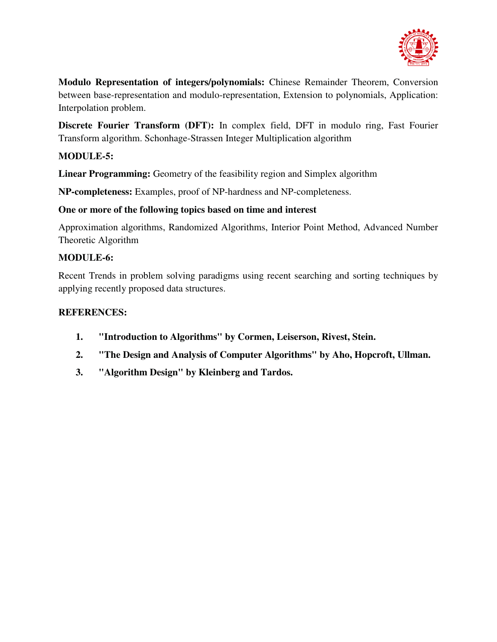

**Modulo Representation of integers/polynomials:** Chinese Remainder Theorem, Conversion between base-representation and modulo-representation, Extension to polynomials, Application: Interpolation problem.

**Discrete Fourier Transform (DFT):** In complex field, DFT in modulo ring, Fast Fourier Transform algorithm. Schonhage-Strassen Integer Multiplication algorithm

## **MODULE-5:**

**Linear Programming:** Geometry of the feasibility region and Simplex algorithm

**NP-completeness:** Examples, proof of NP-hardness and NP-completeness.

## **One or more of the following topics based on time and interest**

Approximation algorithms, Randomized Algorithms, Interior Point Method, Advanced Number Theoretic Algorithm

## **MODULE-6:**

Recent Trends in problem solving paradigms using recent searching and sorting techniques by applying recently proposed data structures.

- **1. "Introduction to Algorithms" by Cormen, Leiserson, Rivest, Stein.**
- **2. "The Design and Analysis of Computer Algorithms" by Aho, Hopcroft, Ullman.**
- **3. "Algorithm Design" by Kleinberg and Tardos.**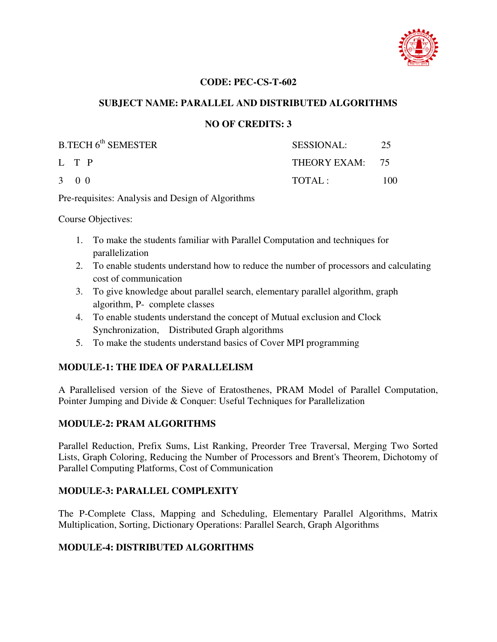

#### **CODE: PEC-CS-T-602**

#### **SUBJECT NAME: PARALLEL AND DISTRIBUTED ALGORITHMS**

#### **NO OF CREDITS: 3**

| <b>B.TECH 6th SEMESTER</b> | <b>SESSIONAL:</b> | 25  |
|----------------------------|-------------------|-----|
| L T P                      | THEORY EXAM: 75   |     |
| $3 \quad 0 \quad 0$        | TOTAI:            | 100 |

Pre-requisites: Analysis and Design of Algorithms

Course Objectives:

- 1. To make the students familiar with Parallel Computation and techniques for parallelization
- 2. To enable students understand how to reduce the number of processors and calculating cost of communication
- 3. To give knowledge about parallel search, elementary parallel algorithm, graph algorithm, P- complete classes
- 4. To enable students understand the concept of Mutual exclusion and Clock Synchronization, Distributed Graph algorithms
- 5. To make the students understand basics of Cover MPI programming

## **MODULE-1: THE IDEA OF PARALLELISM**

A Parallelised version of the Sieve of Eratosthenes, PRAM Model of Parallel Computation, Pointer Jumping and Divide & Conquer: Useful Techniques for Parallelization

## **MODULE-2: PRAM ALGORITHMS**

Parallel Reduction, Prefix Sums, List Ranking, Preorder Tree Traversal, Merging Two Sorted Lists, Graph Coloring, Reducing the Number of Processors and Brent's Theorem, Dichotomy of Parallel Computing Platforms, Cost of Communication

## **MODULE-3: PARALLEL COMPLEXITY**

The P-Complete Class, Mapping and Scheduling, Elementary Parallel Algorithms, Matrix Multiplication, Sorting, Dictionary Operations: Parallel Search, Graph Algorithms

#### **MODULE-4: DISTRIBUTED ALGORITHMS**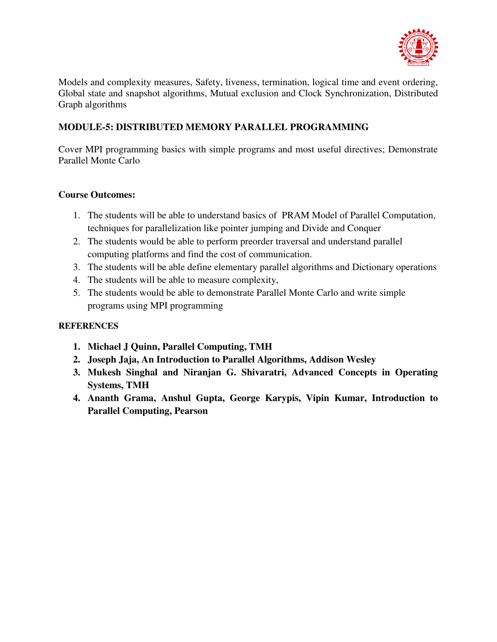

Models and complexity measures, Safety, liveness, termination, logical time and event ordering, Global state and snapshot algorithms, Mutual exclusion and Clock Synchronization, Distributed Graph algorithms

## **MODULE-5: DISTRIBUTED MEMORY PARALLEL PROGRAMMING**

Cover MPI programming basics with simple programs and most useful directives; Demonstrate Parallel Monte Carlo

## **Course Outcomes:**

- 1. The students will be able to understand basics of PRAM Model of Parallel Computation, techniques for parallelization like pointer jumping and Divide and Conquer
- 2. The students would be able to perform preorder traversal and understand parallel computing platforms and find the cost of communication.
- 3. The students will be able define elementary parallel algorithms and Dictionary operations
- 4. The students will be able to measure complexity,
- 5. The students would be able to demonstrate Parallel Monte Carlo and write simple programs using MPI programming

- **1. Michael J Quinn, Parallel Computing, TMH**
- **2. Joseph Jaja, An Introduction to Parallel Algorithms, Addison Wesley**
- **3. Mukesh Singhal and Niranjan G. Shivaratri, Advanced Concepts in Operating Systems, TMH**
- **4. Ananth Grama, Anshul Gupta, George Karypis, Vipin Kumar, Introduction to Parallel Computing, Pearson**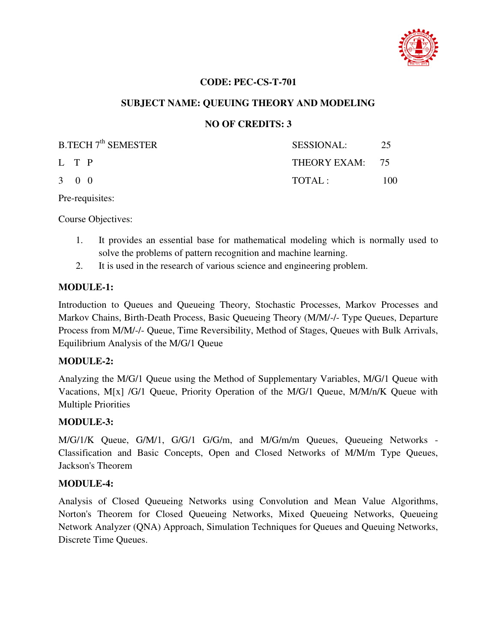

#### **CODE: PEC-CS-T-701**

## **SUBJECT NAME: QUEUING THEORY AND MODELING**

## **NO OF CREDITS: 3**

| <b>B.TECH 7<sup>th</sup> SEMESTER</b> | <b>SESSIONAL:</b> | -25 |
|---------------------------------------|-------------------|-----|
| L T P                                 | THEORY EXAM: 75   |     |
| $3 \quad 0 \quad 0$                   | TOTAI:            | 100 |

Pre-requisites:

Course Objectives:

- 1. It provides an essential base for mathematical modeling which is normally used to solve the problems of pattern recognition and machine learning.
- 2. It is used in the research of various science and engineering problem.

#### **MODULE-1:**

Introduction to Queues and Queueing Theory, Stochastic Processes, Markov Processes and Markov Chains, Birth-Death Process, Basic Queueing Theory (M/M/-/- Type Queues, Departure Process from M/M/-/- Queue, Time Reversibility, Method of Stages, Queues with Bulk Arrivals, Equilibrium Analysis of the M/G/1 Queue

#### **MODULE-2:**

Analyzing the M/G/1 Queue using the Method of Supplementary Variables, M/G/1 Queue with Vacations, M[x] /G/1 Queue, Priority Operation of the M/G/1 Queue, M/M/n/K Queue with Multiple Priorities

#### **MODULE-3:**

M/G/1/K Queue, G/M/1, G/G/1 G/G/m, and M/G/m/m Queues, Queueing Networks - Classification and Basic Concepts, Open and Closed Networks of M/M/m Type Queues, Jackson's Theorem

#### **MODULE-4:**

Analysis of Closed Queueing Networks using Convolution and Mean Value Algorithms, Norton's Theorem for Closed Queueing Networks, Mixed Queueing Networks, Queueing Network Analyzer (QNA) Approach, Simulation Techniques for Queues and Queuing Networks, Discrete Time Queues.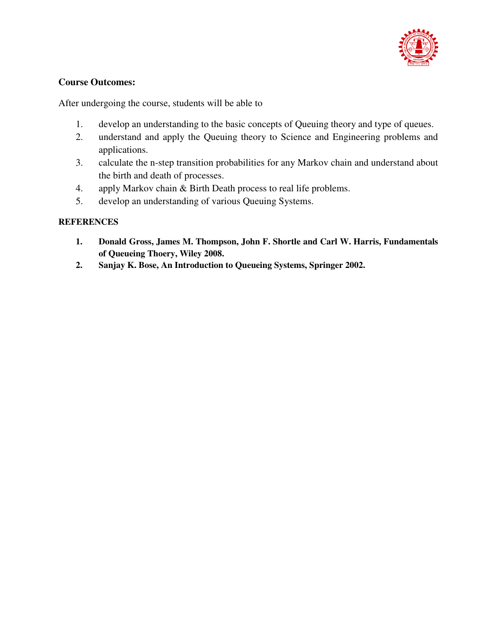

## **Course Outcomes:**

After undergoing the course, students will be able to

- 1. develop an understanding to the basic concepts of Queuing theory and type of queues.
- 2. understand and apply the Queuing theory to Science and Engineering problems and applications.
- 3. calculate the n-step transition probabilities for any Markov chain and understand about the birth and death of processes.
- 4. apply Markov chain & Birth Death process to real life problems.
- 5. develop an understanding of various Queuing Systems.

- **1. Donald Gross, James M. Thompson, John F. Shortle and Carl W. Harris, Fundamentals of Queueing Thoery, Wiley 2008.**
- **2. Sanjay K. Bose, An Introduction to Queueing Systems, Springer 2002.**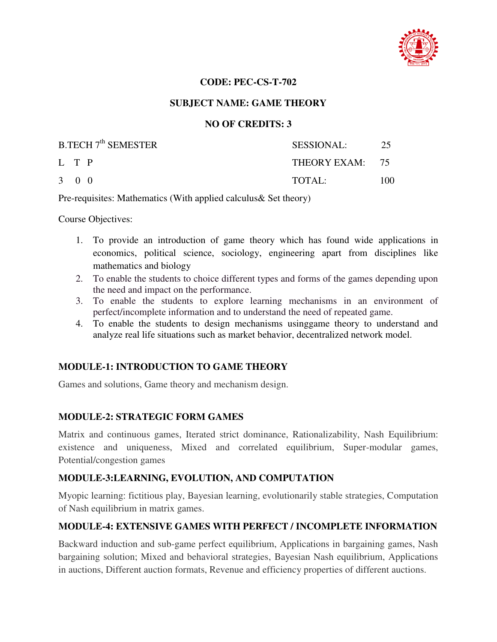

#### **CODE: PEC-CS-T-702**

#### **SUBJECT NAME: GAME THEORY**

## **NO OF CREDITS: 3**

| B.TECH 7 <sup>th</sup> SEMESTER | SESSIONAL:      | -25 |
|---------------------------------|-----------------|-----|
| L T P                           | THEORY EXAM: 75 |     |
| $3 \quad 0 \quad 0$             | $\text{TOTAI}:$ | 100 |

Pre-requisites: Mathematics (With applied calculus& Set theory)

Course Objectives:

- 1. To provide an introduction of game theory which has found wide applications in economics, political science, sociology, engineering apart from disciplines like mathematics and biology
- 2. To enable the students to choice different types and forms of the games depending upon the need and impact on the performance.
- 3. To enable the students to explore learning mechanisms in an environment of perfect/incomplete information and to understand the need of repeated game.
- 4. To enable the students to design mechanisms usinggame theory to understand and analyze real life situations such as market behavior, decentralized network model.

## **MODULE-1: INTRODUCTION TO GAME THEORY**

Games and solutions, Game theory and mechanism design.

## **MODULE-2: STRATEGIC FORM GAMES**

Matrix and continuous games, Iterated strict dominance, Rationalizability, Nash Equilibrium: existence and uniqueness, Mixed and correlated equilibrium, Super-modular games, Potential/congestion games

## **MODULE-3:LEARNING, EVOLUTION, AND COMPUTATION**

Myopic learning: fictitious play, Bayesian learning, evolutionarily stable strategies, Computation of Nash equilibrium in matrix games.

## **MODULE-4: EXTENSIVE GAMES WITH PERFECT / INCOMPLETE INFORMATION**

Backward induction and sub-game perfect equilibrium, Applications in bargaining games, Nash bargaining solution; Mixed and behavioral strategies, Bayesian Nash equilibrium, Applications in auctions, Different auction formats, Revenue and efficiency properties of different auctions.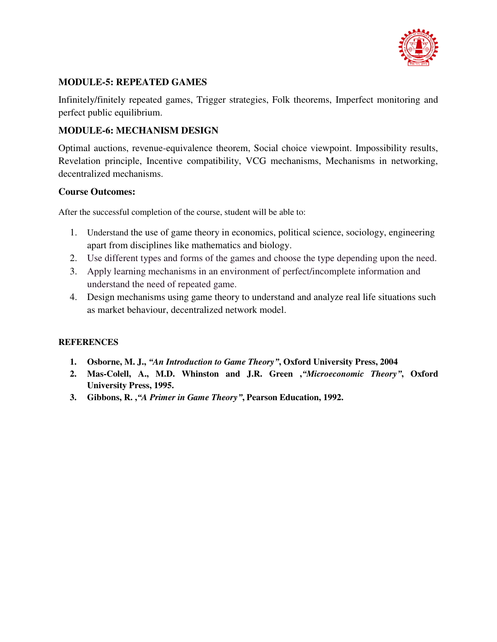

## **MODULE-5: REPEATED GAMES**

Infinitely/finitely repeated games, Trigger strategies, Folk theorems, Imperfect monitoring and perfect public equilibrium.

## **MODULE-6: MECHANISM DESIGN**

Optimal auctions, revenue-equivalence theorem, Social choice viewpoint. Impossibility results, Revelation principle, Incentive compatibility, VCG mechanisms, Mechanisms in networking, decentralized mechanisms.

#### **Course Outcomes:**

After the successful completion of the course, student will be able to:

- 1. Understand the use of game theory in economics, political science, sociology, engineering apart from disciplines like mathematics and biology.
- 2. Use different types and forms of the games and choose the type depending upon the need.
- 3. Apply learning mechanisms in an environment of perfect/incomplete information and understand the need of repeated game.
- 4. Design mechanisms using game theory to understand and analyze real life situations such as market behaviour, decentralized network model.

- **1. Osborne, M. J.,** *"An Introduction to Game Theory"***, Oxford University Press, 2004**
- **2. Mas-Colell, A., M.D. Whinston and J.R. Green ,***"Microeconomic Theory"***, Oxford University Press, 1995.**
- **3. Gibbons, R. ,***"A Primer in Game Theory"***, Pearson Education, 1992.**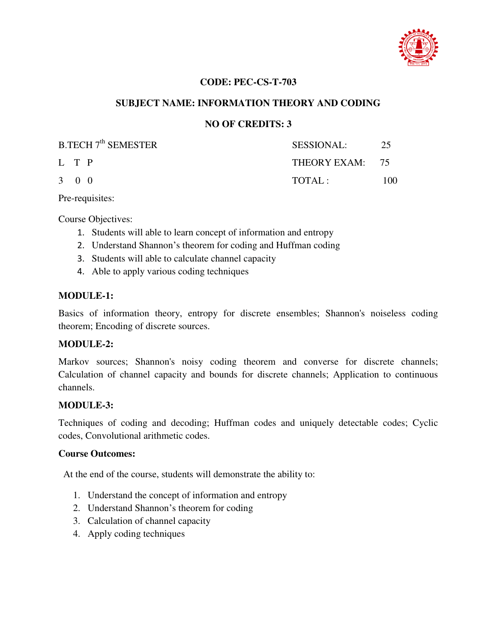

## **CODE: PEC-CS-T-703**

## **SUBJECT NAME: INFORMATION THEORY AND CODING**

#### **NO OF CREDITS: 3**

| <b>B.TECH 7<sup>th</sup> SEMESTER</b> | <b>SESSIONAL:</b> | -25 |
|---------------------------------------|-------------------|-----|
| L T P                                 | THEORY EXAM: 75   |     |
| $3 \quad 0 \quad 0$                   | TOTAL:            | 100 |

Pre-requisites:

Course Objectives:

- 1. Students will able to learn concept of information and entropy
- 2. Understand Shannon's theorem for coding and Huffman coding
- 3. Students will able to calculate channel capacity
- 4. Able to apply various coding techniques

#### **MODULE-1:**

Basics of information theory, entropy for discrete ensembles; Shannon's noiseless coding theorem; Encoding of discrete sources.

#### **MODULE-2:**

Markov sources; Shannon's noisy coding theorem and converse for discrete channels; Calculation of channel capacity and bounds for discrete channels; Application to continuous channels.

#### **MODULE-3:**

Techniques of coding and decoding; Huffman codes and uniquely detectable codes; Cyclic codes, Convolutional arithmetic codes.

#### **Course Outcomes:**

At the end of the course, students will demonstrate the ability to:

- 1. Understand the concept of information and entropy
- 2. Understand Shannon's theorem for coding
- 3. Calculation of channel capacity
- 4. Apply coding techniques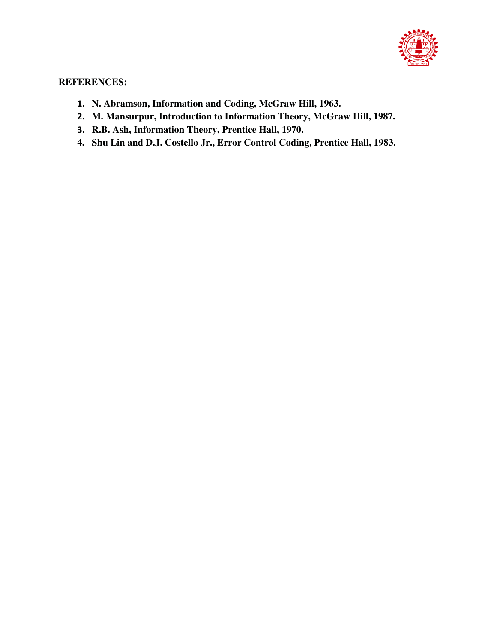

- **1. N. Abramson, Information and Coding, McGraw Hill, 1963.**
- **2. M. Mansurpur, Introduction to Information Theory, McGraw Hill, 1987.**
- **3. R.B. Ash, Information Theory, Prentice Hall, 1970.**
- **4. Shu Lin and D.J. Costello Jr., Error Control Coding, Prentice Hall, 1983.**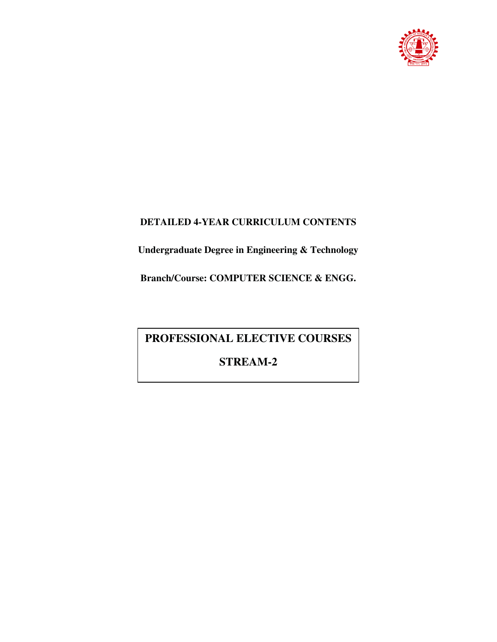

## **DETAILED 4-YEAR CURRICULUM CONTENTS**

**Undergraduate Degree in Engineering & Technology** 

**Branch/Course: COMPUTER SCIENCE & ENGG.** 

# **PROFESSIONAL ELECTIVE COURSES**

# **STREAM-2**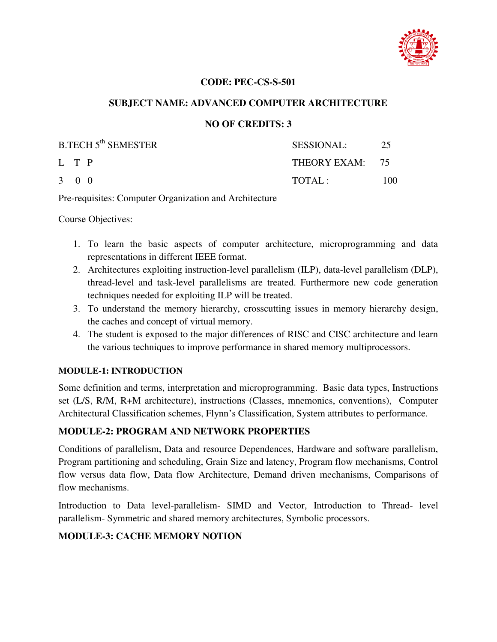

#### **CODE: PEC-CS-S-501**

## **SUBJECT NAME: ADVANCED COMPUTER ARCHITECTURE**

## **NO OF CREDITS: 3**

| <b>B.TECH 5<sup>th</sup> SEMESTER</b> | <b>SESSIONAL:</b> | 25  |
|---------------------------------------|-------------------|-----|
| L T P                                 | THEORY EXAM: 75   |     |
| $3 \quad 0 \quad 0$                   | TOTAI:            | 100 |

Pre-requisites: Computer Organization and Architecture

Course Objectives:

- 1. To learn the basic aspects of computer architecture, microprogramming and data representations in different IEEE format.
- 2. Architectures exploiting instruction-level parallelism (ILP), data-level parallelism (DLP), thread-level and task-level parallelisms are treated. Furthermore new code generation techniques needed for exploiting ILP will be treated.
- 3. To understand the memory hierarchy, crosscutting issues in memory hierarchy design, the caches and concept of virtual memory.
- 4. The student is exposed to the major differences of RISC and CISC architecture and learn the various techniques to improve performance in shared memory multiprocessors.

#### **MODULE-1: INTRODUCTION**

Some definition and terms, interpretation and microprogramming. Basic data types, Instructions set (L/S, R/M, R+M architecture), instructions (Classes, mnemonics, conventions), Computer Architectural Classification schemes, Flynn's Classification, System attributes to performance.

## **MODULE-2: PROGRAM AND NETWORK PROPERTIES**

Conditions of parallelism, Data and resource Dependences, Hardware and software parallelism, Program partitioning and scheduling, Grain Size and latency, Program flow mechanisms, Control flow versus data flow, Data flow Architecture, Demand driven mechanisms, Comparisons of flow mechanisms.

Introduction to Data level-parallelism- SIMD and Vector, Introduction to Thread- level parallelism- Symmetric and shared memory architectures, Symbolic processors.

## **MODULE-3: CACHE MEMORY NOTION**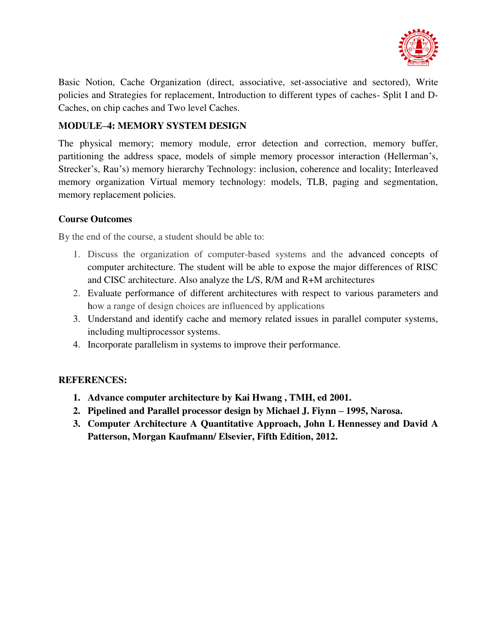

Basic Notion, Cache Organization (direct, associative, set-associative and sectored), Write policies and Strategies for replacement, Introduction to different types of caches- Split I and D-Caches, on chip caches and Two level Caches.

## **MODULE–4: MEMORY SYSTEM DESIGN**

The physical memory; memory module, error detection and correction, memory buffer, partitioning the address space, models of simple memory processor interaction (Hellerman's, Strecker's, Rau's) memory hierarchy Technology: inclusion, coherence and locality; Interleaved memory organization Virtual memory technology: models, TLB, paging and segmentation, memory replacement policies.

## **Course Outcomes**

By the end of the course, a student should be able to:

- 1. Discuss the organization of computer-based systems and the advanced concepts of computer architecture. The student will be able to expose the major differences of RISC and CISC architecture. Also analyze the L/S, R/M and R+M architectures
- 2. Evaluate performance of different architectures with respect to various parameters and how a range of design choices are influenced by applications
- 3. Understand and identify cache and memory related issues in parallel computer systems, including multiprocessor systems.
- 4. Incorporate parallelism in systems to improve their performance.

- **1. Advance computer architecture by Kai Hwang , TMH, ed 2001.**
- **2.** Pipelined and Parallel processor design by Michael J. Fiynn 1995, Narosa.
- **3. Computer Architecture A Quantitative Approach, John L Hennessey and David A Patterson, Morgan Kaufmann/ Elsevier, Fifth Edition, 2012.**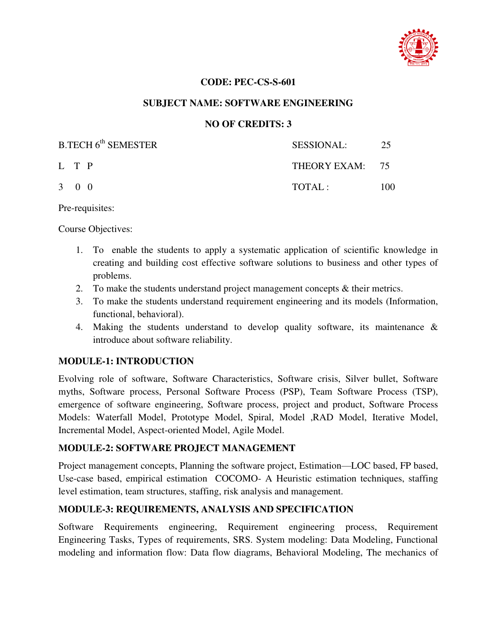

#### **CODE: PEC-CS-S-601**

## **SUBJECT NAME: SOFTWARE ENGINEERING**

## **NO OF CREDITS: 3**

| B.TECH 6 <sup>th</sup> SEMESTER | <b>SESSIONAL:</b> | 25   |
|---------------------------------|-------------------|------|
| L T P                           | THEORY EXAM: 75   |      |
| $3 \quad 0 \quad 0$             | TOTAL:            | 100. |

Pre-requisites:

Course Objectives:

- 1. To enable the students to apply a systematic application of scientific knowledge in creating and building cost effective software solutions to business and other types of problems.
- 2. To make the students understand project management concepts & their metrics.
- 3. To make the students understand requirement engineering and its models (Information, functional, behavioral).
- 4. Making the students understand to develop quality software, its maintenance & introduce about software reliability.

## **MODULE-1: INTRODUCTION**

Evolving role of software, Software Characteristics, Software crisis, Silver bullet, Software myths, Software process, Personal Software Process (PSP), Team Software Process (TSP), emergence of software engineering, Software process, project and product, Software Process Models: Waterfall Model, Prototype Model, Spiral, Model ,RAD Model, Iterative Model, Incremental Model, Aspect-oriented Model, Agile Model.

## **MODULE-2: SOFTWARE PROJECT MANAGEMENT**

Project management concepts, Planning the software project, Estimation—LOC based, FP based, Use-case based, empirical estimation COCOMO- A Heuristic estimation techniques, staffing level estimation, team structures, staffing, risk analysis and management.

## **MODULE-3: REQUIREMENTS, ANALYSIS AND SPECIFICATION**

Software Requirements engineering, Requirement engineering process, Requirement Engineering Tasks, Types of requirements, SRS. System modeling: Data Modeling, Functional modeling and information flow: Data flow diagrams, Behavioral Modeling, The mechanics of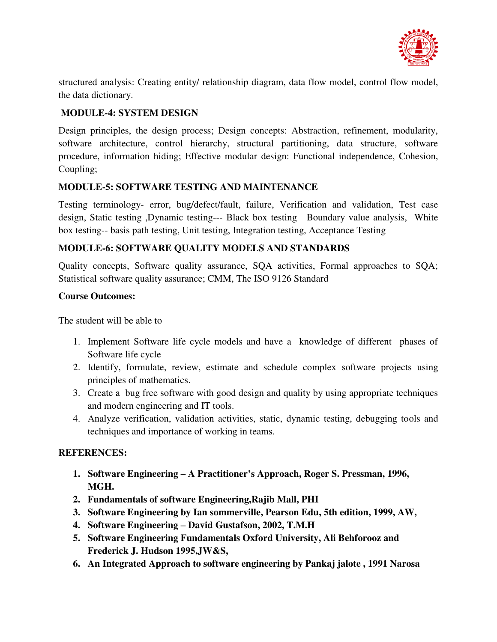

structured analysis: Creating entity/ relationship diagram, data flow model, control flow model, the data dictionary.

## **MODULE-4: SYSTEM DESIGN**

Design principles, the design process; Design concepts: Abstraction, refinement, modularity, software architecture, control hierarchy, structural partitioning, data structure, software procedure, information hiding; Effective modular design: Functional independence, Cohesion, Coupling;

## **MODULE-5: SOFTWARE TESTING AND MAINTENANCE**

Testing terminology- error, bug/defect/fault, failure, Verification and validation, Test case design, Static testing ,Dynamic testing--- Black box testing—Boundary value analysis, White box testing-- basis path testing, Unit testing, Integration testing, Acceptance Testing

## **MODULE-6: SOFTWARE QUALITY MODELS AND STANDARDS**

Quality concepts, Software quality assurance, SQA activities, Formal approaches to SQA; Statistical software quality assurance; CMM, The ISO 9126 Standard

#### **Course Outcomes:**

The student will be able to

- 1. Implement Software life cycle models and have a knowledge of different phases of Software life cycle
- 2. Identify, formulate, review, estimate and schedule complex software projects using principles of mathematics.
- 3. Create a bug free software with good design and quality by using appropriate techniques and modern engineering and IT tools.
- 4. Analyze verification, validation activities, static, dynamic testing, debugging tools and techniques and importance of working in teams.

- **1. Software Engineering – A Practitioner's Approach, Roger S. Pressman, 1996, MGH.**
- **2. Fundamentals of software Engineering,Rajib Mall, PHI**
- **3. Software Engineering by Ian sommerville, Pearson Edu, 5th edition, 1999, AW,**
- **4. Software Engineering – David Gustafson, 2002, T.M.H**
- **5. Software Engineering Fundamentals Oxford University, Ali Behforooz and Frederick J. Hudson 1995,JW&S,**
- **6. An Integrated Approach to software engineering by Pankaj jalote , 1991 Narosa**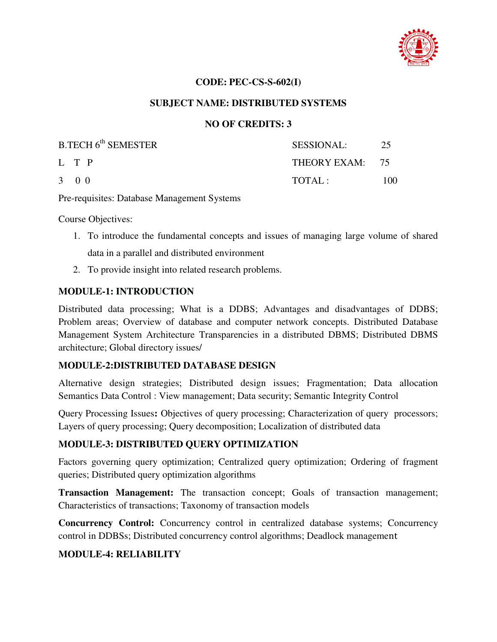

#### **CODE: PEC-CS-S-602(I)**

#### **SUBJECT NAME: DISTRIBUTED SYSTEMS**

#### **NO OF CREDITS: 3**

| B.TECH 6 <sup>th</sup> SEMESTER | <b>SESSIONAL:</b> | 25  |
|---------------------------------|-------------------|-----|
| L T P                           | THEORY EXAM: 75   |     |
| $3 \quad 0 \quad 0$             | TOTAI:            | 100 |

Pre-requisites: Database Management Systems

Course Objectives:

- 1. To introduce the fundamental concepts and issues of managing large volume of shared data in a parallel and distributed environment
- 2. To provide insight into related research problems.

#### **MODULE-1: INTRODUCTION**

Distributed data processing; What is a DDBS; Advantages and disadvantages of DDBS; Problem areas; Overview of database and computer network concepts. Distributed Database Management System Architecture Transparencies in a distributed DBMS; Distributed DBMS architecture; Global directory issues/

#### **MODULE-2:DISTRIBUTED DATABASE DESIGN**

Alternative design strategies; Distributed design issues; Fragmentation; Data allocation Semantics Data Control : View management; Data security; Semantic Integrity Control

Query Processing Issues**:** Objectives of query processing; Characterization of query processors; Layers of query processing; Query decomposition; Localization of distributed data

#### **MODULE-3: DISTRIBUTED QUERY OPTIMIZATION**

Factors governing query optimization; Centralized query optimization; Ordering of fragment queries; Distributed query optimization algorithms

**Transaction Management:** The transaction concept; Goals of transaction management; Characteristics of transactions; Taxonomy of transaction models

**Concurrency Control:** Concurrency control in centralized database systems; Concurrency control in DDBSs; Distributed concurrency control algorithms; Deadlock management

## **MODULE-4: RELIABILITY**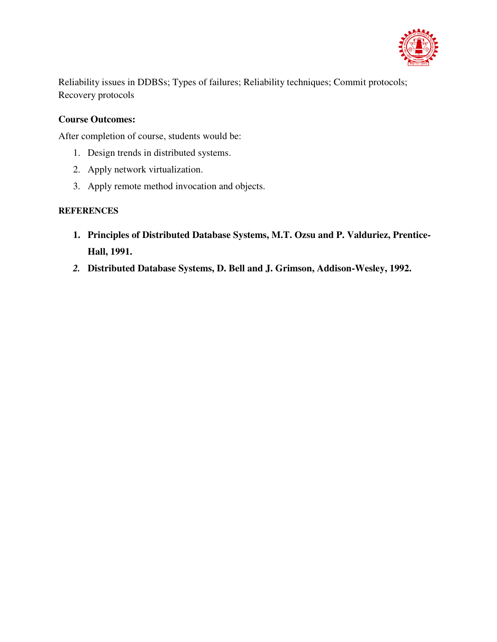

Reliability issues in DDBSs; Types of failures; Reliability techniques; Commit protocols; Recovery protocols

## **Course Outcomes:**

After completion of course, students would be:

- 1. Design trends in distributed systems.
- 2. Apply network virtualization.
- 3. Apply remote method invocation and objects.

- **1. Principles of Distributed Database Systems, M.T. Ozsu and P. Valduriez, Prentice-Hall, 1991.**
- *2.* **Distributed Database Systems, D. Bell and J. Grimson, Addison-Wesley, 1992.**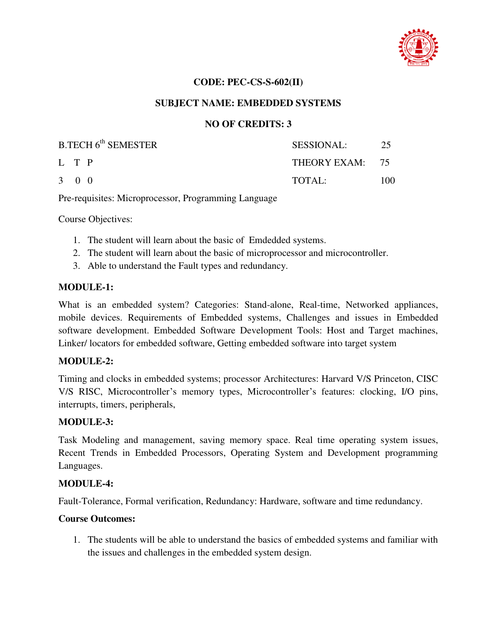

#### **CODE: PEC-CS-S-602(II)**

#### **SUBJECT NAME: EMBEDDED SYSTEMS**

#### **NO OF CREDITS: 3**

| B.TECH 6 <sup>th</sup> SEMESTER | SESSIONAL:      | - 25 |
|---------------------------------|-----------------|------|
| L T P                           | THEORY EXAM: 75 |      |
| $3 \quad 0 \quad 0$             | TOTAL:          | 100  |

Pre-requisites: Microprocessor, Programming Language

Course Objectives:

- 1. The student will learn about the basic of Emdedded systems.
- 2. The student will learn about the basic of microprocessor and microcontroller.
- 3. Able to understand the Fault types and redundancy.

#### **MODULE-1:**

What is an embedded system? Categories: Stand-alone, Real-time, Networked appliances, mobile devices. Requirements of Embedded systems, Challenges and issues in Embedded software development. Embedded Software Development Tools: Host and Target machines, Linker/ locators for embedded software, Getting embedded software into target system

#### **MODULE-2:**

Timing and clocks in embedded systems; processor Architectures: Harvard V/S Princeton, CISC V/S RISC, Microcontroller's memory types, Microcontroller's features: clocking, I/O pins, interrupts, timers, peripherals,

#### **MODULE-3:**

Task Modeling and management, saving memory space. Real time operating system issues, Recent Trends in Embedded Processors, Operating System and Development programming Languages.

#### **MODULE-4:**

Fault-Tolerance, Formal verification, Redundancy: Hardware, software and time redundancy.

#### **Course Outcomes:**

1. The students will be able to understand the basics of embedded systems and familiar with the issues and challenges in the embedded system design.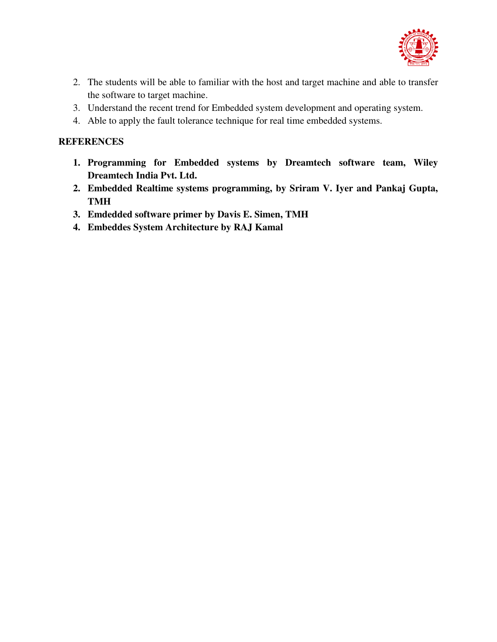

- 2. The students will be able to familiar with the host and target machine and able to transfer the software to target machine.
- 3. Understand the recent trend for Embedded system development and operating system.
- 4. Able to apply the fault tolerance technique for real time embedded systems.

- **1. Programming for Embedded systems by Dreamtech software team, Wiley Dreamtech India Pvt. Ltd.**
- **2. Embedded Realtime systems programming, by Sriram V. Iyer and Pankaj Gupta, TMH**
- **3. Emdedded software primer by Davis E. Simen, TMH**
- **4. Embeddes System Architecture by RAJ Kamal**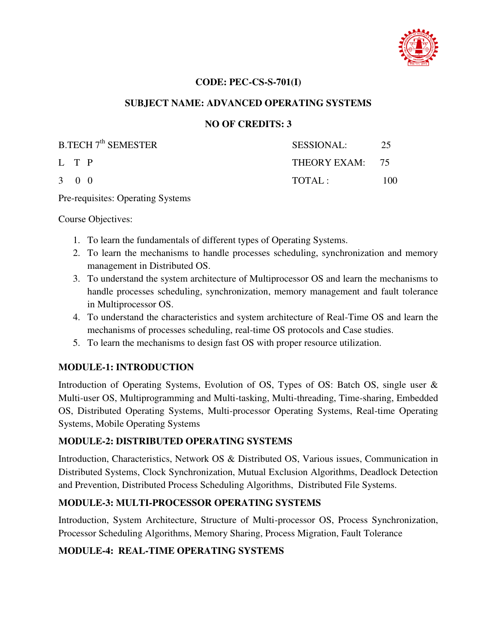

#### **CODE: PEC-CS-S-701(I)**

#### **SUBJECT NAME: ADVANCED OPERATING SYSTEMS**

## **NO OF CREDITS: 3**

| <b>B.TECH 7<sup>th</sup> SEMESTER</b> | SESSIONAL:      | 25  |
|---------------------------------------|-----------------|-----|
| L T P                                 | THEORY EXAM: 75 |     |
| $3 \quad 0 \quad 0$                   | TOTAL:          | 100 |

Pre-requisites: Operating Systems

Course Objectives:

- 1. To learn the fundamentals of different types of Operating Systems.
- 2. To learn the mechanisms to handle processes scheduling, synchronization and memory management in Distributed OS.
- 3. To understand the system architecture of Multiprocessor OS and learn the mechanisms to handle processes scheduling, synchronization, memory management and fault tolerance in Multiprocessor OS.
- 4. To understand the characteristics and system architecture of Real-Time OS and learn the mechanisms of processes scheduling, real-time OS protocols and Case studies.
- 5. To learn the mechanisms to design fast OS with proper resource utilization.

## **MODULE-1: INTRODUCTION**

Introduction of Operating Systems, Evolution of OS, Types of OS: Batch OS, single user & Multi-user OS, Multiprogramming and Multi-tasking, Multi-threading, Time-sharing, Embedded OS, Distributed Operating Systems, Multi-processor Operating Systems, Real-time Operating Systems, Mobile Operating Systems

## **MODULE-2: DISTRIBUTED OPERATING SYSTEMS**

Introduction, Characteristics, Network OS & Distributed OS, Various issues, Communication in Distributed Systems, Clock Synchronization, Mutual Exclusion Algorithms, Deadlock Detection and Prevention, Distributed Process Scheduling Algorithms, Distributed File Systems.

## **MODULE-3: MULTI-PROCESSOR OPERATING SYSTEMS**

Introduction, System Architecture, Structure of Multi-processor OS, Process Synchronization, Processor Scheduling Algorithms, Memory Sharing, Process Migration, Fault Tolerance

## **MODULE-4: REAL-TIME OPERATING SYSTEMS**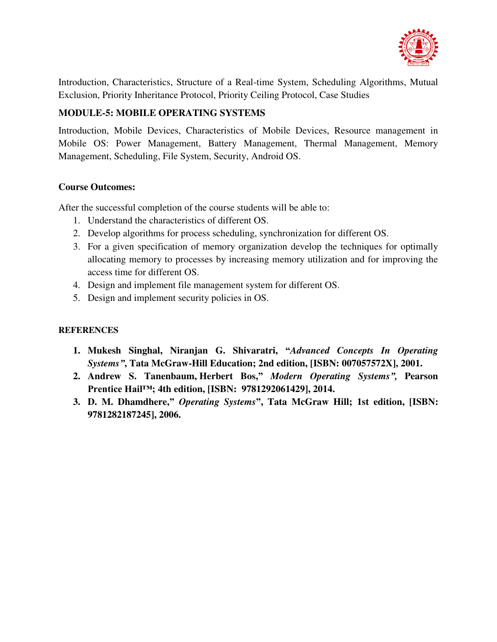

Introduction, Characteristics, Structure of a Real-time System, Scheduling Algorithms, Mutual Exclusion, Priority Inheritance Protocol, Priority Ceiling Protocol, Case Studies

## **MODULE-5: MOBILE OPERATING SYSTEMS**

Introduction, Mobile Devices, Characteristics of Mobile Devices, Resource management in Mobile OS: Power Management, Battery Management, Thermal Management, Memory Management, Scheduling, File System, Security, Android OS.

## **Course Outcomes:**

After the successful completion of the course students will be able to:

- 1. Understand the characteristics of different OS.
- 2. Develop algorithms for process scheduling, synchronization for different OS.
- 3. For a given specification of memory organization develop the techniques for optimally allocating memory to processes by increasing memory utilization and for improving the access time for different OS.
- 4. Design and implement file management system for different OS.
- 5. Design and implement security policies in OS.

- **1. Mukesh [Singhal,](https://www.google.co.in/search?tbo=p&tbm=bks&q=inauthor:%22Singhal%22&source=gbs_metadata_r&cad=8) Niranjan G. Shivaratri, "***Advanced Concepts In Operating Systems"***, Tata McGraw-Hill Education; 2nd edition, [ISBN: 007057572X], 2001.**
- **2. [Andrew S. Tanenbaum,](https://www.goodreads.com/author/show/96575.Andrew_S_Tanenbaum) [Herbert Bos,](https://www.goodreads.com/author/show/5143083.Herbert_Bos)"** *Modern Operating Systems",* **Pearson Prentice Hail™; 4th edition, [ISBN: [9781292061429\]](https://www.abebooks.com/products/isbn/9781292061429/22487048897&cm_sp=snippet-_-srp1-_-PLP1), 2014.**
- **3. [D. M. Dhamdhere,](https://www.google.co.in/search?tbo=p&tbm=bks&q=inauthor:%22D.+M.+Dhamdhere%22&source=gbs_metadata_r&cad=3)"** *Operating Systems***", Tata McGraw Hill; 1st edition, [ISBN: 9781282187245], 2006.**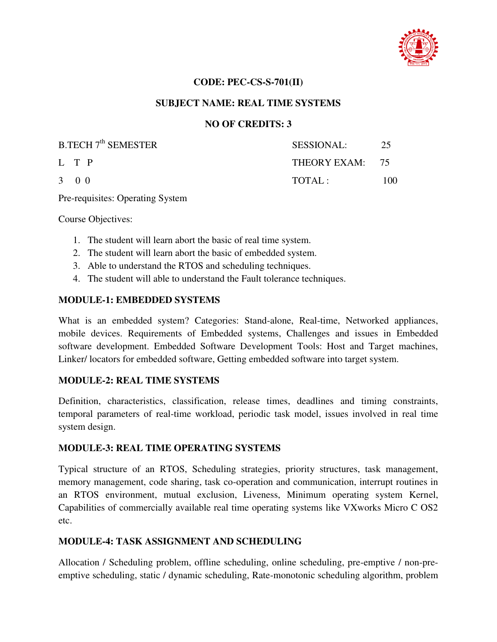

#### **CODE: PEC-CS-S-701(II)**

#### **SUBJECT NAME: REAL TIME SYSTEMS**

#### **NO OF CREDITS: 3**

| <b>B.TECH 7<sup>th</sup> SEMESTER</b> | SESSIONAL:      | 25  |
|---------------------------------------|-----------------|-----|
| L T P                                 | THEORY EXAM: 75 |     |
| $3 \quad 0 \quad 0$                   | TOTAL:          | 100 |

Pre-requisites: Operating System

Course Objectives:

- 1. The student will learn abort the basic of real time system.
- 2. The student will learn abort the basic of embedded system.
- 3. Able to understand the RTOS and scheduling techniques.
- 4. The student will able to understand the Fault tolerance techniques.

#### **MODULE-1: EMBEDDED SYSTEMS**

What is an embedded system? Categories: Stand-alone, Real-time, Networked appliances, mobile devices. Requirements of Embedded systems, Challenges and issues in Embedded software development. Embedded Software Development Tools: Host and Target machines, Linker/ locators for embedded software, Getting embedded software into target system.

#### **MODULE-2: REAL TIME SYSTEMS**

Definition, characteristics, classification, release times, deadlines and timing constraints, temporal parameters of real-time workload, periodic task model, issues involved in real time system design.

#### **MODULE-3: REAL TIME OPERATING SYSTEMS**

Typical structure of an RTOS, Scheduling strategies, priority structures, task management, memory management, code sharing, task co-operation and communication, interrupt routines in an RTOS environment, mutual exclusion, Liveness, Minimum operating system Kernel, Capabilities of commercially available real time operating systems like VXworks Micro C OS2 etc.

#### **MODULE-4: TASK ASSIGNMENT AND SCHEDULING**

Allocation / Scheduling problem, offline scheduling, online scheduling, pre-emptive / non-preemptive scheduling, static / dynamic scheduling, Rate-monotonic scheduling algorithm, problem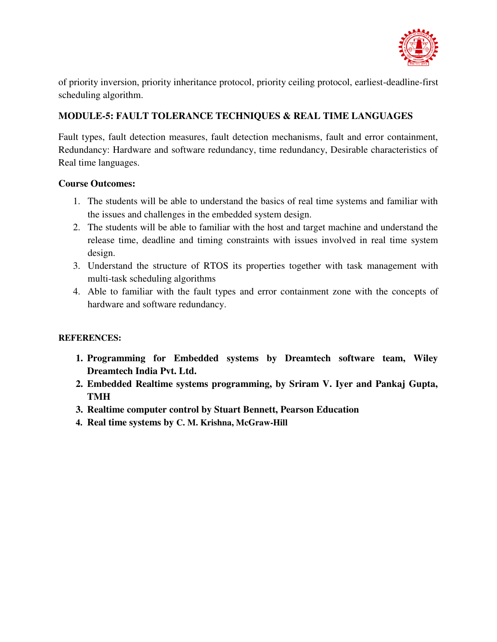

of priority inversion, priority inheritance protocol, priority ceiling protocol, earliest-deadline-first scheduling algorithm.

## **MODULE-5: FAULT TOLERANCE TECHNIQUES & REAL TIME LANGUAGES**

Fault types, fault detection measures, fault detection mechanisms, fault and error containment, Redundancy: Hardware and software redundancy, time redundancy, Desirable characteristics of Real time languages.

## **Course Outcomes:**

- 1. The students will be able to understand the basics of real time systems and familiar with the issues and challenges in the embedded system design.
- 2. The students will be able to familiar with the host and target machine and understand the release time, deadline and timing constraints with issues involved in real time system design.
- 3. Understand the structure of RTOS its properties together with task management with multi-task scheduling algorithms
- 4. Able to familiar with the fault types and error containment zone with the concepts of hardware and software redundancy.

- **1. Programming for Embedded systems by Dreamtech software team, Wiley Dreamtech India Pvt. Ltd.**
- **2. Embedded Realtime systems programming, by Sriram V. Iyer and Pankaj Gupta, TMH**
- **3. Realtime computer control by Stuart Bennett, Pearson Education**
- **4. Real time systems by C. M. Krishna, McGraw-Hill**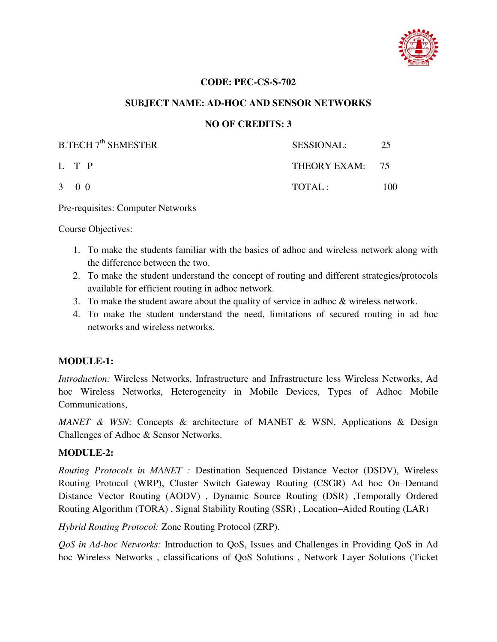

#### **CODE: PEC-CS-S-702**

#### **SUBJECT NAME: AD-HOC AND SENSOR NETWORKS**

## **NO OF CREDITS: 3**

| B.TECH 7 <sup>th</sup> SEMESTER | SESSIONAL:      | 25   |
|---------------------------------|-----------------|------|
| L T P                           | THEORY EXAM: 75 |      |
| $3 \quad 0 \quad 0$             | TOTAI:          | 100. |

Pre-requisites: Computer Networks

Course Objectives:

- 1. To make the students familiar with the basics of adhoc and wireless network along with the difference between the two.
- 2. To make the student understand the concept of routing and different strategies/protocols available for efficient routing in adhoc network.
- 3. To make the student aware about the quality of service in adhoc & wireless network.
- 4. To make the student understand the need, limitations of secured routing in ad hoc networks and wireless networks.

## **MODULE-1:**

*Introduction:* Wireless Networks, Infrastructure and Infrastructure less Wireless Networks, Ad hoc Wireless Networks, Heterogeneity in Mobile Devices, Types of Adhoc Mobile Communications,

*MANET & WSN*: Concepts & architecture of MANET & WSN, Applications & Design Challenges of Adhoc & Sensor Networks.

#### **MODULE-2:**

*Routing Protocols in MANET :* Destination Sequenced Distance Vector (DSDV), Wireless Routing Protocol (WRP), Cluster Switch Gateway Routing (CSGR) Ad hoc On–Demand Distance Vector Routing (AODV) , Dynamic Source Routing (DSR) ,Temporally Ordered Routing Algorithm (TORA) , Signal Stability Routing (SSR) , Location–Aided Routing (LAR)

*Hybrid Routing Protocol:* Zone Routing Protocol (ZRP).

*QoS in Ad-hoc Networks:* Introduction to QoS, Issues and Challenges in Providing QoS in Ad hoc Wireless Networks , classifications of QoS Solutions , Network Layer Solutions (Ticket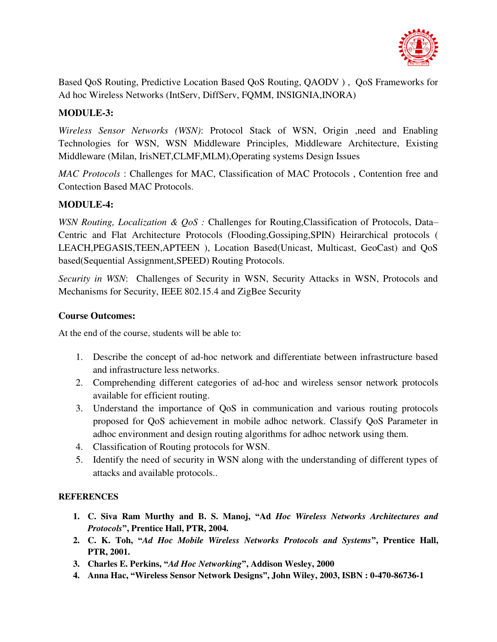

Based QoS Routing, Predictive Location Based QoS Routing, QAODV ) , QoS Frameworks for Ad hoc Wireless Networks (IntServ, DiffServ, FQMM, INSIGNIA,INORA)

## **MODULE-3:**

*Wireless Sensor Networks (WSN)*: Protocol Stack of WSN, Origin ,need and Enabling Technologies for WSN, WSN Middleware Principles, Middleware Architecture, Existing Middleware (Milan, IrisNET,CLMF,MLM),Operating systems Design Issues

*MAC Protocols* : Challenges for MAC, Classification of MAC Protocols , Contention free and Contection Based MAC Protocols.

## **MODULE-4:**

*WSN Routing, Localization & QoS :* Challenges for Routing,Classification of Protocols, Data– Centric and Flat Architecture Protocols (Flooding,Gossiping,SPIN) Heirarchical protocols ( LEACH,PEGASIS,TEEN,APTEEN ), Location Based(Unicast, Multicast, GeoCast) and QoS based(Sequential Assignment,SPEED) Routing Protocols.

*Security in WSN*: Challenges of Security in WSN, Security Attacks in WSN, Protocols and Mechanisms for Security, IEEE 802.15.4 and ZigBee Security

## **Course Outcomes:**

At the end of the course, students will be able to:

- 1. Describe the concept of ad-hoc network and differentiate between infrastructure based and infrastructure less networks.
- 2. Comprehending different categories of ad-hoc and wireless sensor network protocols available for efficient routing.
- 3. Understand the importance of QoS in communication and various routing protocols proposed for QoS achievement in mobile adhoc network. Classify QoS Parameter in adhoc environment and design routing algorithms for adhoc network using them.
- 4. Classification of Routing protocols for WSN.
- 5. Identify the need of security in WSN along with the understanding of different types of attacks and available protocols..

- **1. C. Siva Ram Murthy and B. S. Manoj, "Ad** *Hoc Wireless Networks Architectures and Protocols***", Prentice Hall, PTR, 2004.**
- **2. C. K. Toh, "***Ad Hoc Mobile Wireless Networks Protocols and Systems***", Prentice Hall, PTR, 2001.**
- **3. Charles E. Perkins, "***Ad Hoc Networking***", Addison Wesley, 2000**
- **4. Anna Hac, "Wireless Sensor Network Designs", John Wiley, 2003, ISBN : 0-470-86736-1**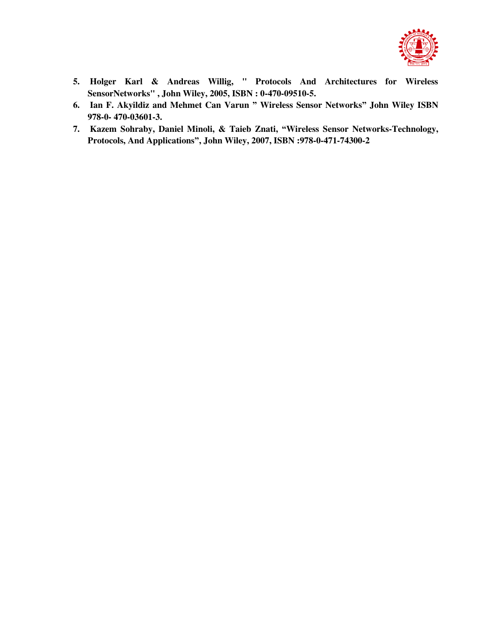

- **5. Holger Karl & Andreas Willig, " Protocols And Architectures for Wireless SensorNetworks" , John Wiley, 2005, ISBN : 0-470-09510-5.**
- **6. Ian F. Akyildiz and Mehmet Can Varun " Wireless Sensor Networks" John Wiley ISBN 978-0- 470-03601-3.**
- **7. Kazem Sohraby, Daniel Minoli, & Taieb Znati, "Wireless Sensor Networks-Technology, Protocols, And Applications", John Wiley, 2007, ISBN :978-0-471-74300-2**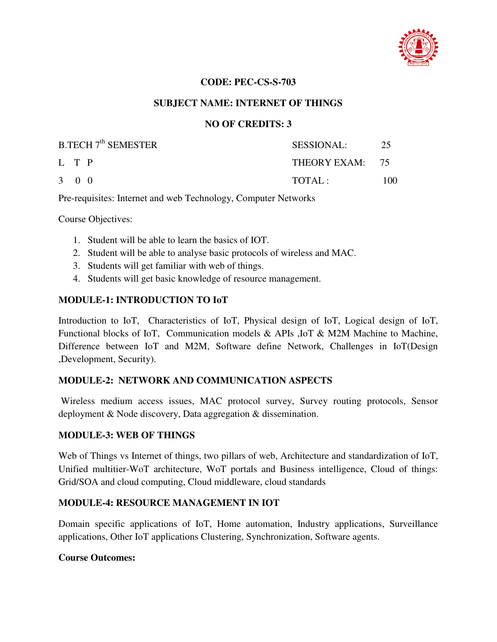

#### **CODE: PEC-CS-S-703**

#### **SUBJECT NAME: INTERNET OF THINGS**

#### **NO OF CREDITS: 3**

| <b>B.TECH 7<sup>th</sup> SEMESTER</b> | SESSIONAL:      | 25  |
|---------------------------------------|-----------------|-----|
| L T P                                 | THEORY EXAM: 75 |     |
| $3 \quad 0 \quad 0$                   | TOTAL:          | 100 |

Pre-requisites: Internet and web Technology, Computer Networks

Course Objectives:

- 1. Student will be able to learn the basics of IOT.
- 2. Student will be able to analyse basic protocols of wireless and MAC.
- 3. Students will get familiar with web of things.
- 4. Students will get basic knowledge of resource management.

#### **MODULE-1: INTRODUCTION TO IoT**

Introduction to IoT, Characteristics of IoT, Physical design of IoT, Logical design of IoT, Functional blocks of IoT, Communication models & APIs ,IoT & M2M Machine to Machine, Difference between IoT and M2M, Software define Network, Challenges in IoT(Design ,Development, Security).

#### **MODULE-2: NETWORK AND COMMUNICATION ASPECTS**

 Wireless medium access issues, MAC protocol survey, Survey routing protocols, Sensor deployment & Node discovery, Data aggregation & dissemination.

#### **MODULE-3: WEB OF THINGS**

Web of Things vs Internet of things, two pillars of web, Architecture and standardization of IoT, Unified multitier-WoT architecture, WoT portals and Business intelligence, Cloud of things: Grid/SOA and cloud computing, Cloud middleware, cloud standards

#### **MODULE-4: RESOURCE MANAGEMENT IN IOT**

Domain specific applications of IoT, Home automation, Industry applications, Surveillance applications, Other IoT applications Clustering, Synchronization, Software agents.

#### **Course Outcomes:**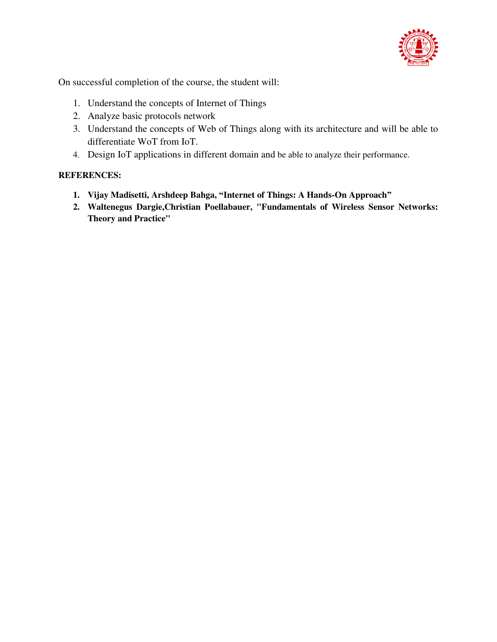

On successful completion of the course, the student will:

- 1. Understand the concepts of Internet of Things
- 2. Analyze basic protocols network
- 3. Understand the concepts of Web of Things along with its architecture and will be able to differentiate WoT from IoT.
- 4. Design IoT applications in different domain and be able to analyze their performance.

- **1. Vijay Madisetti, Arshdeep Bahga, "Internet of Things: A Hands-On Approach"**
- **2. Waltenegus Dargie,Christian Poellabauer, "Fundamentals of Wireless Sensor Networks: Theory and Practice"**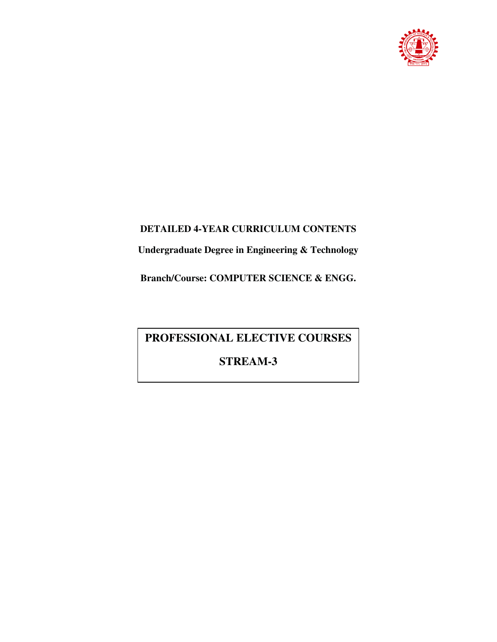

# **DETAILED 4-YEAR CURRICULUM CONTENTS**

**Undergraduate Degree in Engineering & Technology** 

**Branch/Course: COMPUTER SCIENCE & ENGG.** 

# **PROFESSIONAL ELECTIVE COURSES**

# **STREAM-3**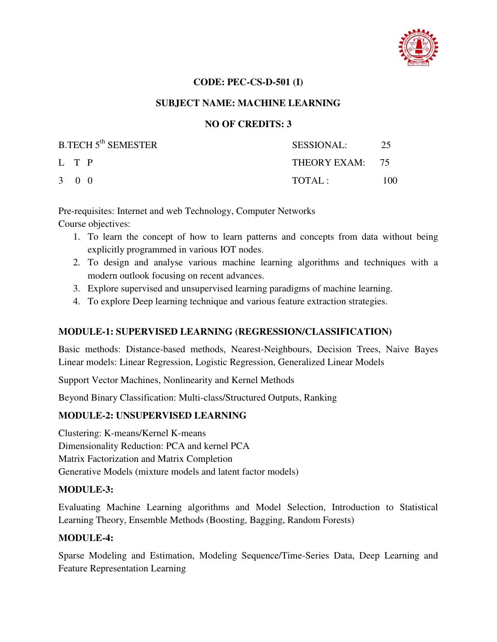

#### **CODE: PEC-CS-D-501 (I)**

#### **SUBJECT NAME: MACHINE LEARNING**

## **NO OF CREDITS: 3**

| <b>B.TECH 5<sup>th</sup> SEMESTER</b> | SESSIONAL:      | 25  |
|---------------------------------------|-----------------|-----|
| L T P                                 | THEORY EXAM: 75 |     |
| $3 \quad 0 \quad 0$                   | TOTAL:          | 100 |

Pre-requisites: Internet and web Technology, Computer Networks Course objectives:

- 1. To learn the concept of how to learn patterns and concepts from data without being explicitly programmed in various IOT nodes.
- 2. To design and analyse various machine learning algorithms and techniques with a modern outlook focusing on recent advances.
- 3. Explore supervised and unsupervised learning paradigms of machine learning.
- 4. To explore Deep learning technique and various feature extraction strategies.

## **MODULE-1: SUPERVISED LEARNING (REGRESSION/CLASSIFICATION)**

Basic methods: Distance-based methods, Nearest-Neighbours, Decision Trees, Naive Bayes Linear models: Linear Regression, Logistic Regression, Generalized Linear Models

Support Vector Machines, Nonlinearity and Kernel Methods

Beyond Binary Classification: Multi-class/Structured Outputs, Ranking

## **MODULE-2: UNSUPERVISED LEARNING**

Clustering: K-means/Kernel K-means Dimensionality Reduction: PCA and kernel PCA Matrix Factorization and Matrix Completion Generative Models (mixture models and latent factor models)

## **MODULE-3:**

Evaluating Machine Learning algorithms and Model Selection, Introduction to Statistical Learning Theory, Ensemble Methods (Boosting, Bagging, Random Forests)

## **MODULE-4:**

Sparse Modeling and Estimation, Modeling Sequence/Time-Series Data, Deep Learning and Feature Representation Learning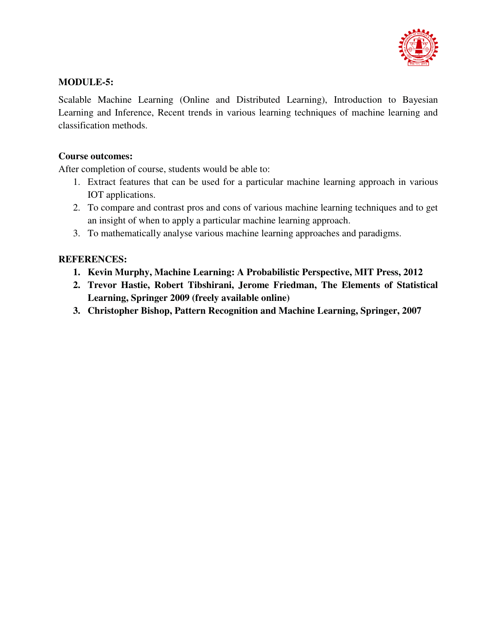

## **MODULE-5:**

Scalable Machine Learning (Online and Distributed Learning), Introduction to Bayesian Learning and Inference, Recent trends in various learning techniques of machine learning and classification methods.

#### **Course outcomes:**

After completion of course, students would be able to:

- 1. Extract features that can be used for a particular machine learning approach in various IOT applications.
- 2. To compare and contrast pros and cons of various machine learning techniques and to get an insight of when to apply a particular machine learning approach.
- 3. To mathematically analyse various machine learning approaches and paradigms.

- **1. Kevin Murphy, Machine Learning: A Probabilistic Perspective, MIT Press, 2012**
- **2. Trevor Hastie, Robert Tibshirani, Jerome Friedman, The Elements of Statistical Learning, Springer 2009 (freely available online)**
- **3. Christopher Bishop, Pattern Recognition and Machine Learning, Springer, 2007**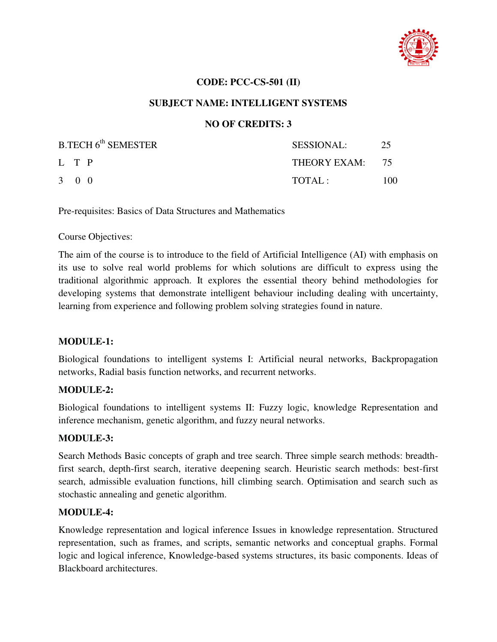

#### **CODE: PCC-CS-501 (II)**

#### **SUBJECT NAME: INTELLIGENT SYSTEMS**

## **NO OF CREDITS: 3**

| B.TECH 6 <sup>th</sup> SEMESTER | <b>SESSIONAL:</b> | 25  |
|---------------------------------|-------------------|-----|
| L T P                           | THEORY EXAM: 75   |     |
| 3 0 0                           | TOTAL :           | 100 |

Pre-requisites: Basics of Data Structures and Mathematics

#### Course Objectives:

The aim of the course is to introduce to the field of Artificial Intelligence (AI) with emphasis on its use to solve real world problems for which solutions are difficult to express using the traditional algorithmic approach. It explores the essential theory behind methodologies for developing systems that demonstrate intelligent behaviour including dealing with uncertainty, learning from experience and following problem solving strategies found in nature.

#### **MODULE-1:**

Biological foundations to intelligent systems I: Artificial neural networks, Backpropagation networks, Radial basis function networks, and recurrent networks.

#### **MODULE-2:**

Biological foundations to intelligent systems II: Fuzzy logic, knowledge Representation and inference mechanism, genetic algorithm, and fuzzy neural networks.

#### **MODULE-3:**

Search Methods Basic concepts of graph and tree search. Three simple search methods: breadthfirst search, depth-first search, iterative deepening search. Heuristic search methods: best-first search, admissible evaluation functions, hill climbing search. Optimisation and search such as stochastic annealing and genetic algorithm.

#### **MODULE-4:**

Knowledge representation and logical inference Issues in knowledge representation. Structured representation, such as frames, and scripts, semantic networks and conceptual graphs. Formal logic and logical inference, Knowledge-based systems structures, its basic components. Ideas of Blackboard architectures.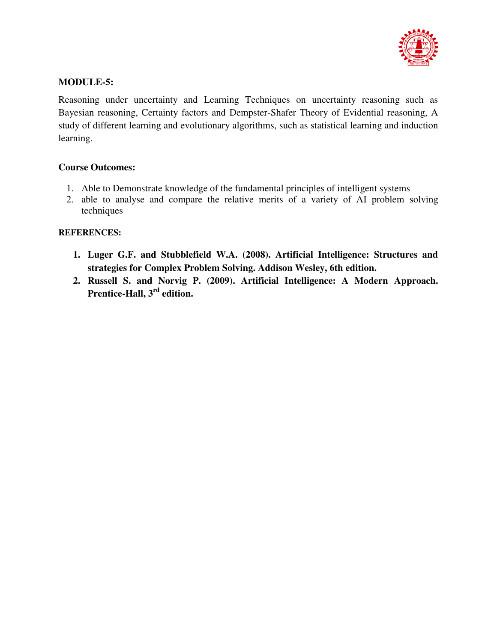

## **MODULE-5:**

Reasoning under uncertainty and Learning Techniques on uncertainty reasoning such as Bayesian reasoning, Certainty factors and Dempster-Shafer Theory of Evidential reasoning, A study of different learning and evolutionary algorithms, such as statistical learning and induction learning.

#### **Course Outcomes:**

- 1. Able to Demonstrate knowledge of the fundamental principles of intelligent systems
- 2. able to analyse and compare the relative merits of a variety of AI problem solving techniques

- **1. Luger G.F. and Stubblefield W.A. (2008). Artificial Intelligence: Structures and strategies for Complex Problem Solving. Addison Wesley, 6th edition.**
- **2. Russell S. and Norvig P. (2009). Artificial Intelligence: A Modern Approach. Prentice-Hall, 3rd edition.**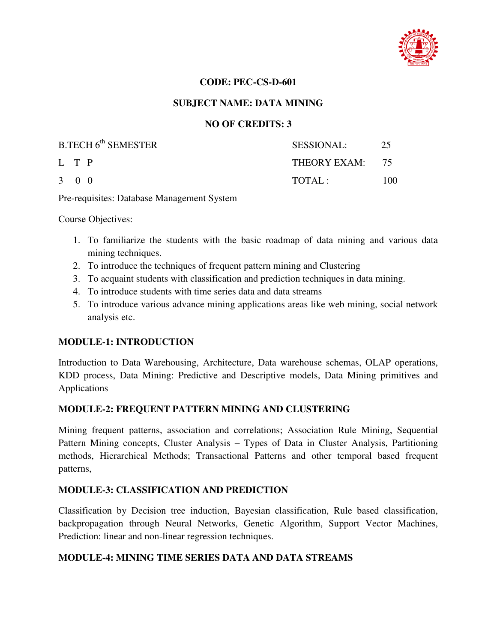

#### **CODE: PEC-CS-D-601**

#### **SUBJECT NAME: DATA MINING**

## **NO OF CREDITS: 3**

| B.TECH 6 <sup>th</sup> SEMESTER | <b>SESSIONAL:</b> | 25  |
|---------------------------------|-------------------|-----|
| L T P                           | THEORY EXAM: 75   |     |
| $3 \quad 0 \quad 0$             | TOTAL:            | 100 |

Pre-requisites: Database Management System

Course Objectives:

- 1. To familiarize the students with the basic roadmap of data mining and various data mining techniques.
- 2. To introduce the techniques of frequent pattern mining and Clustering
- 3. To acquaint students with classification and prediction techniques in data mining.
- 4. To introduce students with time series data and data streams
- 5. To introduce various advance mining applications areas like web mining, social network analysis etc.

## **MODULE-1: INTRODUCTION**

Introduction to Data Warehousing, Architecture, Data warehouse schemas, OLAP operations, KDD process, Data Mining: Predictive and Descriptive models, Data Mining primitives and Applications

## **MODULE-2: FREQUENT PATTERN MINING AND CLUSTERING**

Mining frequent patterns, association and correlations; Association Rule Mining, Sequential Pattern Mining concepts, Cluster Analysis – Types of Data in Cluster Analysis, Partitioning methods, Hierarchical Methods; Transactional Patterns and other temporal based frequent patterns,

## **MODULE-3: CLASSIFICATION AND PREDICTION**

Classification by Decision tree induction, Bayesian classification, Rule based classification, backpropagation through Neural Networks, Genetic Algorithm, Support Vector Machines, Prediction: linear and non-linear regression techniques.

## **MODULE-4: MINING TIME SERIES DATA AND DATA STREAMS**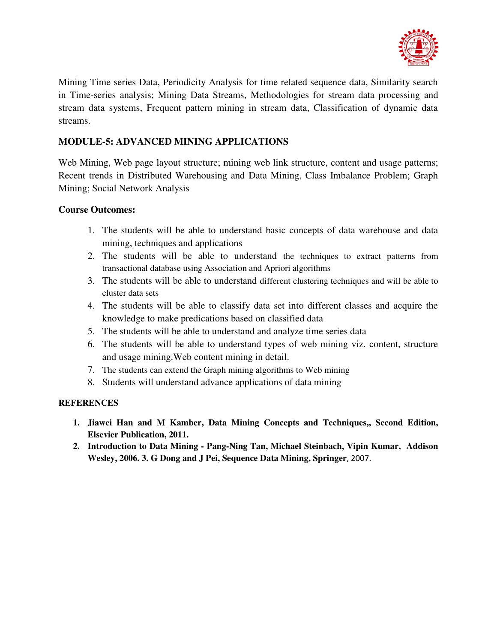

Mining Time series Data, Periodicity Analysis for time related sequence data, Similarity search in Time-series analysis; Mining Data Streams, Methodologies for stream data processing and stream data systems, Frequent pattern mining in stream data, Classification of dynamic data streams.

# **MODULE-5: ADVANCED MINING APPLICATIONS**

Web Mining, Web page layout structure; mining web link structure, content and usage patterns; Recent trends in Distributed Warehousing and Data Mining, Class Imbalance Problem; Graph Mining; Social Network Analysis

# **Course Outcomes:**

- 1. The students will be able to understand basic concepts of data warehouse and data mining, techniques and applications
- 2. The students will be able to understand the techniques to extract patterns from transactional database using Association and Apriori algorithms
- 3. The students will be able to understand different clustering techniques and will be able to cluster data sets
- 4. The students will be able to classify data set into different classes and acquire the knowledge to make predications based on classified data
- 5. The students will be able to understand and analyze time series data
- 6. The students will be able to understand types of web mining viz. content, structure and usage mining.Web content mining in detail.
- 7. The students can extend the Graph mining algorithms to Web mining
- 8. Students will understand advance applications of data mining

- **1. Jiawei Han and M Kamber, Data Mining Concepts and Techniques,, Second Edition, Elsevier Publication, 2011.**
- **2. Introduction to Data Mining Pang-Ning Tan, Michael Steinbach, Vipin Kumar, Addison Wesley, 2006. 3. G Dong and J Pei, Sequence Data Mining, Springer**, 2007.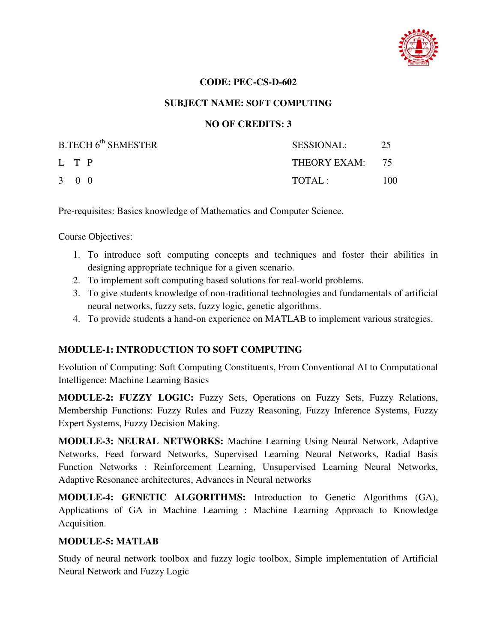

## **CODE: PEC-CS-D-602**

## **SUBJECT NAME: SOFT COMPUTING**

# **NO OF CREDITS: 3**

| B.TECH 6 <sup>th</sup> SEMESTER | <b>SESSIONAL:</b> | 25  |
|---------------------------------|-------------------|-----|
| L T P                           | THEORY EXAM: 75   |     |
| 3 0 0                           | TOTAL:            | 100 |

Pre-requisites: Basics knowledge of Mathematics and Computer Science.

Course Objectives:

- 1. To introduce soft computing concepts and techniques and foster their abilities in designing appropriate technique for a given scenario.
- 2. To implement soft computing based solutions for real-world problems.
- 3. To give students knowledge of non-traditional technologies and fundamentals of artificial neural networks, fuzzy sets, fuzzy logic, genetic algorithms.
- 4. To provide students a hand-on experience on MATLAB to implement various strategies.

# **MODULE-1: INTRODUCTION TO SOFT COMPUTING**

Evolution of Computing: Soft Computing Constituents, From Conventional AI to Computational Intelligence: Machine Learning Basics

**MODULE-2: FUZZY LOGIC:** Fuzzy Sets, Operations on Fuzzy Sets, Fuzzy Relations, Membership Functions: Fuzzy Rules and Fuzzy Reasoning, Fuzzy Inference Systems, Fuzzy Expert Systems, Fuzzy Decision Making.

**MODULE-3: NEURAL NETWORKS:** Machine Learning Using Neural Network, Adaptive Networks, Feed forward Networks, Supervised Learning Neural Networks, Radial Basis Function Networks : Reinforcement Learning, Unsupervised Learning Neural Networks, Adaptive Resonance architectures, Advances in Neural networks

**MODULE-4: GENETIC ALGORITHMS:** Introduction to Genetic Algorithms (GA), Applications of GA in Machine Learning : Machine Learning Approach to Knowledge Acquisition.

# **MODULE-5: MATLAB**

Study of neural network toolbox and fuzzy logic toolbox, Simple implementation of Artificial Neural Network and Fuzzy Logic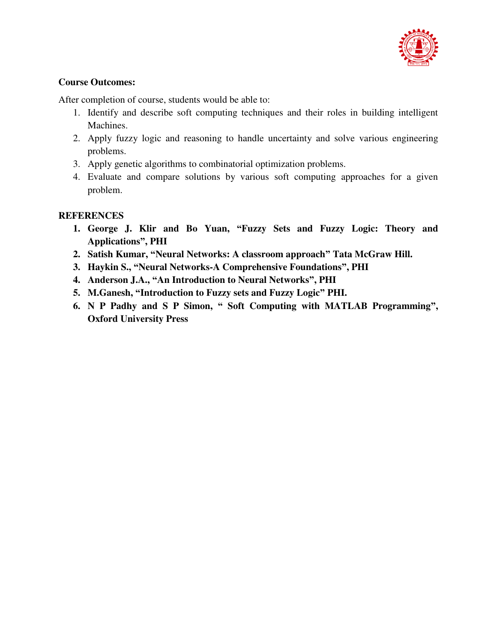

# **Course Outcomes:**

After completion of course, students would be able to:

- 1. Identify and describe soft computing techniques and their roles in building intelligent Machines.
- 2. Apply fuzzy logic and reasoning to handle uncertainty and solve various engineering problems.
- 3. Apply genetic algorithms to combinatorial optimization problems.
- 4. Evaluate and compare solutions by various soft computing approaches for a given problem.

- **1. George J. Klir and Bo Yuan, "Fuzzy Sets and Fuzzy Logic: Theory and Applications", PHI**
- **2. Satish Kumar, "Neural Networks: A classroom approach" Tata McGraw Hill.**
- **3. Haykin S., "Neural Networks-A Comprehensive Foundations", PHI**
- **4. Anderson J.A., "An Introduction to Neural Networks", PHI**
- **5. M.Ganesh, "Introduction to Fuzzy sets and Fuzzy Logic" PHI.**
- **6. N P Padhy and S P Simon, " Soft Computing with MATLAB Programming", Oxford University Press**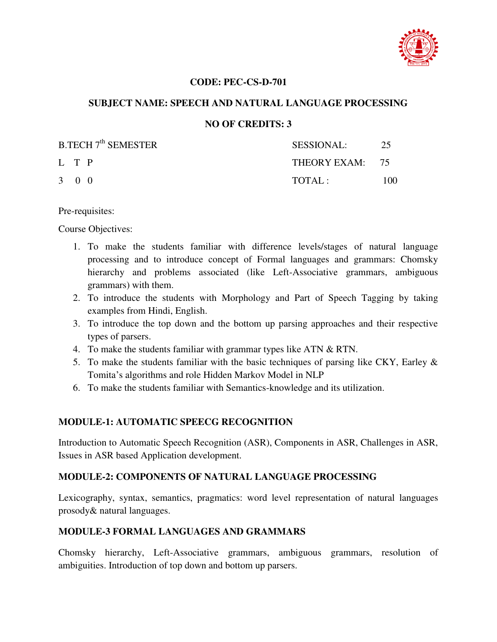

## **CODE: PEC-CS-D-701**

## **SUBJECT NAME: SPEECH AND NATURAL LANGUAGE PROCESSING**

# **NO OF CREDITS: 3**

| <b>B.TECH 7<sup>th</sup> SEMESTER</b> | <b>SESSIONAL:</b> | 25  |
|---------------------------------------|-------------------|-----|
| L T P                                 | THEORY EXAM: 75   |     |
| 3 0 0                                 | TOTAI:            | 100 |

Pre-requisites:

Course Objectives:

- 1. To make the students familiar with difference levels/stages of natural language processing and to introduce concept of Formal languages and grammars: Chomsky hierarchy and problems associated (like Left-Associative grammars, ambiguous grammars) with them.
- 2. To introduce the students with Morphology and Part of Speech Tagging by taking examples from Hindi, English.
- 3. To introduce the top down and the bottom up parsing approaches and their respective types of parsers.
- 4. To make the students familiar with grammar types like ATN & RTN.
- 5. To make the students familiar with the basic techniques of parsing like CKY, Earley  $\&$ Tomita's algorithms and role Hidden Markov Model in NLP
- 6. To make the students familiar with Semantics-knowledge and its utilization.

# **MODULE-1: AUTOMATIC SPEECG RECOGNITION**

Introduction to Automatic Speech Recognition (ASR), Components in ASR, Challenges in ASR, Issues in ASR based Application development.

# **MODULE-2: COMPONENTS OF NATURAL LANGUAGE PROCESSING**

Lexicography, syntax, semantics, pragmatics: word level representation of natural languages prosody& natural languages.

# **MODULE-3 FORMAL LANGUAGES AND GRAMMARS**

Chomsky hierarchy, Left-Associative grammars, ambiguous grammars, resolution of ambiguities. Introduction of top down and bottom up parsers.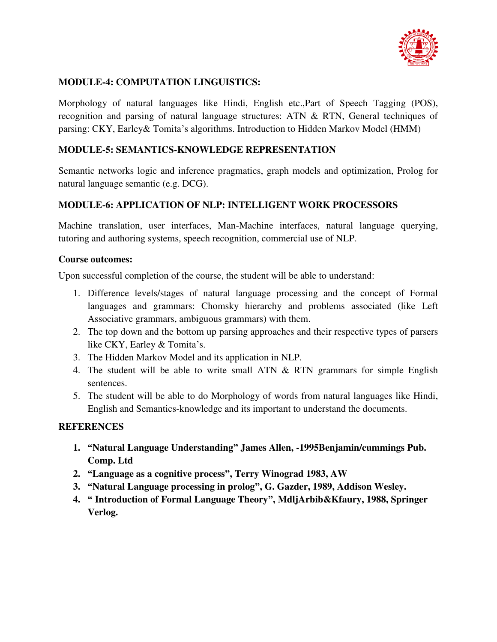

# **MODULE-4: COMPUTATION LINGUISTICS:**

Morphology of natural languages like Hindi, English etc.,Part of Speech Tagging (POS), recognition and parsing of natural language structures: ATN & RTN, General techniques of parsing: CKY, Earley& Tomita's algorithms. Introduction to Hidden Markov Model (HMM)

# **MODULE-5: SEMANTICS-KNOWLEDGE REPRESENTATION**

Semantic networks logic and inference pragmatics, graph models and optimization, Prolog for natural language semantic (e.g. DCG).

# **MODULE-6: APPLICATION OF NLP: INTELLIGENT WORK PROCESSORS**

Machine translation, user interfaces, Man-Machine interfaces, natural language querying, tutoring and authoring systems, speech recognition, commercial use of NLP.

## **Course outcomes:**

Upon successful completion of the course, the student will be able to understand:

- 1. Difference levels/stages of natural language processing and the concept of Formal languages and grammars: Chomsky hierarchy and problems associated (like Left Associative grammars, ambiguous grammars) with them.
- 2. The top down and the bottom up parsing approaches and their respective types of parsers like CKY, Earley & Tomita's.
- 3. The Hidden Markov Model and its application in NLP.
- 4. The student will be able to write small ATN & RTN grammars for simple English sentences.
- 5. The student will be able to do Morphology of words from natural languages like Hindi, English and Semantics-knowledge and its important to understand the documents.

- **1. "Natural Language Understanding" James Allen, -1995Benjamin/cummings Pub. Comp. Ltd**
- **2. "Language as a cognitive process", Terry Winograd 1983, AW**
- **3. "Natural Language processing in prolog", G. Gazder, 1989, Addison Wesley.**
- **4. " Introduction of Formal Language Theory", MdljArbib&Kfaury, 1988, Springer Verlog.**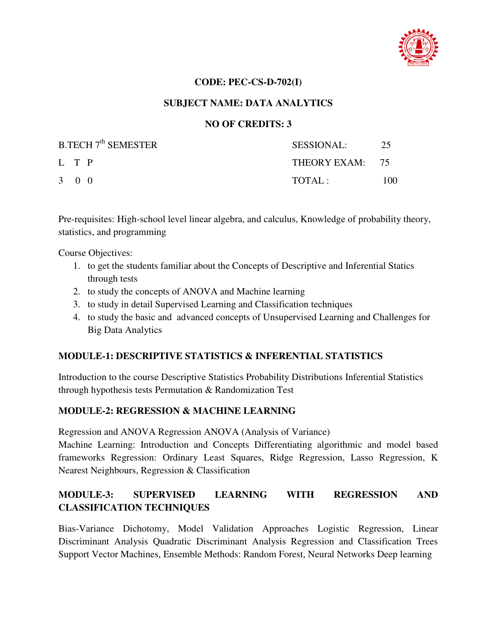

#### **CODE: PEC-CS-D-702(I)**

## **SUBJECT NAME: DATA ANALYTICS**

# **NO OF CREDITS: 3**

| <b>B.TECH 7<sup>th</sup> SEMESTER</b> | <b>SESSIONAL:</b> | 25  |
|---------------------------------------|-------------------|-----|
| L T P                                 | THEORY EXAM: 75   |     |
| 3 0 0                                 | TOTAL:            | 100 |

Pre-requisites: High-school level linear algebra, and calculus, Knowledge of probability theory, statistics, and programming

Course Objectives:

- 1. to get the students familiar about the Concepts of Descriptive and Inferential Statics through tests
- 2. to study the concepts of ANOVA and Machine learning
- 3. to study in detail Supervised Learning and Classification techniques
- 4. to study the basic and advanced concepts of Unsupervised Learning and Challenges for Big Data Analytics

# **MODULE-1: DESCRIPTIVE STATISTICS & INFERENTIAL STATISTICS**

Introduction to the course Descriptive Statistics Probability Distributions Inferential Statistics through hypothesis tests Permutation & Randomization Test

# **MODULE-2: REGRESSION & MACHINE LEARNING**

Regression and ANOVA Regression ANOVA (Analysis of Variance)

Machine Learning: Introduction and Concepts Differentiating algorithmic and model based frameworks Regression: Ordinary Least Squares, Ridge Regression, Lasso Regression, K Nearest Neighbours, Regression & Classification

# **MODULE-3: SUPERVISED LEARNING WITH REGRESSION AND CLASSIFICATION TECHNIQUES**

Bias-Variance Dichotomy, Model Validation Approaches Logistic Regression, Linear Discriminant Analysis Quadratic Discriminant Analysis Regression and Classification Trees Support Vector Machines, Ensemble Methods: Random Forest, Neural Networks Deep learning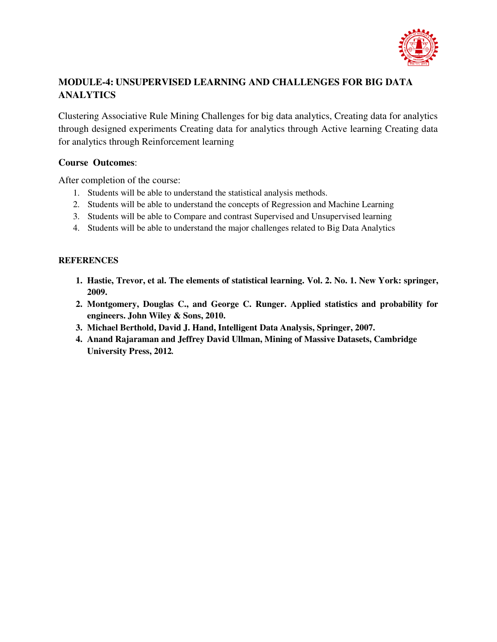

# **MODULE-4: UNSUPERVISED LEARNING AND CHALLENGES FOR BIG DATA ANALYTICS**

Clustering Associative Rule Mining Challenges for big data analytics, Creating data for analytics through designed experiments Creating data for analytics through Active learning Creating data for analytics through Reinforcement learning

## **Course Outcomes**:

After completion of the course:

- 1. Students will be able to understand the statistical analysis methods.
- 2. Students will be able to understand the concepts of Regression and Machine Learning
- 3. Students will be able to Compare and contrast Supervised and Unsupervised learning
- 4. Students will be able to understand the major challenges related to Big Data Analytics

- **1. Hastie, Trevor, et al. The elements of statistical learning. Vol. 2. No. 1. New York: springer, 2009.**
- **2. Montgomery, Douglas C., and George C. Runger. Applied statistics and probability for engineers. John Wiley & Sons, 2010.**
- **3. Michael Berthold, David J. Hand, Intelligent Data Analysis, Springer, 2007.**
- **4. Anand Rajaraman and Jeffrey David Ullman, Mining of Massive Datasets, Cambridge University Press, 2012***.*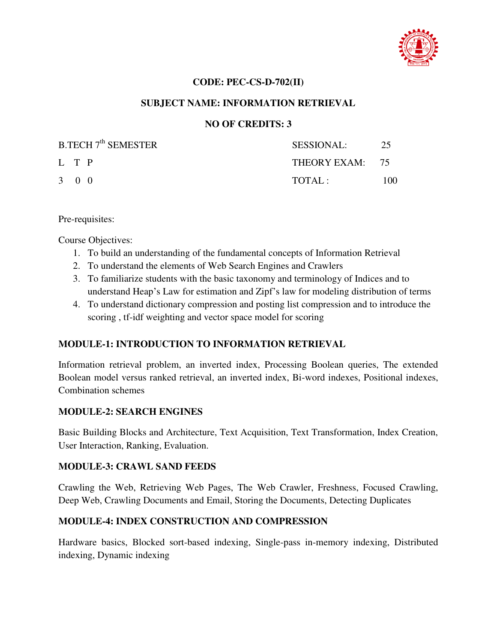

## **CODE: PEC-CS-D-702(II)**

# **SUBJECT NAME: INFORMATION RETRIEVAL**

# **NO OF CREDITS: 3**

| <b>B.TECH 7<sup>th</sup> SEMESTER</b> | SESSIONAL:      | 25  |
|---------------------------------------|-----------------|-----|
| L T P                                 | THEORY EXAM: 75 |     |
| 3 0 0                                 | TOTAI:          | 100 |

Pre-requisites:

Course Objectives:

- 1. To build an understanding of the fundamental concepts of Information Retrieval
- 2. To understand the elements of Web Search Engines and Crawlers
- 3. To familiarize students with the basic taxonomy and terminology of Indices and to understand Heap's Law for estimation and Zipf's law for modeling distribution of terms
- 4. To understand dictionary compression and posting list compression and to introduce the scoring , tf-idf weighting and vector space model for scoring

# **MODULE-1: INTRODUCTION TO INFORMATION RETRIEVAL**

Information retrieval problem, an inverted index, Processing Boolean queries, The extended Boolean model versus ranked retrieval, an inverted index, Bi-word indexes, Positional indexes, Combination schemes

# **MODULE-2: SEARCH ENGINES**

Basic Building Blocks and Architecture, Text Acquisition, Text Transformation, Index Creation, User Interaction, Ranking, Evaluation.

# **MODULE-3: CRAWL SAND FEEDS**

Crawling the Web, Retrieving Web Pages, The Web Crawler, Freshness, Focused Crawling, Deep Web, Crawling Documents and Email, Storing the Documents, Detecting Duplicates

# **MODULE-4: INDEX CONSTRUCTION AND COMPRESSION**

Hardware basics, Blocked sort-based indexing, Single-pass in-memory indexing, Distributed indexing, Dynamic indexing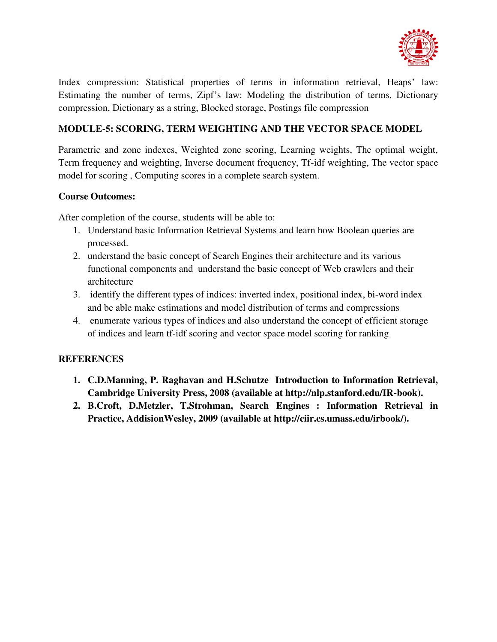

Index compression: Statistical properties of terms in information retrieval, Heaps' law: Estimating the number of terms, Zipf's law: Modeling the distribution of terms, Dictionary compression, Dictionary as a string, Blocked storage, Postings file compression

# **MODULE-5: SCORING, TERM WEIGHTING AND THE VECTOR SPACE MODEL**

Parametric and zone indexes, Weighted zone scoring, Learning weights, The optimal weight, Term frequency and weighting, Inverse document frequency, Tf-idf weighting, The vector space model for scoring , Computing scores in a complete search system.

# **Course Outcomes:**

After completion of the course, students will be able to:

- 1. Understand basic Information Retrieval Systems and learn how Boolean queries are processed.
- 2. understand the basic concept of Search Engines their architecture and its various functional components and understand the basic concept of Web crawlers and their architecture
- 3. identify the different types of indices: inverted index, positional index, bi-word index and be able make estimations and model distribution of terms and compressions
- 4. enumerate various types of indices and also understand the concept of efficient storage of indices and learn tf-idf scoring and vector space model scoring for ranking

- **1. C.D.Manning, P. Raghavan and H.Schutze Introduction to Information Retrieval, Cambridge University Press, 2008 (available at http://nlp.stanford.edu/IR-book).**
- **2. B.Croft, D.Metzler, T.Strohman, Search Engines : Information Retrieval in Practice, AddisionWesley, 2009 (available at http://ciir.cs.umass.edu/irbook/).**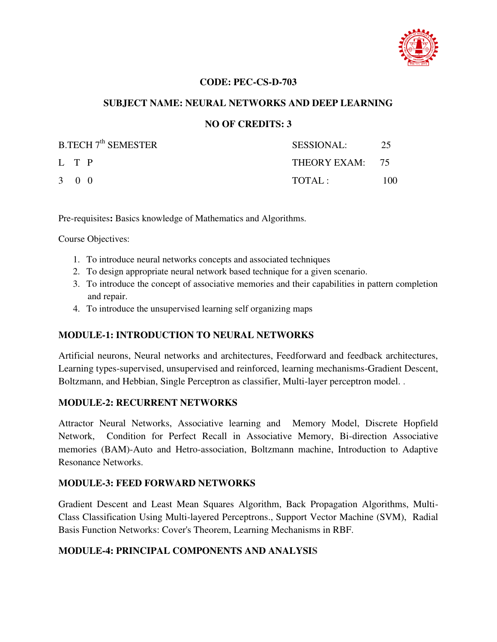

## **CODE: PEC-CS-D-703**

## **SUBJECT NAME: NEURAL NETWORKS AND DEEP LEARNING**

## **NO OF CREDITS: 3**

| $B.TECH 7th$ SEMESTER | <b>SESSIONAL:</b> | 25  |
|-----------------------|-------------------|-----|
| L T P                 | THEORY EXAM: 75   |     |
| 3 0 0                 | TOTAL:            | 100 |

Pre-requisites**:** Basics knowledge of Mathematics and Algorithms.

Course Objectives:

- 1. To introduce neural networks concepts and associated techniques
- 2. To design appropriate neural network based technique for a given scenario.
- 3. To introduce the concept of associative memories and their capabilities in pattern completion and repair.
- 4. To introduce the unsupervised learning self organizing maps

# **MODULE-1: INTRODUCTION TO NEURAL NETWORKS**

Artificial neurons, Neural networks and architectures, Feedforward and feedback architectures, Learning types-supervised, unsupervised and reinforced, learning mechanisms-Gradient Descent, Boltzmann, and Hebbian, Single Perceptron as classifier, Multi-layer perceptron model. .

#### **MODULE-2: RECURRENT NETWORKS**

Attractor Neural Networks, Associative learning and Memory Model, Discrete Hopfield Network, Condition for Perfect Recall in Associative Memory, Bi-direction Associative memories (BAM)-Auto and Hetro-association, Boltzmann machine, Introduction to Adaptive Resonance Networks.

#### **MODULE-3: FEED FORWARD NETWORKS**

Gradient Descent and Least Mean Squares Algorithm, Back Propagation Algorithms, Multi-Class Classification Using Multi-layered Perceptrons., Support Vector Machine (SVM), Radial Basis Function Networks: Cover's Theorem, Learning Mechanisms in RBF.

#### **MODULE-4: PRINCIPAL COMPONENTS AND ANALYSIS**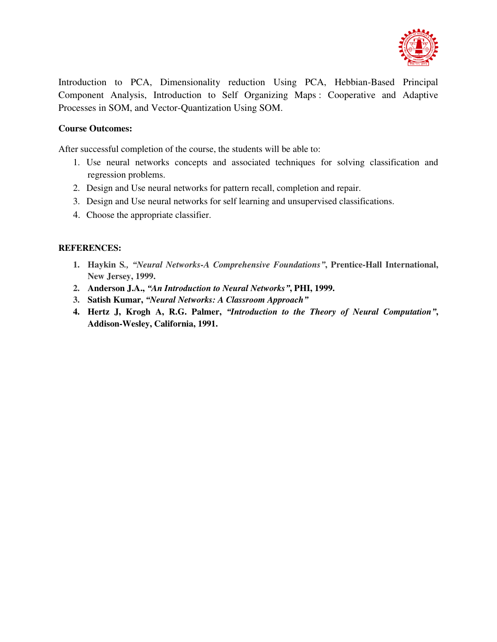

Introduction to PCA, Dimensionality reduction Using PCA, Hebbian-Based Principal Component Analysis, Introduction to Self Organizing Maps : Cooperative and Adaptive Processes in SOM, and Vector-Quantization Using SOM.

## **Course Outcomes:**

After successful completion of the course, the students will be able to:

- 1. Use neural networks concepts and associated techniques for solving classification and regression problems.
- 2. Design and Use neural networks for pattern recall, completion and repair.
- 3. Design and Use neural networks for self learning and unsupervised classifications.
- 4. Choose the appropriate classifier.

- **1. Haykin S***., "Neural Networks-A Comprehensive Foundations"***, Prentice-Hall International, New Jersey, 1999.**
- **2. Anderson J.A.,** *"An Introduction to Neural Networks"***, PHI, 1999.**
- **3. Satish Kumar,** *"Neural Networks: A Classroom Approach"*
- **4. Hertz J, Krogh A, R.G. Palmer,** *"Introduction to the Theory of Neural Computation"***, Addison-Wesley, California, 1991.**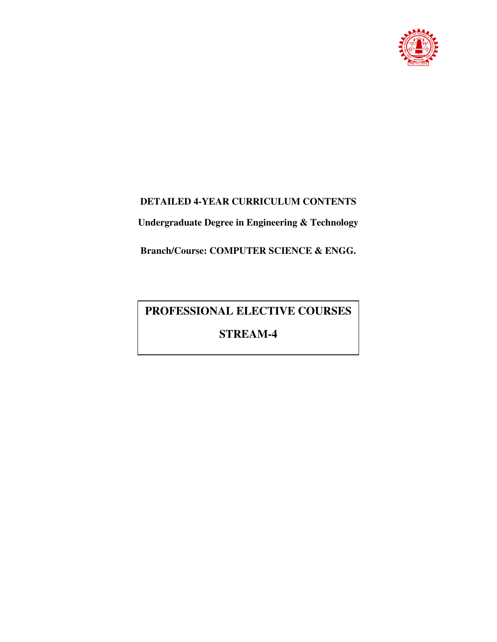

# **DETAILED 4-YEAR CURRICULUM CONTENTS**

**Undergraduate Degree in Engineering & Technology** 

**Branch/Course: COMPUTER SCIENCE & ENGG.** 

# **PROFESSIONAL ELECTIVE COURSES**

**STREAM-4**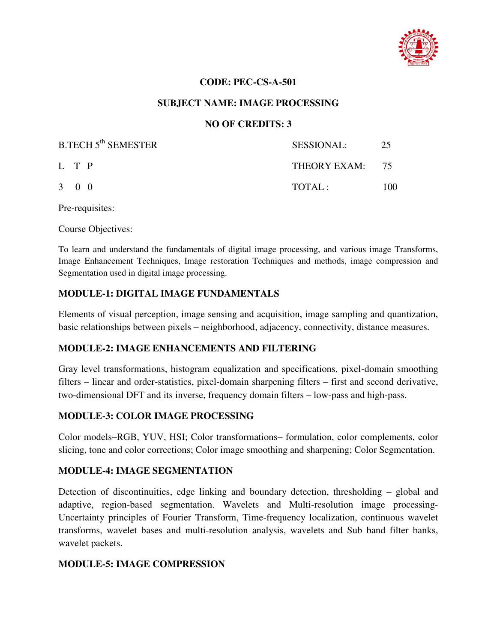

## **CODE: PEC-CS-A-501**

## **SUBJECT NAME: IMAGE PROCESSING**

## **NO OF CREDITS: 3**

| <b>B.TECH 5<sup>th</sup> SEMESTER</b> | <b>SESSIONAL:</b> | 25  |
|---------------------------------------|-------------------|-----|
| L T P                                 | THEORY EXAM: 75   |     |
| $3 \quad 0 \quad 0$                   | TOTAI:            | 100 |

Pre-requisites:

Course Objectives:

To learn and understand the fundamentals of digital image processing, and various image Transforms, Image Enhancement Techniques, Image restoration Techniques and methods, image compression and Segmentation used in digital image processing.

# **MODULE-1: DIGITAL IMAGE FUNDAMENTALS**

Elements of visual perception, image sensing and acquisition, image sampling and quantization, basic relationships between pixels – neighborhood, adjacency, connectivity, distance measures.

# **MODULE-2: IMAGE ENHANCEMENTS AND FILTERING**

Gray level transformations, histogram equalization and specifications, pixel-domain smoothing filters – linear and order-statistics, pixel-domain sharpening filters – first and second derivative, two-dimensional DFT and its inverse, frequency domain filters – low-pass and high-pass.

## **MODULE-3: COLOR IMAGE PROCESSING**

Color models–RGB, YUV, HSI; Color transformations– formulation, color complements, color slicing, tone and color corrections; Color image smoothing and sharpening; Color Segmentation.

#### **MODULE-4: IMAGE SEGMENTATION**

Detection of discontinuities, edge linking and boundary detection, thresholding – global and adaptive, region-based segmentation. Wavelets and Multi-resolution image processing-Uncertainty principles of Fourier Transform, Time-frequency localization, continuous wavelet transforms, wavelet bases and multi-resolution analysis, wavelets and Sub band filter banks, wavelet packets.

#### **MODULE-5: IMAGE COMPRESSION**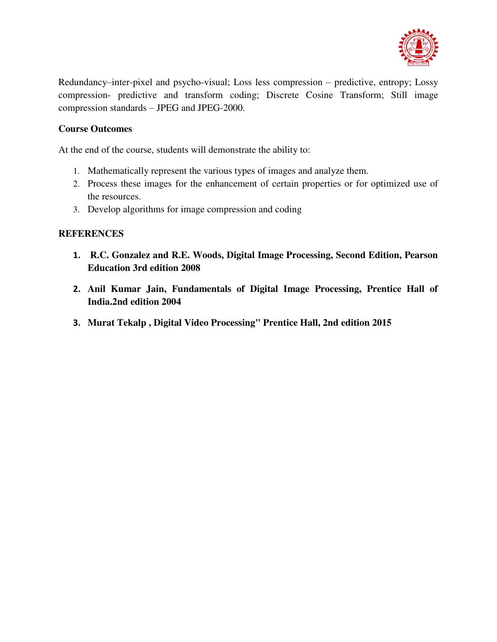

Redundancy–inter-pixel and psycho-visual; Loss less compression – predictive, entropy; Lossy compression- predictive and transform coding; Discrete Cosine Transform; Still image compression standards – JPEG and JPEG-2000.

# **Course Outcomes**

At the end of the course, students will demonstrate the ability to:

- 1. Mathematically represent the various types of images and analyze them.
- 2. Process these images for the enhancement of certain properties or for optimized use of the resources.
- 3. Develop algorithms for image compression and coding

- **1. R.C. Gonzalez and R.E. Woods, Digital Image Processing, Second Edition, Pearson Education 3rd edition 2008**
- **2. Anil Kumar Jain, Fundamentals of Digital Image Processing, Prentice Hall of India.2nd edition 2004**
- **3. Murat Tekalp , Digital Video Processing" Prentice Hall, 2nd edition 2015**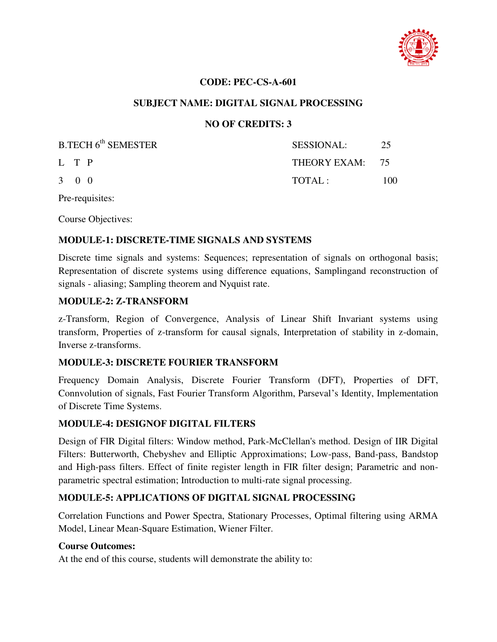

## **CODE: PEC-CS-A-601**

## **SUBJECT NAME: DIGITAL SIGNAL PROCESSING**

## **NO OF CREDITS: 3**

| B.TECH 6 <sup>th</sup> SEMESTER | <b>SESSIONAL:</b> | 25   |
|---------------------------------|-------------------|------|
| L T P                           | THEORY EXAM: 75   |      |
| $3 \quad 0 \quad 0$             | TOTAL:            | 100. |

Pre-requisites:

Course Objectives:

## **MODULE-1: DISCRETE-TIME SIGNALS AND SYSTEMS**

Discrete time signals and systems: Sequences; representation of signals on orthogonal basis; Representation of discrete systems using difference equations, Samplingand reconstruction of signals - aliasing; Sampling theorem and Nyquist rate.

#### **MODULE-2: Z-TRANSFORM**

z-Transform, Region of Convergence, Analysis of Linear Shift Invariant systems using transform, Properties of z-transform for causal signals, Interpretation of stability in z-domain, Inverse z-transforms.

#### **MODULE-3: DISCRETE FOURIER TRANSFORM**

Frequency Domain Analysis, Discrete Fourier Transform (DFT), Properties of DFT, Connvolution of signals, Fast Fourier Transform Algorithm, Parseval's Identity, Implementation of Discrete Time Systems.

#### **MODULE-4: DESIGNOF DIGITAL FILTERS**

Design of FIR Digital filters: Window method, Park-McClellan's method. Design of IIR Digital Filters: Butterworth, Chebyshev and Elliptic Approximations; Low-pass, Band-pass, Bandstop and High-pass filters. Effect of finite register length in FIR filter design; Parametric and nonparametric spectral estimation; Introduction to multi-rate signal processing.

# **MODULE-5: APPLICATIONS OF DIGITAL SIGNAL PROCESSING**

Correlation Functions and Power Spectra, Stationary Processes, Optimal filtering using ARMA Model, Linear Mean-Square Estimation, Wiener Filter.

#### **Course Outcomes:**

At the end of this course, students will demonstrate the ability to: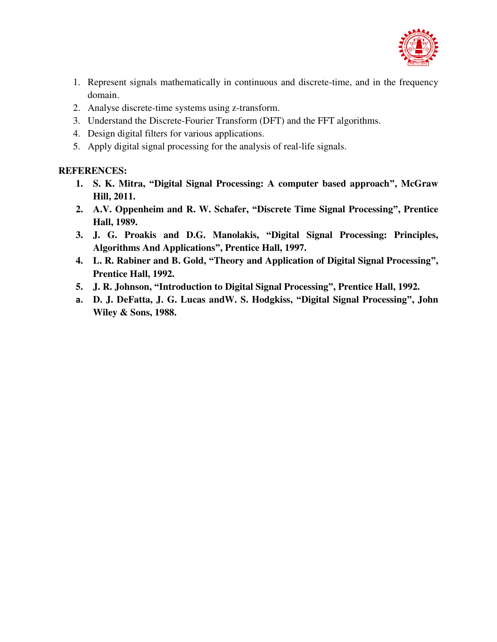

- 1. Represent signals mathematically in continuous and discrete-time, and in the frequency domain.
- 2. Analyse discrete-time systems using z-transform.
- 3. Understand the Discrete-Fourier Transform (DFT) and the FFT algorithms.
- 4. Design digital filters for various applications.
- 5. Apply digital signal processing for the analysis of real-life signals.

- **1. S. K. Mitra, "Digital Signal Processing: A computer based approach", McGraw Hill, 2011.**
- **2. A.V. Oppenheim and R. W. Schafer, "Discrete Time Signal Processing", Prentice Hall, 1989.**
- **3. J. G. Proakis and D.G. Manolakis, "Digital Signal Processing: Principles, Algorithms And Applications", Prentice Hall, 1997.**
- **4. L. R. Rabiner and B. Gold, "Theory and Application of Digital Signal Processing", Prentice Hall, 1992.**
- **5. J. R. Johnson, "Introduction to Digital Signal Processing", Prentice Hall, 1992.**
- **a. D. J. DeFatta, J. G. Lucas andW. S. Hodgkiss, "Digital Signal Processing", John Wiley & Sons, 1988.**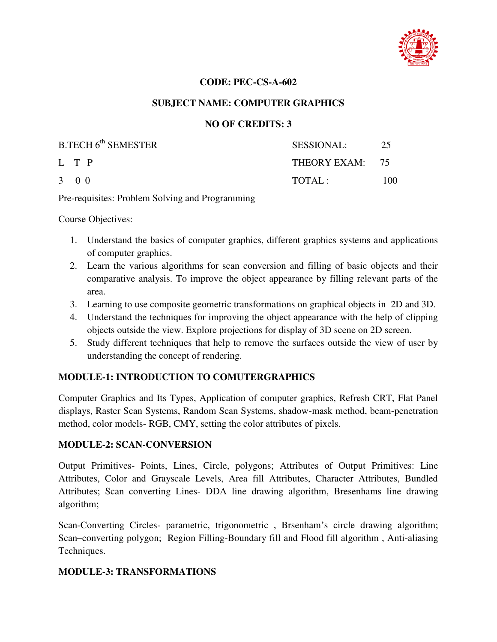

## **CODE: PEC-CS-A-602**

## **SUBJECT NAME: COMPUTER GRAPHICS**

## **NO OF CREDITS: 3**

| B.TECH 6 <sup>th</sup> SEMESTER | <b>SESSIONAL:</b> | 25  |
|---------------------------------|-------------------|-----|
| L T P                           | THEORY EXAM: 75   |     |
| $3 \quad 0 \quad 0$             | TOTAL:            | 100 |

Pre-requisites: Problem Solving and Programming

Course Objectives:

- 1. Understand the basics of computer graphics, different graphics systems and applications of computer graphics.
- 2. Learn the various algorithms for scan conversion and filling of basic objects and their comparative analysis. To improve the object appearance by filling relevant parts of the area.
- 3. Learning to use composite geometric transformations on graphical objects in 2D and 3D.
- 4. Understand the techniques for improving the object appearance with the help of clipping objects outside the view. Explore projections for display of 3D scene on 2D screen.
- 5. Study different techniques that help to remove the surfaces outside the view of user by understanding the concept of rendering.

# **MODULE-1: INTRODUCTION TO COMUTERGRAPHICS**

Computer Graphics and Its Types, Application of computer graphics, Refresh CRT, Flat Panel displays, Raster Scan Systems, Random Scan Systems, shadow-mask method, beam-penetration method, color models- RGB, CMY, setting the color attributes of pixels.

#### **MODULE-2: SCAN-CONVERSION**

Output Primitives- Points, Lines, Circle, polygons; Attributes of Output Primitives: Line Attributes, Color and Grayscale Levels, Area fill Attributes, Character Attributes, Bundled Attributes; Scan–converting Lines- DDA line drawing algorithm, Bresenhams line drawing algorithm;

Scan-Converting Circles- parametric, trigonometric , Brsenham's circle drawing algorithm; Scan–converting polygon; Region Filling-Boundary fill and Flood fill algorithm , Anti-aliasing Techniques.

#### **MODULE-3: TRANSFORMATIONS**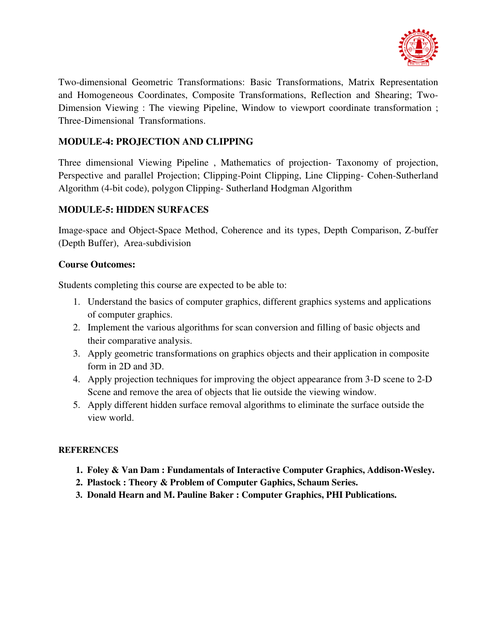

Two-dimensional Geometric Transformations: Basic Transformations, Matrix Representation and Homogeneous Coordinates, Composite Transformations, Reflection and Shearing; Two-Dimension Viewing : The viewing Pipeline, Window to viewport coordinate transformation ; Three-Dimensional Transformations.

# **MODULE-4: PROJECTION AND CLIPPING**

Three dimensional Viewing Pipeline , Mathematics of projection- Taxonomy of projection, Perspective and parallel Projection; Clipping-Point Clipping, Line Clipping- Cohen-Sutherland Algorithm (4-bit code), polygon Clipping- Sutherland Hodgman Algorithm

# **MODULE-5: HIDDEN SURFACES**

Image-space and Object-Space Method, Coherence and its types, Depth Comparison, Z-buffer (Depth Buffer), Area-subdivision

## **Course Outcomes:**

Students completing this course are expected to be able to:

- 1. Understand the basics of computer graphics, different graphics systems and applications of computer graphics.
- 2. Implement the various algorithms for scan conversion and filling of basic objects and their comparative analysis.
- 3. Apply geometric transformations on graphics objects and their application in composite form in 2D and 3D.
- 4. Apply projection techniques for improving the object appearance from 3-D scene to 2-D Scene and remove the area of objects that lie outside the viewing window.
- 5. Apply different hidden surface removal algorithms to eliminate the surface outside the view world.

- **1. Foley & Van Dam : Fundamentals of Interactive Computer Graphics, Addison-Wesley.**
- **2. Plastock : Theory & Problem of Computer Gaphics, Schaum Series.**
- **3. Donald Hearn and M. Pauline Baker : Computer Graphics, PHI Publications.**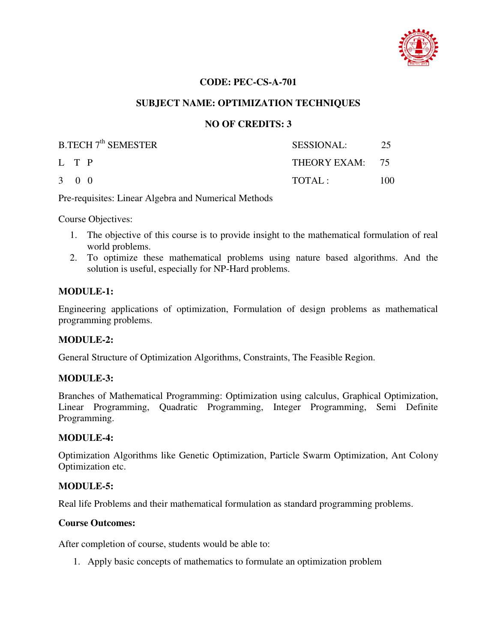

## **CODE: PEC-CS-A-701**

## **SUBJECT NAME: OPTIMIZATION TECHNIQUES**

## **NO OF CREDITS: 3**

| <b>B.TECH 7<sup>th</sup> SEMESTER</b> | SESSIONAL:      | 25  |
|---------------------------------------|-----------------|-----|
| L T P                                 | THEORY EXAM: 75 |     |
| $3 \quad 0 \quad 0$                   | TOTAI:          | 100 |

Pre-requisites: Linear Algebra and Numerical Methods

Course Objectives:

- 1. The objective of this course is to provide insight to the mathematical formulation of real world problems.
- 2. To optimize these mathematical problems using nature based algorithms. And the solution is useful, especially for NP-Hard problems.

#### **MODULE-1:**

Engineering applications of optimization, Formulation of design problems as mathematical programming problems.

#### **MODULE-2:**

General Structure of Optimization Algorithms, Constraints, The Feasible Region.

#### **MODULE-3:**

Branches of Mathematical Programming: Optimization using calculus, Graphical Optimization, Linear Programming, Quadratic Programming, Integer Programming, Semi Definite Programming.

#### **MODULE-4:**

Optimization Algorithms like Genetic Optimization, Particle Swarm Optimization, Ant Colony Optimization etc.

#### **MODULE-5:**

Real life Problems and their mathematical formulation as standard programming problems.

#### **Course Outcomes:**

After completion of course, students would be able to:

1. Apply basic concepts of mathematics to formulate an optimization problem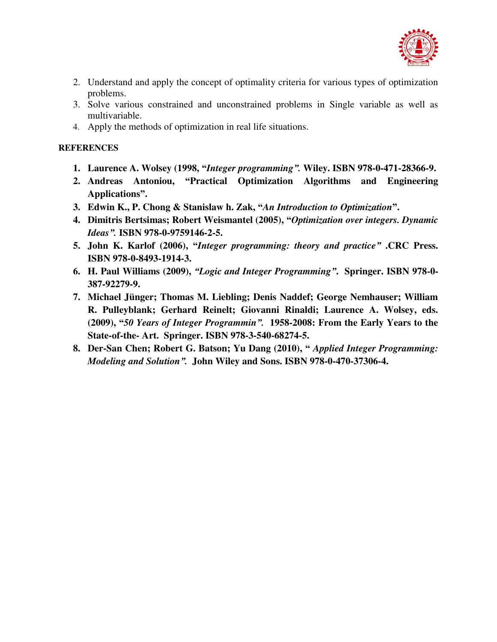

- 2. Understand and apply the concept of optimality criteria for various types of optimization problems.
- 3. Solve various constrained and unconstrained problems in Single variable as well as multivariable.
- 4. Apply the methods of optimization in real life situations.

- **1. Laurence A. Wolsey (1998, "***Integer programming".* **Wiley. ISBN 978-0-471-28366-9.**
- **2. Andreas Antoniou, "Practical Optimization Algorithms and Engineering Applications".**
- **3. Edwin K., P. Chong & Stanislaw h. Zak, "***An Introduction to Optimization***".**
- **4. Dimitris Bertsimas; Robert Weismantel (2005), "***Optimization over integers. Dynamic Ideas".* **ISBN 978-0-9759146-2-5.**
- **5. John K. Karlof (2006), "***Integer programming: theory and practice"* **.CRC Press. ISBN 978-0-8493-1914-3.**
- **6. H. Paul Williams (2009),** *"Logic and Integer Programming"***. Springer. ISBN 978-0- 387-92279-9.**
- **7. Michael Jünger; Thomas M. Liebling; Denis Naddef; George Nemhauser; William R. Pulleyblank; Gerhard Reinelt; Giovanni Rinaldi; Laurence A. Wolsey, eds. (2009), "***50 Years of Integer Programmin".* **1958-2008: From the Early Years to the State-of-the- Art. Springer. ISBN 978-3-540-68274-5.**
- **8. Der-San Chen; Robert G. Batson; Yu Dang (2010), "** *Applied Integer Programming: Modeling and Solution".* **John Wiley and Sons. ISBN 978-0-470-37306-4.**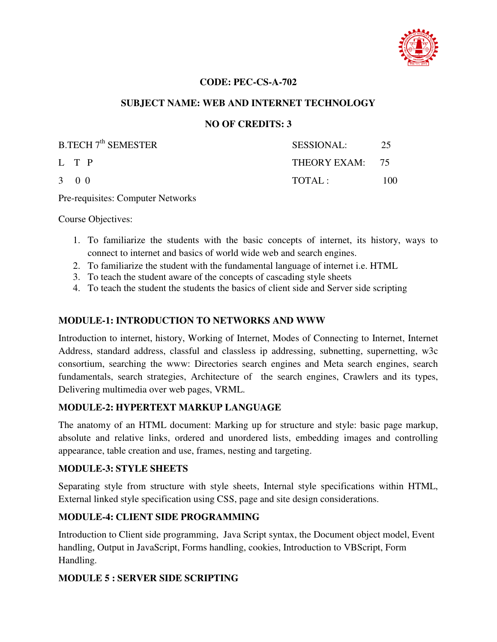

## **CODE: PEC-CS-A-702**

## **SUBJECT NAME: WEB AND INTERNET TECHNOLOGY**

## **NO OF CREDITS: 3**

| <b>B.TECH 7<sup>th</sup> SEMESTER</b> | <b>SESSIONAL:</b> | 25  |
|---------------------------------------|-------------------|-----|
| L T P                                 | THEORY EXAM: 75   |     |
| 3 0 0                                 | TOTAL:            | 100 |

Pre-requisites: Computer Networks

Course Objectives:

- 1. To familiarize the students with the basic concepts of internet, its history, ways to connect to internet and basics of world wide web and search engines.
- 2. To familiarize the student with the fundamental language of internet i.e. HTML
- 3. To teach the student aware of the concepts of cascading style sheets
- 4. To teach the student the students the basics of client side and Server side scripting

## **MODULE-1: INTRODUCTION TO NETWORKS AND WWW**

Introduction to internet, history, Working of Internet, Modes of Connecting to Internet, Internet Address, standard address, classful and classless ip addressing, subnetting, supernetting, w3c consortium, searching the www: Directories search engines and Meta search engines, search fundamentals, search strategies, Architecture of the search engines, Crawlers and its types, Delivering multimedia over web pages, VRML.

# **MODULE-2: HYPERTEXT MARKUP LANGUAGE**

The anatomy of an HTML document: Marking up for structure and style: basic page markup, absolute and relative links, ordered and unordered lists, embedding images and controlling appearance, table creation and use, frames, nesting and targeting.

## **MODULE-3: STYLE SHEETS**

Separating style from structure with style sheets, Internal style specifications within HTML, External linked style specification using CSS, page and site design considerations.

# **MODULE-4: CLIENT SIDE PROGRAMMING**

Introduction to Client side programming, Java Script syntax, the Document object model, Event handling, Output in JavaScript, Forms handling, cookies, Introduction to VBScript, Form Handling.

# **MODULE 5 : SERVER SIDE SCRIPTING**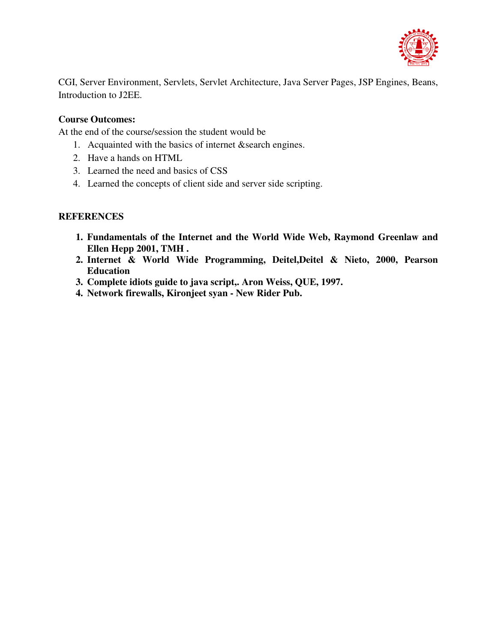

CGI, Server Environment, Servlets, Servlet Architecture, Java Server Pages, JSP Engines, Beans, Introduction to J2EE.

# **Course Outcomes:**

At the end of the course/session the student would be

- 1. Acquainted with the basics of internet &search engines.
- 2. Have a hands on HTML
- 3. Learned the need and basics of CSS
- 4. Learned the concepts of client side and server side scripting.

- **1. Fundamentals of the Internet and the World Wide Web, Raymond Greenlaw and Ellen Hepp 2001, TMH .**
- **2. Internet & World Wide Programming, Deitel,Deitel & Nieto, 2000, Pearson Education**
- **3. Complete idiots guide to java script,. Aron Weiss, QUE, 1997.**
- **4. Network firewalls, Kironjeet syan New Rider Pub.**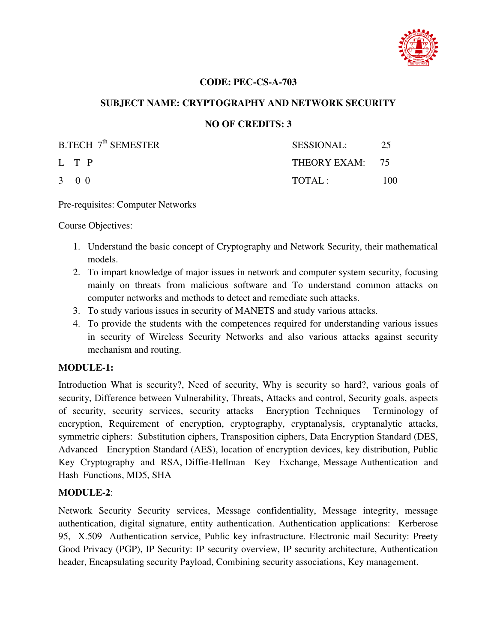

## **CODE: PEC-CS-A-703**

## **SUBJECT NAME: CRYPTOGRAPHY AND NETWORK SECURITY**

## **NO OF CREDITS: 3**

| B.TECH 7 <sup>th</sup> SEMESTER | <b>SESSIONAL:</b> | 25  |
|---------------------------------|-------------------|-----|
| L T P                           | THEORY EXAM: 75   |     |
| 3 0 0                           | TOTAI:            | 100 |

Pre-requisites: Computer Networks

Course Objectives:

- 1. Understand the basic concept of Cryptography and Network Security, their mathematical models.
- 2. To impart knowledge of major issues in network and computer system security, focusing mainly on threats from malicious software and To understand common attacks on computer networks and methods to detect and remediate such attacks.
- 3. To study various issues in security of MANETS and study various attacks.
- 4. To provide the students with the competences required for understanding various issues in security of Wireless Security Networks and also various attacks against security mechanism and routing.

#### **MODULE-1:**

Introduction What is security?, Need of security, Why is security so hard?, various goals of security, Difference between Vulnerability, Threats, Attacks and control, Security goals, aspects of security, security services, security attacks Encryption Techniques Terminology of encryption, Requirement of encryption, cryptography, cryptanalysis, cryptanalytic attacks, symmetric ciphers: Substitution ciphers, Transposition ciphers, Data Encryption Standard (DES, Advanced Encryption Standard (AES), location of encryption devices, key distribution, Public Key Cryptography and RSA, Diffie-Hellman Key Exchange, Message Authentication and Hash Functions, MD5, SHA

#### **MODULE-2**:

Network Security Security services, Message confidentiality, Message integrity, message authentication, digital signature, entity authentication. Authentication applications: Kerberose 95, X.509 Authentication service, Public key infrastructure. Electronic mail Security: Preety Good Privacy (PGP), IP Security: IP security overview, IP security architecture, Authentication header, Encapsulating security Payload, Combining security associations, Key management.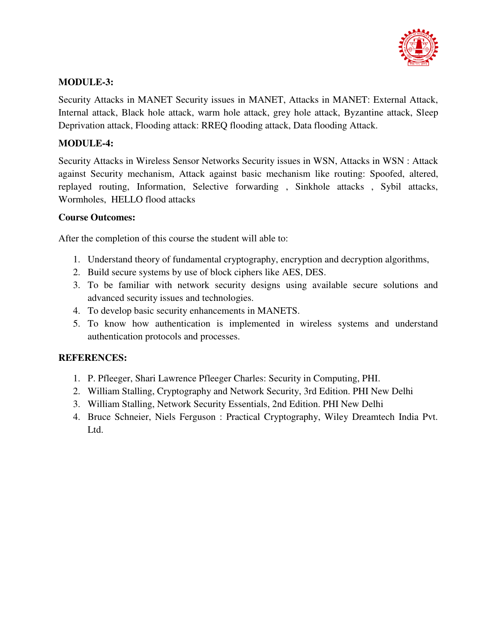

# **MODULE-3:**

Security Attacks in MANET Security issues in MANET, Attacks in MANET: External Attack, Internal attack, Black hole attack, warm hole attack, grey hole attack, Byzantine attack, Sleep Deprivation attack, Flooding attack: RREQ flooding attack, Data flooding Attack.

# **MODULE-4:**

Security Attacks in Wireless Sensor Networks Security issues in WSN, Attacks in WSN : Attack against Security mechanism, Attack against basic mechanism like routing: Spoofed, altered, replayed routing, Information, Selective forwarding , Sinkhole attacks , Sybil attacks, Wormholes, HELLO flood attacks

# **Course Outcomes:**

After the completion of this course the student will able to:

- 1. Understand theory of fundamental cryptography, encryption and decryption algorithms,
- 2. Build secure systems by use of block ciphers like AES, DES.
- 3. To be familiar with network security designs using available secure solutions and advanced security issues and technologies.
- 4. To develop basic security enhancements in MANETS.
- 5. To know how authentication is implemented in wireless systems and understand authentication protocols and processes.

- 1. P. Pfleeger, Shari Lawrence Pfleeger Charles: Security in Computing, PHI.
- 2. William Stalling, Cryptography and Network Security, 3rd Edition. PHI New Delhi
- 3. William Stalling, Network Security Essentials, 2nd Edition. PHI New Delhi
- 4. Bruce Schneier, Niels Ferguson : Practical Cryptography, Wiley Dreamtech India Pvt. Ltd.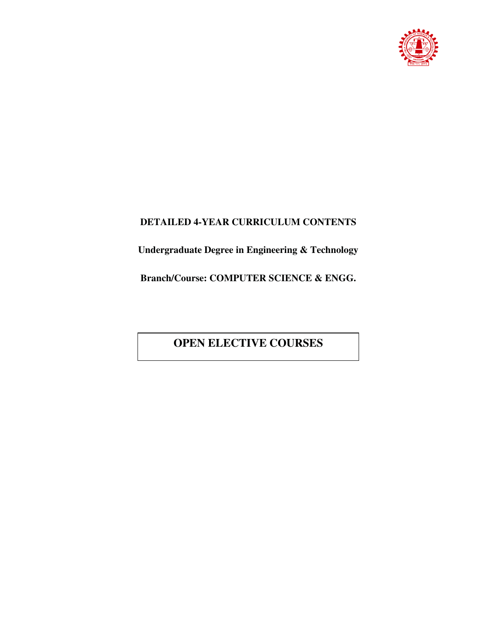

# **DETAILED 4-YEAR CURRICULUM CONTENTS**

**Undergraduate Degree in Engineering & Technology** 

**Branch/Course: COMPUTER SCIENCE & ENGG.** 

# **OPEN ELECTIVE COURSES**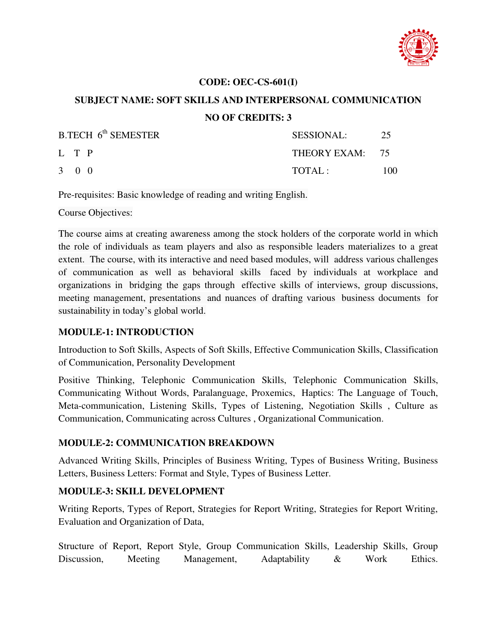

## **CODE: OEC-CS-601(I)**

# **SUBJECT NAME: SOFT SKILLS AND INTERPERSONAL COMMUNICATION NO OF CREDITS: 3**

| $B.TECH$ 6 <sup>th</sup> SEMESTER | SESSIONAL:      | 25  |
|-----------------------------------|-----------------|-----|
| L T P                             | THEORY EXAM: 75 |     |
| $3 \quad 0 \quad 0$               | TOTAL:          | 100 |

Pre-requisites: Basic knowledge of reading and writing English.

Course Objectives:

The course aims at creating awareness among the stock holders of the corporate world in which the role of individuals as team players and also as responsible leaders materializes to a great extent. The course, with its interactive and need based modules, will address various challenges of communication as well as behavioral skills faced by individuals at workplace and organizations in bridging the gaps through effective skills of interviews, group discussions, meeting management, presentations and nuances of drafting various business documents for sustainability in today's global world.

#### **MODULE-1: INTRODUCTION**

Introduction to Soft Skills, Aspects of Soft Skills, Effective Communication Skills, Classification of Communication, Personality Development

Positive Thinking, Telephonic Communication Skills, Telephonic Communication Skills, Communicating Without Words, Paralanguage, Proxemics, Haptics: The Language of Touch, Meta-communication, Listening Skills, Types of Listening, Negotiation Skills , Culture as Communication, Communicating across Cultures , Organizational Communication.

# **MODULE-2: COMMUNICATION BREAKDOWN**

Advanced Writing Skills, Principles of Business Writing, Types of Business Writing, Business Letters, Business Letters: Format and Style, Types of Business Letter.

#### **MODULE-3: SKILL DEVELOPMENT**

Writing Reports, Types of Report, Strategies for Report Writing, Strategies for Report Writing, Evaluation and Organization of Data,

Structure of Report, Report Style, Group Communication Skills, Leadership Skills, Group Discussion, Meeting Management, Adaptability & Work Ethics.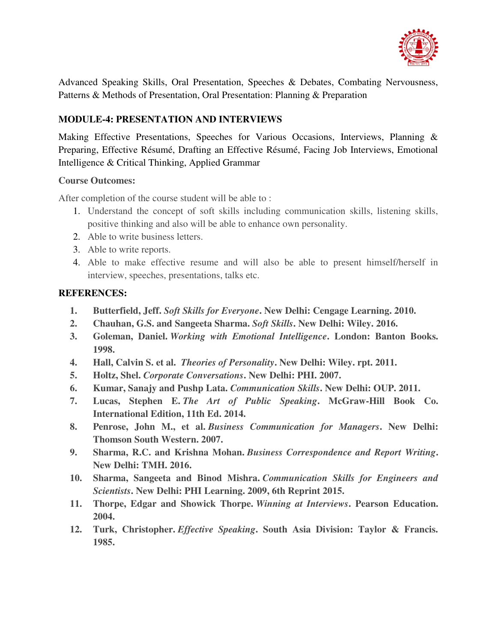

Advanced Speaking Skills, Oral Presentation, Speeches & Debates, Combating Nervousness, Patterns & Methods of Presentation, Oral Presentation: Planning & Preparation

# **MODULE-4: PRESENTATION AND INTERVIEWS**

Making Effective Presentations, Speeches for Various Occasions, Interviews, Planning & Preparing, Effective Résumé, Drafting an Effective Résumé, Facing Job Interviews, Emotional Intelligence & Critical Thinking, Applied Grammar

## **Course Outcomes:**

After completion of the course student will be able to :

- 1. Understand the concept of soft skills including communication skills, listening skills, positive thinking and also will be able to enhance own personality.
- 2. Able to write business letters.
- 3. Able to write reports.
- 4. Able to make effective resume and will also be able to present himself/herself in interview, speeches, presentations, talks etc.

- **1. Butterfield, Jeff.** *Soft Skills for Everyone***. New Delhi: Cengage Learning. 2010.**
- **2. Chauhan, G.S. and Sangeeta Sharma.** *Soft Skills***. New Delhi: Wiley. 2016.**
- **3. Goleman, Daniel.** *Working with Emotional Intelligence***. London: Banton Books. 1998.**
- **4. Hall, Calvin S. et al.** *Theories of Personality***. New Delhi: Wiley. rpt. 2011.**
- **5. Holtz, Shel.** *Corporate Conversations***. New Delhi: PHI. 2007.**
- **6. Kumar, Sanajy and Pushp Lata.** *Communication Skills***. New Delhi: OUP. 2011.**
- **7. Lucas, Stephen E.** *The Art of Public Speaking***. McGraw-Hill Book Co. International Edition, 11th Ed. 2014.**
- **8. Penrose, John M., et al.** *Business Communication for Managers***. New Delhi: Thomson South Western. 2007.**
- **9. Sharma, R.C. and Krishna Mohan.** *Business Correspondence and Report Writing***. New Delhi: TMH. 2016.**
- **10. Sharma, Sangeeta and Binod Mishra.** *Communication Skills for Engineers and Scientists***. New Delhi: PHI Learning. 2009, 6th Reprint 2015.**
- **11. Thorpe, Edgar and Showick Thorpe.** *Winning at Interviews***. Pearson Education. 2004.**
- **12. Turk, Christopher.** *Effective Speaking***. South Asia Division: Taylor & Francis. 1985.**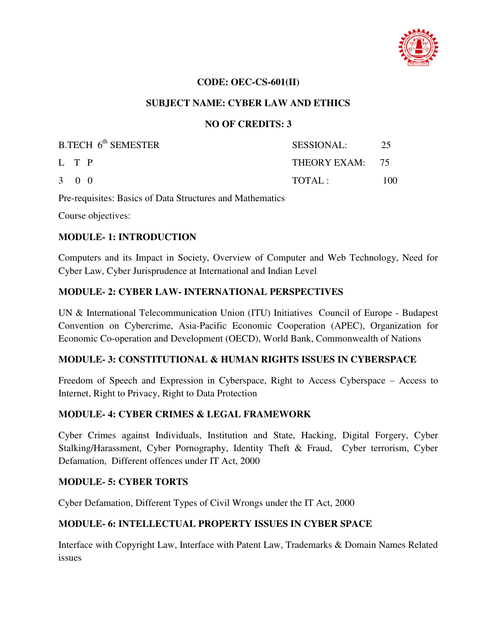

#### **CODE: OEC-CS-601(II)**

## **SUBJECT NAME: CYBER LAW AND ETHICS**

## **NO OF CREDITS: 3**

| $B.TECH$ 6 <sup>th</sup> SEMESTER | <b>SESSIONAL:</b> | -25 |
|-----------------------------------|-------------------|-----|
| L T P                             | THEORY EXAM: 75   |     |
| $3 \quad 0 \quad 0$               | TOTAL:            | 100 |

Pre-requisites: Basics of Data Structures and Mathematics

Course objectives:

#### **MODULE- 1: INTRODUCTION**

Computers and its Impact in Society, Overview of Computer and Web Technology, Need for Cyber Law, Cyber Jurisprudence at International and Indian Level

## **MODULE- 2: CYBER LAW- INTERNATIONAL PERSPECTIVES**

UN & International Telecommunication Union (ITU) Initiatives Council of Europe - Budapest Convention on Cybercrime, Asia-Pacific Economic Cooperation (APEC), Organization for Economic Co-operation and Development (OECD), World Bank, Commonwealth of Nations

#### **MODULE- 3: CONSTITUTIONAL & HUMAN RIGHTS ISSUES IN CYBERSPACE**

Freedom of Speech and Expression in Cyberspace, Right to Access Cyberspace – Access to Internet, Right to Privacy, Right to Data Protection

# **MODULE- 4: CYBER CRIMES & LEGAL FRAMEWORK**

Cyber Crimes against Individuals, Institution and State, Hacking, Digital Forgery, Cyber Stalking/Harassment, Cyber Pornography, Identity Theft & Fraud, Cyber terrorism, Cyber Defamation, Different offences under IT Act, 2000

#### **MODULE- 5: CYBER TORTS**

Cyber Defamation, Different Types of Civil Wrongs under the IT Act, 2000

# **MODULE- 6: INTELLECTUAL PROPERTY ISSUES IN CYBER SPACE**

Interface with Copyright Law, Interface with Patent Law, Trademarks & Domain Names Related issues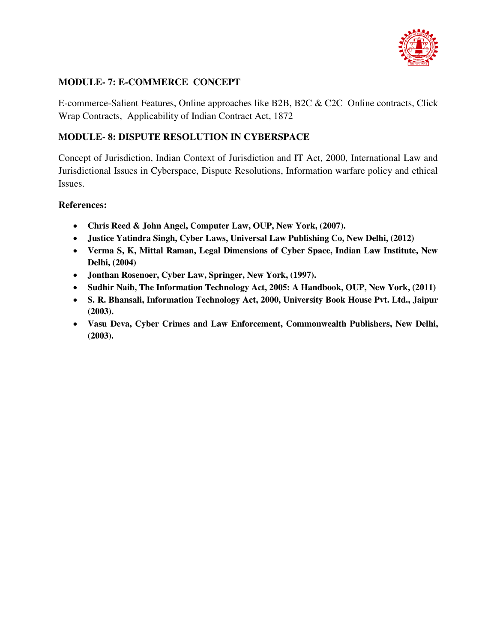

# **MODULE- 7: E-COMMERCE CONCEPT**

E-commerce-Salient Features, Online approaches like B2B, B2C & C2C Online contracts, Click Wrap Contracts, Applicability of Indian Contract Act, 1872

## **MODULE- 8: DISPUTE RESOLUTION IN CYBERSPACE**

Concept of Jurisdiction, Indian Context of Jurisdiction and IT Act, 2000, International Law and Jurisdictional Issues in Cyberspace, Dispute Resolutions, Information warfare policy and ethical Issues.

#### **References:**

- **Chris Reed & John Angel, Computer Law, OUP, New York, (2007).**
- **Justice Yatindra Singh, Cyber Laws, Universal Law Publishing Co, New Delhi, (2012)**
- **Verma S, K, Mittal Raman, Legal Dimensions of Cyber Space, Indian Law Institute, New Delhi, (2004)**
- **Jonthan Rosenoer, Cyber Law, Springer, New York, (1997).**
- **Sudhir Naib, The Information Technology Act, 2005: A Handbook, OUP, New York, (2011)**
- **S. R. Bhansali, Information Technology Act, 2000, University Book House Pvt. Ltd., Jaipur (2003).**
- **Vasu Deva, Cyber Crimes and Law Enforcement, Commonwealth Publishers, New Delhi, (2003).**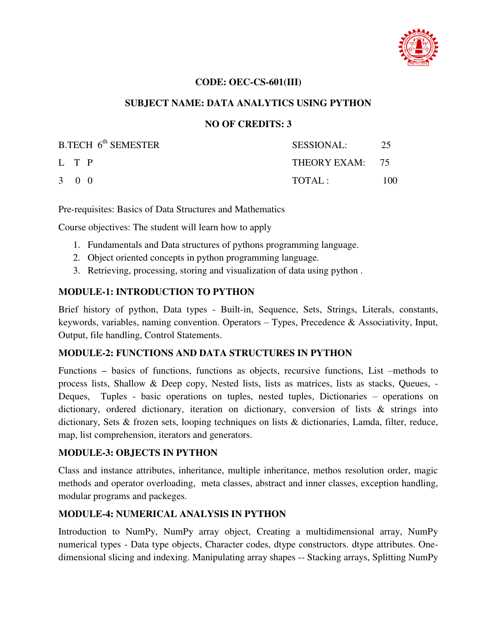

## **CODE: OEC-CS-601(III)**

## **SUBJECT NAME: DATA ANALYTICS USING PYTHON**

## **NO OF CREDITS: 3**

| $B.TECH$ 6 <sup>th</sup> SEMESTER | SESSIONAL:      | 25  |
|-----------------------------------|-----------------|-----|
| L T P                             | THEORY EXAM: 75 |     |
| 3 0 0                             | TOTAI:          | 100 |

Pre-requisites: Basics of Data Structures and Mathematics

Course objectives: The student will learn how to apply

- 1. Fundamentals and Data structures of pythons programming language.
- 2. Object oriented concepts in python programming language.
- 3. Retrieving, processing, storing and visualization of data using python .

# **MODULE-1: INTRODUCTION TO PYTHON**

Brief history of python, Data types - Built-in, Sequence, Sets, Strings, Literals, constants, keywords, variables, naming convention. Operators  $-$  Types, Precedence & Associativity, Input, Output, file handling, Control Statements.

#### **MODULE-2: FUNCTIONS AND DATA STRUCTURES IN PYTHON**

Functions **–** basics of functions, functions as objects, recursive functions, List –methods to process lists, Shallow & Deep copy, Nested lists, lists as matrices, lists as stacks, Queues, - Deques, Tuples - basic operations on tuples, nested tuples, Dictionaries – operations on dictionary, ordered dictionary, iteration on dictionary, conversion of lists & strings into dictionary, Sets & frozen sets, looping techniques on lists & dictionaries, Lamda, filter, reduce, map, list comprehension, iterators and generators.

# **MODULE-3: OBJECTS IN PYTHON**

Class and instance attributes, inheritance, multiple inheritance, methos resolution order, magic methods and operator overloading, meta classes, abstract and inner classes, exception handling, modular programs and packeges.

#### **MODULE-4: NUMERICAL ANALYSIS IN PYTHON**

Introduction to NumPy, NumPy array object, Creating a multidimensional array, NumPy numerical types - Data type objects, Character codes, dtype constructors. dtype attributes. Onedimensional slicing and indexing. Manipulating array shapes -- Stacking arrays, Splitting NumPy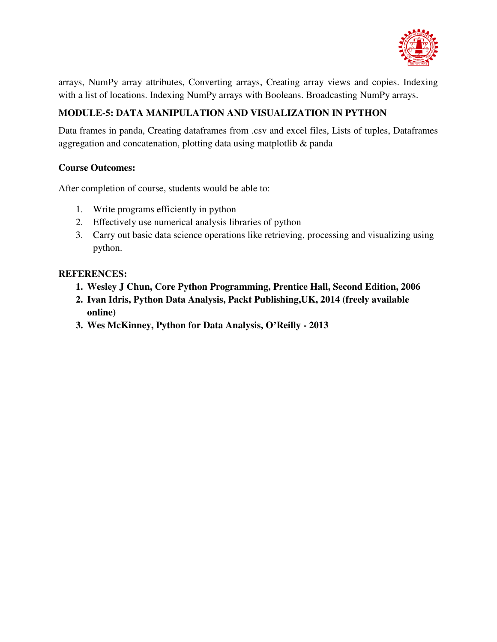

arrays, NumPy array attributes, Converting arrays, Creating array views and copies. Indexing with a list of locations. Indexing NumPy arrays with Booleans. Broadcasting NumPy arrays.

# **MODULE-5: DATA MANIPULATION AND VISUALIZATION IN PYTHON**

Data frames in panda, Creating dataframes from .csv and excel files, Lists of tuples, Dataframes aggregation and concatenation, plotting data using matplotlib & panda

# **Course Outcomes:**

After completion of course, students would be able to:

- 1. Write programs efficiently in python
- 2. Effectively use numerical analysis libraries of python
- 3. Carry out basic data science operations like retrieving, processing and visualizing using python.

- **1. Wesley J Chun, Core Python Programming, Prentice Hall, Second Edition, 2006**
- **2. Ivan Idris, Python Data Analysis, Packt Publishing,UK, 2014 (freely available online)**
- **3. Wes McKinney, Python for Data Analysis, O'Reilly 2013**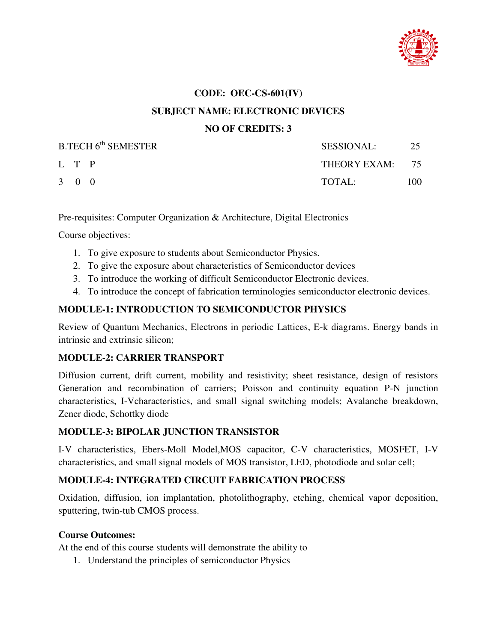

# **CODE: OEC-CS-601(IV) SUBJECT NAME: ELECTRONIC DEVICES NO OF CREDITS: 3**

| B.TECH 6 <sup>th</sup> SEMESTER |                     | SESSIONAL:      | 25  |
|---------------------------------|---------------------|-----------------|-----|
|                                 | L T P               | THEORY EXAM: 75 |     |
|                                 | $3 \quad 0 \quad 0$ | $\text{TOTAL}:$ | 100 |

Pre-requisites: Computer Organization & Architecture, Digital Electronics

Course objectives:

- 1. To give exposure to students about Semiconductor Physics.
- 2. To give the exposure about characteristics of Semiconductor devices
- 3. To introduce the working of difficult Semiconductor Electronic devices.
- 4. To introduce the concept of fabrication terminologies semiconductor electronic devices.

# **MODULE-1: INTRODUCTION TO SEMICONDUCTOR PHYSICS**

Review of Quantum Mechanics, Electrons in periodic Lattices, E-k diagrams. Energy bands in intrinsic and extrinsic silicon;

# **MODULE-2: CARRIER TRANSPORT**

Diffusion current, drift current, mobility and resistivity; sheet resistance, design of resistors Generation and recombination of carriers; Poisson and continuity equation P-N junction characteristics, I-Vcharacteristics, and small signal switching models; Avalanche breakdown, Zener diode, Schottky diode

# **MODULE-3: BIPOLAR JUNCTION TRANSISTOR**

I-V characteristics, Ebers-Moll Model,MOS capacitor, C-V characteristics, MOSFET, I-V characteristics, and small signal models of MOS transistor, LED, photodiode and solar cell;

# **MODULE-4: INTEGRATED CIRCUIT FABRICATION PROCESS**

Oxidation, diffusion, ion implantation, photolithography, etching, chemical vapor deposition, sputtering, twin-tub CMOS process.

## **Course Outcomes:**

At the end of this course students will demonstrate the ability to

1. Understand the principles of semiconductor Physics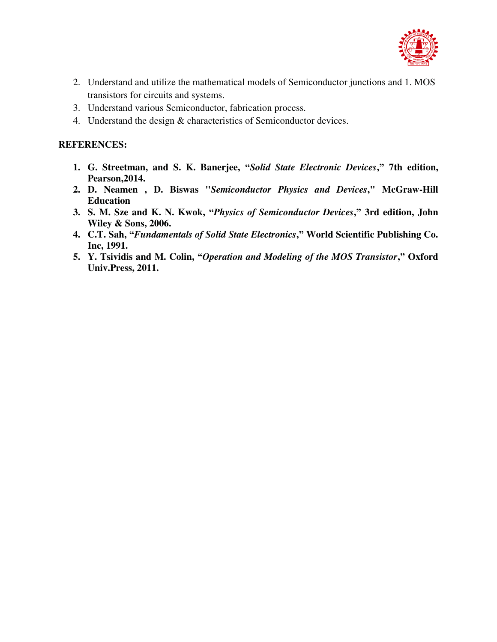

- 2. Understand and utilize the mathematical models of Semiconductor junctions and 1. MOS transistors for circuits and systems.
- 3. Understand various Semiconductor, fabrication process.
- 4. Understand the design & characteristics of Semiconductor devices.

- **1. G. Streetman, and S. K. Banerjee, "***Solid State Electronic Devices***," 7th edition, Pearson,2014.**
- **2. D. Neamen , D. Biswas "***Semiconductor Physics and Devices***," McGraw-Hill Education**
- **3. S. M. Sze and K. N. Kwok, "***Physics of Semiconductor Devices***," 3rd edition, John Wiley & Sons, 2006.**
- **4. C.T. Sah, "***Fundamentals of Solid State Electronics***," World Scientific Publishing Co. Inc, 1991.**
- **5. Y. Tsividis and M. Colin, "***Operation and Modeling of the MOS Transistor***," Oxford Univ.Press, 2011.**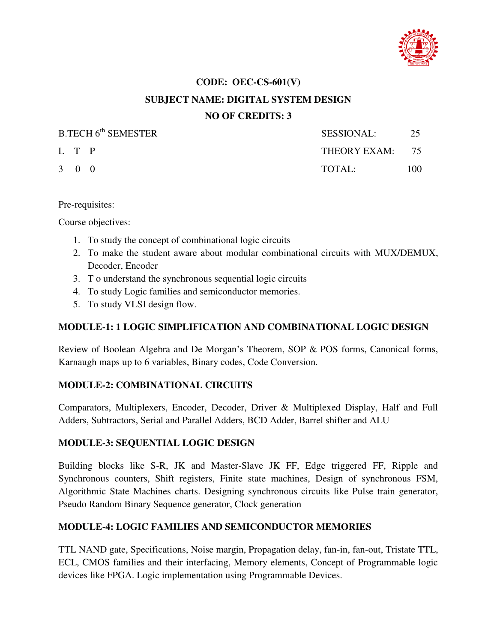

# **CODE: OEC-CS-601(V) SUBJECT NAME: DIGITAL SYSTEM DESIGN NO OF CREDITS: 3**

| <b>B.TECH 6th SEMESTER</b> |                     | SESSIONAL:      |     |
|----------------------------|---------------------|-----------------|-----|
|                            | L T P               | THEORY EXAM: 75 |     |
|                            | $3 \quad 0 \quad 0$ | $\text{TOTAI}:$ | 100 |

#### Pre-requisites:

Course objectives:

- 1. To study the concept of combinational logic circuits
- 2. To make the student aware about modular combinational circuits with MUX/DEMUX, Decoder, Encoder
- 3. T o understand the synchronous sequential logic circuits
- 4. To study Logic families and semiconductor memories.
- 5. To study VLSI design flow.

#### **MODULE-1: 1 LOGIC SIMPLIFICATION AND COMBINATIONAL LOGIC DESIGN**

Review of Boolean Algebra and De Morgan's Theorem, SOP & POS forms, Canonical forms, Karnaugh maps up to 6 variables, Binary codes, Code Conversion.

#### **MODULE-2: COMBINATIONAL CIRCUITS**

Comparators, Multiplexers, Encoder, Decoder, Driver & Multiplexed Display, Half and Full Adders, Subtractors, Serial and Parallel Adders, BCD Adder, Barrel shifter and ALU

#### **MODULE-3: SEQUENTIAL LOGIC DESIGN**

Building blocks like S-R, JK and Master-Slave JK FF, Edge triggered FF, Ripple and Synchronous counters, Shift registers, Finite state machines, Design of synchronous FSM, Algorithmic State Machines charts. Designing synchronous circuits like Pulse train generator, Pseudo Random Binary Sequence generator, Clock generation

# **MODULE-4: LOGIC FAMILIES AND SEMICONDUCTOR MEMORIES**

TTL NAND gate, Specifications, Noise margin, Propagation delay, fan-in, fan-out, Tristate TTL, ECL, CMOS families and their interfacing, Memory elements, Concept of Programmable logic devices like FPGA. Logic implementation using Programmable Devices.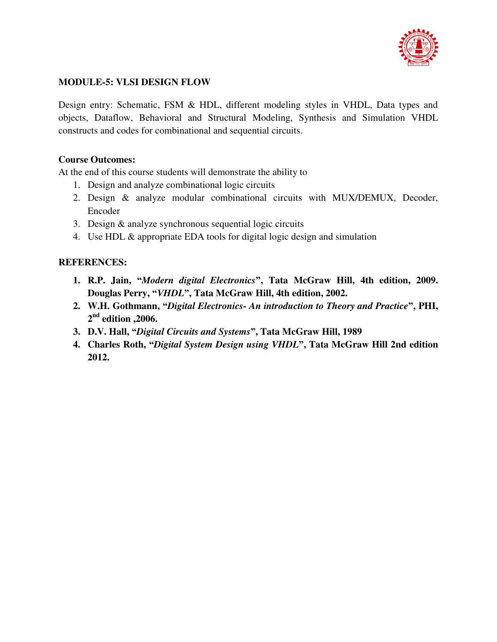

# **MODULE-5: VLSI DESIGN FLOW**

Design entry: Schematic, FSM & HDL, different modeling styles in VHDL, Data types and objects, Dataflow, Behavioral and Structural Modeling, Synthesis and Simulation VHDL constructs and codes for combinational and sequential circuits.

## **Course Outcomes:**

At the end of this course students will demonstrate the ability to

- 1. Design and analyze combinational logic circuits
- 2. Design & analyze modular combinational circuits with MUX/DEMUX, Decoder, Encoder
- 3. Design & analyze synchronous sequential logic circuits
- 4. Use HDL & appropriate EDA tools for digital logic design and simulation

- **1. R.P. Jain, "***Modern digital Electronics***", Tata McGraw Hill, 4th edition, 2009. Douglas Perry, "***VHDL***", Tata McGraw Hill, 4th edition, 2002.**
- **2. W.H. Gothmann, "***Digital Electronics- An introduction to Theory and Practice***", PHI, 2 nd edition ,2006.**
- **3. D.V. Hall, "***Digital Circuits and Systems***", Tata McGraw Hill, 1989**
- **4. Charles Roth, "***Digital System Design using VHDL***", Tata McGraw Hill 2nd edition 2012.**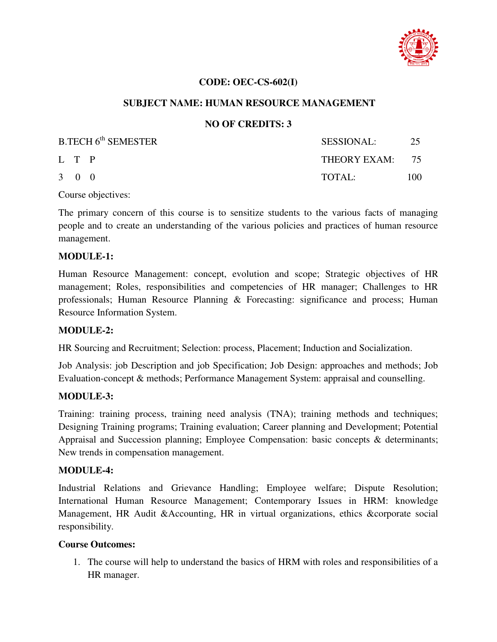

## **CODE: OEC-CS-602(I)**

## **SUBJECT NAME: HUMAN RESOURCE MANAGEMENT**

## **NO OF CREDITS: 3**

| B.TECH 6 <sup>th</sup> SEMESTER |                     | SESSIONAL:      | 25  |
|---------------------------------|---------------------|-----------------|-----|
|                                 | L T P               | THEORY EXAM: 75 |     |
|                                 | $3 \quad 0 \quad 0$ | TOTAL:          | 100 |

Course objectives:

The primary concern of this course is to sensitize students to the various facts of managing people and to create an understanding of the various policies and practices of human resource management.

#### **MODULE-1:**

Human Resource Management: concept, evolution and scope; Strategic objectives of HR management; Roles, responsibilities and competencies of HR manager; Challenges to HR professionals; Human Resource Planning & Forecasting: significance and process; Human Resource Information System.

#### **MODULE-2:**

HR Sourcing and Recruitment; Selection: process, Placement; Induction and Socialization.

Job Analysis: job Description and job Specification; Job Design: approaches and methods; Job Evaluation-concept & methods; Performance Management System: appraisal and counselling.

#### **MODULE-3:**

Training: training process, training need analysis (TNA); training methods and techniques; Designing Training programs; Training evaluation; Career planning and Development; Potential Appraisal and Succession planning; Employee Compensation: basic concepts & determinants; New trends in compensation management.

#### **MODULE-4:**

Industrial Relations and Grievance Handling; Employee welfare; Dispute Resolution; International Human Resource Management; Contemporary Issues in HRM: knowledge Management, HR Audit &Accounting, HR in virtual organizations, ethics &corporate social responsibility.

#### **Course Outcomes:**

1. The course will help to understand the basics of HRM with roles and responsibilities of a HR manager.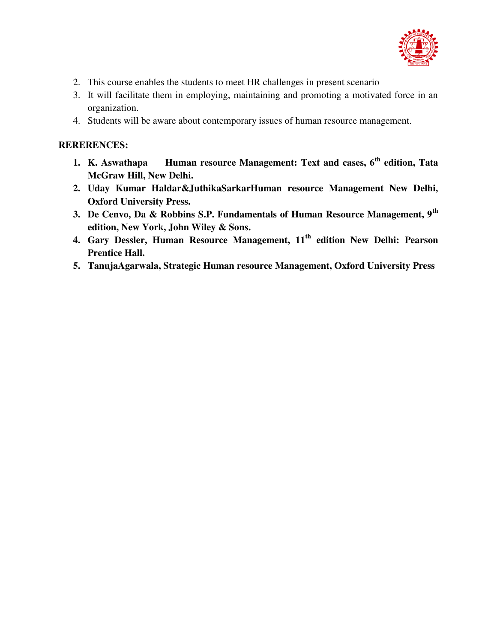

- 2. This course enables the students to meet HR challenges in present scenario
- 3. It will facilitate them in employing, maintaining and promoting a motivated force in an organization.
- 4. Students will be aware about contemporary issues of human resource management.

- **1. K. Aswathapa Human resource Management: Text and cases, 6th edition, Tata McGraw Hill, New Delhi.**
- **2. Uday Kumar Haldar&JuthikaSarkarHuman resource Management New Delhi, Oxford University Press.**
- **3. De Cenvo, Da & Robbins S.P. Fundamentals of Human Resource Management, 9th edition, New York, John Wiley & Sons.**
- **4. Gary Dessler, Human Resource Management, 11th edition New Delhi: Pearson Prentice Hall.**
- **5. TanujaAgarwala, Strategic Human resource Management, Oxford University Press**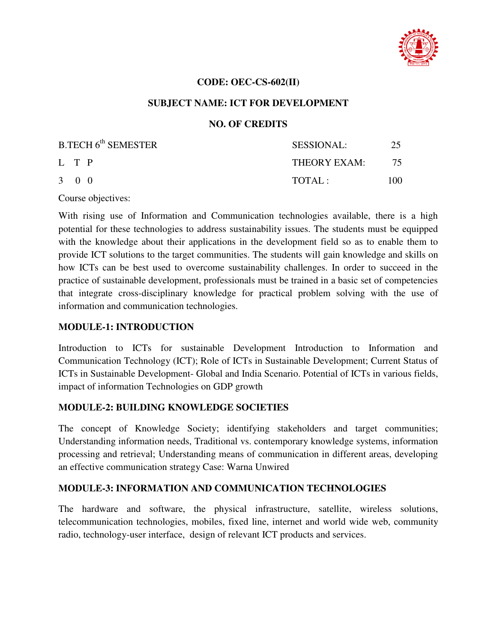

#### **CODE: OEC-CS-602(II)**

#### **SUBJECT NAME: ICT FOR DEVELOPMENT**

#### **NO. OF CREDITS**

| B.TECH 6 <sup>th</sup> SEMESTER | <b>SESSIONAL:</b> | 25  |
|---------------------------------|-------------------|-----|
| L T P                           | THEORY EXAM: 75   |     |
| $3 \quad 0 \quad 0$             | TOTAI:            | 100 |

Course objectives:

With rising use of Information and Communication technologies available, there is a high potential for these technologies to address sustainability issues. The students must be equipped with the knowledge about their applications in the development field so as to enable them to provide ICT solutions to the target communities. The students will gain knowledge and skills on how ICTs can be best used to overcome sustainability challenges. In order to succeed in the practice of sustainable development, professionals must be trained in a basic set of competencies that integrate cross-disciplinary knowledge for practical problem solving with the use of information and communication technologies.

#### **MODULE-1: INTRODUCTION**

Introduction to ICTs for sustainable Development Introduction to Information and Communication Technology (ICT); Role of ICTs in Sustainable Development; Current Status of ICTs in Sustainable Development- Global and India Scenario. Potential of ICTs in various fields, impact of information Technologies on GDP growth

#### **MODULE-2: BUILDING KNOWLEDGE SOCIETIES**

The concept of Knowledge Society; identifying stakeholders and target communities; Understanding information needs, Traditional vs. contemporary knowledge systems, information processing and retrieval; Understanding means of communication in different areas, developing an effective communication strategy Case: Warna Unwired

#### **MODULE-3: INFORMATION AND COMMUNICATION TECHNOLOGIES**

The hardware and software, the physical infrastructure, satellite, wireless solutions, telecommunication technologies, mobiles, fixed line, internet and world wide web, community radio, technology-user interface, design of relevant ICT products and services.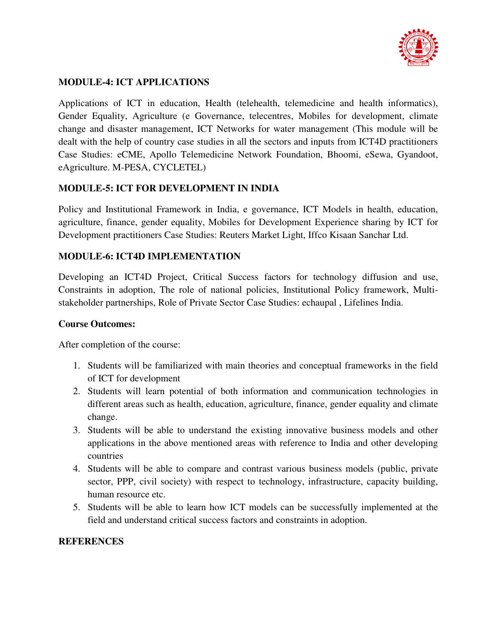

# **MODULE-4: ICT APPLICATIONS**

Applications of ICT in education, Health (telehealth, telemedicine and health informatics), Gender Equality, Agriculture (e Governance, telecentres, Mobiles for development, climate change and disaster management, ICT Networks for water management (This module will be dealt with the help of country case studies in all the sectors and inputs from ICT4D practitioners Case Studies: eCME, Apollo Telemedicine Network Foundation, Bhoomi, eSewa, Gyandoot, eAgriculture. M-PESA, CYCLETEL)

# **MODULE-5: ICT FOR DEVELOPMENT IN INDIA**

Policy and Institutional Framework in India, e governance, ICT Models in health, education, agriculture, finance, gender equality, Mobiles for Development Experience sharing by ICT for Development practitioners Case Studies: Reuters Market Light, Iffco Kisaan Sanchar Ltd.

# **MODULE-6: ICT4D IMPLEMENTATION**

Developing an ICT4D Project, Critical Success factors for technology diffusion and use, Constraints in adoption, The role of national policies, Institutional Policy framework, Multistakeholder partnerships, Role of Private Sector Case Studies: echaupal , Lifelines India.

### **Course Outcomes:**

After completion of the course:

- 1. Students will be familiarized with main theories and conceptual frameworks in the field of ICT for development
- 2. Students will learn potential of both information and communication technologies in different areas such as health, education, agriculture, finance, gender equality and climate change.
- 3. Students will be able to understand the existing innovative business models and other applications in the above mentioned areas with reference to India and other developing countries
- 4. Students will be able to compare and contrast various business models (public, private sector, PPP, civil society) with respect to technology, infrastructure, capacity building, human resource etc.
- 5. Students will be able to learn how ICT models can be successfully implemented at the field and understand critical success factors and constraints in adoption.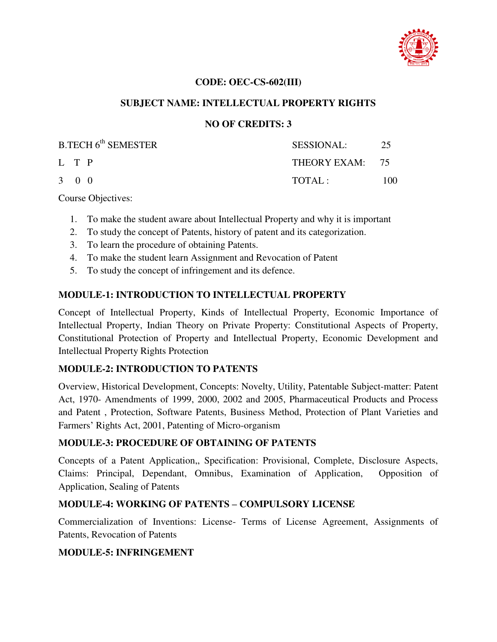

### **CODE: OEC-CS-602(III)**

### **SUBJECT NAME: INTELLECTUAL PROPERTY RIGHTS**

### **NO OF CREDITS: 3**

| B.TECH 6 <sup>th</sup> SEMESTER | <b>SESSIONAL:</b> | 25   |
|---------------------------------|-------------------|------|
| L T P                           | THEORY EXAM: 75   |      |
| 3 0 0                           | TOTAI:            | 100. |

Course Objectives:

- 1. To make the student aware about Intellectual Property and why it is important
- 2. To study the concept of Patents, history of patent and its categorization.
- 3. To learn the procedure of obtaining Patents.
- 4. To make the student learn Assignment and Revocation of Patent
- 5. To study the concept of infringement and its defence.

### **MODULE-1: INTRODUCTION TO INTELLECTUAL PROPERTY**

Concept of Intellectual Property, Kinds of Intellectual Property, Economic Importance of Intellectual Property, Indian Theory on Private Property: Constitutional Aspects of Property, Constitutional Protection of Property and Intellectual Property, Economic Development and Intellectual Property Rights Protection

#### **MODULE-2: INTRODUCTION TO PATENTS**

Overview, Historical Development, Concepts: Novelty, Utility, Patentable Subject-matter: Patent Act, 1970- Amendments of 1999, 2000, 2002 and 2005, Pharmaceutical Products and Process and Patent , Protection, Software Patents, Business Method, Protection of Plant Varieties and Farmers' Rights Act, 2001, Patenting of Micro-organism

#### **MODULE-3: PROCEDURE OF OBTAINING OF PATENTS**

Concepts of a Patent Application,, Specification: Provisional, Complete, Disclosure Aspects, Claims: Principal, Dependant, Omnibus, Examination of Application, Opposition of Application, Sealing of Patents

# **MODULE-4: WORKING OF PATENTS – COMPULSORY LICENSE**

Commercialization of Inventions: License- Terms of License Agreement, Assignments of Patents, Revocation of Patents

# **MODULE-5: INFRINGEMENT**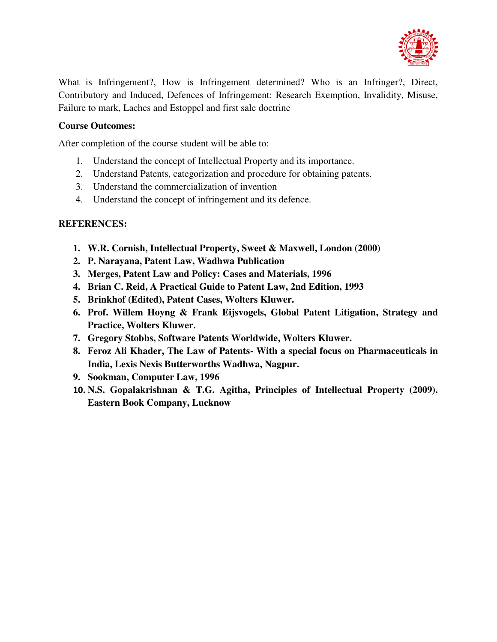

What is Infringement?, How is Infringement determined? Who is an Infringer?, Direct, Contributory and Induced, Defences of Infringement: Research Exemption, Invalidity, Misuse, Failure to mark, Laches and Estoppel and first sale doctrine

# **Course Outcomes:**

After completion of the course student will be able to:

- 1. Understand the concept of Intellectual Property and its importance.
- 2. Understand Patents, categorization and procedure for obtaining patents.
- 3. Understand the commercialization of invention
- 4. Understand the concept of infringement and its defence.

- **1. W.R. Cornish, Intellectual Property, Sweet & Maxwell, London (2000)**
- **2. P. Narayana, Patent Law, Wadhwa Publication**
- **3. Merges, Patent Law and Policy: Cases and Materials, 1996**
- **4. Brian C. Reid, A Practical Guide to Patent Law, 2nd Edition, 1993**
- **5. Brinkhof (Edited), Patent Cases, Wolters Kluwer.**
- **6. Prof. Willem Hoyng & Frank Eijsvogels, Global Patent Litigation, Strategy and Practice, Wolters Kluwer.**
- **7. Gregory Stobbs, Software Patents Worldwide, Wolters Kluwer.**
- **8. Feroz Ali Khader, The Law of Patents- With a special focus on Pharmaceuticals in India, Lexis Nexis Butterworths Wadhwa, Nagpur.**
- **9. Sookman, Computer Law, 1996**
- **10. N.S. Gopalakrishnan & T.G. Agitha, Principles of Intellectual Property (2009). Eastern Book Company, Lucknow**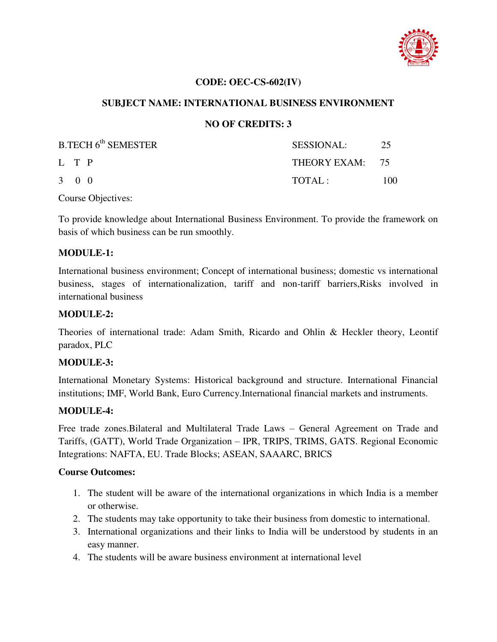

### **CODE: OEC-CS-602(IV)**

### **SUBJECT NAME: INTERNATIONAL BUSINESS ENVIRONMENT**

### **NO OF CREDITS: 3**

| B.TECH 6 <sup>th</sup> SEMESTER | SESSIONAL:      | 25  |
|---------------------------------|-----------------|-----|
| L T P                           | THEORY EXAM: 75 |     |
| $3 \quad 0 \quad 0$             | TOTAL:          | 100 |

Course Objectives:

To provide knowledge about International Business Environment. To provide the framework on basis of which business can be run smoothly.

#### **MODULE-1:**

International business environment; Concept of international business; domestic vs international business, stages of internationalization, tariff and non-tariff barriers,Risks involved in international business

#### **MODULE-2:**

Theories of international trade: Adam Smith, Ricardo and Ohlin & Heckler theory, Leontif paradox, PLC

#### **MODULE-3:**

International Monetary Systems: Historical background and structure. International Financial institutions; IMF, World Bank, Euro Currency.International financial markets and instruments.

#### **MODULE-4:**

Free trade zones.Bilateral and Multilateral Trade Laws – General Agreement on Trade and Tariffs, (GATT), World Trade Organization – IPR, TRIPS, TRIMS, GATS. Regional Economic Integrations: NAFTA, EU. Trade Blocks; ASEAN, SAAARC, BRICS

#### **Course Outcomes:**

- 1. The student will be aware of the international organizations in which India is a member or otherwise.
- 2. The students may take opportunity to take their business from domestic to international.
- 3. International organizations and their links to India will be understood by students in an easy manner.
- 4. The students will be aware business environment at international level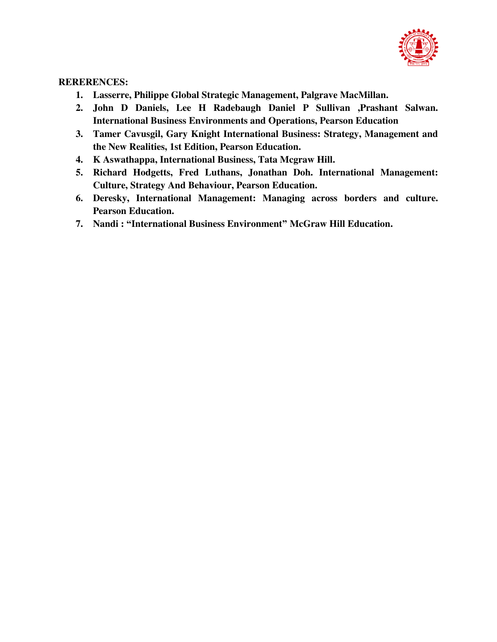

- **1. Lasserre, Philippe Global Strategic Management, Palgrave MacMillan.**
- **2. John D Daniels, Lee H Radebaugh Daniel P Sullivan ,Prashant Salwan. International Business Environments and Operations, Pearson Education**
- **3. Tamer Cavusgil, Gary Knight International Business: Strategy, Management and the New Realities, 1st Edition, Pearson Education.**
- **4. K Aswathappa, International Business, Tata Mcgraw Hill.**
- **5. Richard Hodgetts, Fred Luthans, Jonathan Doh. International Management: Culture, Strategy And Behaviour, Pearson Education.**
- **6. Deresky, International Management: Managing across borders and culture. Pearson Education.**
- **7. Nandi : "International Business Environment" McGraw Hill Education.**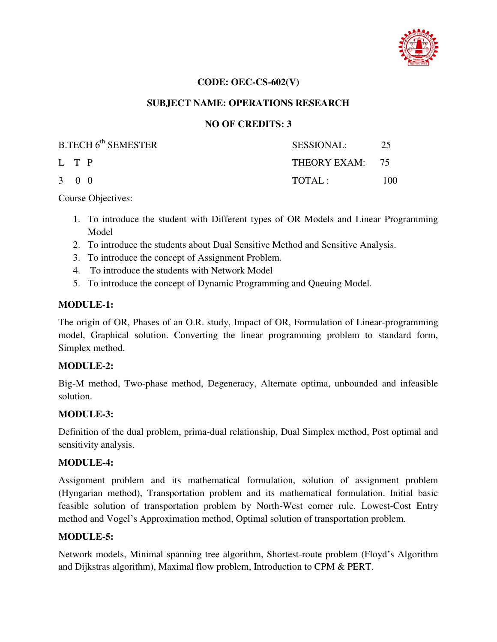

### **CODE: OEC-CS-602(V)**

### **SUBJECT NAME: OPERATIONS RESEARCH**

### **NO OF CREDITS: 3**

| B.TECH 6 <sup>th</sup> SEMESTER | SESSIONAL:      | 25  |
|---------------------------------|-----------------|-----|
| L T P                           | THEORY EXAM: 75 |     |
| 3 0 0                           | TOTAL:          | 100 |

Course Objectives:

- 1. To introduce the student with Different types of OR Models and Linear Programming Model
- 2. To introduce the students about Dual Sensitive Method and Sensitive Analysis.
- 3. To introduce the concept of Assignment Problem.
- 4. To introduce the students with Network Model
- 5. To introduce the concept of Dynamic Programming and Queuing Model.

#### **MODULE-1:**

The origin of OR, Phases of an O.R. study, Impact of OR, Formulation of Linear-programming model, Graphical solution. Converting the linear programming problem to standard form, Simplex method.

#### **MODULE-2:**

Big-M method, Two-phase method, Degeneracy, Alternate optima, unbounded and infeasible solution.

#### **MODULE-3:**

Definition of the dual problem, prima-dual relationship, Dual Simplex method, Post optimal and sensitivity analysis.

#### **MODULE-4:**

Assignment problem and its mathematical formulation, solution of assignment problem (Hyngarian method), Transportation problem and its mathematical formulation. Initial basic feasible solution of transportation problem by North-West corner rule. Lowest-Cost Entry method and Vogel's Approximation method, Optimal solution of transportation problem.

#### **MODULE-5:**

Network models, Minimal spanning tree algorithm, Shortest-route problem (Floyd's Algorithm and Dijkstras algorithm), Maximal flow problem, Introduction to CPM & PERT.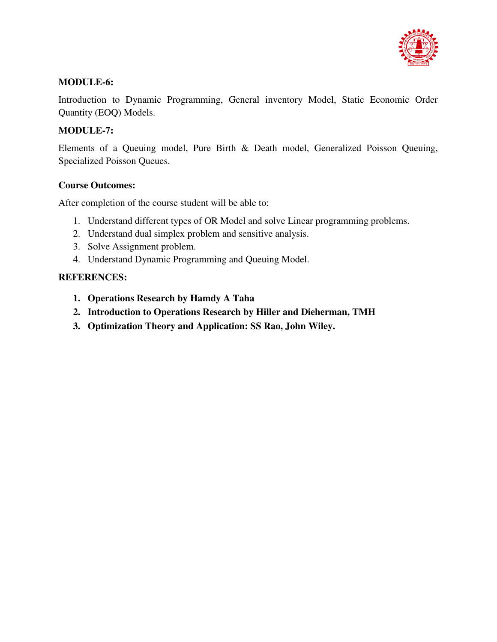

# **MODULE-6:**

Introduction to Dynamic Programming, General inventory Model, Static Economic Order Quantity (EOQ) Models.

# **MODULE-7:**

Elements of a Queuing model, Pure Birth & Death model, Generalized Poisson Queuing, Specialized Poisson Queues.

# **Course Outcomes:**

After completion of the course student will be able to:

- 1. Understand different types of OR Model and solve Linear programming problems.
- 2. Understand dual simplex problem and sensitive analysis.
- 3. Solve Assignment problem.
- 4. Understand Dynamic Programming and Queuing Model.

- **1. Operations Research by Hamdy A Taha**
- **2. Introduction to Operations Research by Hiller and Dieherman, TMH**
- **3. Optimization Theory and Application: SS Rao, John Wiley.**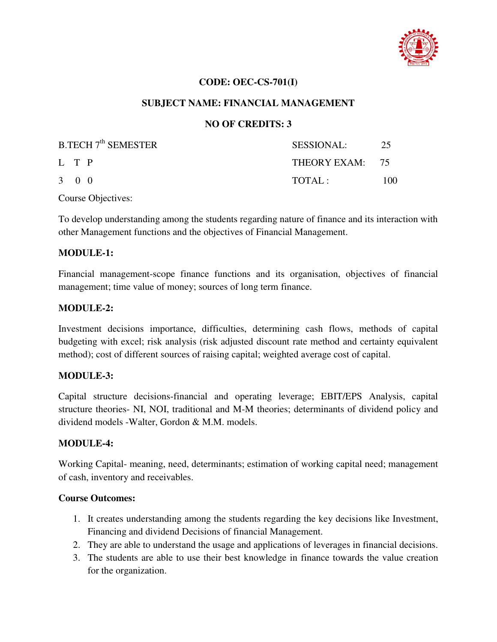

### **CODE: OEC-CS-701(I)**

### **SUBJECT NAME: FINANCIAL MANAGEMENT**

### **NO OF CREDITS: 3**

| B.TECH 7 <sup>th</sup> SEMESTER | SESSIONAL:      | 25  |
|---------------------------------|-----------------|-----|
| L T P                           | THEORY EXAM: 75 |     |
| $3 \quad 0 \quad 0$             | TOTAI:          | 100 |

Course Objectives:

To develop understanding among the students regarding nature of finance and its interaction with other Management functions and the objectives of Financial Management.

#### **MODULE-1:**

Financial management-scope finance functions and its organisation, objectives of financial management; time value of money; sources of long term finance.

#### **MODULE-2:**

Investment decisions importance, difficulties, determining cash flows, methods of capital budgeting with excel; risk analysis (risk adjusted discount rate method and certainty equivalent method); cost of different sources of raising capital; weighted average cost of capital.

#### **MODULE-3:**

Capital structure decisions-financial and operating leverage; EBIT/EPS Analysis, capital structure theories- NI, NOI, traditional and M-M theories; determinants of dividend policy and dividend models -Walter, Gordon & M.M. models.

#### **MODULE-4:**

Working Capital- meaning, need, determinants; estimation of working capital need; management of cash, inventory and receivables.

#### **Course Outcomes:**

- 1. It creates understanding among the students regarding the key decisions like Investment, Financing and dividend Decisions of financial Management.
- 2. They are able to understand the usage and applications of leverages in financial decisions.
- 3. The students are able to use their best knowledge in finance towards the value creation for the organization.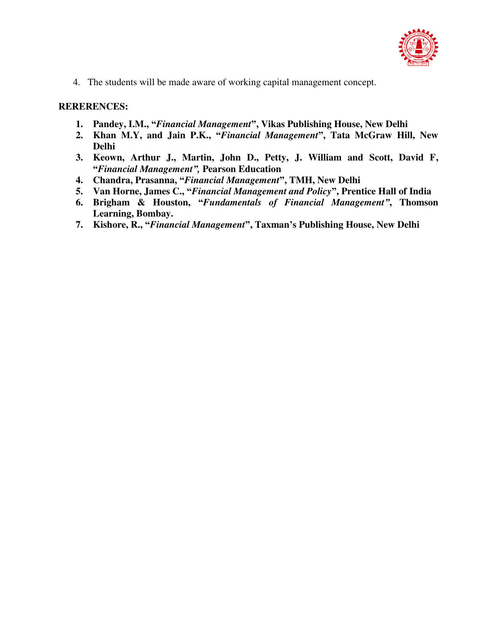

4. The students will be made aware of working capital management concept.

- **1. Pandey, I.M., "***Financial Management***", Vikas Publishing House, New Delhi**
- **2. Khan M.Y, and Jain P.K., "***Financial Management***", Tata McGraw Hill, New Delhi**
- **3. Keown, Arthur J., Martin, John D., Petty, J. William and Scott, David F, "***Financial Management",* **Pearson Education**
- **4. Chandra, Prasanna, "***Financial Management***", TMH, New Delhi**
- **5. Van Horne, James C., "***Financial Management and Policy***", Prentice Hall of India**
- **6. Brigham & Houston, "***Fundamentals of Financial Management"***, Thomson Learning, Bombay.**
- **7. Kishore, R., "***Financial Management***", Taxman's Publishing House, New Delhi**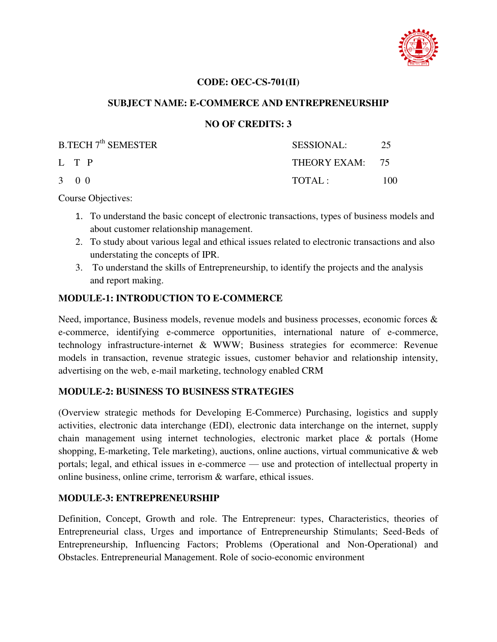

### **CODE: OEC-CS-701(II)**

### **SUBJECT NAME: E-COMMERCE AND ENTREPRENEURSHIP**

### **NO OF CREDITS: 3**

| $B.TECH 7th$ SEMESTER | <b>SESSIONAL:</b> | 25  |
|-----------------------|-------------------|-----|
| L T P                 | THEORY EXAM: 75   |     |
| 3 0 0                 | TOTAI:            | 100 |

Course Objectives:

- 1. To understand the basic concept of electronic transactions, types of business models and about customer relationship management.
- 2. To study about various legal and ethical issues related to electronic transactions and also understating the concepts of IPR.
- 3. To understand the skills of Entrepreneurship, to identify the projects and the analysis and report making.

# **MODULE-1: INTRODUCTION TO E-COMMERCE**

Need, importance, Business models, revenue models and business processes, economic forces & e-commerce, identifying e-commerce opportunities, international nature of e-commerce, technology infrastructure-internet & WWW; Business strategies for ecommerce: Revenue models in transaction, revenue strategic issues, customer behavior and relationship intensity, advertising on the web, e-mail marketing, technology enabled CRM

#### **MODULE-2: BUSINESS TO BUSINESS STRATEGIES**

(Overview strategic methods for Developing E-Commerce) Purchasing, logistics and supply activities, electronic data interchange (EDI), electronic data interchange on the internet, supply chain management using internet technologies, electronic market place & portals (Home shopping, E-marketing, Tele marketing), auctions, online auctions, virtual communicative  $\&$  web portals; legal, and ethical issues in e-commerce — use and protection of intellectual property in online business, online crime, terrorism & warfare, ethical issues.

# **MODULE-3: ENTREPRENEURSHIP**

Definition, Concept, Growth and role. The Entrepreneur: types, Characteristics, theories of Entrepreneurial class, Urges and importance of Entrepreneurship Stimulants; Seed-Beds of Entrepreneurship, Influencing Factors; Problems (Operational and Non-Operational) and Obstacles. Entrepreneurial Management. Role of socio-economic environment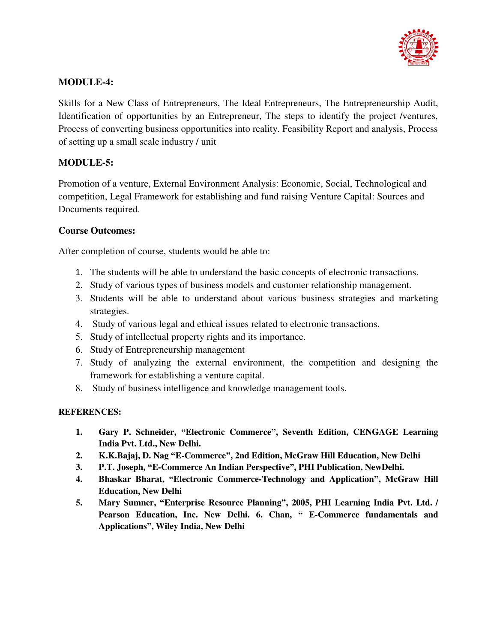

# **MODULE-4:**

Skills for a New Class of Entrepreneurs, The Ideal Entrepreneurs, The Entrepreneurship Audit, Identification of opportunities by an Entrepreneur, The steps to identify the project /ventures, Process of converting business opportunities into reality. Feasibility Report and analysis, Process of setting up a small scale industry / unit

# **MODULE-5:**

Promotion of a venture, External Environment Analysis: Economic, Social, Technological and competition, Legal Framework for establishing and fund raising Venture Capital: Sources and Documents required.

# **Course Outcomes:**

After completion of course, students would be able to:

- 1. The students will be able to understand the basic concepts of electronic transactions.
- 2. Study of various types of business models and customer relationship management.
- 3. Students will be able to understand about various business strategies and marketing strategies.
- 4. Study of various legal and ethical issues related to electronic transactions.
- 5. Study of intellectual property rights and its importance.
- 6. Study of Entrepreneurship management
- 7. Study of analyzing the external environment, the competition and designing the framework for establishing a venture capital.
- 8. Study of business intelligence and knowledge management tools.

- **1. Gary P. Schneider, "Electronic Commerce", Seventh Edition, CENGAGE Learning India Pvt. Ltd., New Delhi.**
- **2. K.K.Bajaj, D. Nag "E-Commerce", 2nd Edition, McGraw Hill Education, New Delhi**
- **3. P.T. Joseph, "E-Commerce An Indian Perspective", PHI Publication, NewDelhi.**
- **4. Bhaskar Bharat, "Electronic Commerce-Technology and Application", McGraw Hill Education, New Delhi**
- **5. Mary Sumner, "Enterprise Resource Planning", 2005, PHI Learning India Pvt. Ltd. / Pearson Education, Inc. New Delhi. 6. Chan, " E-Commerce fundamentals and Applications", Wiley India, New Delhi**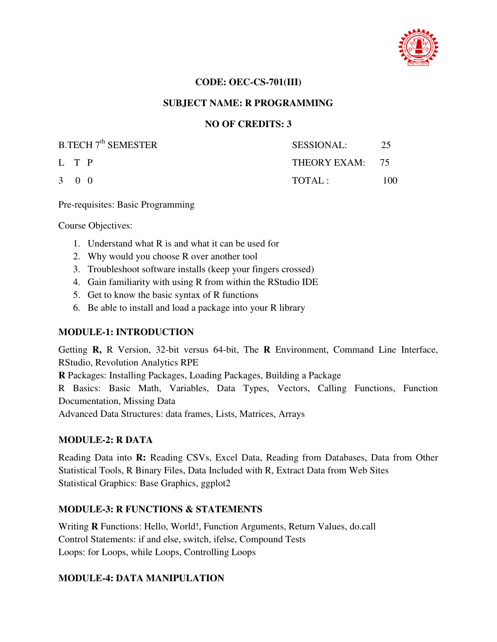

### **CODE: OEC-CS-701(III)**

### **SUBJECT NAME: R PROGRAMMING**

### **NO OF CREDITS: 3**

| <b>B.TECH 7<sup>th</sup> SEMESTER</b> | SESSIONAL:      | 25  |
|---------------------------------------|-----------------|-----|
| L T P                                 | THEORY EXAM: 75 |     |
| $3 \quad 0 \quad 0$                   | TOTAI:          | 100 |

Pre-requisites: Basic Programming

Course Objectives:

- 1. Understand what R is and what it can be used for
- 2. Why would you choose R over another tool
- 3. Troubleshoot software installs (keep your fingers crossed)
- 4. Gain familiarity with using R from within the RStudio IDE
- 5. Get to know the basic syntax of R functions
- 6. Be able to install and load a package into your R library

# **MODULE-1: INTRODUCTION**

Getting **R,** R Version, 32-bit versus 64-bit, The **R** Environment, Command Line Interface, RStudio, Revolution Analytics RPE

**R** Packages: Installing Packages, Loading Packages, Building a Package

R Basics: Basic Math, Variables, Data Types, Vectors, Calling Functions, Function Documentation, Missing Data

Advanced Data Structures: data frames, Lists, Matrices, Arrays

#### **MODULE-2: R DATA**

Reading Data into **R:** Reading CSVs, Excel Data, Reading from Databases, Data from Other Statistical Tools, R Binary Files, Data Included with R, Extract Data from Web Sites Statistical Graphics: Base Graphics, ggplot2

# **MODULE-3: R FUNCTIONS & STATEMENTS**

Writing **R** Functions: Hello, World!, Function Arguments, Return Values, do.call Control Statements: if and else, switch, ifelse, Compound Tests Loops: for Loops, while Loops, Controlling Loops

# **MODULE-4: DATA MANIPULATION**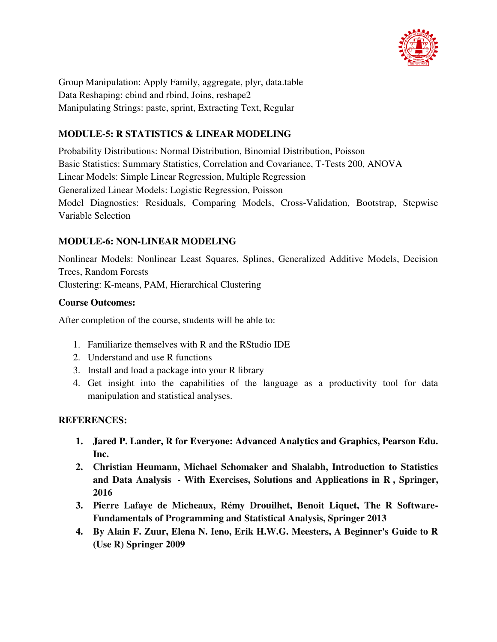

Group Manipulation: Apply Family, aggregate, plyr, data.table Data Reshaping: cbind and rbind, Joins, reshape2 Manipulating Strings: paste, sprint, Extracting Text, Regular

# **MODULE-5: R STATISTICS & LINEAR MODELING**

Probability Distributions: Normal Distribution, Binomial Distribution, Poisson Basic Statistics: Summary Statistics, Correlation and Covariance, T-Tests 200, ANOVA Linear Models: Simple Linear Regression, Multiple Regression Generalized Linear Models: Logistic Regression, Poisson Model Diagnostics: Residuals, Comparing Models, Cross-Validation, Bootstrap, Stepwise Variable Selection

# **MODULE-6: NON-LINEAR MODELING**

Nonlinear Models: Nonlinear Least Squares, Splines, Generalized Additive Models, Decision Trees, Random Forests Clustering: K-means, PAM, Hierarchical Clustering

# **Course Outcomes:**

After completion of the course, students will be able to:

- 1. Familiarize themselves with R and the RStudio IDE
- 2. Understand and use R functions
- 3. Install and load a package into your R library
- 4. Get insight into the capabilities of the language as a productivity tool for data manipulation and statistical analyses.

- **1. Jared P. Lander, R for Everyone: Advanced Analytics and Graphics, Pearson Edu. Inc.**
- **2. Christian Heumann, Michael Schomaker and Shalabh, Introduction to Statistics and Data Analysis - With Exercises, Solutions and Applications in R , Springer, 2016**
- **3. Pierre Lafaye de Micheaux, Rémy Drouilhet, Benoit Liquet, The R Software-Fundamentals of Programming and Statistical Analysis, Springer 2013**
- **4. By Alain F. Zuur, Elena N. Ieno, Erik H.W.G. Meesters, A Beginner's Guide to R (Use R) Springer 2009**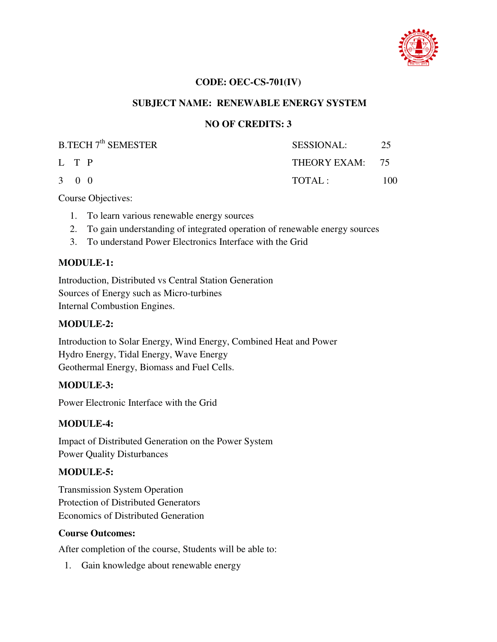

### **CODE: OEC-CS-701(IV)**

### **SUBJECT NAME: RENEWABLE ENERGY SYSTEM**

### **NO OF CREDITS: 3**

| $B.TECH 7th$ SEMESTER | SESSIONAL:      | 25  |
|-----------------------|-----------------|-----|
| L T P                 | THEORY EXAM: 75 |     |
| 3 0 0                 | TOTAL:          | 100 |

Course Objectives:

- 1. To learn various renewable energy sources
- 2. To gain understanding of integrated operation of renewable energy sources
- 3. To understand Power Electronics Interface with the Grid

# **MODULE-1:**

Introduction, Distributed vs Central Station Generation Sources of Energy such as Micro-turbines Internal Combustion Engines.

### **MODULE-2:**

Introduction to Solar Energy, Wind Energy, Combined Heat and Power Hydro Energy, Tidal Energy, Wave Energy Geothermal Energy, Biomass and Fuel Cells.

# **MODULE-3:**

Power Electronic Interface with the Grid

# **MODULE-4:**

Impact of Distributed Generation on the Power System Power Quality Disturbances

# **MODULE-5:**

Transmission System Operation Protection of Distributed Generators Economics of Distributed Generation

#### **Course Outcomes:**

After completion of the course, Students will be able to:

1. Gain knowledge about renewable energy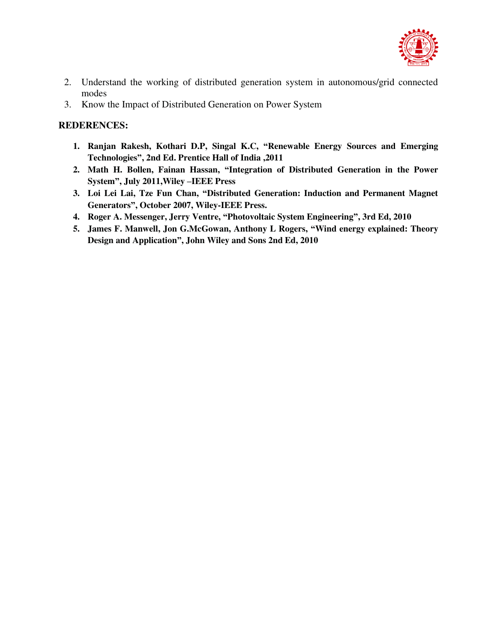

- 2. Understand the working of distributed generation system in autonomous/grid connected modes
- 3. Know the Impact of Distributed Generation on Power System

- **1. Ranjan Rakesh, Kothari D.P, Singal K.C, "Renewable Energy Sources and Emerging Technologies", 2nd Ed. Prentice Hall of India ,2011**
- **2. Math H. Bollen, Fainan Hassan, "Integration of Distributed Generation in the Power System", July 2011,Wiley –IEEE Press**
- **3. Loi Lei Lai, Tze Fun Chan, "Distributed Generation: Induction and Permanent Magnet Generators", October 2007, Wiley-IEEE Press.**
- **4. Roger A. Messenger, Jerry Ventre, "Photovoltaic System Engineering", 3rd Ed, 2010**
- **5. James F. Manwell, Jon G.McGowan, Anthony L Rogers, "Wind energy explained: Theory Design and Application", John Wiley and Sons 2nd Ed, 2010**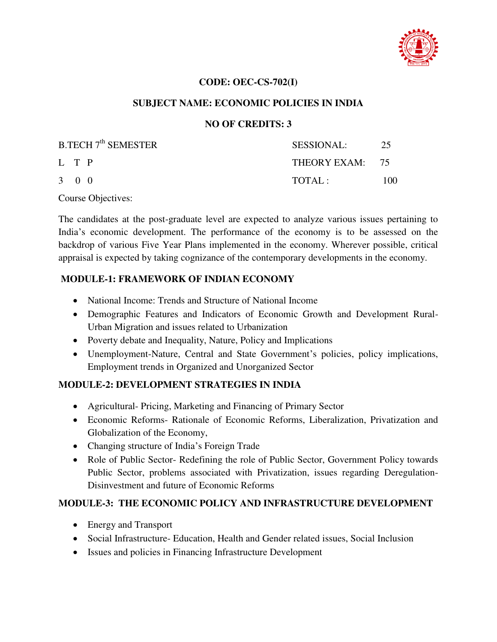

### **CODE: OEC-CS-702(I)**

### **SUBJECT NAME: ECONOMIC POLICIES IN INDIA**

# **NO OF CREDITS: 3**

| $B.TECH 7th$ SEMESTER | SESSIONAL:      | 25  |
|-----------------------|-----------------|-----|
| L T P                 | THEORY EXAM: 75 |     |
| $3 \quad 0 \quad 0$   | TOTAL:          | 100 |

Course Objectives:

The candidates at the post-graduate level are expected to analyze various issues pertaining to India's economic development. The performance of the economy is to be assessed on the backdrop of various Five Year Plans implemented in the economy. Wherever possible, critical appraisal is expected by taking cognizance of the contemporary developments in the economy.

# **MODULE-1: FRAMEWORK OF INDIAN ECONOMY**

- National Income: Trends and Structure of National Income
- Demographic Features and Indicators of Economic Growth and Development Rural-Urban Migration and issues related to Urbanization
- Poverty debate and Inequality, Nature, Policy and Implications
- Unemployment-Nature, Central and State Government's policies, policy implications, Employment trends in Organized and Unorganized Sector

#### **MODULE-2: DEVELOPMENT STRATEGIES IN INDIA**

- Agricultural- Pricing, Marketing and Financing of Primary Sector
- Economic Reforms- Rationale of Economic Reforms, Liberalization, Privatization and Globalization of the Economy,
- Changing structure of India's Foreign Trade
- Role of Public Sector- Redefining the role of Public Sector, Government Policy towards Public Sector, problems associated with Privatization, issues regarding Deregulation-Disinvestment and future of Economic Reforms

# **MODULE-3: THE ECONOMIC POLICY AND INFRASTRUCTURE DEVELOPMENT**

- Energy and Transport
- Social Infrastructure- Education, Health and Gender related issues, Social Inclusion
- Issues and policies in Financing Infrastructure Development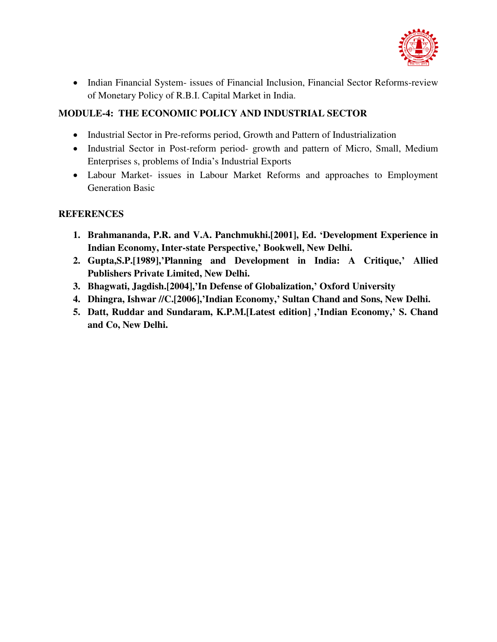

• Indian Financial System- issues of Financial Inclusion, Financial Sector Reforms-review of Monetary Policy of R.B.I. Capital Market in India.

# **MODULE-4: THE ECONOMIC POLICY AND INDUSTRIAL SECTOR**

- Industrial Sector in Pre-reforms period, Growth and Pattern of Industrialization
- Industrial Sector in Post-reform period- growth and pattern of Micro, Small, Medium Enterprises s, problems of India's Industrial Exports
- Labour Market- issues in Labour Market Reforms and approaches to Employment Generation Basic

- **1. Brahmananda, P.R. and V.A. Panchmukhi.[2001], Ed. 'Development Experience in Indian Economy, Inter-state Perspective,' Bookwell, New Delhi.**
- **2. Gupta,S.P.[1989],'Planning and Development in India: A Critique,' Allied Publishers Private Limited, New Delhi.**
- **3. Bhagwati, Jagdish.[2004],'In Defense of Globalization,' Oxford University**
- **4. Dhingra, Ishwar //C.[2006],'Indian Economy,' Sultan Chand and Sons, New Delhi.**
- **5. Datt, Ruddar and Sundaram, K.P.M.[Latest edition] ,'Indian Economy,' S. Chand and Co, New Delhi.**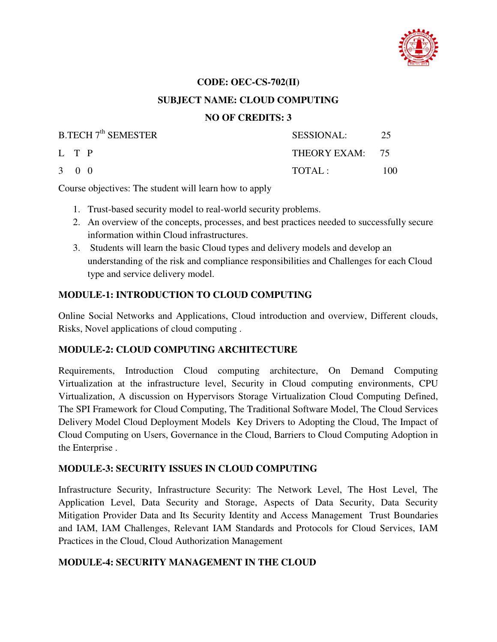

#### **CODE: OEC-CS-702(II)**

#### **SUBJECT NAME: CLOUD COMPUTING**

### **NO OF CREDITS: 3**

| B.TECH 7 <sup>th</sup> SEMESTER | <b>SESSIONAL:</b> | 25   |
|---------------------------------|-------------------|------|
| L T P                           | THEORY EXAM: 75   |      |
| $3 \quad 0 \quad 0$             | TOTAI:            | 100. |

Course objectives: The student will learn how to apply

- 1. Trust-based security model to real-world security problems.
- 2. An overview of the concepts, processes, and best practices needed to successfully secure information within Cloud infrastructures.
- 3. Students will learn the basic Cloud types and delivery models and develop an understanding of the risk and compliance responsibilities and Challenges for each Cloud type and service delivery model.

### **MODULE-1: INTRODUCTION TO CLOUD COMPUTING**

Online Social Networks and Applications, Cloud introduction and overview, Different clouds, Risks, Novel applications of cloud computing .

#### **MODULE-2: CLOUD COMPUTING ARCHITECTURE**

Requirements, Introduction Cloud computing architecture, On Demand Computing Virtualization at the infrastructure level, Security in Cloud computing environments, CPU Virtualization, A discussion on Hypervisors Storage Virtualization Cloud Computing Defined, The SPI Framework for Cloud Computing, The Traditional Software Model, The Cloud Services Delivery Model Cloud Deployment Models Key Drivers to Adopting the Cloud, The Impact of Cloud Computing on Users, Governance in the Cloud, Barriers to Cloud Computing Adoption in the Enterprise .

### **MODULE-3: SECURITY ISSUES IN CLOUD COMPUTING**

Infrastructure Security, Infrastructure Security: The Network Level, The Host Level, The Application Level, Data Security and Storage, Aspects of Data Security, Data Security Mitigation Provider Data and Its Security Identity and Access Management Trust Boundaries and IAM, IAM Challenges, Relevant IAM Standards and Protocols for Cloud Services, IAM Practices in the Cloud, Cloud Authorization Management

#### **MODULE-4: SECURITY MANAGEMENT IN THE CLOUD**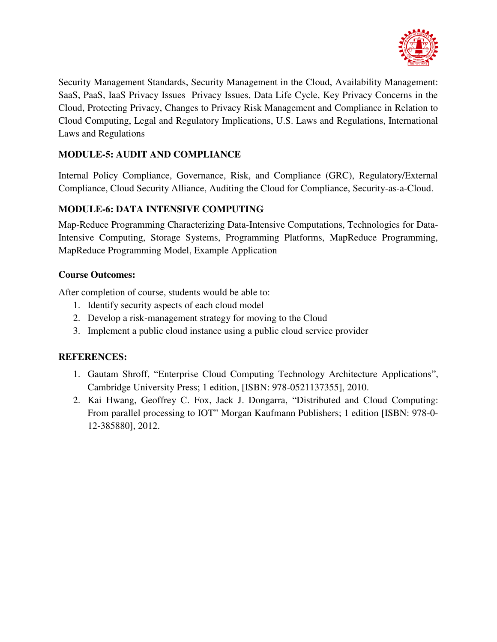

Security Management Standards, Security Management in the Cloud, Availability Management: SaaS, PaaS, IaaS Privacy Issues Privacy Issues, Data Life Cycle, Key Privacy Concerns in the Cloud, Protecting Privacy, Changes to Privacy Risk Management and Compliance in Relation to Cloud Computing, Legal and Regulatory Implications, U.S. Laws and Regulations, International Laws and Regulations

# **MODULE-5: AUDIT AND COMPLIANCE**

Internal Policy Compliance, Governance, Risk, and Compliance (GRC), Regulatory/External Compliance, Cloud Security Alliance, Auditing the Cloud for Compliance, Security-as-a-Cloud.

# **MODULE-6: DATA INTENSIVE COMPUTING**

Map-Reduce Programming Characterizing Data-Intensive Computations, Technologies for Data-Intensive Computing, Storage Systems, Programming Platforms, MapReduce Programming, MapReduce Programming Model, Example Application

# **Course Outcomes:**

After completion of course, students would be able to:

- 1. Identify security aspects of each cloud model
- 2. Develop a risk-management strategy for moving to the Cloud
- 3. Implement a public cloud instance using a public cloud service provider

- 1. Gautam Shroff, "Enterprise Cloud Computing Technology Architecture Applications", Cambridge University Press; 1 edition, [ISBN: 978-0521137355], 2010.
- 2. Kai Hwang, Geoffrey C. Fox, Jack J. Dongarra, "Distributed and Cloud Computing: From parallel processing to IOT" Morgan Kaufmann Publishers; 1 edition [ISBN: 978-0- 12-385880], 2012.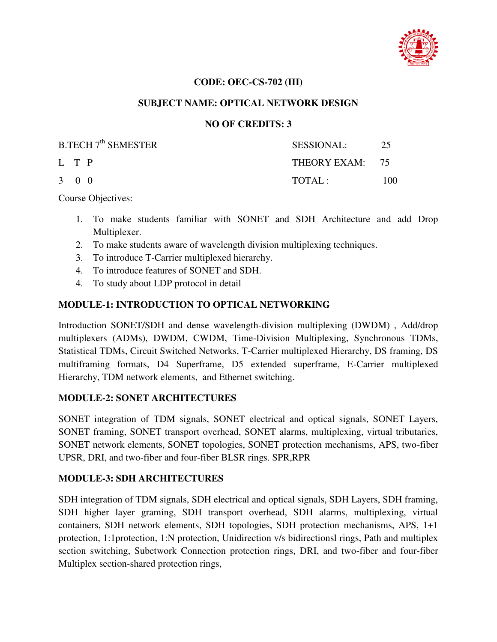

### **CODE: OEC-CS-702 (III)**

### **SUBJECT NAME: OPTICAL NETWORK DESIGN**

### **NO OF CREDITS: 3**

| $B.TECH 7th$ SEMESTER | SESSIONAL:      | 25  |
|-----------------------|-----------------|-----|
| L T P                 | THEORY EXAM: 75 |     |
| $3 \quad 0 \quad 0$   | TOTAI:          | 100 |

Course Objectives:

- 1. To make students familiar with SONET and SDH Architecture and add Drop Multiplexer.
- 2. To make students aware of wavelength division multiplexing techniques.
- 3. To introduce T-Carrier multiplexed hierarchy.
- 4. To introduce features of SONET and SDH.
- 4. To study about LDP protocol in detail

# **MODULE-1: INTRODUCTION TO OPTICAL NETWORKING**

Introduction SONET/SDH and dense wavelength-division multiplexing (DWDM) , Add/drop multiplexers (ADMs), DWDM, CWDM, Time-Division Multiplexing, Synchronous TDMs, Statistical TDMs, Circuit Switched Networks, T-Carrier multiplexed Hierarchy, DS framing, DS multiframing formats, D4 Superframe, D5 extended superframe, E-Carrier multiplexed Hierarchy, TDM network elements, and Ethernet switching.

#### **MODULE-2: SONET ARCHITECTURES**

SONET integration of TDM signals, SONET electrical and optical signals, SONET Layers, SONET framing, SONET transport overhead, SONET alarms, multiplexing, virtual tributaries, SONET network elements, SONET topologies, SONET protection mechanisms, APS, two-fiber UPSR, DRI, and two-fiber and four-fiber BLSR rings. SPR,RPR

# **MODULE-3: SDH ARCHITECTURES**

SDH integration of TDM signals, SDH electrical and optical signals, SDH Layers, SDH framing, SDH higher layer graming, SDH transport overhead, SDH alarms, multiplexing, virtual containers, SDH network elements, SDH topologies, SDH protection mechanisms, APS, 1+1 protection, 1:1protection, 1:N protection, Unidirection v/s bidirectionsl rings, Path and multiplex section switching, Subetwork Connection protection rings, DRI, and two-fiber and four-fiber Multiplex section-shared protection rings,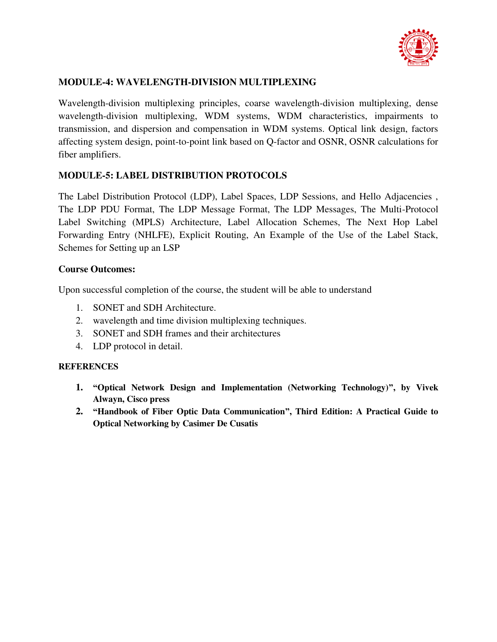

# **MODULE-4: WAVELENGTH-DIVISION MULTIPLEXING**

Wavelength-division multiplexing principles, coarse wavelength-division multiplexing, dense wavelength-division multiplexing, WDM systems, WDM characteristics, impairments to transmission, and dispersion and compensation in WDM systems. Optical link design, factors affecting system design, point-to-point link based on Q-factor and OSNR, OSNR calculations for fiber amplifiers.

# **MODULE-5: LABEL DISTRIBUTION PROTOCOLS**

The Label Distribution Protocol (LDP), Label Spaces, LDP Sessions, and Hello Adjacencies , The LDP PDU Format, The LDP Message Format, The LDP Messages, The Multi-Protocol Label Switching (MPLS) Architecture, Label Allocation Schemes, The Next Hop Label Forwarding Entry (NHLFE), Explicit Routing, An Example of the Use of the Label Stack, Schemes for Setting up an LSP

### **Course Outcomes:**

Upon successful completion of the course, the student will be able to understand

- 1. SONET and SDH Architecture.
- 2. wavelength and time division multiplexing techniques.
- 3. SONET and SDH frames and their architectures
- 4. LDP protocol in detail.

- **1. "Optical Network Design and Implementation (Networking Technology)", by Vivek Alwayn, Cisco press**
- **2. "Handbook of Fiber Optic Data Communication", Third Edition: A Practical Guide to Optical Networking by Casimer De Cusatis**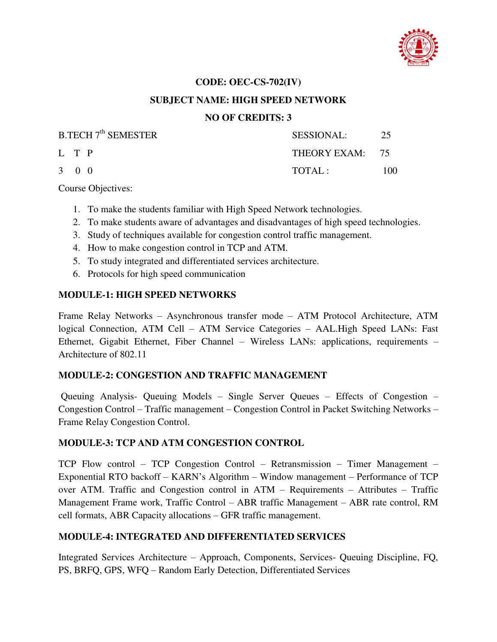

#### **CODE: OEC-CS-702(IV)**

### **SUBJECT NAME: HIGH SPEED NETWORK**

### **NO OF CREDITS: 3**

| B.TECH 7 <sup>th</sup> SEMESTER | <b>SESSIONAL:</b> | 25  |
|---------------------------------|-------------------|-----|
| L T P                           | THEORY EXAM: 75   |     |
| $3 \quad 0 \quad 0$             | TOTAL:            | 100 |

Course Objectives:

- 1. To make the students familiar with High Speed Network technologies.
- 2. To make students aware of advantages and disadvantages of high speed technologies.
- 3. Study of techniques available for congestion control traffic management.
- 4. How to make congestion control in TCP and ATM.
- 5. To study integrated and differentiated services architecture.
- 6. Protocols for high speed communication

### **MODULE-1: HIGH SPEED NETWORKS**

Frame Relay Networks – Asynchronous transfer mode – ATM Protocol Architecture, ATM logical Connection, ATM Cell – ATM Service Categories – AAL.High Speed LANs: Fast Ethernet, Gigabit Ethernet, Fiber Channel – Wireless LANs: applications, requirements – Architecture of 802.11

#### **MODULE-2: CONGESTION AND TRAFFIC MANAGEMENT**

 Queuing Analysis- Queuing Models – Single Server Queues – Effects of Congestion – Congestion Control – Traffic management – Congestion Control in Packet Switching Networks – Frame Relay Congestion Control.

#### **MODULE-3: TCP AND ATM CONGESTION CONTROL**

TCP Flow control – TCP Congestion Control – Retransmission – Timer Management – Exponential RTO backoff – KARN's Algorithm – Window management – Performance of TCP over ATM. Traffic and Congestion control in ATM – Requirements – Attributes – Traffic Management Frame work, Traffic Control – ABR traffic Management – ABR rate control, RM cell formats, ABR Capacity allocations – GFR traffic management.

# **MODULE-4: INTEGRATED AND DIFFERENTIATED SERVICES**

Integrated Services Architecture – Approach, Components, Services- Queuing Discipline, FQ, PS, BRFQ, GPS, WFQ – Random Early Detection, Differentiated Services